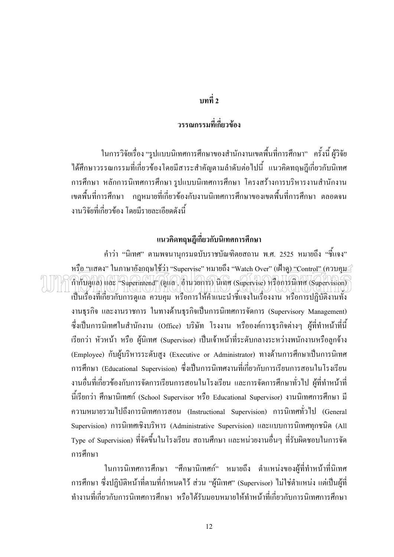## ึบทที่ 2

## ำรรณกรรมที่เกี่ยวข้อง

ในการวิจัยเรื่อง "รูปแบบนิเทศการศึกษาของสำนักงานเขตพื้นที่การศึกษา" ครั้งนี้ ผู้วิจัย ใด้ศึกษาวรรณกรรมที่เกี่ยวข้องโดยมีสาระสำคัญตามลำดับต่อไปนี้ แนวกิดทฤษฎีเกี่ยวกับนิเทศ ึการศึกษา หลักการนิเทศการศึกษา รูปแบบนิเทศการศึกษา โครงสร้างการบริหารงานสำนักงาน ้ เขตพื้นที่การศึกษา กฎหมายที่เกี่ยวข้องกับงานนิเทศการศึกษาของเขตพื้นที่การศึกษา ตลอดจน ึงานวิจัยที่เกี่ยวข้อง โดยมีรายละเอียดดังนี้

### แนวคิดทฤษฎีเกี่ยวกับนิเทศการศึกษา

ี คำว่า "นิเทศ" ตามพจนานุกรมฉบับราชบัณฑิตยสถาน พ.ศ. 2525 หมายถึง "ชี้แจง" หรือ "แสดง" ในภาษาอังกฤษใช้ว่า "Supervise" หมายถึง "Watch Over" (เฝ้าดู) "Control" (ควบคุม⊆ุ่ กำกับดูแล) และ "Superintend" (ดูแล, อำนวยการ) นิเทศ (Supervise) หรือการนิเทศ (Supervision) เป็นเรื่องที่เกี่ยวกับการดูแล ควบคุม หรือการให้คำแนะนำชี้แจงในเรื่องงาน หรือการปฏิบัติงานทั้ง งานธุรกิจ และงานราชการ ในทางด้านธุรกิจเป็นการนิเทศการจัดการ (Supervisory Management) ซึ่งเป็นการนิเทศในสำนักงาน (Office) บริษัท โรงงาน หรือองค์การธุรกิจต่างๆ ผู้ที่ทำหน้าที่นี้ เรียกว่า หัวหน้า หรือ ผู้นิเทศ (Supervisor) เป็นเจ้าหน้าที่ระดับกลางระหว่างพนักงานหรือลูกจ้าง (Employee) กับผู้บริหารระดับสูง (Executive or Administrator) ทางด้านการศึกษาเป็นการนิเทศ การศึกษา (Educational Supervision) ซึ่งเป็นการนิเทศงานที่เกี่ยวกับการเรียนการสอนในโรงเรียน ึ่งานอื่นที่เกี่ยวข้องกับการจัดการเรียนการสอนในโรงเรียน และการจัดการศึกษาทั่วไป ผู้ที่ทำหน้าที่ นี้เรียกว่า ศึกษานิเทศก์ (School Supervisor หรือ Educational Supervisor) งานนิเทศการศึกษา มี ี ความหมายรวมไปถึงการนิเทศการสอน (Instructional Supervision) การนิเทศทั่วไป (General Supervision) การนิเทศเชิงบริหาร (Administrative Supervision) และแบบการนิเทศทุกชนิด (All Type of Supervision) ที่จัดขึ้นในโรงเรียน สถานศึกษา และหน่วยงานอื่นๆ ที่รับผิดชอบในการจัด การศึกษา

ในการนิเทศการศึกษา "ศึกษานิเทศก์" หมายถึง ตำแหน่งของผู้ที่ทำหน้าที่นิเทศ ิการศึกษา ซึ่งปฏิบัติหน้าที่ตามที่กำหนดไว้ ส่วน "ผู้นิเทศ" (Supervisor) ไม่ใช่ตำแหน่ง แต่เป็นผู้ที่ ี ทำงานที่เกี่ยวกับการนิเทศการศึกษา หรือได้รับมอบหมายให้ทำหน้าที่เกี่ยวกับการนิเทศการศึกษา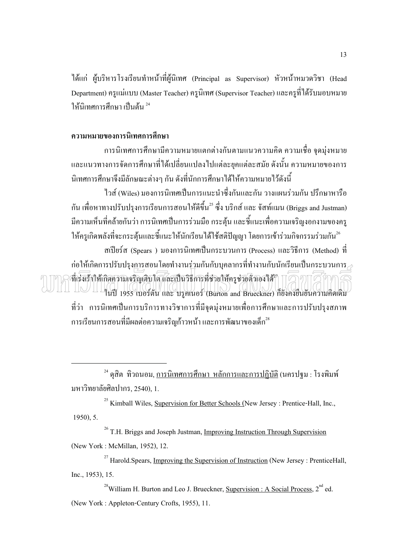ได้แก่ ผู้บริหารโรงเรียนทำหน้าที่ผู้นิเทศ (Principal as Supervisor) หัวหน้าหมวดวิชา (Head Department) ครูแม่แบบ (Master Teacher) ครูนิเทศ (Supervisor Teacher) และครูที่ได้รับมอบหมาย ให้นิเทศการศึกษา เป็นต้น <sup>24</sup>

#### ่ ความหมายของการนิเทศการศึก**ษา**

การนิเทศการศึกษามีความหมายแตกต่างกันตามแนวความกิด ความเชื่อ จุดมุ่งหมาย  $\vdots$ และแนวทางการจัดการศึกษาที่ได้เปลี่ยนแปลงไปแต่ละยุคแต่ละสมัย ดังนั้น ความหมายของการ Ï นิเทศการศึกษาจึงมีลักษณะต่างๆ กัน ดังที่นักการศึกษาได้ให้ความหมายไว้ดังนี้

ไวส์ (Wiles) มองการนิเทศเป็นการแนะนำซึ่งกันและกัน วางแผนร่วมกัน ปรึกษาหารือ  $\ddot{\phantom{a}}$ กัน เพื่อหาทางปรับปรุงการเรียนการสอนให้ดีขึ้น<sup>25</sup> ซึ่ง บริกส์ และ จัสท์แมน (Briggs and Justman)  $\ddot{\phantom{a}}$ มีความเห็นที่คล้ายกันว่า การนิเทศเป็นการร่วมมือ กระตุ้น และชี้แนะเพื่อความเจริญงอกงามของครู  $\overline{a}$  $\ddot{\phantom{a}}$ ให้ครูเกิดพลังที่จะกระตุ้นและชี้แนะให้นักเรียนใด้ใช้สติปัญญา โดยการเข้าร่วมกิจกรรมร่วมกัน $^{\rm 26}$ 

สเปียร์ส (Spears ) มองการนิเทศเป็นกระบวนการ (Process) และวิธีการ (Method) ที่ ก่อให้เกิดการปรับปรุงการสอนโดยทำงานร่วมกันกับบุคลากรที่ทำงานกับนักเรียนเป็นกระบวนการ ที่เร่งเร้าให้เกิดความเจริญเติบโต และเป็นวิธีการที่ช่วยให้ครูช่วยตัวเองได้? <u>น 1955 เบอร์ตัน และ บรู</u>คเนอร์ (Burton and Brueckner) ก็ยังคงยืนยันความคิดเดิม ที่ว่า การนิเทศเป็นการบริการทางวิชาการที่มีจุดมุ่งหมายเพื่อการศึกษาและการปรับปรุงสภาพ การเรียนการสอนที่มีผลต่อความเจริญก้าวหน้า และการพัฒนาของเด็ก<sup>28</sup>

 $^{24}$  ดุสิต ทิวถนอม, <u>การนิเทศการศึกษา หลักการและการปฏิบัติ</u> (นครปฐม : โรงพิมพ์ มหาวิทยาลัยศิลปากร, 2540), 1.

<sup>25</sup> Kimball Wiles, Supervision for Better Schools (New Jersey : Prentice-Hall, Inc., 1950), 5.

<sup>26</sup> T.H. Briggs and Joseph Justman, Improving Instruction Through Supervision (New York : McMillan, 1952), 12.<br><sup>27</sup> Harold.Spears, <u>Improving the Supervision of Instruction</u> (New Jersey : PrenticeHall,

Inc., 1953), 15.<br><sup>28</sup>William H. Burton and Leo J. Brueckner, Supervision : A Social Process, 2<sup>nd</sup> ed.

(New York : Appleton-Century Crofts, 1955), 11.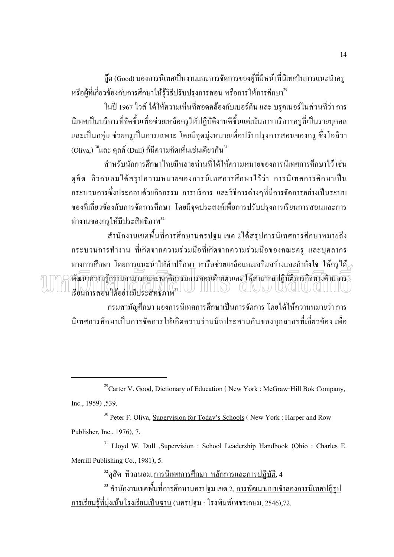้กู๊ด (Good) มองการนิเทศเป็นงานและการจัดการของผู้ที่มีหน้าที่นิเทศในการแนะนำครู หรือผู้ที่เกี่ยวข้องกับการศึกษาให้รู้วิธีปรับปรุงการสอน หรือการให้การศึกษา<sup>29</sup>

ในปี 1967 ไวส์ ได้ให้ความเห็นที่สอดคล้องกับเบอร์ตัน และ บรคเนอร์ในส่วนที่ว่า การ ้นิเทศเป็นบริการที่จัดขึ้นเพื่อช่วยเหลือครูให้ปฏิบัติงานดีขึ้นแต่เน้นการบริการครูที่เป็นรายบุคคล และเป็นกลุ่ม ช่วยครูเป็นการเฉพาะ โดยมีจุดมุ่งหมายเพื่อปรับปรุงการสอนของครู ซึ่งโอลิวา  $\left( \text{Oliva,} \right)^{\text{30}}$ และ คุลล์ (Dull) ก็มีความคิดเห็นเช่นเดียวกัน $^{\text{31}}$ 

้สำหรับนักการศึกษาไทยมีหลายท่านที่ได้ให้ความหมายของการนิเทศการศึกษาไว้ เช่น ดุสิต ทิวถนอมใด้สรุปความหมายของการนิเทศการศึกษาไว้ว่า การนิเทศการศึกษาเป็น ้กระบวนการซึ่งประกอบด้วยกิจกรรม การบริการ และวิธีการต่างๆที่มีการจัดการอย่างเป็นระบบ ของที่เกี่ยวข้องกับการจัดการศึกษา โดยมีจุดประสงค์เพื่อการปรับปรุงการเรียนการสอนและการ ทำงานของครให้มีประสิทธิภาพ<sup>32</sup>

ี สำนักงานเขตพื้นที่การศึกษานครปฐม เขต 2 ได้สรปการนิเทศการศึกษาหมายถึง ึกระบวนการทำงาน ที่เกิดจากความร่วมมือที่เกิดจากความร่วมมือของคณะครู และบุคลากร ทางการศึกษา โดยการแนะนำให้คำปรึกษา หารือช่วยเหลือและเสริมสร้างและกำลังใจ ให้ครูได้ ทัฒนาความรู้ความสามารถและพฤติกรรมการสอนด้วยคนเอง ให้สามารถปฏิบัติภารกิจทางด้านการ 

้กรมสามัญศึกษา มองการนิเทศการศึกษาเป็นการจัดการ โดยได้ให้ความหมายว่า การ นิเทศการศึกษาเป็นการจัดการให้เกิดความร่วมมือประสานกันของบุคลากรที่เกี่ยวข้อง เพื่อ

<sup>30</sup> Peter F. Oliva, Supervision for Today's Schools (New York: Harper and Row Publisher, Inc., 1976), 7.

<sup>31</sup> Lloyd W. Dull , Supervision : School Leadership Handbook (Ohio : Charles E. Merrill Publishing Co., 1981), 5.

<sup>32</sup>ดุสิต ทิวถนอม<u>, การนิเทศการศึกษา หลักการและการปฏิบัติ</u>, 4

<sup>33</sup> สำนักงานเขตพื้นที่การศึกษานครปฐม เขต 2, การพัฒนาแบบจำลองการนิเทศปฏิรูป การเรียนรู้ที่ม่งเน้นโรงเรียนเป็นฐาน (นครปฐม : โรงพิมพ์เพชรเกษม, 2546).72.

<sup>&</sup>lt;sup>29</sup>Carter V. Good, Dictionary of Education (New York: McGraw-Hill Bok Company, Inc., 1959) ,539.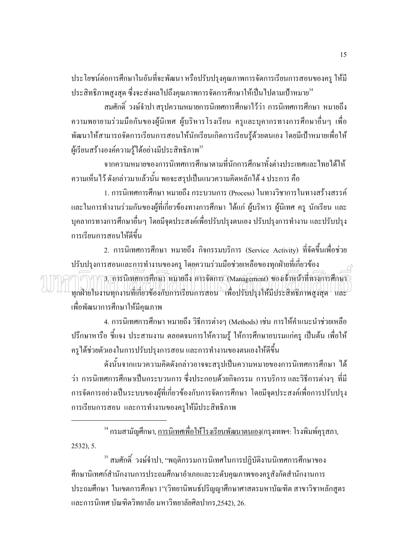ประโยชน์ต่อการศึกษาในอันที่จะพัฒนา หรือปรับปรุงคุณภาพการจัดการเรียนการสอนของครู ให้มี ประสิทธิภาพสูงสุด ซึ่งจะส่งผลไปถึงคุณภาพการจัดการศึกษาให้เป็นไปตามเป้าหมาย<sup>34</sup>

ิสมศักดิ์ วงษ์จำปา สรุปความหมายการนิเทศการศึกษาไว้ว่า การนิเทศการศึกษา หมายถึง ้ความพยายามร่วมมือกันของผู้นิเทศ ผู้บริหารโรงเรียน ครูและบุคากรทางการศึกษาอื่นๆ เพื่อ ้พัฒนาให้สามารถจัดการเรียนการสอนให้นักเรียนเกิดการเรียนรู้ด้วยตนเอง โดยมีเป้าหมายเพื่อให้ ผู้เรียนสร้างองค์ความรู้ได้อย่างมีประสิทธิภาพ<sup>35</sup>

จากความหมายของการนิเทศการศึกษาตามที่นักการศึกษาทั้งต่างประเทศและไทยได้ให้ ้ความเห็นไว้ ดังกล่าวมาแล้วนั้น พอจะสรุปเป็นแนวความคิดหลักได้ 4 ประการ คือ

1. การบิเทศการศึกษา หมายถึง กระบวบการ (Process) ใบทางวิชาการใบทางสร้างสรรค์ และในการทำงานร่วมกันของผู้ที่เกี่ยวข้องทางการศึกษา ได้แก่ ผู้บริหาร ผู้นิเทศ ครู นักเรียน และ ิบคลากรทางการศึกษาอื่นๆ โดยมีจดประสงค์เพื่อปรับปรงตนเอง ปรับปรงการทำงาน และปรับปรง การเรียนการสอนให้ดีขึ้น

2. การนิเทศการศึกษา หมายถึง กิจกรรมบริการ (Service Activity) ที่จัดขึ้นเพื่อช่วย ปรับปรุงการสอนและการทำงานของครู โด<u>ย</u>ความร่วมมือช่วยเหลือของทุกฝ่ายที่เกี่ยวข้อง

โกโกการ (การนิเทศการศึกษา หมายถึง การจัดการ (Management) ของเจ้าหน้าที่ทางการศึกษา ทุกฝ้ายในงานทุกงานที่เกี่ยวข้องกับการเรียนการสอน เพื่อปรับปรุงให้มีประสิทธิภาพสูงสุด และ เพื่อพัฒนาการศึกษาให้มีคุณภาพ

4. การนิเทศการศึกษา หมายถึง วิธีการต่างๆ (Methods) เช่น การให้คำแนะนำช่วยเหลือ ปรึกษาหารือ ชี้แจง ประสานงาน ตลอดจนการให้ความรู้ ให้การศึกษาอบรมแก่ครู เป็นต้น เพื่อให้ ครูได้ช่วยตัวเองในการปรับปรุงการสอน และการทำงานของตนเองให้ดีขึ้น

้ดังนั้นจากแนวความคิดดังกล่าวอาจจะสรุปเป็นความหมายของการนิเทศการศึกษา ได้ ว่า การนิเทศการศึกษาเป็นกระบวนการ ซึ่งประกอบด้วยกิจกรรม การบริการ และวิธีการต่างๆ ที่มี ึการจัดการอย่างเป็นระบบของผู้ที่เกี่ยวข้องกับการจัดการศึกษา โดยมีจุดประสงค์เพื่อการปรับปรุง การเรียนการสอน และการทำงานของครูให้มีประสิทธิภาพ

<sup>34</sup> กรมสามัญศึกษา, <u>การนิเทศเพื่อให้โรงเรียนพัฒนาตนเอง</u>(กรุงเทพฯ: โรงพิมพ์คุรุสภา,  $2532, 5.$ 

<sup>35</sup> สมศักดิ์ วงษ์จำปา, "พฤติกรรมการนิเทศในการปฏิบัติงานนิเทศการศึกษาของ ศึกษานิเทศก์สำนักงานการประถมศึกษาอำเภอและระดับคุณภาพของครูสังกัดสำนักงานการ ประถมศึกษา ในเขตการศึกษา 1"(วิทยานิพนธ์ปริญญาศึกษาศาสตรมหาบัณฑิต สาขาวิชาหลักสูตร และการนิเทศ บัณฑิตวิทยาลัย มหาวิทยาลัยศิลปากร.2542). 26.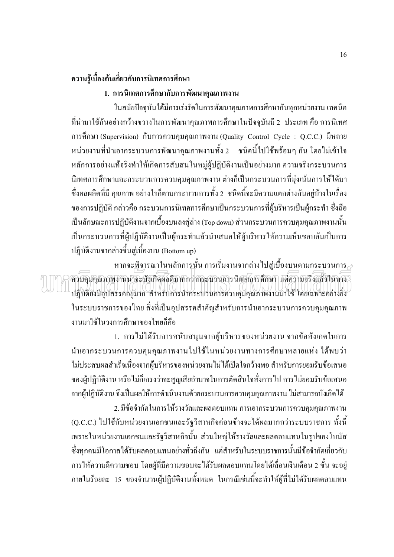## ความรู้เบื้องต้นเกี่ยวกับการนิเทศการศึกษา

### 1. การนิเทศการศึกษากับการพัฒนาคุณภาพงาน

ในสมัยปัจจุบันได้มีการเร่งรัดในการพัฒนาคุณภาพการศึกษากันทุกหน่วยงาน เทคนิค ี ที่นำมาใช้กันอย่างกว้างขวางในการพัฒนาคุณภาพการศึกษาในปัจจุบันมี 2 ประเภท คือ การนิเทศ การศึกษา (Supervision) กับการควบคุมคุณภาพงาน (Quality Control Cycle: Q.C.C.) มีหลาย หน่วยงานที่นำเอากระบวนการพัฒนาคุณภาพงานทั้ง 2 ชนิดนี้ไปใช้พร้อมๆ กัน โดยไม่เข้าใจ หลักการอย่างแท้จริงทำให้เกิดการสับสนในหม่ผ้ปฏิบัติงานเป็นอย่างมาก ความจริงกระบวนการ นิเทศการศึกษาและกระบวนการควบคุมคุณภาพงาน ต่างก็เป็นกระบวนการที่มุ่งเน้นการให้ได้มา ่ ซึ่งผลผลิตที่มี คุณภาพ อย่างไรก็ตามกระบวนการทั้ง 2 ชนิดนี้จะมีความแตกต่างกันอยู่บ้างในเรื่อง ี ของการปฏิบัติ กล่าวคือ กระบวนการนิเทศการศึกษาเป็นกระบวนการที่ผู้บริหารเป็นผู้กระทำ ซึ่งถือ ้เป็นลักษณะการปฏิบัติงานจากเบื้องบนลงสู่ล่าง (Top down) ส่วนกระบวนการควบคุมคุณภาพงานนั้น ้เป็นกระบวนการที่ผู้ปฏิบัติงานเป็นผู้กระทำแล้วนำเสนอให้ผู้บริหารให้ความเห็นชอบอันเป็นการ ปฏิบัติงานจากล่างขึ้นสู่เบื้องบน (Bottom up)

หากจะพิจารณาในหลักการนั้น การเริ่มงานจากล่างไปสู่เบื้องบนตามกระบวนการ $\geq$ ควบคุมคุณภาพงานน่าจะบังเกิดผลดีมากกว่ากระบวนการนิเทศการศึกษา แต่ความจริงแล้วในทาจ ปฏิบัติยังมีอุปสรรคอยู่มาก สำหรับการนำกระบวนการควบคุมคุณภาพงานมาใช้ โดยเฉพาะอย่างยิ่ง ในระบบราชการของไทย สิ่งที่เป็นอุปสรรคสำคัญสำหรับการนำเอากระบวนการควบคุมคุณภาพ งานมาใช้ในวงการศึกษาของไทยก็คือ

1. การไม่ได้รับการสนับสนนจากผู้บริหารของหน่วยงาน จากข้อสังเกตในการ นำเอากระบวนการควบคมคณภาพงานไปใช้ในหน่วยงานทางการศึกษาหลายแห่ง ได้พบว่า ไม่ประสบผลสำเร็จเนื่องจากผู้บริหารของหน่วยงานไม่ได้เปิดใจกว้างพอ สำหรับการยอมรับข้อเสนอ ี ของผู้ปฏิบัติงาน หรือไม่ก็เกรงว่าจะสูญเสียอำนาจในการตัดสินใจสั่งการไป การไม่ยอมรับข้อเสนอ ิจากผู้ปฏิบัติงาน จึงเป็นผลให้การดำเนินงานด้วยกระบวนการควบคุมคุณภาพงาน ไม่สามารถบังเกิดได้

2. มีข้อจำกัดในการให้รางวัลและผลตอบแทน การเอากระบวนการควบคุมคุณภาพงาน (Q.C.C.) ไปใช้กับหน่วยงานเอกชนและรัฐวิสาหกิจค่อนข้างจะได้ผลมากกว่าระบบราชการ ทั้งนี้ เพราะในหน่วยงานเอกชนและรัฐวิสาหกิจนั้น ส่วนใหญ่ให้รางวัลและผลตอบแทนในรูปของโบนัส ซึ่งทุกคนมีโอกาสได้รับผลตอบแทนอย่างทั่วถึงกัน แต่สำหรับในระบบราชการนั้นมีข้อจำกัดเกี่ยวกับ ึการให้ความดีความชอบ โดยผู้ที่มีความชอบจะได้รับผลตอบแทนโดยได้เลื่อนเงินเดือน 2 ขั้น จะอยู่ ิภายในร้อยละ 15 ของจำนวนผู้ปฏิบัติงานทั้งหมด ในกรณีเช่นนี้จะทำให้ผู้ที่ไม่ได้รับผลตอบแทน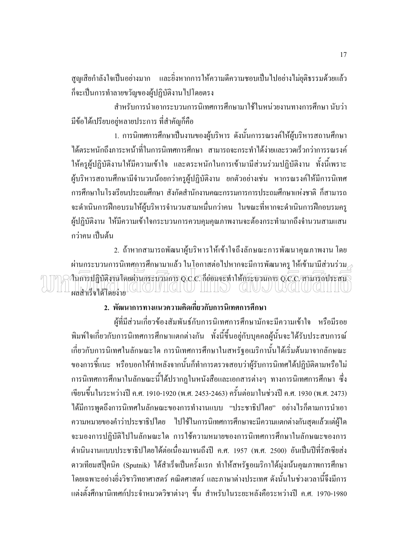ี่ สูญเสียกำลังใจเป็นอย่างมาก และอิ่งหากการให้ความดีความชอบเป็นไปอย่างไม่ยุติธรรมด้วยแล้ว ก็จะเป็นการทำลายขวัญของผู้ปฏิบัติงานไปโดยตรง

ี่ สำหรับการนำเอากระบวนการนิเทศการศึกษามาใช้ในหน่วยงานทางการศึกษา นับว่า ้มีข้อได้เปรียบอยู่หลายประการ ที่สำคัญกี่คือ

1. การนิเทศการศึกษาเป็นงานของผู้บริหาร ดังนั้นการรณรงค์ให้ผู้บริหารสถานศึกษา ได้ตระหนักถึงภาระหน้าที่ในการนิเทศการศึกษา สามารถจะกระทำได้ง่ายและรวดเร็วกว่าการรณรงค์ ให้ครูผู้ปฏิบัติงานให้มีความเข้าใจ และตระหนักในการเข้ามามีส่วนร่วมปฏิบัติงาน ทั้งนี้เพราะ ้ผู้บริหารสถานศึกษามีจำนวนน้อยกว่าครูผู้ปฏิบัติงาน ยกตัวอย่างเช่น หากรณรงค์ให้มีการนิเทศ ้การศึกนาใบโรงเรียบประถมศึกนา สังกัดสำนักงานคณะกรรมการการประถมศึกนาแห่งชาติ ก็สามารถ ้จะดำเนินการฝึกอบรมให้ผู้บริหารจำนวนสามหมื่นกว่าคน ในขณะที่หากจะดำเนินการฝึกอบรมครู ้ผ้ปฏิบัติงาน ให้มีความเข้าใจกระบวนการควบคมคณภาพงานจะต้องกระทำมากถึงจำนวนสามแสน กว่าคน เป็นต้น

2. ถ้าหากสามารถพัฒนาผู้บริหารให้เข้าใจถึงลักษณะการพัฒนาคุณภาพงาน โดย ้ผ่านกระบวนการนิเทศการศึกษามาแล้ว ในโอกาสต่อไปหากจะมีการพัฒนาครู ให้เข้ามามีส่วนร่วม .<br>ในการปฏิบัติงานโดยผ่านกระบวนการ O.C.C. ก็ย่อมจะทำให้กระบวนการ O.C.C. สามารถประสบ NOTES TO MARKET A LA CONTRACTOR AND AND LA COLOR CONTRACTOR

# 2. พัฒนาการทางแนวความคิดเกี่ยวกับการนิเทศการศึกษา

ผู้ที่มีส่วนเกี่ยวข้องสัมพันธ์กับการนิเทศการศึกษามักจะมีความเข้าใจ หรือมีรอย ี พิมพ์ใจเกี่ยวกับการนิเทศการศึกษาแตกต่างกัน ทั้งนี้ขึ้นอยู่กับบุคคลผู้นั้นจะได้รับประสบการณ์ เกี่ยวกับการนิเทศในลักษณะใด การนิเทศการศึกษาในสหรัฐอเมริกานั้นได้เริ่มต้นมาจากลักษณะ ของการชี้แนะ หรือบอกให้ทำหลังจากนั้นก็ทำการตรวจสอบว่าผู้รับการนิเทศได้ปฏิบัติตามหรือไม่ ึการนิเทศการศึกษาในลักษณะนี้ได้ปรากฏในหนังสือและเอกสารต่างๆ ทางการนิเทศการศึกษา ซึ่ง เขียนขึ้นในระหว่างปี ค.ศ. 1910-1920 (พ.ศ. 2453-2463) ครั้นต่อมาในช่วงปี ค.ศ. 1930 (พ.ศ. 2473) ได้มีการพูดถึงการนิเทศในลักษณะของการทำงานแบบ "ประชาธิปไตย" อย่างไรก็ตามการนำเอา ความหมายของคำว่าประชาธิปไตย ไปใช้ในการนิเทศการศึกษาจะมีความแตกต่างกันสุดแล้วแต่ผู้ใด จะมองการปฏิบัติไปในลักษณะใด การใช้ความหมายของการนิเทศการศึกษาในลักษณะของการ ี คำเนินงานแบบประชาธิปไตยได้ต่อเนื่องมาจนถึงปี ค.ศ. 1957 (พ.ศ. 2500) อันเป็นปีที่รัสเซียส่ง ิ ดาวเทียมสปุ๊คนิค (Sputnik) ได้สำเร็งเป็นครั้งแรก ทำให้สหรัฐอเมริกาได้มุ่งเน้นคุณภาพการศึกษา โดยเฉพาะอย่างยิ่งวิชาวิทยาศาสตร์ คณิตศาสตร์ และภาษาต่างประเทศ ดังนั้นในช่วงเวลานี้จึงมีการ แต่งตั้งศึกษานิเทศก์ประจำหมวดวิชาต่างๆ ขึ้น สำหรับในระยะหลังคือระหว่างปี ค.ศ. 1970-1980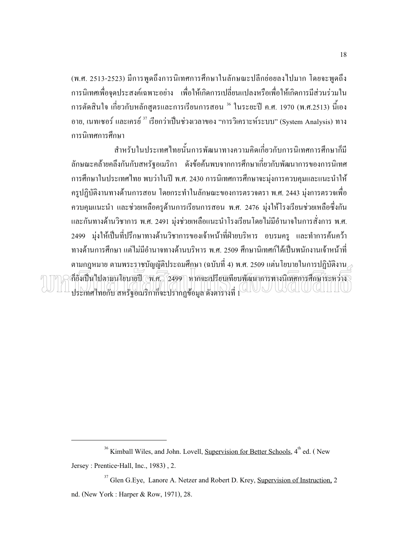(พ.ศ. 2513-2523) มีการพูดถึงการนิเทศการศึกษาในลักษณะปลีกย่อยลงไปมาก โดยจะพูดถึง ิการนิเทศเพื่อจุดประสงค์เฉพาะอย่าง เพื่อให้เกิดการเปลี่ยนแปลงหรือเพื่อให้เกิดการมีส่วนร่วมใน ึการตัดสินใจ เกี่ยวกับหลักสูตรและการเรียนการสอน <sup>36</sup> ในระยะปี ค.ศ. 1970 (พ.ศ.2513) นี้เอง อาย, เนทเซอร์ และเครย์ <sup>37</sup> เรียกว่าเป็นช่วงเวลาของ "การวิเคราะห์ระบบ" (System Analysis) ทาง การบิเทศการศึกนา

สำหรับในประเทศไทยนั้นการพัฒนาทางความคิดเกี่ยวกับการนิเทศการศึกษาก็มี ิลักษณะคล้ายคลึงกันกับสหรัฐอเมริกา ดังข้อค้นพบจากการศึกษาเกี่ยวกับพัฒนาการของการนิเทศ ิการศึกษาในประเทศไทย พบว่าในปี พ.ศ. 2430 การนิเทศการศึกษาจะมุ่งการควบคุมและแนะนำให้ ี ครูปฏิบัติงานทางด้านการสอน โดยกระทำในลักษณะของการตรวจตรา พ.ศ. 2443 มุ่งการตรวจเพื่อ ี ควบคมแนะนำ และช่วยเหลือครด้านการเรียนการสอน พ.ศ. 2476 ม่งให้โรงเรียนช่วยเหลือซึ่งกัน ้ และกันทางด้านวิชาการ พ.ศ. 2491 ม่งช่วยเหลือแนะนำโรงเรียนโดยไม่มีอำนาจในการสั่งการ พ.ศ. 2499 มุ่งให้เป็นที่ปรึกษาทางด้านวิชาการของเจ้าหน้าที่ฝ่ายบริหาร อบรมคร และทำการค้นคว้า ิทางด้านการศึกษา แต่ไม่มีอำนาจทางด้านบริหาร พ.ศ. 2509 ศึกษานิเทศก์ได้เป็นพนักงานเจ้าหน้าที่ ตามกภหมาย ตามพระราชบัญญัติประถมศึกษา (ฉบับที่ 4) พ.ศ. 2509 แต่นโยบายในการปฏิบัติงาน $\rightarrow$ ลียังเป็นไปลกมนโยบายปี ( พ.ศ. 12499 ) หากจะเปรียบเทียบพัฒนาการทางนิเทศการศึกษาระหว่าง ประเทศไทยกับ สหรัฐอเมริกาก็จะปรากฏข้อมูล ดังตารางที่ 1 (CIU) USCIUU CIIII

<sup>&</sup>lt;sup>36</sup> Kimball Wiles, and John. Lovell, Supervision for Better Schools, 4<sup>th</sup> ed. (New Jersey: Prentice-Hall, Inc., 1983), 2.

<sup>&</sup>lt;sup>37</sup> Glen G.Eye, Lanore A. Netzer and Robert D. Krey, Supervision of Instruction, 2 nd. (New York: Harper & Row, 1971), 28.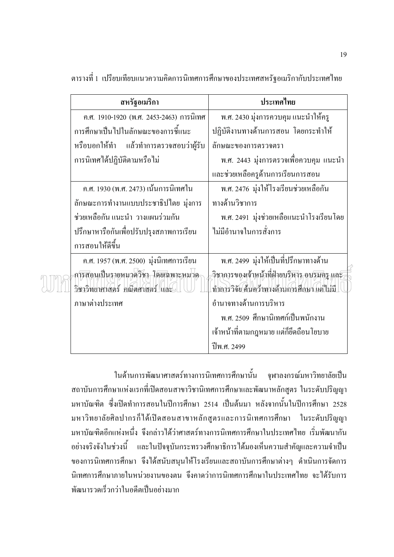|  | ตารางที่ 1  เปรียบเทียบแนวความคิดการนิเทศการศึกษาของประเทศสหรัฐอเมริกากับประเทศไทย |  |  |  |  |
|--|------------------------------------------------------------------------------------|--|--|--|--|
|  |                                                                                    |  |  |  |  |
|  |                                                                                    |  |  |  |  |

| สหรัฐอเมริกา                                                                       | ประเทศไทย                                                                                          |
|------------------------------------------------------------------------------------|----------------------------------------------------------------------------------------------------|
| ค.ศ. 1910-1920 (พ.ศ. 2453-2463) การนิเทศ                                           | พ.ศ. 2430 มุ่งการควบคุม แนะนำให้ครู                                                                |
| ้การศึกษาเป็นไปในลักษณะของการชี้แนะ                                                | ปฏิบัติงานทางด้านการสอน โดยกระทำให้                                                                |
| หรือบอกให้ทำ แล้วทำการตรวจสอบว่าผู้รับ                                             | ลักษณะของการตรวจตรา                                                                                |
| การนิเทศได้ปฏิบัติตามหรือไม่                                                       | พ.ศ. 2443 มุ่งการตรวจเพื่อควบคุม แนะนำ                                                             |
|                                                                                    | และช่วยเหลือครูค้านการเรียนการสอน                                                                  |
| ค.ศ. 1930 (พ.ศ. 2473) เน้นการนิเทศใน                                               | พ.ศ. 2476 มุ่งให้โรงเรียนช่วยเหลือกัน                                                              |
| ลักษณะการทำงานแบบประชาธิปไตย มุ่งการ                                               | ทางด้านวิชาการ                                                                                     |
| ช่วยเหลือกัน แนะนำ วางแผนร่วมกัน                                                   | พ.ศ. 2491  มุ่งช่วยเหลือแนะนำโรงเรียนโดย                                                           |
| ปรึกษาหารือกันเพื่อปรับปรุงสภาพการเรียน                                            | ไม่มีอำนาจในการสั่งการ                                                                             |
| การสอนให้ดีขึ้น                                                                    |                                                                                                    |
| ค.ศ. 1957 (พ.ศ. 2500)  มุ่งนิเทศการเรียน                                           | พ.ศ. 2499 มุ่งให้เป็นที่ปรึกษาทางด้าน                                                              |
| -กา <del>รส</del> อนเป็นรายหมวดวิชา-โดยเฉพาะหมวด<br>วิชาวิทยาศาสตร์ คณิตศาสตร์ และ | -วิชาการของเจ้าหน้าที่ฝ่ายบริหาร อบรมครู แล <i>ะ</i><br>ทำการวิจัย คืนคว้าทางด้านการศึกษา แต่ไม่มี |
| ภาษาต่างประเทศ                                                                     | อำนาจทางด้านการบริหาร                                                                              |
|                                                                                    | พ.ศ. 2509  ศึกษานิเทศก์เป็นพนักงาน                                                                 |
|                                                                                    | เจ้าหน้าที่ตามกฎหมาย แต่กี่ยึดถือนโยบาย                                                            |
|                                                                                    | ปีพ.ศ. 2499                                                                                        |

AIM

ในด้านการพัฒนาศาสตร์ทางการนิเทศการศึกษานั้น ิจฬาลงกรณ์มหาวิทยาลัยเป็น ิสถาบันการศึกษาแห่งแรกที่เปิดสอนสาขาวิชานิเทศการศึกษาและพัฒนาหลักสูตร ในระดับปริญญา ิมหาบัณฑิต ซึ่งเปิดทำการสอนในปีการศึกษา 2514 เป็นต้นมา หลังจากนั้นในปีการศึกษา 2528 ้มหาวิทยาลัยศิลปากรก็ได้เปิดสอนสาขาหลักสูตรและการนิเทศการศึกษา ในระดับปริญญา ้มหาบัณฑิตอีกแห่งหนึ่ง จึงกล่าวได้ว่าศาสตร์ทางการนิเทศการศึกษาในประเทศไทย เริ่มพัฒนากัน ้อย่างจริงจังในช่วงนี้ และในปัจจุบันกระทรวงศึกษาธิการได้มองเห็นความสำคัญและความจำเป็น ี ของการนิเทศการศึกษา จึงได้สนับสนุนให้โรงเรียนและสถาบันการศึกษาต่างๆ ดำเนินการจัดการ ้นิเทศการศึกษาภายในหน่วยงานของตน จึงคาดว่าการนิเทศการศึกษาในประเทศไทย จะได้รับการ พัฒนารวดเร็วกว่าในอดีตเป็นอย่างมาก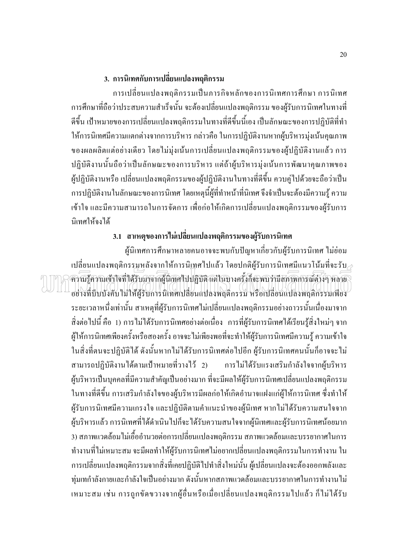## 3. การนิเทศกับการเปลี่ยนแปลงพฤติกรรม

ึการเปลี่ยนแปลงพฤติกรรมเป็นภารกิจหลักของการนิเทศการศึกษา การนิเทศ ึการศึกษาที่ถือว่าประสบความสำเร็จนั้น จะต้องเปลี่ยนแปลงพฤติกรรม ของผู้รับการนิเทศในทางที่ ี คีขึ้น เป้าหมายของการเปลี่ยนแปลงพฤติกรรมในทางที่คีขึ้นนี้เอง เป็นลักษณะของการปฏิบัติที่ทำ ให้การนิเทศมีความแตกต่างจากการบริหาร กล่าวคือ ในการปฏิบัติงานหากผ้บริหารม่งเน้นคณภาพ ี ของผลผลิตแต่อย่างเดียว โดยไม่มุ่งเน้นการเปลี่ยนแปลงพฤติกรรมของผู้ปฏิบัติงานแล้ว การ ปฏิบัติงานนั้นถือว่าเป็นลักษณะของการบริหาร แต่ถ้าผู้บริหารมุ่งเน้นการพัฒนาคุณภาพของ ผู้ปฏิบัติงานหรือ เปลี่ยนแปลงพฤติกรรมของผู้ปฏิบัติงานในทางที่ดีขึ้น ควบคู่ไปด้วยจะถือว่าเป็น ึการปฏิบัติงานในลักษณะของการนิเทศ โดยเหตุนี้ผู้ที่ทำหน้าที่นิเทศ จึงจำเป็นจะต้องมีความรู้ ความ ้เข้าใจ และมีความสามารถในการจัดการ เพื่อก่อให้เกิดการเปลี่ยนแปลงพฤติกรรมของผ้รับการ นิเทศให้จงได้

## 3.1 สาเหตุของการไม่เปลี่ยนแปลงพฤติกรรมของผู้รับการนิเทศ

ผ้นิเทศการศึกษาหลายคนอาจจะพบกับปัญหาเกี่ยวกับผ้รับการนิเทศ ไม่ย่อม เปลี่ยนแปลงพฤติกรรมหลังจากให้การนิ<u>เท</u>ศไปแล้ว โดยปกติผู้รับการนิเทศมีแนวโน้มที่จะรับ $_{\mathcal{C}}$ ้ความรู้ความเข้าใจที่ได้รับมาจากผู้นิเทศไปปฏิบัติ แต่ในบางครั้งก็จะพบว่ามีสภาพการณ์ตัวงๆ หลาย อย่างที่บีบบังคับไม่ให้ผู้รับการนิเทศเปลี่ยนแปลงพฤติกรรม หรือเปลี่ยนแปลงพฤติกรรมเพียง ้ระยะเวลาหนึ่งเท่านั้น สาเหตุที่ผู้รับการนิเทศไม่เปลี่ยนแปลงพฤติกรรมอย่างถาวรนั้นเนื่องมาจาก ้สิ่งต่อไปนี้ คือ 1) การไม่ได้รับการนิเทศอย่างต่อเนื่อง การที่ผู้รับการนิเทศได้เรียนรู้สิ่งใหม่ๆ จาก ผู้ให้การนิเทศเพียงครั้งหรือสองครั้ง อาจจะไม่เพียงพอที่จะทำให้ผู้รับการนิเทศมีความรู้ ความเข้าใจ ในสิ่งที่ตนจะปฏิบัติได้ ดังนั้นหากไม่ได้รับการนิเทศต่อไปอีก ผู้รับการนิเทศคนนั้นก็อาจจะไม่ สามารถปฏิบัติงานใด้ตามเป้าหมายที่วางไว้ 2) การไม่ได้รับแรงเสริมกำลังใจจากผู้บริหาร ผู้บริหารเป็นบุคคลที่มีความสำคัญเป็นอย่างมาก ที่จะมีผลให้ผู้รับการนิเทศเปลี่ยนแปลงพฤติกรรม ในทางที่ดีขึ้น การเสริมกำลังใจของผู้บริหารมีผลก่อให้เกิดอำนาจแฝงแก่ผู้ให้การนิเทศ ซึ่งทำให้ ผู้รับการนิเทศมีความเกรงใจ และปฏิบัติตามคำแนะนำของผู้นิเทศ หากไม่ได้รับความสนใจจาก ผู้บริหารแล้ว การนิเทศที่ได้ดำเนินไปก็จะได้รับความสนใจจากผู้นิเทศและผู้รับการนิเทศน้อยมาก 3) สภาพแวดล้อมไม่เอื้ออำนวยต่อการเปลี่ยนแปลงพฤติกรรม สภาพแวดล้อมและบรรยากาศในการ ้ ทำงานที่ไม่เหมาะสม จะมีผลทำให้ผู้รับการนิเทศไม่อยากเปลี่ยนแปลงพฤติกรรมในการทำงาน ใน ึการเปลี่ยนแปลงพฤติกรรมจากสิ่งที่เคยปฏิบัติไปทำสิ่งใหม่นั้น ผู้เปลี่ยนแปลงจะต้องออกพลังและ ี ทุ่มเทกำลังกายและกำลังใจเป็นอย่างมาก ดังนั้นหากสภาพแวดล้อมและบรรยากาศในการทำงานไม่ ้เหมาะสม เช่น การถูกขัดขวางจากผู้อื่นหรือเมื่อเปลี่ยนแปลงพฤติกรรมไปแล้ว ก็ไม่ได้รับ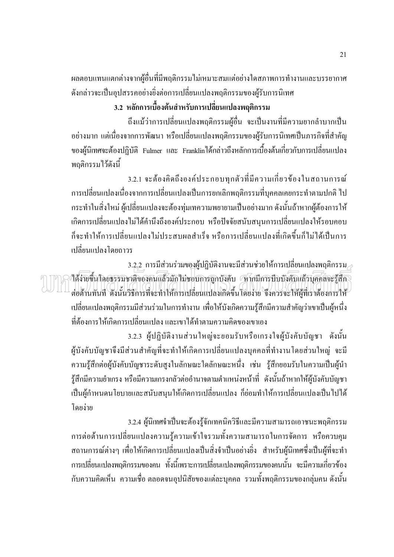ผลตอบแทนแตกต่างจากผู้อื่นที่มีพฤติกรรมไม่เหมาะสมแต่อย่างใดสภาพการทำงานและบรรยากาศ ้ดังกล่าวจะเป็นอุปสรรคอย่างยิ่งต่อการเปลี่ยนแปลงพฤติกรรมของผู้รับการนิเทศ

# 3.2 หลักการเบื้องต้นสำหรับการเปลี่ยนแปลงพฤติกรรม

้ถึงแม้ว่าการเปลี่ยนแปลงพฤติกรรมผู้อื่น จะเป็นงานที่มีความยากลำบากเป็น ้อย่างมาก แต่เนื่องจากการพัฒนา หรือเปลี่ยนแปลงพฤติกรรมของผู้รับการนิเทศเป็นภารกิจที่สำคัญ ของผู้นิเทศจะต้องปฏิบัติ Fulmer และ Franklinได้กล่าวถึงหลักการเบื้องต้นเกี่ยวกับการเปลี่ยนแปลง พฤติกรรมไว้ดังนี้

3.2.1 จะต้องคิดถึงองค์ประกอบทุกตัวที่มีความเกี่ยวข้องในสถานการณ์ ่ การเปลี่ยนแปลงเนื่องจากการเปลี่ยนแปลงเป็นการยกเลิกพฤติกรรมที่บกกลเกยกระทำตามปกติ ไป ้ กระทำในสิ่งใหม่ ผู้เปลี่ยนแปลงจะต้องท่มเทความพยายามเป็นอย่างมาก ดังนั้นถ้าหากผู้ต้องการให้ ้เกิดการเปลี่ยนแปลงไม่ได้คำนึงถึงองค์ประกอบ หรือปัจจัยสนับสนุนการเปลี่ยนแปลงให้รอบคอบ ้ก็จะทำให้การเปลี่ยนแปลงไม่ประสบผลสำเร็จ หรือการเปลี่ยนแปลงที่เกิดขึ้นก็ไม่ได้เป็นการ ้เปลี่ยนแปลงโดยถาวร

 $\,$ 3.2.2 การมีส่วนร่วมของผู้ปฏิบัติงานจะมีส่วนช่วยให้การเปลี่ยนแปลงพฤติกรรม $_\geq$ 1ส่ง่ายขึ้นโดยธรรมชาติของคนแล้วมัก ไม่ชอบการถูกบังคับ 7หากมีการบีบบังคับแล้วบุคคลจะรู้สึก ต่อต้านทันที ดังนั้นวิธีการที่จะทำให้การเปลี่ยนแปลงเกิดขึ้นโดยง่าย จึงควรจะให้ผู้ที่เราต้องการให้ ้เปลี่ยนแปลงพฤติกรรมมีส่วนร่วมในการทำงาน เพื่อให้บังเกิดความรู้สึกมีความสำคัญว่าเขาเป็นผู้หนึ่ง ีที่ต้องการให้เกิดการเปลี่ยนแปลง และเขาได้ทำตามความคิดของเขาเอง

3.2.3 ผู้ปฏิบัติงานส่วนใหญ่จะยอมรับหรือเกรงใจผู้บังคับบัญชา ดังนั้น ผู้บังคับบัญชาจึงมีส่วนสำคัญที่จะทำให้เกิดการเปลี่ยนแปลงบุคคลที่ทำงานโดยส่วนใหญ่ จะมี ้ความรู้สึกต่อผู้บังคับบัญชาระดับสูงในลักษณะใดลักษณะหนึ่ง เช่น รู้สึกยอมรับในความเป็นผู้นำ รู้สึกมีความยำเกรง หรือมีความเกรงกลัวต่ออำนาจตามตำแหน่งหน้าที่ ดังนั้นถ้าหากให้ผู้บังคับบัญชา ้เป็นผู้กำหนดนโยบายและสนับสนุนให้เกิดการเปลี่ยนแปลง ก็ย่อมทำให้การเปลี่ยนแปลงเป็นไปได้ โดยง่าย

3.2.4 ผู้นิเทศจำเป็นจะต้องรู้จักเทคนิควิธีและมีความสามารถเอาชนะพฤติกรรม ึการต่อต้านการเปลี่ยนแปลงความรู้ความเข้าใจรวมทั้งความสามารถในการจัดการ หรือควบคุม ิสถานการณ์ต่างๆ เพื่อให้เกิดการเปลี่ยนแปลงเป็นสิ่งจำเป็นอย่างยิ่ง สำหรับผู้นิเทศซึ่งเป็นผู้ที่จะทำ ิการเปลี่ยนแปลงพฤติกรรมของคน ทั้งนี้เพราะการเปลี่ยนแปลงพฤติกรรมของคนนั้น จะมีความเกี่ยวข้อง ้กับความคิดเห็น ความเชื่อ ตลอดจนอุปนิสัยของแต่ละบุคคล รวมทั้งพฤติกรรมของกลุ่มคน ดังนั้น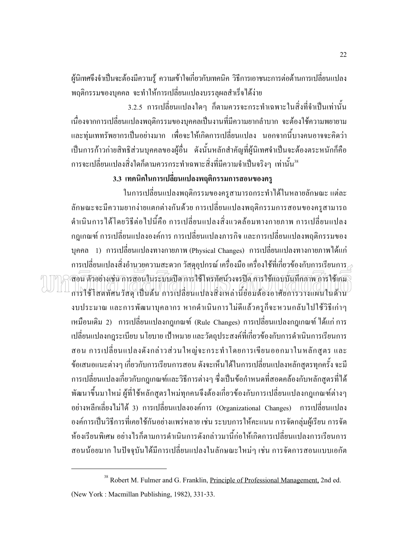ผู้นิเทศจึงจำเป็นจะต้องมีความรู้ ความเข้าใจเกี่ยวกับเทคนิค วิธีการเอาชนะการต่อต้านการเปลี่ยนแปลง ี พฤติกรรมของบุคคล จะทำให้การเปลี่ยนแปลงบรรลุผลสำเร็จได้ง่าย

3.2.5 การเปลี่ยนแปลงใดๆ ก็ตามควรจะกระทำเฉพาะในสิ่งที่จำเป็นเท่านั้น ้เนื่องจากการเปลี่ยนแปลงพฤติกรรมของบุคคลเป็นงานที่มีความยากลำบาก จะต้องใช้ความพยายาม ี และท่มเททรัพยากรเป็นอย่างมาก เพื่อจะให้เกิดการเปลี่ยนแปลง นอกจากนี้บางคนอาจจะคิดว่า เป็นการก้าวก่ายสิทธิส่วนบุคคลของผู้อื่น ดังนั้นหลักสำคัญที่ผู้นิเทศจำเป็นจะต้องตระหนักก็คือ การจะเปลี่ยนแปลงสิ่งใดก็ตามควรกระทำเฉพาะสิ่งที่มีความจำเป็นจริงๆ เท่านั้น<sup>38</sup>

## 3.3 เทคนิคในการเปลี่ยนแปลงพฤติกรรมการสอนของครู

ในการเปลี่ยนแปลงพฤติกรรมของครูสามารถกระทำได้ในหลายลักษณะ แต่ละ ิลักษณะจะมีความยากง่ายแตกต่างกันด้วย การเปลี่ยนแปลงพฤติกรรมการสอนของครสามารถ ้คำเนินการได้โดยวิธีต่อไปนี้คือ การเปลี่ยนแปลงสิ่งแวดล้อมทางกายภาพ การเปลี่ยนแปลง ึกฎเกณฑ์ การเปลี่ยนแปลงองค์การ การเปลี่ยนแปลงภารกิจ และการเปลี่ยนแปลงพฤติกรรมของ ิบคคล 1) การเปลี่ยนแปลงทางกายภาพ(Physical Changes) การเปลี่ยนแปลงทางกายภาพได้แก่ การเปลี่ยนแปลงสิ่งอำนวยความสะดวก วัสดุอุปกรณ์ เครื่องมือ เครื่องใช้ที่เกี่ยวข้องกับการเรียนการ $\geq$ สอน ตัวอย่างเช่น การสอนในระบบเปิด การใช้โทรทัศน์วงจรปิด การใช้แถบบันทึกภาพ การใช้เกม การใช้โสตทัศนวัสดุ เป็นต้น การเปลี่ยนแปลงสิ่งเหล่านี้ย่อมต้องอาศัยการวางแผนในด้าน ึ่งบประมาณ และการพัฒนาบุคลากร หากดำเนินการไม่ดีแล้วครูก็จะหวนกลับไปใช้วิธีเก่าๆ เหมือนเดิม 2) การเปลี่ยนแปลงกฎเกณฑ์ (Rule Changes) การเปลี่ยนแปลงกฎเกณฑ์ ได้แก่ การ ้เปลี่ยนแปลงกฎระเบียบ นโยบาย เป้าหมาย และวัตถุประสงค์ที่เกี่ยวข้องกับการดำเนินการเรียนการ ีสอน การเปลี่ยนแปลงดังกล่าวส่วนใหญ่จะกระทำโดยการเขียนออกมาในหลักสูตร และ ้ข้อเสนอแนะต่างๆ เกี่ยวกับการเรียนการสอน ดังจะเห็นได้ในการเปลี่ยนแปลงหลักสูตรทุกครั้ง จะมี ึการเปลี่ยนแปลงเกี่ยวกับกฎเกณฑ์และวิธีการต่างๆ ซึ่งเป็นข้อกำหนดที่สอดคล้องกับหลักสูตรที่ได้ ้พัฒนาขึ้นมาใหม่ ผู้ที่ใช้หลักสูตรใหม่ทุกคนจึงต้องเกี่ยวข้องกับการเปลี่ยนแปลงกฎเกณฑ์ต่างๆ อย่างหลีกเลี่ยงไม่ได้ 3) การเปลี่ยนแปลงองค์การ (Organizational Changes) การเปลี่ยนแปลง ้องค์การเป็นวิธีการที่เคยใช้กันอย่างแพร่หลาย เช่น ระบบการให้คะแนน การจัดกล่มผู้เรียน การจัด ห้องเรียนพิเศษ อย่างไรก็ตามการคำเนินการคังกล่าวมานี้ก่อให้เกิดการเปลี่ยนแปลงการเรียนการ ี สอนน้อยมาก ในปัจจุบันได้มีการเปลี่ยนแปลงในลักษณะใหม่ๆ เช่น การจัดการสอนแบบเอกัต

<sup>&</sup>lt;sup>38</sup> Robert M. Fulmer and G. Franklin, *Principle of Professional Management*, 2nd ed. (New York: Macmillan Publishing, 1982), 331-33.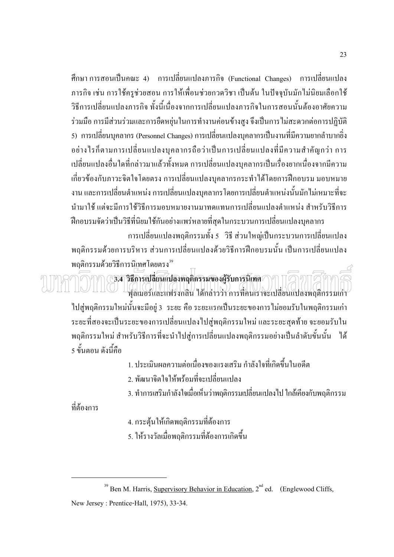ี ศึกษา การสอนเป็นคณะ 4) การเปลี่ยนแปลงภารกิจ (Functional Changes) การเปลี่ยนแปลง ิภารกิจ เช่น การใช้ครูช่วยสอน การให้เพื่อนช่วยกวดวิชา เป็นต้น ในปัจจุบันมักไม่นิยมเลือกใช้ ้วิธีการเปลี่ยนแปลงภารกิจ ทั้งนี้เนื่องจากการเปลี่ยนแปลงภารกิจในการสอนนั้นต้องอาศัยความ ้ร่วมมือ การมีส่วนร่วมและการยืดหยุ่นในการทำงานค่อนข้างสูง จึงเป็นการไม่สะดวกต่อการปฏิบัติ 5) การเปลี่ยนบคลากร (Personnel Changes) การเปลี่ยนแปลงบคลากรเป็นงานที่มีความยากลำบากยิ่ง ้อย่างไรก็ตามการเปลี่ยนแปลงบุคลากรถือว่าเป็นการเปลี่ยนแปลงที่มีความสำคัญกว่า การ ้เปลี่ยนแปลงอื่นใดที่กล่าวมาแล้วทั้งหมด การเปลี่ยนแปลงบุคลากรเป็นเรื่องยากเนื่องจากมีความ เกี่ยวข้องกับภาวะจิตใจโคยตรง การเปลี่ยนแปลงบุคลากรกระทำได้โดยการฝึกอบรม มอบหมาย ้งาน และการเปลี่ยนตำแหน่ง การเปลี่ยนแปลงบคลากร โดยการเปลี่ยนตำแหน่งนั้นมักไม่เหมาะที่จะ ้ นำมาใช้ แต่จะมีการใช้วิธีการมอบหมายงานมาทดแทนการเปลี่ยนแปลงตำแหน่ง สำหรับวิธีการ

้ฝึกอบรมจัดว่าเป็นวิธีที่นิยมใช้กันอย่างแพร่หลายที่สุดในกระบวนการเปลี่ยนแปลงบุคลากร ี การเปลี่ยนแปลงพฤติกรรมทั้ง 5 วิธี ส่วนใหญ่เป็นกระบวนการเปลี่ยนแปลง ี พฤติกรรมด้วยการบริหาร ส่วนการเปลี่ยนแปลงด้วยวิธีการฝึกอบรมนั้น เป็นการเปลี่ยนแปลง พถติกรรมด้วยวิธีการนิเทศโดยตรง<sup>39</sup>

3.4 วิธีการเปลี่ยนแปลงพฤติกรรมของผู้รับการนิเทศ ฟุสเมอร์และแฟรงกลิน ได้กล่าวว่า การที่คนเราจะเปลี่ยนแปลงพฤติกรรมเก่า

ไปสู่พฤติกรรมใหม่นั้นจะมีอยู่ 3 ระยะ คือ ระยะแรกเป็นระยะของการไม่ยอมรับในพฤติกรรมเก่า ระยะที่สองจะเป็นระยะของการเปลี่ยนแปลงไปสู่พฤติกรรมใหม่ และระยะสุคท้าย จะยอมรับใน ี พฤติกรรมใหม่ สำหรับวิธีการที่จะนำไปสู่การเปลี่ยนแปลงพฤติกรรมอย่างเป็นลำดับขั้นนั้น "ได้ ้ ร ขั้นตกน ดังนี้คืก

- 1. ประเมินผลความต่อเนื่องของแรงเสริม กำลังใจที่เกิดขึ้นในอดีต
- 2. พัฒนาจิตใจให้พร้อมที่จะเปลี่ยนแปลง
- 3. ทำการเสริมกำลังใจเมื่อเห็นว่าพฤติกรรมเปลี่ยนแปลงไป ใกล้เคียงกับพฤติกรรม

์ที่สัดง<sub>การ</sub>

4. กระตุ้นให้เกิดพฤติกรรมที่ต้องการ

5. ให้รางวัลเมื่อพฤติกรรมที่ต้องการเกิดขึ้น

<sup>&</sup>lt;sup>39</sup> Ben M. Harris, Supervisory Behavior in Education,  $2<sup>nd</sup>$  ed. (Englewood Cliffs, New Jersey: Prentice-Hall, 1975), 33-34.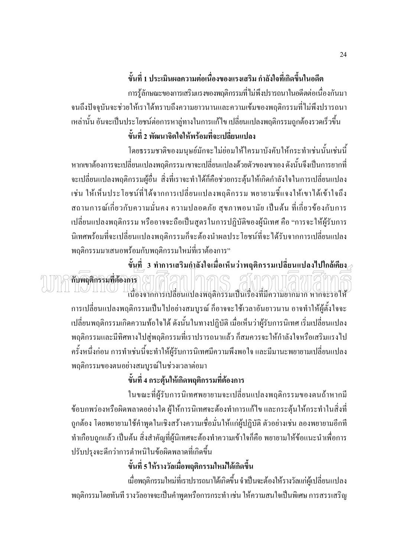# ์ขั้นที่ 1 ประเมินผลความต่อเนื่องของแรงเสริม กำลังใจที่เกิดขึ้นในอดีต

การรู้ลักษณะของการเสริมแรงของพฤติกรรมที่ไม่พึงปรารถนาในอดีตต่อเนื่องกันมา จนถึงปัจจุบันจะช่วยให้เราได้ทราบถึงความยาวนานและความเข้มของพฤติกรรมที่ไม่พึงปรารถนา ้ เหล่านั้น อันจะเป็นประโยชน์ต่อการหาลู่ทางในการแก้ไข เปลี่ยนแปลงพฤติกรรมถูกต้องรวดเร็วขึ้น

## ้ขั้นที่ 2 พัฒนาจิตใจให้พร้อมที่จะเปลี่ยนแปลง

โดยธรรมชาติของมนุษย์มักจะไม่ย่อมให้ใครมาบังคับให้กระทำเช่นนั้นเช่นนี้ หากเขาต้องการจะเปลี่ยนแปลงพฤติกรรม เขาจะเปลี่ยนแปลงด้วยตัวของเขาเอง ดังนั้นจึงเป็นการยากที่ ึ่งะเปลี่ยนแปลงพฤติกรรมผู้อื่น สิ่งที่เราจะทำได้ก็คือช่วยกระตุ้นให้เกิดกำลังใจในการเปลี่ยนแปลง ้เช่น ให้เห็นประโยชน์ที่ได้จากการเปลี่ยนแปลงพถติกรรม พยายามชี้แจงให้เขาได้เข้าใจถึง ิสถานการณ์เกี่ยวกับความมั่นคง ความปลอดภัย สุขภาพอนามัย เป็นต้น ที่เกี่ยวข้องกับการ ้เปลี่ยนแปลงพฤติกรรม หรืออาจจะถือเป็นสูตรในการปฏิบัติของผู้นิเทศ คือ "การจะให้ผู้รับการ นิเทศพร้อมที่จะเปลี่ยนแปลงพฤติกรรมก็จะต้องนำผลประโยชน์ที่จะได้รับจากการเปลี่ยนแปลง ี พฤติกรรมมาเสนอพร้อมกับพฤติกรรมใหม่ที่เราต้องการ"

์ขั้นที่ 3 ทำการเสริมกำลังใจเมื่อเห็นว่าพฤติกรรมเปลี่ยนแปลงไปใกล้เคียง $\epsilon$ กับพฤติกรรมที่ต้องการ เนื่องจากการเปลี่ยนแปลงพฤติกรรมเป็นเรื่องที่มีความยากมาก หากจะรอให้

้การเปลี่ยนแปลงพฤติกรรมเป็นไปอย่างสมบูรณ์ ก็อาจจะใช้เวลาอันยาวนาน อาจทำให้ผู้ตั้งใจจะ ้เปลี่ยนพฤติกรรมเกิดความท้อใจได้ ดังนั้นในทางปฏิบัติ เมื่อเห็นว่าผู้รับการนิเทศ เริ่มเปลี่ยนแปลง พฤติกรรมและมีทิศทางไปสู่พฤติกรรมที่เราปรารถนาแล้ว ก็สมควรจะให้กำลังใจหรือเสริมแรงไป ้ครั้งหนึ่งก่อน การทำเช่นนี้จะทำให้ผู้รับการนิเทศมีความพึงพอใจ และมีมานะพยายามเปลี่ยนแปลง พถุติกรรมของตนอย่างสมบรณ์ในช่วงเวลาต่อมา

# ขั้นที่ 4 กระต้นให้เกิดพถติกรรมที่ต้องการ

ในขณะที่ผู้รับการนิเทศพยายามจะเปลี่ยนแปลงพฤติกรรมของตนถ้าหากมี ้ ข้อบกพร่องหรือผิดพลาดอย่างใด ผู้ให้การนิเทศจะต้องทำการแก้ไข และกระตุ้นให้กระทำในสิ่งที่ ิถกต้อง โคยพยายามใช้คำพดในเชิงสร้างความเชื่อมั่นให้แก่ผ้ปฏิบัติ ตัวอย่างเช่น ลองพยายามอีกที ้ ทำเกือบถกแล้ว เป็นต้น สิ่งสำคัญที่ผ้นิเทศจะต้องทำความเข้าใจก็คือ พยายามให้ข้อแนะนำเพื่อการ ปรับปรงจะดีกว่าการตำหนิในข้อผิดพลาดที่เกิดขึ้น

# ้ขั้นที่ 5 ให้รางวัลเมื่อพฤติกรรมใหม่ได้เกิดขึ้น

เมื่อพฤติกรรมใหม่ที่เราปรารถนาได้เกิดขึ้น จำเป็นจะต้องให้รางวัลแก่ผู้เปลี่ยนแปลง พฤติกรรมโดยทันที รางวัลอาจจะเป็นคำพูดหรือการกระทำ เช่น ให้ความสนใจเป็นพิเศษ การสรรเสริญ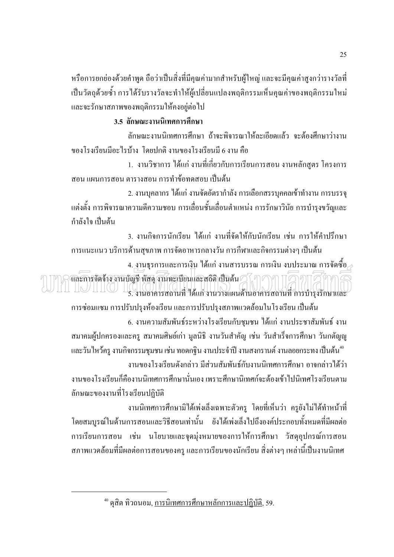หรือการยกย่องด้วยคำพูด ถือว่าเป็นสิ่งที่มีคุณค่ามากสำหรับผู้ใหญ่ และจะมีคุณค่าสูงกว่ารางวัลที่ ้เป็นวัตถุด้วยซ้ำ การได้รับรางวัลจะทำให้ผู้เปลี่ยนแปลงพฤติกรรมเห็นคุณค่าของพฤติกรรมใหม่ และจะรักษาสภาพของพฤติกรรมให้คงอยู่ต่อไป

### 3.5 ลักษณะงานนิเทศการศึกษา

ลักษณะงานนิเทศการศึกษา ถ้าจะพิจารณาให้ละเกียดแล้ว จะต้องศึกษาว่างาน ้ของโรงเรียนมีอะไรบ้าง โดยปกติ งานของโรงเรียนมี 6 งาน คือ

1. งานวิชาการ ได้แก่ งานที่เกี่ยวกับการเรียนการสอน งานหลักสูตร โครงการ สอน แผนการสอน ตารางสอน การทำข้อทดสอบ เป็นต้น

่ 2. งานบุคลากร ได้แก่ งานจัดอัตรากำลัง การเลือกสรรบุคคลเข้าทำงาน การบรรจุ ้แต่งตั้ง การพิจารณาความดีความชอบ การเลื่อนชั้นเลื่อนตำแหน่ง การรักษาวินัย การบำรงขวัณและ กำลังใจ เป็นต้น

3. งานกิจการนักเรียน ได้แก่ งานที่จัดให้กับนักเรียน เช่น การให้คำปรึกษา

ิการแนะแนว บริการด้านสขภาพ การจัดอาหารกลางวัน การกีฬาและกิจกรรมต่างๆ เป็นต้น ี่ 4. งานธรการและการเงิน ได้แก่ งานสารบรรณ การเงิน งบประมาณ การจัดซื้อ

 $\widehat{\mathfrak{g}}$ การจัดจ้าง งานบัญชี พัสดุ งานทะเบียนและสถิติเป็นต้น $\widehat{\mathcal{O}}$ TIMITIO 16 เบื้องการสถานที่ ได้แก่ งานวางแผนด้านอาการสถานที่ การบำรุงรักษาและ

ึการซ่อมแซม การปรับปรุงห้องเรียน และการปรับปรุงสภาพแวดล้อมในโรงเรียน เป็นต้น 6. งานความสัมพันธ์ระหว่างโรงเรียนกับชุมชน ได้แก่ งานประชาสัมพันธ์ งาน

ี่ สมาคมผู้ปกครองและครู สมาคมศิษย์เก่า มูลนิธิ งานวันสำคัญ เช่น วันสำเร็จการศึกษา วันกตัญญ และวันไหว้ครู งานกิจกรรมชุมชน เช่น ทอดกฐิน งานประจำปี งานสงกรานต์ งานลอยกระทง เป็นต้น" ้งานของโรงเรียนดังกล่าว มีส่วนสัมพันธ์กับงานนิเทศการศึกษา อาจกล่าวได้ว่า

งานของโรงเรียนก็คืองานนิเทศการศึกษานั่นเอง เพราะศึกษานิเทศก์จะต้องเข้าไปนิเทศโรงเรียนตาม ลักษณะของงานที่โรงเรียนปฏิบัติ

ึงานนิเทศการศึกษามิได้เพ่งเล็งเฉพาะตัวครู โดยที่เห็นว่า ครูยังไม่ได้ทำหน้าที่ โดยสมบูรณ์ในด้านการสอนและวิธีสอนเท่านั้น ยังได้เพ่งเล็งไปถึงองค์ประกอบทั้งหมดที่มีผลต่อ การเรียนการสอน เช่น นโยบายและจุดมุ่งหมายของการให้การศึกษา วัสดุอุปกรณ์การสอน ิสภาพแวดล้อมที่มีผลต่อการสอนของครู และการเรียนของนักเรียน สิ่งต่างๆ เหล่านี้เป็นงานนิเทศ

<sup>ื&</sup>lt;sup>40</sup> ดุสิต ทิวถนอม, <u>การนิเทศการศึกษาหลักการและปฏิบัติ,</u> 59.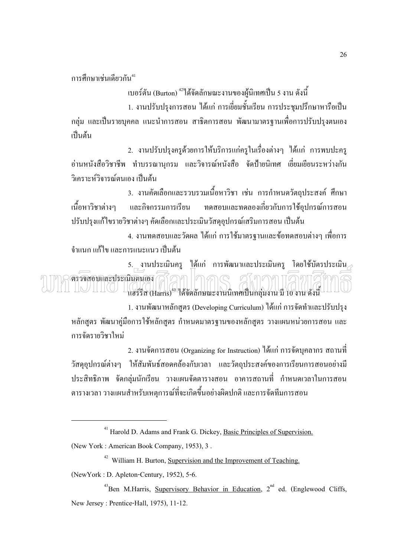การศึกนาเช่นเดียวกัน<sup>41</sup>

ี เบอร์ตัน (Burton) <sup>42</sup>ได้จัดลักษณะงานของผู้นิเทศเป็น 5 งาน ดังนี้

1. งานปรับปรุงการสอน ได้แก่ การเยี่ยมชั้นเรียน การประชุมปรึกษาหารือเป็น ึกลุ่ม และเป็นรายบุคคล แนะนำการสอน สาธิตการสอน พัฒนามาตรฐานเพื่อการปรับปรุงตนเอง เป็นด้น

2. งานปรับปรุงครูด้วยการให้บริการแก่ครูในเรื่องต่างๆ ได้แก่ การพบปะครู ้อ่านหนังสือวิชาชีพ ทำบรรณานุกรม และวิจารณ์หนังสือ จัดป้ายนิเทศ เยี่ยมเยียนระหว่างกัน วิเคราะห์วิจารณ์ตบเอง เป็นต้บ

่ 3. งานคัดเลือกและรวบรวมเนื้อหาวิชา เช่น การกำหนดวัตถประสงค์ ศึกษา ี และกิจกรรมการเรียน ทคสอบและทคลองเกี่ยวกับการใช้อปกรณ์การสอน เนื้อหาวิชาต่างๆ ปรับปรุงแก้ไขรายวิชาต่างๆ คัดเลือกและประเมินวัสดุอุปกรณ์เสริมการสอน เป็นต้น

ี 4. งานทดสอบและวัดผล ได้แก่ การใช้มาตรฐานและข้อทดสอบต่างๆ เพื่อการ ้จำแนก แก้ไข และการแนะแนว เป็นต้น

5. งานประเมินครู ได้แก่ การพัฒนาและประเมินครู โดยใช้บัตรประเมิน ครวจสอบและประเมินคนเอง (สโQ)ๆ แฮร์ริส (Harris)<sup>43</sup> ได้จัดลักษณะงานนิเทศเป็นกลุ่มงาน มี 10 งาน ดังนี้

1. งานพัฒนาหลักสูตร (Developing Curriculum) ได้แก่ การจัดทำและปรับปรุง หลักสูตร พัฒนาคู่มือการใช้หลักสูตร กำหนดมาตรฐานของหลักสูตร วางแผนหน่วยการสอน และ การจัดรายวิชาใหม่

2. งานจัดการสอน (Organizing for Instruction) ใด้แก่ การจัดบุคลากร สถานที่ ้วัสดุอุปกรณ์ต่างๆ ให้สัมพันธ์สอดคล้องกับเวลา และวัตถุประสงค์ของการเรียนการสอนอย่างมี ี ประสิทธิภาพ จัดกล่มนักเรียน วางแผนจัดตารางสอน อาคารสถานที่ กำหนดเวลาในการสอน ิตารางเวลา วางแผนสำหรับเหตุการณ์ที่จะเกิดขึ้นอย่างผิดปกติ และการจัดทีมการสอน

<sup>&</sup>lt;sup>41</sup> Harold D. Adams and Frank G. Dickey, Basic Principles of Supervision.

<sup>(</sup>New York: American Book Company, 1953), 3.

<sup>&</sup>lt;sup>42</sup> William H. Burton, Supervision and the Improvement of Teaching.

<sup>(</sup>New York: D. Apleton-Century, 1952), 5-6.

<sup>&</sup>lt;sup>43</sup>Ben M.Harris, Supervisory Behavior in Education,  $2<sup>nd</sup>$  ed. (Englewood Cliffs, New Jersey: Prentice-Hall, 1975), 11-12.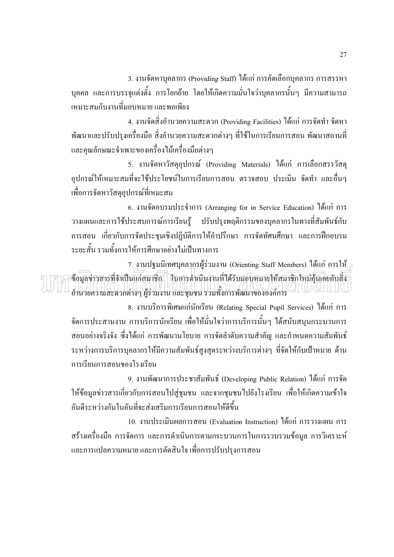3. งานจัดหาบุคลากร (Providing Staff) ได้แก่ การคัดเลือกบุคลากร การสรรหา ี บุคคล และการบรรจุแต่งตั้ง การโยกย้าย โดยให้เกิดความมั่นใจว่าบุคลากรนั้นๆ มีความสามารถ ้เหมาะสมกับงานที่มอบหมาย และพอเพียง

4. งานจัดสิ่งอำนวยความสะดวก (Providing Facilities) ใค้แก่ การจัดทำ จัดหา ี พัฒนาและปรับปรงเครื่องมือ สิ่งอำนวยความสะดวกต่างๆ ที่ใช้ในการเรียนการสอน พัฒนาสถานที่ และคุณลักษณะจำเพาะของเครื่องใม้เครื่องมือต่างๆ

5. งานจัดหาวัสดุอุปกรณ์ (Providing Materials) ใด้แก่ การเลือกสรรวัสดุ อุปกรณ์ให้เหมาะสมที่จะใช้ประโยชน์ในการเรียนการสอน ตรวจสอบ ประเมิน จัดทำ และอื่นๆ เพื่อการจัดหาวัสดอปกรณ์ที่เหมะสม

6. งานจัดอบรมประจำการ (Arranging for in Service Education) ใต้แก่ การ ้วางแผนและการใช้ประสบการณ์การเรียนรู้ ปรับปรุงพฤติกรรมของบุคลากรในทางที่สัมพันธ์กับ ึการสอน เกี่ยวกับการจัดประชุมเชิงปฏิบัติการให้คำปรึกษา การจัดทัศนศึกษา และการฝึกอบรม ระยะสั้น รวมทั้งการให้การศึกษาอย่างไม่เป็นทางการ

7. งานปฐมนิเทศบุคลากรผู้ร่วมงาน (Orienting Staff Members) ได้แก่ การให้ $\geq$ ์ ข้อมลง่าวลารที่จำเป็นแก่สมาชิก (ในการคำเนินงานที่ได้รับมอบหมายให้สมาชิกใหม่ค้นเคยกับสิ้ง อำนวยความสะดวกต่างๆ ผู้ร่วมงาน และชุมชน รวมทั้งการพัฒนาขององค์การ

8. งานบริการพิเศษแก่นักเรียน (Relating Special Pupil Services) ได้แก่ การ จัดการประสานงาน การบริการนักเรียน เพื่อให้มั่นใจว่าการบริการนั้นๆ ได้สนับสนุนกระบวนการ ี สอนอย่างจริงจัง ซึ่งได้แก่ การพัฒนานโยบาย การจัดลำดับความสำคัญ และกำหนดความสัมพันธ์ ระหว่างการบริการบุคลากรให้มีความสัมพันธ์สูงสุดระหว่างบริการต่างๆ ที่จัดให้กับเป้าหมาย ด้าน การเรียนการสอนของโรงเรียน

9. งานพัฒนาการประชาสัมพันธ์ (Developing Public Relation) ใด้แก่ การจัด ให้ข้อมูลข่าวสารเกี่ยวกับการสอนไปสู่ชุมชน และจากชุมชนไปยังโรงเรียน เพื่อให้เกิดความเข้าใจ ้อันดีระหว่างกันในอันที่จะส่งเสริมการเรียนการสอนให้ดีขึ้น

10. งานประเมินผลการสอน (Evaluation Instruction) ใศ้แก่ การวางแผน การ ิสร้างเครื่องมือ การจัดการ และการดำเนินการตามกระบวนการในการรวบรวมข้อมูล การวิเคราะห์ และการแปลความหมาย และการตัดสินใจ เพื่อการปรับปรุงการสอน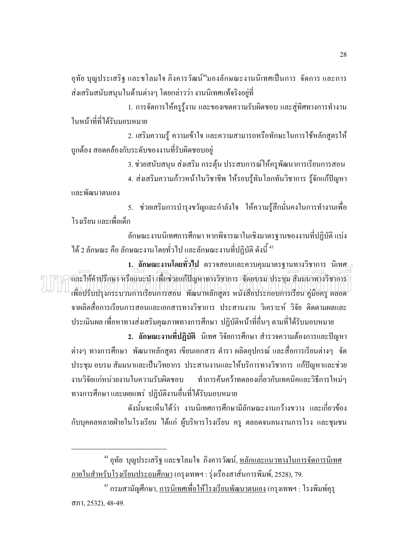้อุทัย บุญประเสริฐ และชโลมใจ ภิงคารวัฒน์<sup>44</sup>มองลักษณะงานนิเทศเป็นการ จัดการ และการ ้ ส่งเสริมสนับสนุนในด้านต่างๆ โดยกล่าวว่า งานนิเทศแท้จริงอยู่ที่

1. การจัดการให้ครูรู้งาน และของเขตความรับผิดชอบ และสู่ทิศทางการทำงาน ใบหน้าที่ที่ได้รับมอบหมาย

่ 2. เสริมความรู้ ความเข้าใจ และความสามารถหรือทักษะในการใช้หลักสูตรให้ ถูกต้อง สอดคล้องกับระดับของงานที่รับผิดชอบอยู่

3. ช่วยสนับสนุน ส่งเสริม กระตุ้น ประสบการณ์ให้ครูพัฒนาการเรียนการสอน

4. ส่งเสริมความก้าวหน้าในวิชาชีพ ให้รอบร้ทันโลกทันวิชาการ ร้จักแก้ปัญหา และพัฒนาตนเคง

5. ช่วยเสริมการบำรุงขวัญและกำลังใจ ให้ความรู้สึกมั่นคงในการทำงานเพื่อ โรงเรียน และเพื่อเด็ก

้ลักษณะงานนิเทศการศึกษา หากพิจารณาในเชิงมาตรฐานของงานที่ปฏิบัติ แบ่ง ได้ 2 ลักษณะ คือ ลักษณะงานโดยทั่วไป และลักษณะงานที่ปฏิบัติ ดังนี้ <sup>45</sup>

 $\,$ 1. ลักษณะงานโดยทั่วไป ตรวจสอบและควบคมมาตรจานทางวิชาการ นิเทศ $_\odot$ และให้คำปรึกษา หรือแนะนำ เพื่อช่วยเก้ปัญหาหางวิชาการ (จัดอบรมาประชุม สัมมนาทางวิชาการ) เพื่อปรับปรงกระบวนการเรียนการสอน พัฒนาหลักสตร หนังสือประกอบการเรียน ค่มือคร ตลอด ึ่งาผลิตสื่อการเรียนการสอนและเอกสารทางวิชาการ ประสานงาน วิเคราะห์ วิจัย ติดตามผลและ ี ประเมินผล เพื่อหาทางส่งเสริมคุณภาพทางการศึกษา ปฏิบัติหน้าที่อื่นๆ ตามที่ได้รับมอบหมาย

่ 2. ลักษณะงานที่ปฏิบัติ นิเทศ วิจัยการศึกษา สำรวจความต้องการและปัญหา ้ต่างๆ ทางการศึกษา พัฒนาหลักสูตร เขียนเอกสาร ตำรา ผลิตอุปกรณ์ และสื่อการเรียนต่างๆ จัด ประชุม อบรม สัมมนาและเป็นวิทยากร ประสานงานและให้บริการทางวิชาการ แก้ปัญหาและช่วย งานวิจัยแก่หน่วยงานในความรับผิดชอบ ทำการค้นคว้าทดลองเกี่ยวกับเทคนิคและวิธีการใหม่ๆ ้ทางการศึกษา และเผยแพร่ ปฏิบัติงานอื่นที่ได้รับมอบหมาย

้ดังนั้นจะเห็นได้ว่า งานนิเทศการศึกษามีลักษณะงานกว้างขวาง และเกี่ยวข้อง กับบุคคลหลายฝ่ายในโรงเรียน ได้แก่ ผู้บริหารโรงเรียน ครู ตลอดจนคนงานภารโรง และชุมชน

<sup>&</sup>lt;sup>44</sup> อุทัย บุญประเสริฐ และชโลมใจ ภิงคารวัฒน์, <u>หลักและแนวทางในการจัดการนิเทศ</u> <u>ภายในสำหรับโรงเรียนประถมศึกษา</u> (กรุงเทพฯ : รุ่งเรืองสาส์นการพิมพ์, 2528), 79.

<sup>&</sup>lt;sup>45</sup> กรมสามัญศึกษา, <u>การนิเทศเพื่อให้โรงเรียนพัฒนาตนเอง</u> (กรุงเทพฯ : โรงพิมพ์คุรุ สภา. 2532). 48-49.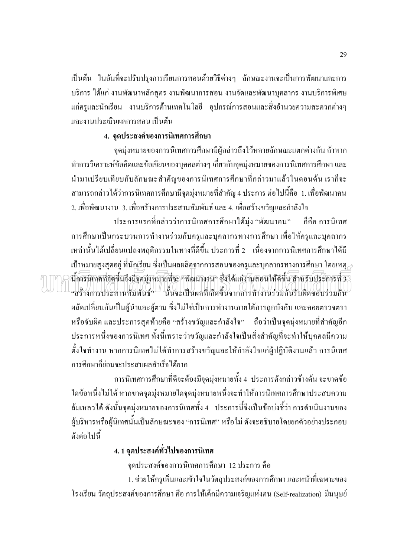เป็นต้น ในอันที่จะปรับปรุงการเรียนการสอนด้วยวิธีต่างๆ ลักษณะงานจะเป็นการพัฒนาและการ ึบริการ ได้แก่ งานพัฒนาหลักสูตร งานพัฒนาการสอน งานจัดและพัฒนาบุคลากร งานบริการพิเศษ แก่ครูและนักเรียน งานบริการด้านเทคโนโลยี อุปกรณ์การสอนและสิ่งอำนวยความสะดวกต่างๆ และงานประเบินผลการสอน เป็นต้น

### 4. จุดประสงค์ของการนิเทศการศึกษา

จุดมุ่งหมายของการนิเทศการศึกษามีผู้กล่าวถึงไว้หลายลักษณะแตกต่างกัน ถ้าหาก ี ทำการวิเคราะห์ข้อคิดและข้อเขียนของบุคคลต่างๆ เกี่ยวกับจุดม่งหมายของการนิเทศการศึกษา และ ้ นำมาเปรียบเทียบกับลักษณะสำคัญของการนิเทศการศึกษาที่กล่าวมาแล้วในตอนต้น เราก็จะ ี่ สามารถกล่าวได้ว่าการนิเทศการศึกษามีจุดมุ่งหมายที่สำคัญ 4 ประการ ต่อไปนี้คือ 1. เพื่อพัฒนาคน ่ 2. เพื่อพัฒนางาน 3. เพื่อสร้างการประสานสัมพันธ์ และ 4. เพื่อสร้างขวัณและกำลังใจ

ประการแรกที่กล่าวว่าการนิเทศการศึกษาใด้มุ่ง "พัฒนาคน" ก็คือ การนิเทศ ึการศึกษาเป็นกระบวนการทำงานร่วมกับครูและบุคลากรทางการศึกษา เพื่อให้ครูและบุคลากร เหล่านั้นได้เปลี่ยนแปลงพถติกรรมในทางที่ดีขึ้น ประการที่ 2 แนื่องจากการนิเทศการศึกษาได้มี เป้าหมายสูงสุดอยู่ ที่นักเรียน ซึ่งเป็นผลผลิตจากการสอนของครูและบุคลากรทางการศึกษา โดยเหตุ $_{\preceq}$ านี้การนิเทศที่จัดขึ้นจึงมีจุดมุ่งหมายที่จะ "พัฒนางาน" ซึ่งได้แก่งานสอนให้ดีขึ้น สำหรับประการที่ 3 "สร้างการประสานสัมพันธ์" นั้นจะเป็นผลที่เกิดขึ้นจากการทำงานร่วมกันรับผิดชอบร่วมกัน ้ผลัดเปลี่ยนกันเป็นผู้นำและผู้ตาม ซึ่งไม่ใช่เป็นการทำงานภายใต้การถูกบังคับ และคอยตรวจตรา หรือจับผิด และประการสุดท้ายคือ "สร้างขวัญและกำลังใจ" ถือว่าเป็นจุดมุ่งหมายที่สำคัญอีก ประการหนึ่งของการนิเทศ ทั้งนี้เพราะว่าขวัญและกำลังใจเป็นสิ่งสำคัญที่จะทำให้บุคคลมีความ ้ตั้งใจทำงาน หากการนิเทศไม่ได้ทำการสร้างขวัญและให้กำลังใจแก่ผู้ปฏิบัติงานแล้ว การนิเทศ การศึกษาก็ย่อมจะประสบผลสำเร็จได้ยาก

ึการนิเทศการศึกษาที่ดีจะต้องมีจุดมุ่งหมายทั้ง 4 ประการดังกล่าวข้างต้น จะขาดข้อ ใดข้อหนึ่งไม่ได้ หากขาดจุดมุ่งหมายใดจุดมุ่งหมายหนึ่งจะทำให้การนิเทศการศึกษาประสบความ ้ส้มเหลวได้ ดังนั้นจุดมุ่งหมายของการนิเทศทั้ง 4 ประการนี้จึงเป็นข้อบ่งชี้ว่า การดำเนินงานของ ผู้บริหารหรือผู้นิเทศนั้นเป็นลักษณะของ "การนิเทศ" หรือไม่ ดังจะอธิบายโดยยกตัวอย่างประกอบ ดังต่อไปนี้

## 4.1 จุดประสงค์ทั่วไปของการนิเทศ

จุดประสงค์ของการนิเทศการศึกษา 12 ประการ คือ

1. ช่วยให้ครูเห็นและเข้าใจในวัตถุประสงค์ของการศึกษา และหน้าที่เฉพาะของ โรงเรียน วัตถุประสงค์ของการศึกษา คือ การให้เด็กมีความเจริญแห่งตน (Self-realization) มีมนุษย์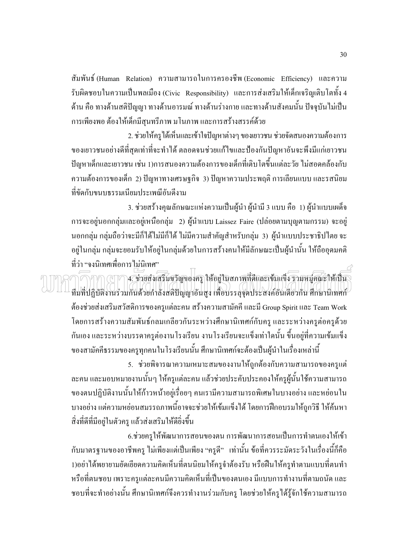สัมพันธ์ (Human Relation) ความสามารถในการครองชีพ (Economic Efficiency) และความ รับผิดชอบในความเป็นพลเมือง (Civic Responsibility) และการส่งเสริมให้เด็กเจริญเติบโตทั้ง 4 ้ ค้าน คือ ทางค้านสติปัญญา ทางค้านอารมณ์ ทางค้านร่างกาย และทางค้านสังคมนั้น ปัจจุบันไม่เป็น การเพียงพอ ต้องให้เด็กมีสุนทรีภาพ มโนภาพ และการสร้างสรรค์ด้วย

2. ช่วยให้ครูได้เห็นและเข้าใจปัญหาต่างๆ ของเยาวชน ช่วยจัดสนองความต้องการ ี ของเยาวชนอย่างดีที่สุดเท่าที่จะทำใด้ ตลอดจนช่วยแก้ไขและป้องกันปัญหาอันจะพึงมีแก่เยาวชน ้ ปัญหาเด็กและเยาวชน เช่น 1)การสนองความต้องการของเด็กที่เติบโตขึ้นแต่ละวัย ไม่สอดคล้องกับ ี ความต้องการของเด็ก 2) ปัญหาทางเศรษฐกิจ 3) ปัญหาความประพฤติ การเลียนแบบ และรสนิยม ที่ขัดกับขบบธรรมเบียนประเพณีกับดีงาม

3. ช่วยสร้างคุณลักษณะแห่งความเป็นผู้นำ ผู้นำมี 3 แบบ คือ 1) ผู้นำแบบเผด็จ การจะอยู่นอกกลุ่มและอยู่เหนือกลุ่ม 2) ผู้นำแบบ Laissez Faire (ปล่อยตามบุญตามกรรม) จะอยู่ นอกกลุ่ม กลุ่มถือว่าจะมีก็ได้ไม่มีก็ได้ ไม่มีความสำคัญสำหรับกลุ่ม 3) ผู้นำแบบประชาธิปไตย จะ ้อยู่ในกลุ่ม กลุ่มจะยอมรับให้อยู่ในกลุ่มด้วยในการสร้างคนให้มีลักษณะเป็นผู้นำนั้น ให้ถืออุดมคติ ้ที่ว่า "จงนิเทศเพื่อการไม่นิเทศ"

) (ปา⁄า 4. ช่วยส่งเสริมขวัญของครู ให้อยู่ในสภาพที่ดีและเข้มแข็งรวมหมู่คณะให้เป็น ทีมที่ปฏิบัติงานร่วมกันด้วยกำลังสติปัญญาอันสูง เพื่อบรรลุงุคประสงค์อันเดียวกัน ศึกษานิเทศก์ ้ต้องช่วยส่งเสริมสวัสดิการของครูแต่ละคน สร้างความสามัคคี และมี Group Spirit และ Team Work โดยการสร้างความสัมพันธ์กลมเกลียวกันระหว่างศึกษานิเทศก์กับครู และระหว่างครูต่อครูด้วย ้กันเอง และระหว่างบรรดาครูต่องานโรงเรียน งานโรงเรียนจะแข็งเท่าใดนั้น ขึ้นอยู่ที่ความเข้มแข็ง

ี ของสามัคคีธรรมของครูทุกคนในโรงเรียนนั้น ศึกษานิเทศก์จะต้องเป็นผู้นำในเรื่องเหล่านี้ 5. ช่วยพิจารณาความเหมาะสมของงานให้ถูกต้องกับความสามารถของครูแต่ ิละคน และมอบหมายงานนั้นๆ ให้ครูแต่ละคน แล้วช่วยประคับประคองให้ครูผู้นั้นใช้ความสามารถ ี ของตนปฏิบัติงานนั้นให้ก้าวหน้าอยู่เรื่อยๆ คนเรามีความสามารถพิเศษในบางอย่าง และหย่อนใน ้ บางอย่าง แต่ความหย่อนสมรรถภาพนี้อาจจะช่วยให้เข้มแข็งได้ โดยการฝึกอบรมให้ถูกวิธี ให้ค้นหา สิ่งที่ดีที่มีอยู่ในตัวครู แล้วส่งเสริมให้ดียิ่งขึ้น

6.ช่วยครูให้พัฒนาการสอนของตน การพัฒนาการสอนเป็นการทำตนเองให้เข้า ้กับมาตรฐานของอาชีพครู ไม่เพียงแต่เป็นเพียง "ครูดี" เท่านั้น ข้อที่ควรระมัดระวังในเรื่องนี้ก็คือ 1)อย่าได้พยายามยัดเยียดความคิดเห็นที่ตนนิยมให้ครูจำต้องรับ หรือฝืนให้ครูทำตามแบบที่ตนทำ หรือที่ตนชอบ เพราะครูแต่ละคนมีความคิดเห็นที่เป็นของตนเอง มีแบบการทำงานที่ตามถนัด และ ี ชอบที่จะทำอย่างนั้น ศึกษานิเทศก์จึงควรทำงานร่วมกับครู โดยช่วยให้ครูได้รู้จักใช้ความสามารถ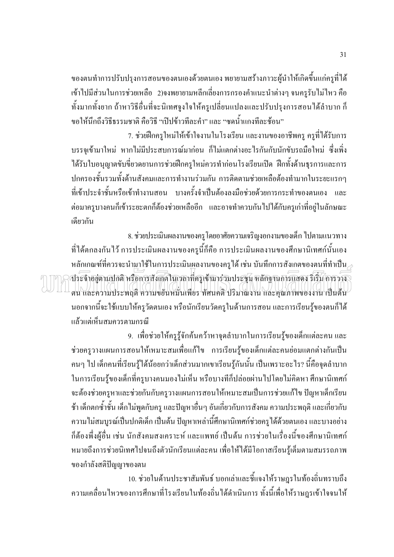ี ของตนทำการปรับปรุงการสอนของตนเองด้วยตนเอง พยายามสร้างภาวะผู้นำให้เกิดขึ้นแก่ครูที่ได้ ้ เข้าไปมีส่วนในการช่วยเหลือ 2)จงพยายามหลีกเลี่ยงการกรองคำแนะนำต่างๆ จนครูรับไม่ไหว คือ ้ทั้งมากทั้งยาก ถ้าหาวิธีอื่นที่จะนิเทศจูงใจให้ครูเปลี่ยนแปลงและปรับปรุงการสอนได้ลำบาก ก็ ขอให้นึกถึงวิธีธรรมชาติ คือวิธี "เปิปข้าวทีละคำ" และ "ซคน้ำแกงทีละช้อน"

่ 7. ช่วยฝึกครูใหม่ให้เข้าใจงานในโรงเรียน และงานของอาชีพครู ครูที่ได้รับการ ้บรรจูเข้ามาใหม่ หากไม่มีประสบการณ์มาก่อน ก็ไม่แตกต่างอะไรกันกับนักขับรถมือใหม่ ซึ่งเพิ่ง ใด้รับใบอนุญาตขับขี่ยวดยานการช่วยฝึกครูใหม่ควรทำก่อนโรงเรียนเปิด ฝึกทั้งด้านธุรการและการ ปกครองชั้นรวมทั้งด้านสังคมและการทำงานร่วมกัน การติดตามช่วยเหลือต้องทำมากในระยะแรกๆ ีที่เข้าประจำชั้นหรือเข้าทำงานสอน บางครั้งจำเป็นต้องลงมือช่วยค้วยการกระทำของตนเอง และ ้ต่อมาครูบางคนก็เข้าระยะตกก็ต้องช่วยเหลืออีก และอาจทำควบกันไปได้กับครูเก่าที่อยู่ในลักษณะ เดียวกัน

8. ช่วยประเมินผลงานของครู โดยอาศัยความเจริญงอกงามของเด็ก ไปตามแนวทาง ี ที่ได้ตกลงกันไว้ การประเมินผลงานของครูนี้ก็คือ การประเมินผลงานของศึกษานิเทศก์นั้นเอง หลักเกณฑ์ที่ควรจะนำมาใช้ในการประเมินผลงานของครูได้ เช่น บันทึกการสังเกตของตนที่ทำเป็น $_\ge$ ประจำอยู่ตามปกติ หรือการสังเกตในเวลาที่ครูเข้ามาร่วมประชุม หลักฐานการแสดง ริเริ่ม การวาง ตน และความประพฤติ ความขยนหมั่นเพียร ทัศนคติ ปริมาณงาน และคุณภาพของงาน เป็นต้น ้นอกจากนี้จะใช้แบบให้ครูวัดตนเอง หรือนักเรียนวัดครูในด้านการสอน และการเรียนรู้ของตนก็ได้ แล้วแต่เห็นสมควรตามกรณี

่ 9. เพื่อช่วยให้ครูรู้จักค้นคว้าหาจุดลำบากในการเรียนรู้ของเด็กแต่ละคน และ ช่วยครูวางแผนการสอนให้เหมาะสมเพื่อแก้ไข การเรียนรู้ของเด็กแต่ละคนย่อมแตกต่างกันเป็น ึคนๆ ไป เด็กคนที่เรียนรู้ได้น้อยกว่าเด็กส่วนมากเขาเรียนรู้กันนั้น เป็นเพราะอะไร? นี้คือจุดลำบาก ในการเรียนรู้ของเด็กที่ครูบางคนมองไม่เห็น หรือบางทีก็ปล่อยผ่านไปโดยไม่คิดหา ศึกษานิเทศก์ ้จะต้องช่วยครูหาและช่วยกันกับครูวางแผนการสอนให้เหมาะสมเป็นการช่วยแก้ไข ปัญหาเด็กเรียน ้ช้า เด็กตกซ้ำชั้น เด็กไม่พูดกับครู และปัญหาอื่นๆ อันเกี่ยวกับการสังคม ความประพฤติ และเกี่ยวกับ ่ ความไม่สมบูรณ์เป็นปกติเด็ก เป็นต้น ปัญหาเหล่านี้ศึกษานิเทศก์ช่วยครู ได้ด้วยตนเอง และบางอย่าง ก็ต้องพึ่งผู้อื่น เช่น นักสังคมสงเคราะห์ และแพทย์ เป็นต้น การช่วยในเรื่องนี้ของศึกษานิเทศก์ หมายถึงการช่วยนิเทศไปจนถึงตัวนักเรียนแต่ละคน เพื่อให้ได้มีโอกาสเรียนรู้เต็มตามสมรรถภาพ ของกำลังสติปัญญาของตน

10. ช่วยในด้านประชาสัมพันธ์ บอกเล่าและชี้แจงให้ราษฎรในท้องถิ่นทราบถึง ้ความเคลื่อนใหวของการศึกษาที่โรงเรียนในท้องถิ่นได้ดำเนินการ ทั้งนี้เพื่อให้ราษฎรเข้าใจจนให้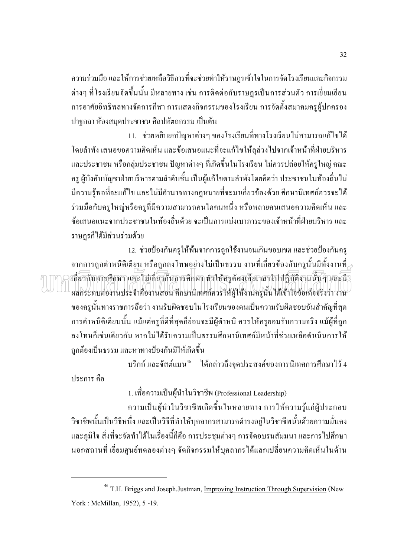้ ความร่วมมือ และให้การช่วยเหลือวิธีการที่จะช่วยทำให้ราษฎรเข้าใจในการจัดโรงเรียนและกิจกรรม ี่ ต่างๆ ที่โรงเรียนจัดขึ้นนั้น มีหลายทาง เช่น การติดต่อกับราษฎรเป็นการส่วนตัว การเยี่ยมเยียน ึการอาศัยอิทธิพลทางจัดการกีฬา การแสดงกิจกรรมของโรงเรียน การจัดตั้งสมาคมครูผู้ปกครอง ปาฐกถา ห้องสมุดประชาชน ศิลปหัตถกรรม เป็นต้น

11. ช่วยหยิบยกปัญหาต่างๆ ของโรงเรียนที่ทางโรงเรียนไม่สามารถแก้ไขได้ โดยลำพัง เสนอขอความคิดเห็น และข้อเสนอแนะที่จะแก้ไขให้ลล่วงไปจากเจ้าหน้าที่ฝ่ายบริหาร ้ และประชาชน หรือกลุ่มประชาชน ปัญหาต่างๆ ที่เกิดขึ้นในโรงเรียน ไม่ควรปล่อยให้ครูใหญ่ คณะ ้ ครู ผู้บังคับบัญชาฝ่ายบริหารตามลำดับชั้น เป็นผู้แก้ไขตามลำพังโดยคิดว่า ประชาชนในท้องถิ่นไม่ ้มีความร้พอที่จะแก้ไข และไม่มีอำนาจทางกภหมายที่จะมาเกี่ยวข้องค้วย ศึกษานิเทศก์ควรจะได้ ้ร่วมมือกับครูใหญ่หรือครูที่มีความสามารถคนใดคนหนึ่ง หรือหลายคนเสนอความคิดเห็น และ ้ข้อเสนอแนะจากประชาชนในท้องถิ่นด้วย จะเป็นการแบ่งเบาภาระของเจ้าหน้าที่ฝ่ายบริหาร และ ราษฎรก็ได้มีส่วนร่วมด้วย

12. ช่วยป้องกันครูให้พ้นจากการถูกใช้งานจนเกินขอบเขต และช่วยป้องกันครู จากการถูกตำหนิติเตียน หรือถูกลงโทษอย่างไม่เป็นธรรม งานที่เกี่ยวข้องกับครูนั้นมีทั้งงานที่ $\mathbin{\supset}$ เกี่ยวกับการศึกษา และไม่เกี่ยวกับการศึกษา หำให้ครด้องเสียเวลาไปปฏิบัติงานนั้นๆ และมี ผลกระทบต่องานประจำคืองานสอน ศึกษานิเทศก์ควรให้ผู้ให้งานครูนั้นได้เข้าใจข้อเท็จจริงว่า งาน ี ของครูนั้นทางราชการถือว่า งานรับผิดชอบในโรงเรียนของตนเป็นความรับผิดชอบอันสำคัญที่สุด ึการตำหนิติเตียนนั้น แม้แต่ครูที่ดีที่สุดก็ย่อมจะมีผู้ตำหนิ ควรให้ครูยอมรับความจริง แม้ผู้ที่ถูก ้ลงโทษก็เช่นเดียวกัน หากไม่ได้รับความเป็นธรรมศึกษานิเทศก์มีหน้าที่ช่วยเหลือดำเนินการให้ ถูกต้องเป็นธรรม และหาทางป้องกันมิให้เกิดขึ้น

บริกก์ และจัสต์แมน" ใค้กล่าวถึงจุดประสงค์ของการนิเทศการศึกษาไว้ 4 ประการ คือ

1. เพื่อความเป็นผู้นำในวิชาชีพ (Professional Leadership)

ความเป็นผู้นำในวิชาชีพเกิดขึ้นในหลายทาง การให้ความรู้แก่ผู้ประกอบ วิชาชีพนั้นเป็นวิธีหนึ่ง และเป็นวิธีที่ทำให้บุคลากรสามารถคำรงอยู่ในวิชาชีพนั้นด้วยความมั่นคง และภูมิใจ สิ่งที่จะจัดทำได้ในเรื่องนี้ก็คือ การประชุมต่างๆ การจัดอบรมสัมมนา และการไปศึกษา นอกสถานที่ เยี่ยมศูนย์ทดลองต่างๆ จัดกิจกรรมให้บุคลากรได้แลกเปลี่ยนความคิดเห็นในด้าน

<sup>&</sup>lt;sup>46</sup> T.H. Briggs and Joseph.Justman, *Improving Instruction Through Supervision* (New York: McMillan, 1952), 5-19.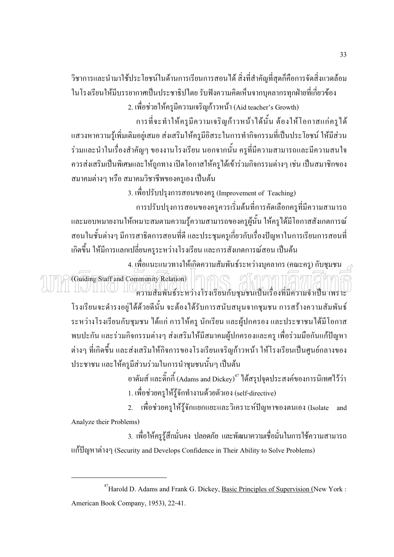วิชาการและนำมาใช้ประ โยชน์ในค้านการเรียนการสอน ได้ สิ่งที่สำคัญที่สุดก็คือการจัดสิ่งแวดล้อม  $\ddot{\phantom{a}}$  $\ddot{\phantom{0}}$ ในโรงเรียนให้มีบรรยากาศเป็นประชาธิปไตย รับฟังความคิดเห็นจากบุคลากรทุกฝ่ายที่เกี่ยวข้อง 2. เพื่อช่วยให้ครูมีความเจริญก้าวหน้า (Aid teacher's Growth)  $\ddot{\phantom{a}}$ 

การที่จะทำให้ครูมีความเจริญก้าวหน้าได้นั้น ต้องให้โอกาสแก่ครูได้ แสวงหาความรู้เพิ่มเติมอยู่เสมอ ส่งเสริมให้ครูมีอิสระในการทำกิจกรรมที่เป็นประโยชน์ ให้มีส่วน  $\begin{array}{c} \n\end{array}$ ร่วมและนำในเรื่องสำคัญๆ ของงานโรงเรียน นอกจากนั้น ครูที่มีความสามารถและมีความสนใจ ֖֖֖֖֖֖֖֖֧֚֚֚֚֚֚֚֚֡֝֬֝֝֝<u>֚</u><br>֧֪֩֩ ควรส่งเสริมเป็นพิเศษและให้ถูกทาง เปิดโอกาสให้ครูได้เข้าร่วมกิจกรรมต่างๆ เช่น เป็นสมาชิกของ สมาคมต่างๆ หรือ สมาคมวิชาชีพของครูเอง เป็นต้น

3. เพื่อปรับปรุงการสอนของครู (Improvement of Teaching)

การปรับปรุงการสอนของครูควรเริ่มต้นที่การคัดเลือกครูที่มีความสามารถ  $\begin{array}{c} \n\end{array}$ และมอบหมายงานให้เหมาะสมตามความรู้ความสามารถของครูผู้นั้น ให้ครูได้มีโอกาสสังเกตการณ์ สอนในชั้นต่างๆ มีการสาธิตการสอนที่ดี และประชุมครูเกี่ยวกับเรื่องปัญหาในการเรียนการสอนที่ เกิดขึ้น ให้มีการแลกเปลี่ยนครูระหว่างโรงเรียน และการสังเกตการณ์สอน เป็นต้น

4. เพื่อแนะแนวทางให้เกิดความสัมพันธ์ระหว่างบุคลากร (คณะครู) กับชุมชน

(Guiding Staff and Community Relation) **AR** 01.70  $\Box$   $\Box$   $\Box$   $\Box$  ความสัมพันธ์ระหว่างโรงเรียนกับชุมชนเป็นเรื่องที่มีความจำเป็น เพราะ โรงเรียนจะคำรงอยู่ใด้ด้วยดีนั้น จะต้องใด้รับการสนับสนุนจากชุมชน การสร้างความสัมพันธ์ ระหว่างโรงเรียนกับชุมชน ได้แก่ การให้ครู นักเรียน และผู้ปกครอง และประชาชนได้มีโอกาส พบปะกัน และร่วมกิจกรรมต่างๆ ส่งเสริมให้มีสมาคมผู้ปกครองและครู เพื่อร่วมมือกันแก้ปัญหา  $\overline{a}$ ต่างๆ ที่เกิดขึ้น และส่งเสริมให้กิจการของโรงเรียนเจริญก้าวหน้า ให้โรงเรียนเป็นศูนย์กลางของ ประชาชน และให้ครูมีส่วนร่วมในการนำชุมชนนั้นๆ เป็นต้น

อาดัมส์ และดิ๊กกี้ (Adams and Dickey) $^{\rm 47}$  ได้สรุปจุดประสงค์ของการนิเทศไว้ว่า 1. เพื่อช่วยครูให้รู้จักทำงานด้วยตัวเอง (self-directive)  $\ddot{\phantom{a}}$ 

2. เพื่อช่วยครูให้รู้จักแยกแยะและวิเคราะห์ปัญหาของตนเอง(Isolate and Analyze their Problems)

3. เพื่อให้ครูรู้สึกมั่นคง ปลอดภัย และพัฒนาความเชื่อมั่นในการใช้ความสามารถ  $\vdots$ แก้ปัญหาต่างๆ (Security and Develops Confidence in Their Ability to Solve Problems)

<sup>&</sup>lt;sup>47</sup>Harold D. Adams and Frank G. Dickey, Basic Principles of Supervision (New York : American Book Company, 1953), 22-41.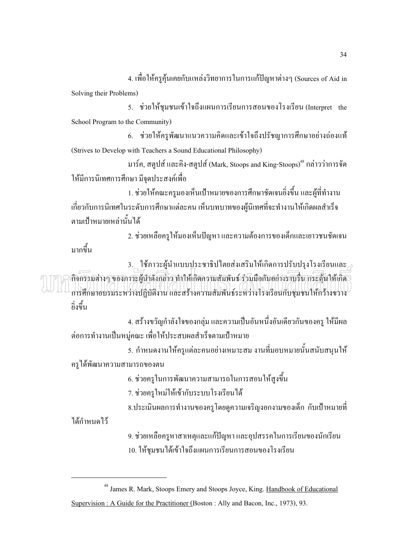4. เพื่อให้ครูคุ้นเคยกับแหล่งวิทยาการในการแก้ปัญหาต่างๆ (Sources of Aid in Solving their Problems)

5. ช่วยให้ชุมชนเข้าใจถึงแผนการเรียนการสอนของโรงเรียน (Interpret) the School Program to the Community)

6. ช่วยให้ครูพัฒนาแนวความคิดและเข้าใจถึงปรัชญาการศึกษาอย่างถ่องแท้ (Strives to Develop with Teachers a Sound Educational Philosophy)

มาร์ค, สตูปส์ และคิง-สตูปส์ (Mark, Stoops and King-Stoops)<sup>48</sup> กล่าวว่าการจัด ให้มีการนิเทศการศึกษา มีจุดประสงค์เพื่อ  $\ddot{\phantom{a}}$ 

1. ช่วยให้คณะครูมองเห็นเป้าหมายของการศึกษาชัดเจนยิ่งขึ้น และผู้ที่ทำงาน ĺ เกี่ยวกับการนิเทศในระดับการศึกษาแต่ละคน เห็นบทบาทของผู้นิเทศที่จะทำงานให้เกิดผลสำเร็จ  $\ddot{\phantom{a}}$ ตามเป้าหมายเหล่านั้นได้

2. ช่วยเหลือครูให้มองเห็นปัญหา และความต้องการของเด็กและเยาวชนชัดเจน มากขึ้น ֖֖֪ׅׅ֪֪ׅ֖֧֪֪֧֖֧֧֧֚֚֚֚֚֚֚֚֚֚֚֚֚֚֚֡֝֝֝֝֝֝֬֝֬֝֝֬֝֬֝֝֬֝֝֬֝֬֝֬֝֬֝֝֬֝֞֞֝֬֝֞֝֬֝֬֝֬֝֬֝֞֝֬֝֞֝֬֝֞֞֝֬֝<br>֧֧֪֧֧֪֪֧֪֪֧֪֪֪֧֪֪֪֪֧֝֝֝֝֝

3. \_ ใช้ภาวะผู้นำแบบประชาธิปไตยส่งเสริมให้เกิดการปรับปรุงโรงเรียนและ กิจกรรมต่างๆ ของภาวะผู้นำคังกล่าว ทำให้เกิดความสัมพันธ์ ร่วมมือกันอย่างราบรื่น กระตุ้นให้เกิด  $\overline{\phantom{a}}$ การศึกษาอบรมระหว่างปฏิบัติงาน และสร้างความสัมพันธ์ระหว่างโรงเรียนกับชุมชนให้กว้างขวาง ยิ่งขึ้น  $\ddot{\phantom{a}}$ 

4. สร้างขวัญกำลังใจของกลุ่ม และความเป็นอันหนึ่งอันเดียวกันของครู ให้มีผล ต่อการทำงานเป็นหมู่คณะ เพื่อให้ประสบผลสำเร็จตามเป้าหมาย

5. กำหนดงานให้ครูแต่ละคนอย่างเหมาะสม งานที่มอบหมายนั้นสนับสนุนให้ Ï ครูใด้พัฒนาความสามารถของตน

6. ช่วยครูในการพัฒนาความสามารถในการสอนให้สูงขึ้น ĺ

7. ช่วยครูใหม่ให้เข้ากับระบบโรงเรียนใด้

8.ประเมินผลการทำงานของครู โดยดูความเจริญงอกงามของเด็ก กับเป้าหมายที่

ู้ได้กำหบดไว้

9. ช่วยเหลือครูหาสาเหตุและแก้ปัญหา และอุปสรรคในการเรียนของนักเรียน 10. ให้ชุมชนใด้เข้าใจถึงแผนการเรียนการสอนของโรงเรียน

<sup>&</sup>lt;sup>48</sup> James R. Mark, Stoops Emery and Stoops Joyce, King. Handbook of Educational Supervision : A Guide for the Practitioner (Boston : Ally and Bacon, Inc., 1973), 93.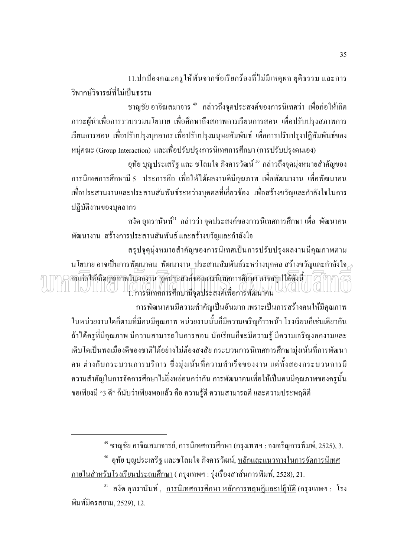11.ปกป้องคณะครูให้พ้นจากข้อเรียกร้องที่ไม่มีเหตุผล ยุติธรรม และการ วิพากษ์วิจารณ์ที่ไม่เป็นธรรม

ี ชาญชัย อาจิณสมาจาร <sup>49</sup> กล่าวถึงจุดประสงค์ของการนิเทศว่า เพื่อก่อให้เกิด ี ภาวะผู้นำเพื่อการรวบรวมนโยบาย เพื่อศึกษาถึงสภาพการเรียนการสอน เพื่อปรับปรุงสภาพการ เรียนการสอน เพื่อปรับปรุงบุคลากร เพื่อปรับปรุงมนุษยสัมพันธ์ เพื่อการปรับปรุงปฏิสัมพันธ์ของ หมู่คณะ (Group Interaction) และเพื่อปรับปรุงการนิเทศการศึกษา (การปรับปรุงตนเอง)

อุทัย บุญประเสริฐ และ ชโลมใจ ภิงคารวัฒน์ <sup>ร</sup> $^{\circ}$  กล่าวถึงจุดมุ่งหมายสำคัญของ ึการนิเทศการศึกษามี 5 ประการคือ เพื่อให้ได้ผลงานดีมีคณภาพ เพื่อพัฒนางาน เพื่อพัฒนาคน ้เพื่อประสานงานและประสานสัมพันธ์ระหว่างบคคลที่เกี่ยวข้อง เพื่อสร้างขวัญและกำลังใจในการ ปฏิบัติงานของบคลากร

ิสงัด อทรานันท์<sup>ร</sup>ี กล่าวว่า จดประสงค์ของการนิเทศการศึกษา เพื่อ พัฒนาคน พัฒนางาน สร้างการประสานสัมพันธ์และสร้างขวัณและกำลังใจ

สรุปจุดุมุ่งหมายสำคัญของการนิเทศเป็นการปรับปรุงผลงานมีคุณภาพตาม นโยบาย อาจเป็นการพัฒนาคน พัฒนางาน ประสานสัมพันธ์ระหว่างบุคคล สร้างขวัญและกำลังใจ ้จนก่อให้เกิดคุณภาพในผลงาน จุดประสงค์ของการนิเทศการศึกษา อาจสรุปได้ดังนี้ 1 1. การนิเทศการศึกษามีจุดประสงค์เพื่อการพัฒนาคน

การพัฒนาคนมีความสำคัญเป็นอันมาก เพราะเป็นการสร้างคนให้มีคุณภาพ ในหน่วยงานใดก็ตามที่มีคนมีคุณภาพ หน่วยงานนั้นก็มีความเจริญก้าวหน้า โรงเรียนก็เช่นเดียวกัน ้ถ้าใด้ครูที่มีคุณภาพ มีความสามารถในการสอน นักเรียนก็จะมีความรู้ มีความเจริญงอกงามและ ้เติบโตเป็นพลเมืองดีของชาติได้อย่างไม่ต้องสงสัย กระบวนการนิเทศการศึกษามุ่งเน้นที่การพัฒนา ึคน ต่างกับกระบวนการบริการ ซึ่งมุ่งเน้นที่ความสำเร็จของงาน แต่ทั้งสองกระบวนการมี ้ ความสำคัญในการจัดการศึกษาไม่ยิ่งหย่อนกว่ากัน การพัฒนาคนเพื่อให้เป็นคนมีคุณภาพของครูนั้น ี ขอเพียงมี "3 คี" ก็นับว่าเพียงพอแล้ว คือ ความรู้คี ความสามารถดี และความประพฤติดี

<sup>&</sup>lt;sup>49</sup> ชาญชัย อาจิณสมาจารย์, <u>การนิเทศการศึกษา</u> (กรุงเทพฯ : จงเจริญการพิมพ์, 2525), 3.

<sup>ั&</sup>lt;sup>30</sup> อุทัย บุญประเสริฐ และชโลมใจ ภิงคารวัฒน์, <u>หลักและแนวทางในการจัดการนิเทศ</u> <u>ภายในสำหรับโรงเรียนประถมศึกษา</u> ( กรุงเทพฯ : รุ่งเรืองสาส์นการพิมพ์, 2528), 21.

<sup>ิ</sup> สงัด อุทรานันท์ , การนิเทศการศึกษา หลักการทฤษฎีและปฏิบัติ (กรุงเทพฯ : โรง พิมพ์มิตรสยาม. 2529), 12.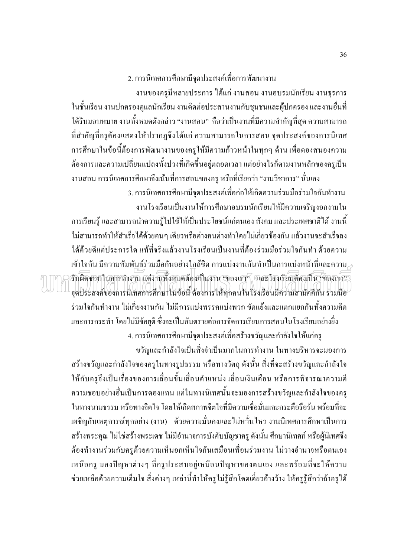# 2. การนิเทศการศึกษามีจุดประสงค์เพื่อการพัฒนางาน

้งานของครูมีหลายประการ ใค้แก่ งานสอน งานอบรมนักเรียน งานฐรการ ในชั้นเรียน งานปกครองดูแลนักเรียน งานติดต่อประสานงานกับชุมชนและผู้ปกครอง และงานอื่นที่ ้ได้รับมอบหมาย งานทั้งหมดดังกล่าว "งานสอน" ถือว่าเป็นงานที่มีความสำคัญที่สุด ความสามารถ ีที่สำคัญที่ครูต้องแสดงให้ปรากฏจึงได้แก่ ความสามารถในการสอน จุดประสงค์ของการนิเทศ ิการศึกษาในข้อนี้ต้องการพัฒนางานของครูให้มีความก้าวหน้าในทุกๆ ด้าน เพื่อตองสนองความ ี ต้องการและความเปลี่ยนแปลงทั้งปวงที่เกิดขึ้นอยู่ตลอดเวลา แต่อย่างไรก็ตามงานหลักของครูเป็น

ึงานสอน การนิเทศการศึกษาจึงเน้นที่การสอนของครู หรือที่เรียกว่า "งานวิชาการ" นั่นเอง 3. การนิเทศการศึกษามีจดประสงค์เพื่อก่อให้เกิดความร่วมมือร่วมใจกันทำงาน งานโรงเรียนเป็นงานให้การศึกษาอบรมนักเรียนให้มีความเจริญงอกงามใน

ี การเรียนรู้ และสามารถนำความรู้ไปใช้ให้เป็นประโยชน์แก่ตนเอง สังคม และประเทศชาติได้ งานนี้ ไม่สามารถทำให้สำเร็จได้ด้วยคนๆ เดียวหรือต่างคนต่างทำโดยไม่เกี่ยวข้องกัน แล้วงานจะสำเร็จลง ใค้ค้วยคีแต่ประการใด แท้ที่จริงแล้วงานโรงเรียนเป็นงานที่ต้องร่วมมือร่วมใจกันทำ ค้วยความ เข้าใจกัน มีความสัมพันธ์ร่วมมือกันอย่างใกล้ชิด การแบ่งงานกันทำเป็นการแบ่งหน้าที่และความ เร็บผิดชอบในการทำงาน แต่งานทั้งหมดต้องเป็นงาน "ของเรา", ไกละโรงเรียนต้องเป็น "ของเรา" จุดประสงค์ของการนิเทศการศึกษาในข้อนี้ ต้องการให้ทุกคนในโรงเรียนมีความสามัคคีกัน ร่วมมือ ้ร่วมใจกันทำงาน ไม่เกี่ยงงานกัน ไม่มีการแบ่งพรรคแบ่งพวก ขัดแย้งและแตกแยกกันทั้งความคิด และการกระทำ โดยไม่มีข้อยดิ ซึ่งจะเป็นอันตรายต่อการจัดการเรียนการสอนในโรงเรียนอย่างยิ่ง

4. การนิเทศการศึกษามีจุดประสงค์เพื่อสร้างขวัญและกำลังใจให้แก่ครู ึ ขวัญและกำลังใจเป็นสิ่งจำเป็นมากในการทำงาน ในทางบริหารจะมองการ ิสร้างขวัญและกำลังใจของครูในทางรูปธรรม หรือทางวัตถุ ดังนั้น สิ่งที่จะสร้างขวัญและกำลังใจ ให้กับครูจึงเป็นเรื่องของการเลื่อนขั้นเลื่อนตำแหน่ง เลื่อนเงินเดือน หรือการพิจารณาความดี ่ ความชอบอย่างอื่นเป็นการตองแทน แต่ในทางนิเทศนั้นจะมองการสร้างขวัญและกำลังใจของครู ในทางนามธรรม หรือทางจิตใจ โดยให้เกิดสภาพจิตใจที่มีความเชื่อมั่นและกระตือรือร้น พร้อมที่จะ ้ เผชิญกับเหตุการณ์ทุกอย่าง (งาน) - ด้วยความมั่นคงและ ไม่หวั่น ไหว งานนิเทศการศึกษาเป็นการ ิสร้างพระคุณ ไม่ใช่สร้างพระเดช ไม่มีอำนาจการบังคับบัญชาครู ดังนั้น ศึกษานิเทศก์ หรือผู้นิเทศจึง ้ต้องทำงานร่วมกับครูด้วยความเห็นอกเห็นใจกันเสมือนเพื่อนร่วมงาน ไม่วางอำนาจหรือตนเอง ้เหนือครู มองปัญหาต่างๆ ที่ครูประสบอยู่เหมือนปัญหาของตนเอง และพร้อมที่จะให้ความ ้ช่วยเหลือด้วยความเต็มใจ สิ่งต่างๆ เหล่านี้ทำให้ครูไม่รู้สึกโดดเดี่ยวอ้างว้าง ให้ครูรู้สึกว่าถ้าครูได้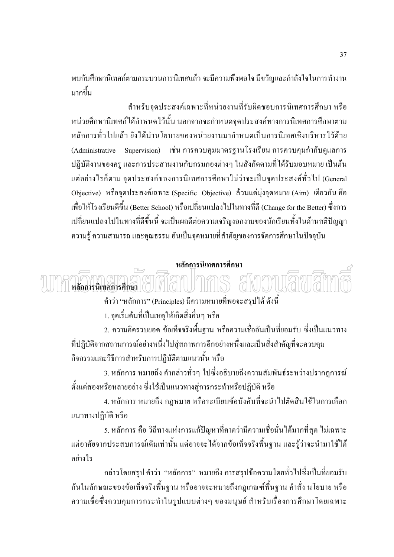พบกับศึกษานิเทศก์ตามกระบวนการนิเทศแล้ว จะมีความพึงพอใจ มีขวัญและกำลังใจในการทำงาน มากขึ้น

้สำหรับจุดประสงค์เฉพาะที่หน่วยงานที่รับผิดชอบการนิเทศการศึกษา หรือ หน่วยศึกษานิเทศก์ได้กำหนดไว้นั้น นอกจากจะกำหนดจุดประสงค์ทางการนิเทศการศึกษาตาม หลักการทั่วไปแล้ว ยังได้นำนโยบายของหน่วยงานมากำหนดเป็นการนิเทศเชิงบริหารไว้ด้วย Supervision) เช่น การควบคุมมาตรฐานโรงเรียน การควบคุมกำกับดูแลการ (Administrative ปฏิบัติงานของครู และการประสานงานกับกรมกองต่างๆ ในสังกัดตามที่ได้รับมอบหมาย เป็นต้น แต่อย่างไรก็ตาม จดประสงค์ของการนิเทศการศึกษาไม่ว่าจะเป็นจดประสงค์ทั่วไป (General Objective) หรือจุดประสงค์เฉพาะ (Specific Objective) ถ้วนแต่มุ่งจุดหมาย (Aim) เดียวกัน คือ เพื่อให้โรงเรียนดีขึ้น (Better School) หรือเปลี่ยนแปลงไปในทางที่ดี (Change for the Better) ซึ่งการ ้ เปลี่ยนแปลงไปในทางที่ดีขึ้นนี้ จะเป็นผลดีต่อความเจริญงอกงามของนักเรียนทั้งในด้านสติปัญญา ้ความรู้ ความสามารถ และคุณธรรม อันเป็นจุดหมายที่สำคัญของการจัดการศึกษาในปัจจุบัน

#### หลักการนิเทศการศึกษา

หลักการนิเทศการศึกษา

่ คำว่า "หลักการ" (Principles) มีความหมายที่พอจะสรปได้ ดังนี้

1. จุดเริ่มต้นที่เป็นเหตุให้เกิดสิ่งอื่นๆ หรือ

่ 2. ความคิดรวบยอด ข้อเท็จจริงพื้นฐาน หรือความเชื่ออันเป็นที่ยอมรับ ซึ่งเป็นแนวทาง ที่ปฏิบัติจากสถานการณ์อย่างหนึ่งไปสู่สภาพการอีกอย่างหนึ่งและเป็นสิ่งสำคัญที่จะควบคุม ้กิจกรรมและวิธีการสำหรับการปฏิบัติตามแนวนั้น หรือ

่ 3. หลักการ หมายถึง คำกล่าวทั่วๆ ไปซึ่งอธิบายถึงความสัมพันธ์ระหว่างปรากฎการณ์ ้ตั้งแต่สองหรือหลายอย่าง ซึ่งใช้เป็นแนวทางสู่การกระทำหรือปฏิบัติ หรือ

่ 4. หลักการ หมายถึง กฎหมาย หรือระเบียบข้อบังคับที่จะนำไปตัดสินใช้ในการเลือก แนวทางปฏิบัติ หรือ

5. หลักการ คือ วิถีทางแห่งการแก้ปัญหาที่คาดว่ามีความเชื่อมั่นได้มากที่สุด ไม่เฉพาะ แต่อาศัยจากประสบการณ์เดิมเท่านั้น แต่อาจจะใด้จากข้อเท็จจริงพื้นฐาน และรู้ว่าจะนำมาใช้ใด้ คย่างไร

ึกล่าวโดยสรุป คำว่า "หลักการ" หมายถึง การสรุปข้อความโดยทั่วไปซึ่งเป็นที่ยอมรับ กันในลักษณะของข้อเท็จจริงพื้นฐาน หรืออาจจะหมายถึงกฎเกณฑ์พื้นฐาน คำสั่ง นโยบาย หรือ ้ความเชื่อซึ่งควบคุมการกระทำในรูปแบบต่างๆ ของมนุษย์ สำหรับเรื่องการศึกษาโดยเฉพาะ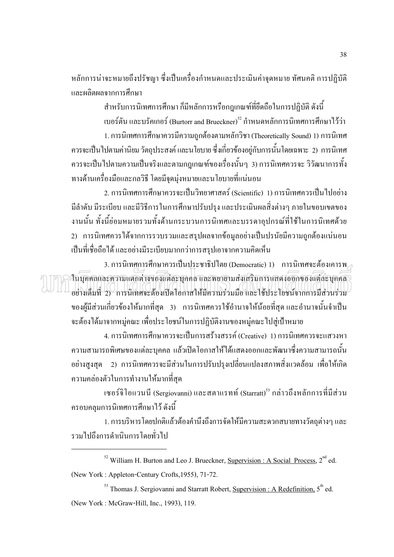หลักการน่าจะหมายถึงปรัชญา ซึ่งเป็นเครื่องกำหนดและประเมินค่าจุดหมาย ทัศนคติ การปฏิบัติ และผลิตผลจากการศึกษา

ี สำหรับการนิเทศการศึกษา ก็มีหลักการหรือกภเกณฑ์ที่ยึดถือในการปฏิบัติ ดังนี้ เบอร์ตัน และบรัคเกอร์ (Burtorr and Brueckner) $^{\text{52}}$  กำหนดหลักการนิเทศการศึกษาไว้ว่า 1. การนิเทศการศึกษาควรมีความถกต้องตามหลักวิชา (Theoretically Sound) 1) การนิเทศ ี ควรจะเป็นไปตามค่านิยม วัตถุประสงค์ และนโยบาย ซึ่งเกี่ยวข้องอยู่กับการนั้นโดยเฉพาะ 2) การนิเทศ ้ควรจะเป็นไปตามความเป็นจริงและตามกฎเกณฑ์ของเรื่องนั้นๆ 3) การนิเทศควรจะ วิวัฒนาการทั้ง ทางด้านเครื่องมือและกลวิธี โดยมีจุดมุ่งหมายและนโยบายที่แน่นอน

2 การบิเทศการศึกนาควรจะเป็นวิทยาศาสตร์ (Scientific) 1) การบิเทศควรเป็นไปอย่าง ้มีลำดับ มีระเบียบ และมีวิธีการในการศึกษาปรับปรง และประเมินผลสิ่งต่างๆ ภายในขอบเขตของ ึงานนั้น ทั้งนี้ย่อมหมายรวมทั้งด้านกระบวนการนิเทศและบรรดาอุปกรณ์ที่ใช้ในการนิเทศด้วย 2) การนิเทศควรได้จากการรวบรวมและสรปผลจากข้อมลอย่างเป็นปรนัยมีความถกต้องแน่นอน ้เป็นที่เชื่อถือได้ และอย่างมีระเบียบมากกว่าการสรุปเอาจากความคิดเห็น

3. การนิเทศการศึกษาควรเป็นประชาธิปไตย (Democratic) 1) การนิเทศจะต้องเการพ $\scriptstyle\mathcal{P}$ .<br>ในบุคคลและความแตกต่างของแต่ละบุคคล และพยายามส่งเสริมการแสดงออกของแต่ละบุคคล อย่างเต็มที่ 2) การนิเทศจะต้องเปิดโอกาสให้มีความร่วมมือและใช้ประโยชน์จากการมีส่วนร่วม ของผู้มีส่วนเกี่ยวข้องให้มากที่สุด 3) การนิเทศควรใช้อำนาจให้น้อยที่สุดและอำนาจนั้นจำเป็น จะต้องใด้มาจากหมู่คณะ เพื่อประโยชน์ในการปฏิบัติงานของหมู่คณะไปสู่เป้าหมาย

4. การนิเทศการศึกษาควรจะเป็นการสร้างสรรค์ (Creative) 1) การนิเทศควรจะแสวงหา ้ความสามารถพิเศษของแต่ละบุคคล แล้วเปิดโอกาสให้ได้แสดงออกและพัฒนาซึ่งความสามารถนั้น ้อย่างสูงสุด 2) การนิเทศควรจะมีส่วนในการปรับปรุงเปลี่ยนแปลงสภาพสิ่งแวดล้อม เพื่อให้เกิด ้ความคล่องตัวในการทำงานให้มากที่สด

เซอร์จิโอแวนนี (Sergiovanni) และสตาแรทท์ (Starratt) <sup>33</sup> กล่าวถึงหลักการที่มีส่วน ้ครอบคลุมการนิเทศการศึกษาไว้ ดังนี้

1. การบริหาร โดยปกติแล้วต้องคำนึงถึงการจัดให้มีความสะดวกสบายทางวัตถต่างๆ และ รวมไปถึงการดำเนินการโดยทั่วไป

<sup>&</sup>lt;sup>52</sup> William H. Burton and Leo J. Brueckner, Supervision : A Social Process,  $2^{nd}$  ed. (New York: Appleton-Century Crofts, 1955), 71-72.

 $53$  Thomas J. Sergiovanni and Starratt Robert, Supervision : A Redefinition,  $5<sup>th</sup>$  ed. (New York: McGraw-Hill, Inc., 1993), 119.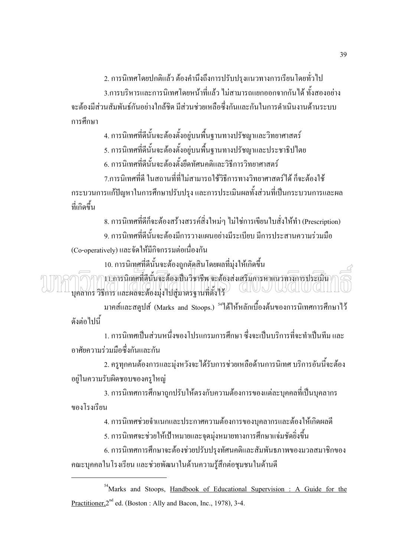2. การนิเทศโดยปกติแล้ว ต้องคำนึงถึงการปรับปรุงแนวทางการเรียนโดยทั่วไป

่ 3.การบริหารและการนิเทศโดยหน้าที่แล้ว ไม่สามารถแยกออกจากกันได้ ทั้งสองอย่าง จะต้องมีส่วนสัมพันธ์กันอย่างใกล้ชิด มีส่วนช่วยเหลือซึ่งกันและกันในการดำเนินงานด้านระบบ การศึกษา

> 4. การนิเทศที่ดีนั้นจะต้องตั้งอยู่บนพื้นฐานทางปรัชญาและวิทยาศาสตร์ 5. การนิเทศที่ดีนั้นจะต้องตั้งอยู่บนพื้นฐานทางปรัชญาและประชาธิปไตย

6. การนิเทศที่ดีนั้นจะต้องตั้งยึดทัศนคติและวิธีการวิทยาศาสตร์

7 การบิเทศที่ดี ใบสถาบที่ที่ไม่สามารถใช้วิธีการทางวิทยาศาสตร์ได้ ก็จะต้องใช้ ้กระบวนการแก้ปัญหาในการศึกษาปรับปรุง และการประเมินผลทั้งส่วนที่เป็นกระบวนการและผล ที่เกิดขึ้น

8. การนิเทศที่ดีก็จะต้องสร้างสรรค์สิ่งใหม่ๆ ไม่ใช่การเขียนใบสั่งให้ทำ (Prescription) ่ 9. การนิเทศที่ดีนั้นจะต้องมีการวางแผนอย่างมีระเบียบ มีการประสานความร่วมมือ (Co-operatively) และจัดให้มีกิจกรรมต่อเนื่องกัน

10. การนิเทศที่ดีนั้นจะต้องถูกตัดสินโดยผลที่มุ่งให้เกิดขึ้น

11.การนิเทศที่ดีนั้นจะด้องเป็นวิชาชีพ จะด้องส่งเสริมการหาแนวทางการประเมิน บุคลากร วิธีการ และผลขะต้องมุ่งไปสู่มาตรฐานที่ตั้งไว้<br>-

มาคส์และสตูปส์ (Marks and Stoops.) <sup>รม</sup>ได้ให้หลักเบื้องต้นของการนิเทศการศึกษาไว้ ดังต่อไปบึ้

1. การนิเทศเป็นส่วนหนึ่งของโปรแกรมการศึกษา ซึ่งจะเป็นบริการที่จะทำเป็นทีม และ อาศัยความร่วมมือซึ่งกันและกัน

่ 2. ครูทุกคนต้องการและมุ่งหวังจะ ได้รับการช่วยเหลือด้านการนิเทศ บริการอันนี้จะต้อง อยู่ในความรับผิดชอบของครูใหญ่

3. การนิเทศการศึกษาถูกปรับให้ตรงกับความต้องการของแต่ละบุคคลที่เป็นบุคลากร ของโรงเรียน

4. การนิเทศช่วยจำแนกและประกาศความต้องการของบุคลากรและต้องให้เกิดผลดี

5. การนิเทศจะช่วยให้เป้าหมายและจุดมุ่งหมายทางการศึกษาแจ่มชัดยิ่งขึ้น

6. การนิเทศการศึกษาจะต้องช่วยปรับปรุงทัศนคติและสัมพันธภาพของมวลสมาชิกของ ึ คณะบุคคลในโรงเรียน และช่วยพัฒนาในด้านความรู้สึกต่อชุมชนในด้านดี

<sup>&</sup>lt;sup>54</sup>Marks and Stoops, Handbook of Educational Supervision : A Guide for the Practitioner. $2^{nd}$  ed. (Boston : Ally and Bacon. Inc., 1978), 3-4.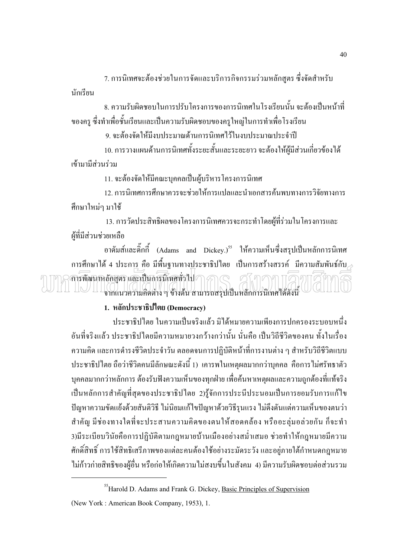7. การนิเทศจะต้องช่วยในการจัดและบริการกิจกรรมร่วมหลักสูตร ซึ่งจัดสำหรับ นักเรียน

่ 8. ความรับผิดชอบในการปรับโครงการของการนิเทศในโรงเรียนนั้น จะต้องเป็นหน้าที่ ของครู ซึ่งทำเพื่อชั้นเรียนและเป็นความรับผิดชอบของครูใหญ่ในการทำเพื่อโรงเรียน

9 จะต้องจัดให้มีงาบโระมาณด้านการนิเทศไว้ในงาบโระมาณประจำปี

10. การวางแผนด้านการนิเทศทั้งระยะสั้นและระยะยาว จะต้องให้ผู้มีส่วนเกี่ยวข้องได้ เข้ามามีส่วนร่วม

11. จะต้องจัดให้มีคณะบคคลเป็นผ้บริหารโครงการนิเทศ

12 การบิเทศการศึกนาควรจะช่วยให้การแปลและบำเอกสารค้บพบทางการวิจัยทางการ ์ศึกษาใหม่ๆ มาใช้

่ 13. การวัดประสิทธิผลของโครงการนิเทศควรจะกระทำโดยผู้ที่ร่วมในโครงการและ ผ้ที่มีส่วนช่วยเหลือ

อาคัมส์และคิ๊กกี้ (Adams and Dickey.)<sup>55</sup> ให้ความเห็นซึ่งสรุปเป็นหลักการนิเทศ ึการศึกษาได้ 4 ประการ คือ มีพื้นฐานทางประชาธิปไตย เป็นการสร้างสรรค์ มีความสัมพันธ์กับ คารพัฒนาหลักสตร และเป็นการมีเทศทั่วไป 7 จากแนวความคิดต่าง ๆ ข้างต้น สามารถสรุปเป็นหลักการนิเทศได้ดังนี้

### 1. หลักประชาธิปไตย (Democracy)

ประชาธิปไตย ในความเป็นจริงแล้ว มิได้หมายความเพียงการปกครองระบอบหนึ่ง ้อันที่จริงแล้ว ประชาธิปไตยมีความหมายวงกว้างกว่านั้น นั่นคือ เป็นวิถีชีวิตของคน ทั้งในเรื่อง ้ความคิด และการดำรงชีวิตประจำวัน ตลอดจนการปฏิบัติหน้าที่การงานต่าง ๆ สำหรับวิถีชีวิตแบบ ประชาธิปไตย ถือว่าชีวิตคนมีลักษณะดังนี้ 1) เคารพในเหตุผลมากกว่าบุคคล คือการไม่ศรัทธาตัว ิบุคคลมากกว่าหลักการ ต้องรับฟังความเห็นของทุกฝ่าย เพื่อค้นหาเหตุผลและความถูกต้องที่แท้จริง เป็นหลักการสำคัญที่สุดของประชาธิปใตย 2)รู้จักการประนีประนอมเป็นการยอมรับการแก้ไข ้ปัญหาความขัดแย้งด้วยสันติวิธี ไม่นิยมแก้ไขปัญหาด้วยวิธีรุนแรง ไม่ดึงดันแต่ความเห็นของตนว่า ี สำคัญ มีช่องทางใดที่จะประสานความคิดของตนให้สอดคล้อง หรืออะลุ่มอล่วยกัน ก็จะทำ 3)มีระเบียบวินัยคือการปฏิบัติตามกฎหมายบ้านเมืองอย่างสม่ำเสมอ ช่วยทำให้กฎหมายมีความ ้ศักดิ์สิทธิ์ การใช้สิทธิเสรีภาพของแต่ละคนต้องใช้อย่างระมัดระวัง และอยู่ภายใต้กำหนดกฎหมาย ใม่ก้าวก่ายสิทธิของผู้อื่น หรือก่อให้เกิดความใม่สงบขึ้นในสังคม 4) มีความรับผิดชอบต่อส่วนรวม

<sup>&</sup>lt;sup>55</sup>Harold D. Adams and Frank G. Dickey, Basic Principles of Supervision (New York: American Book Company, 1953), 1.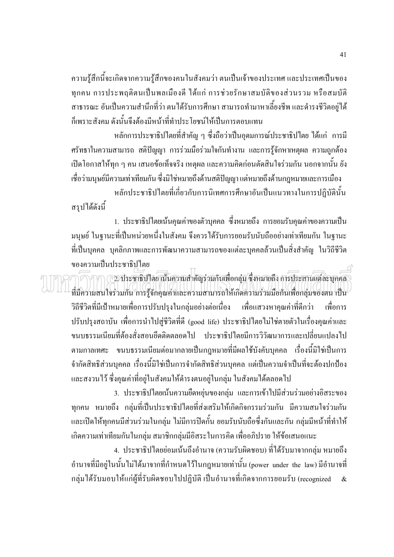้ความรู้สึกนี้จะเกิดจากความรู้สึกของคนในสังคมว่า ตนเป็นเจ้าของประเทศ และประเทศเป็นของ ทุกคน การประพฤติตนเป็นพลเมืองดี ได้แก่ การช่วยรักษาสมบัติของส่วนรวม หรือสมบัติ สาธารณะ อันเป็นความสำนึกที่ว่า ตน ได้รับการศึกษา สามารถทำมาหาเลี้ยงชีพ และดำรงชีวิตอยู่ได้ ก็เพราะสังคม ดังนั้นจึงต้องมีหน้าที่ทำประโยชน์ให้เป็นการตอบแทน

หลักการประชาธิปไตยที่สำคัญ ๆ ซึ่งถือว่าเป็นอคมการณ์ประชาธิปไตย ได้แก่ การมี ิศรัทธาในความสามารถ สติปัญญา การร่วมมือร่วมใจกันทำงาน และการรู้จักหาเหตุผล ความถูกต้อง ้เปิดโอกาสให้ทุก ๆ คน เสนอข้อเท็จจริง เหตุผล และความคิดก่อนตัดสินใจร่วมกัน นอกจากนั้น ยัง ้เชื่อว่ามนุษย์มีความเท่าเทียมกัน ซึ่งมิใช่หมายถึงด้านสติปัญญา แต่หมายถึงด้านกฎหมายและการเมือง

หลักประชาธิปไตยที่เกี่ยวกับการนิเทศการศึกษาอันเป็นแนวทางในการปฏิบัตินั้น สรปได้ดังนี้

1. ประชาธิปไตยเน้นคณค่าของตัวบคคล ซึ่งหมายถึง การยอมรับคณค่าของความเป็น ้ มนุษย์ ในจานะที่เป็นหน่วยหนึ่งในสังคม จึงควรได้รับการยอมรับนับถืออย่างเท่าเทียมกัน ในจานะ ี ที่เป็นบุคคล บุคลิกภาพและการพัฒนาความสามารถของแต่ละบุคคลล้วนเป็นสิ่งสำคัญ ในวิถีชีวิต ของอวามเป็นประชาธิปไตย

\_<br>\\4\/\) (( 2. ประชาธิปไตย เน้นความสำคัญร่วมกันเพื่อกลุ่ม ซึ่งหมายถึง การประสานแต่ละบุคคล ที่มีความสนใจร่วมกัน การรู้จักคุณค่าและความสามารถให้เกิดความร่วมมือกันเพื่อกลุ่มของตน เป็น ้วิถีชีวิตที่มีเป้าหมายเพื่อการปรับปรุงในกลุ่มอย่างต่อเนื่อง เพื่อแสวงหาคุณค่าที่ดีกว่า ้เพื่อการ ปรับปรุงสถาบัน เพื่อการนำไปสู่ชีวิตที่ดี (good life) ประชาธิปไตยไม่ใช่ตายตัวในเรื่องคุณค่าและ ี ขนบธรรมเนียมที่ต้องสั่งสอนยึดติดตลอดไป ประชาธิปไตยมีการวิวัฒนาการและเปลี่ยนแปลงไป ้ตามกาลเทศะ ขนบธรรมเนียมต่อมากลายเป็นกฎหมายที่มีผลใช้บังคับบุคคล เรื่องนี้มิใช่เป็นการ ้จำกัดสิทธิส่วนบุคคล เรื่องนี้มิใช่เป็นการจำกัดสิทธิส่วนบุคคล แต่เป็นความจำเป็นที่จะต้องปกป้อง และสงวนไว้ ซึ่งคุณค่าที่อยู่ในสังคมให้ดำรงตนอยู่ในกลุ่ม ในสังคมได้ตลอดไป

3. ประชาธิปไตยเน้นความยืดหยุ่นของกลุ่ม และการเข้าไปมีส่วนร่วมอย่างอิสระของ ทุกคน หมายถึง กลุ่มที่เป็นประชาธิปไตยที่ส่งเสริมให้เกิดกิจกรรมร่วมกัน มีความสนใจร่วมกัน และเปิดให้ทุกคนมีส่วนร่วมในกลุ่ม ไม่มีการปิดกั้น ยอมรับนับถือซึ่งกันและกัน กลุ่มมีหน้าที่ทำให้ ้เกิดความเท่าเทียมกันในกลุ่ม สมาชิกกลุ่มมีอิสระในการคิด เพื่ออภิปราย ให้ข้อเสนอแนะ

4. ประชาธิปไตยย่อมเน้นถึงอำนาจ (ความรับผิดชอบ) ที่ได้รับมาจากกลุ่ม หมายถึง ่ อำนาจที่มีอยู่ในนั้นไม่ได้มาจากที่กำหนดไว้ในกฎหมายเท่านั้น (power under the law) มีอำนาจที่ กลุ่มได้รับมอบให้แก่ผู้ที่รับผิดชอบไปปฏิบัติ เป็นอำนาจที่เกิดจากการยอมรับ (recognized  $\alpha$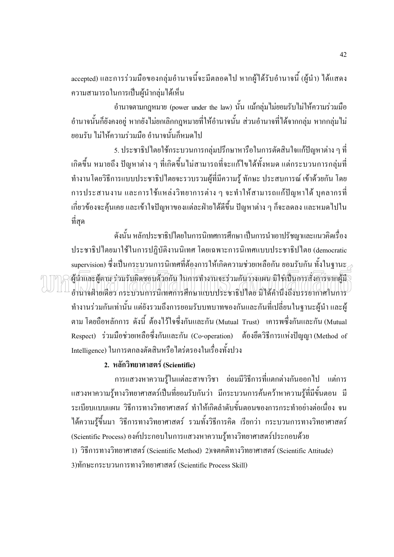accepted) และการร่วมมือของกลุ่มอำนาจนี้จะมีตลอดไป หากผู้ได้รับอำนาจนี้ (ผู้นำ) ได้แสดง ความสามารถในการเป็นผู้นำกลุ่มได้เห็น

้อำนาจตามกฎหมาย (power under the law) นั้น แม้กลุ่มไม่ยอมรับไม่ให้ความร่วมมือ ้อำนาจนั้นก็ยังคงอยู่ หากยังไม่ยกเลิกกฎหมายที่ให้อำนาจนั้น ส่วนอำนาจที่ได้จากกลุ่ม หากกลุ่มไม่ ้ยอมรับ ไม่ให้ความร่วมมือ อำนาจนั้นก็หมดไป

5. ประชาธิปไตยใช้กระบวนการกลุ่มปรึกษาหารือในการตัดสินใจแก้ปัญหาต่าง ๆ ที่ ้เกิดขึ้น หมายถึง ปัญหาต่าง ๆ ที่เกิดขึ้นไม่สามารถที่จะแก้ไขได้ทั้งหมด แต่กระบวนการกลุ่มที่ ี ทำงานโดยวิธีการแบบประชาธิปไตยจะรวบรวมผู้ที่มีความรู้ ทักษะ ประสบการณ์ เข้าด้วยกัน โดย ี การประสานงาน และการใช้แหล่งวิทยาการต่าง ๆ จะทำให้สามารถแก้ปัญหาได้ บคลากรที่ ้เกี่ยวข้องจะคุ้นเคย และเข้าใจปัญหาของแต่ละฝ่ายใด้ดีขึ้น ปัญหาต่าง ๆ ก็จะลดลง และหมดไปใน ที่สด

้ ดังนั้น หลักประชาธิปไตยในการนิเทศการศึกษา เป็นการนำเอาปรัชฌาและแนวคิดเรื่อง ประชาธิปไตยมาใช้ในการปฏิบัติงานนิเทศ โดยเฉพาะการนิเทศแบบประชาธิปไตย (democratic  $\sim$ supervision) ซึ่งเป็นกระบวนการนิเทศที่ต้องการให้เกิดความช่วยเหลือกัน ยอมรับกัน ทั้งในฐานะ $\rightarrow$ นี้นั่วและผู้ตาม ร่วมรับผิดชอบด้วยกัน ในการทำงานจะร่วมกันว่างแผน มิใช่เป็นการสั่งการจากผู้มี อำนาจฝ่ายเดียว กระบ่วนการนิเทศการศึกษาแบบประชาธิปไตย มิได้คำนึ้งถึงบรรยาก่าศในการ ี ทำงานร่วมกันเท่านั้น แต่ยังรวมถึงการยอมรับบทบาทของกันและกันที่เปลี่ยนในฐานะผู้นำ และผู้ ิ ตาม โดยถือหลักการ ดังนี้ ต้องไว้ใจซึ่งกันและกัน (Mutual Trust) เการพซึ่งกันและกัน (Mutual Respect) ร่วมมือช่วยเหลือซึ่งกันและกัน (Co-operation) ต้องยึดวิธีการแห่งปัญญา (Method of Intelligence) ในการตกลงตัดสินหรือไตร่ตรองในเรื่องทั้งปวง

## 2. หลักวิทยาศาสตร์ (Scientific)

ิการแสวงหาความรู้ในแต่ละสาขาวิชา ย่อมมีวิธีการที่แตกต่างกันออกไป แต่การ แสวงหาความรู้ทางวิทยาศาสตร์เป็นที่ยอมรับกันว่า มีกระบวนการค้นคว้าหาความรู้ที่มีขั้นตอน มี ระเบียบแบบแผน วิธีการทางวิทยาศาสตร์ ทำให้เกิดลำดับขั้นตอนของการกระทำอย่างต่อเนื่อง จน ใค้ความรู้ขึ้นมา วิธีการทางวิทยาศาสตร์ รวมทั้งวิธีการคิด เรียกว่า กระบวนการทางวิทยาศาสตร์ (Scientific Process) องค์ประกอบในการแสวงหาความรู้ทางวิทยาศาสตร์ประกอบด้วย 1) วิธีการทางวิทยาศาสตร์ (Scientific Method) 2)เจตกติทางวิทยาศาสตร์ (Scientific Attitude) 3)ทักษะกระบวนการทางวิทยาศาสตร์ (Scientific Process Skill)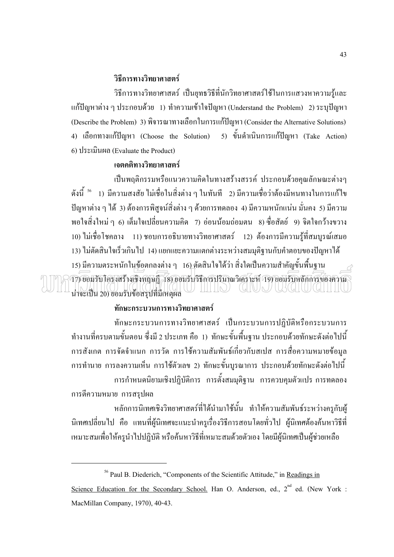#### วิ**ธีการทางวิทยา**ศาสตร์

วิธีการทางวิทยาศาสตร์ เป็นยุทธวิธีที่นักวิทยาศาสตร์ใช้ในการแสวงหาความรู้และ แก้ปัญหาต่าง ๆ ประกอบด้วย 1) ทำความเข้าใจปัญหา (Understand the Problem) 2) ระบุปัญหา (Describe the Problem) 3) พิจารณาทางเลือกในการแก้ปัญหา (Consider the Alternative Solutions) 4) เลือกทางแก้ปัญหา (Choose the Solution) - 5) ขั้ ้นดำเนินการแก้ปัญหา (Take Action)  $6)$  ประเมินผล (Evaluate the Product)

#### ้ เจต**คติทางวิทยาศาสตร์**

เป็นพฤติกรรมหรือแนวความกิดในทางสร้างสรรค์ ประกอบด้วยคุณลักษณะต่างๆ ดังนี<sup>้ ร6</sup> 1) มีความสงสัย ไม่เชื่อในสิ่งต่าง ๆ ในทันที 2) มีความเชื่อว่าต้องมีหนทางในการแก้ไข  $\ddot{\phantom{a}}$ ปัญหาต่าง ๆ ได้ 3) ต้องการพิสูจน์สิ่งต่าง ๆ ด้วยการทดลอง 4) มีความหนักแน่น มั่นคง 5) มีความ พอใจสิ่งใหม่ ๆ 6) เต็มใจเปลี่ยนความคิด 7) อ่อนน้อมถ่อมตน 8) ซื่อสัตย์ 9) จิตใจกว้างขวาง 10) ไม่เชื่อโชคลาง 11) ชอบการอธิบายทางวิทยาศาสตร์ 12) ต้องการมีความรู้ที่สมบูรณ์เสมอ 13) ไม่ตัดสินใจเร็วเกินไป 14) แยกแยะความแตกต่างระหว่างสมมุติฐานกับคำตอบของปัญหาได้

15) มีกวามตระหนักในข้อตกลงต่าง ๆ 16) ตัดสินใจได้ว่า สิ่งใดเป็นกวามสำคัญขั้นพื้นฐาน ֖֖֖֖֖֚֚֚֚֚֚֚֚֚֚֚֚֚֚֚֚֚֚֚֚֚֡֝<br>֧֚֚֚֝ ĺ 17) ขอมรับโครงสร้างเชิงทฤษฎี 18) ขอมรับวิธีการปริมาณวิเคราะห์ (19) ขอมรับหลักการของความ IIIN) (GHU)N น่าจะเป็น 20) ยอมรับข้อสรุปที่มีเหตุผล

#### ่ ทักษะกระบวนการทางวิทยาศาสตร์

ทักษะกระบวนการทางวิทยาศาสตร์ เป็นกระบวนการปฏิบัติหรือกระบวนการ ทำงานที่ครบตามขั้นตอน ซึ่งมี 2 ประเภท คือ 1) ทักษะขั้นพื้นฐาน ประกอบด้วยทักษะดังต่อไปนี้ ֦ ֚֚֡֝<br>֚֚֚֚ Ï การสังเกต การจัดจำแนก การวัด การใช้ความสัมพันธ์เกี่ยวกับสเปส การสื่อความหมายข้อมูล การทำนาย การลงความเห็น การใช้ตัวเลข 2) ทักษะขั้นบูรณาการ ประกอบด้วยทักษะดังต่อไปนี้ Ï การกำหนดนิยามเชิงปฏิบัติการ การตั้งสมมุติฐาน การควบคุมตัวแปร $\,$ การทดลอง ĺ การตีความหมาย การสรุปผล

หลักการนิเทศเชิงวิทยาศาสตร์ที่ได้นำมาใช้นั้น ทำให้ความสัมพันธ์ระหว่างครูกับผู้ นิเทศเปลี่ยนไป คือ แทนที่ผู้นิเทศจะแนะนำครูเรื่องวิธีการสอนโดยทั่วไป ผู้นิเทศต้องค้นหาวิธีที่ เหมาะสมเพื่อให้ครูนำไปปฏิบัติ หรือค้นหาวิธีที่เหมาะสมค้วยตัวเอง โดยมีผู้นิเทศเป็นผู้ช่วยเหลือ

<sup>&</sup>lt;sup>56</sup> Paul B. Diederich, "Components of the Scientific Attitude," in <u>Readings in</u> Science Education for the Secondary School. Han O. Anderson, ed., 2<sup>nd</sup> ed. (New York : MacMillan Company, 1970), 40-43.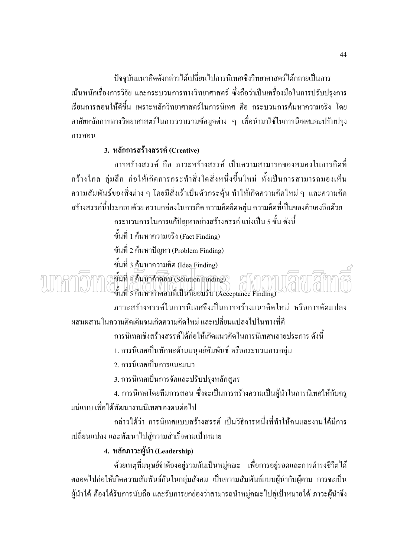ปัจจบันแนวคิดดังกล่าวได้เปลี่ยนไปการนิเทศเชิงวิทยาศาสตร์ได้กลายเป็นการ ้ เน้นหนักเรื่องการวิจัย และกระบวนการทางวิทยาศาสตร์ ซึ่งถือว่าเป็นเครื่องมือในการปรับปรุงการ เรียนการสอนให้ดีขึ้น เพราะหลักวิทยาศาสตร์ในการนิเทศ คือ กระบวนการค้นหาความจริง โดย ้อาศัยหลักการทางวิทยาศาสตร์ในการรวบรวมข้อมูลต่าง ๆ เพื่อนำมาใช้ในการนิเทศและปรับปรุง การสกน

## 3. หลักการสร้างสรรค์ (Creative)

ึการสร้างสรรค์ คือ ภาวะสร้างสรรค์ เป็นความสามารถของสมองในการคิดที่ ึกว้างใกล ลุ่มลึก ก่อให้เกิดการกระทำสิ่งใดสิ่งหนึ่งขึ้นใหม่ ทั้งเป็นการสามารถมองเห็น ้ ความสัมพันธ์ของสิ่งต่าง ๆ โดยมีสิ่งเร้าเป็นตัวกระต้น ทำให้เกิดความคิดใหม่ ๆ และความคิด ิสร้างสรรค์นี้ประกอบด้วย ความคล่องในการคิด ความคิดยืดหย่น ความคิดที่เป็นของตัวเองอีกด้วย

ึกระบวนการในการแก้ปัญหาอย่างสร้างสรรค์ แบ่งเป็น 5 ขั้น ดังนี้

ขั้นที่ 1 ค้นหาความจริง (Fact Finding)

ขันที่ 2 ค้นหาปัญหา (Problem Finding)

ขั้นที่ 3 ค้นหาความคิด (Idea Finding)

ขึ้นที่ 4 ค้นหาคำตอบ (Solution Finding) ขึ้นที่ 5 คนหาคำตอบที่เป็นที่ยอมรับ (Acceptance Finding)

ึภาวะสร้างสรรค์ในการนิเทศจึงเป็นการสร้างแนวคิดใหม่ หรือการคัดแปลง ผสมผสานในความคิดเดิมจบเกิดความคิดใหม่ และเปลี่ยบแปลงไปในทางที่ดี

้การนิเทศเชิงสร้างสรรค์ได้ก่อให้เกิดแนวคิดในการนิเทศหลายประการ ดังนี้

1. การนิเทศเป็นทักษะด้านมนุษย์สัมพันธ์ หรือกระบวนการกลุ่ม

2. การนิเทศเป็นการแนะแนว

3. การนิเทศเป็นการจัดและปรับปรุงหลักสูตร

4. การนิเทศโดยทีมการสอน ซึ่งจะเป็นการสร้างความเป็นผู้นำในการนิเทศให้กับครู แม่แบบ เพื่อได้พัฒนางานนิเทศของตนต่อไป

ึกล่าวได้ว่า การนิเทศแบบสร้างสรรค์ เป็นวิธีการหนึ่งที่ทำให้คนและงานได้มีการ ้เปลี่ยนแปลง และพัฒนาไปสู่ความสำเร็จตามเป้าหมาย

## 4. หลักภาวะผู้นำ (Leadership)

้ด้วยเหตุที่มนุษย์จำต้องอยู่รวมกันเป็นหมู่คณะ เพื่อการอยู่รอดและการดำรงชีวิตได้ ีตลอดไปก่อให้เกิดความสัมพันธ์กันในกลุ่มสังคม เป็นความสัมพันธ์แบบผู้นำกับผู้ตาม การจะเป็น ้ผู้นำได้ ต้องได้รับการนับถือ และรับการยกย่องว่าสามารถนำหมู่คณะไปสู่เป้าหมายได้ ภาวะผู้นำจึง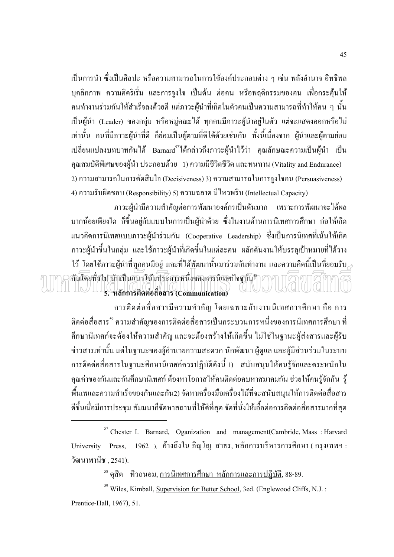้เป็นการนำ ซึ่งเป็นศิลปะ หรือความสามารถในการใช้องค์ประกอบต่าง ๆ เช่น พลังอำนาจ อิทธิพล ิบุคลิกภาพ ความคิดริเริ่ม และการจูงใจ เป็นต้น ต่อคน หรือพฤติกรรมของคน เพื่อกระตุ้นให้ ึ คนทำงานร่วมกันให้สำเร็จลงด้วยดี แต่ภาวะผู้นำที่เกิดในตัวคนเป็นความสามารถที่ทำให้คน ๆ นั้น ้เป็นผู้นำ (Leader) ของกลุ่ม หรือหมู่คณะได้ ทุกคนมีภาวะผู้นำอยู่ในตัว แต่จะแสดงออกหรือไม่ เท่านั้น คนที่มีภาวะผ้นำที่ดี ก็ย่อมเป็นผู้ตามที่ดีได้ด้วยเช่นกัน ทั้งนี้เนื่องจาก ผ้นำและผู้ตามย่อม ี่ เปลี่ยนแปลงบทบาทกันได้ Barnard<sup>ราเ</sup>ด็กล่าวถึงภาวะผู้นำไว้ว่า คุณลักษณะความเป็นผู้นำ เป็น ้คุณสมบัติพิเศษของผู้นำ ประกอบด้วย 1) ความมีชีวิตชีวิต และทนทาน (Vitality and Endurance) 2) ความสามารถในการตัดสินใจ (Decisiveness) 3) ความสามารถในการจูงใจคน (Persuasiveness) 4) ความรับผิดชอบ (Responsibility) 5) ความฉลาด มีใหวพริบ (Intellectual Capacity)

ี ภาวะผู้นำมีความสำคัญต่อการพัฒนาองค์กรเป็นดันมาก เพราะการพัฒนาจะได้ผล ้มากน้อยเพียงใด ก็ขึ้นอย่กับแบบในการเป็นผ้นำด้วย ซึ่งในงานด้านการนิเทศการศึกษา ก่อให้เกิด แนวคิดการนิเทศแบบภาวะผู้นำร่วมกัน (Cooperative Leadership) ซึ่งเป็นการนิเทศที่เน้นให้เกิด ิภาวะผู้นำขึ้นในกลุ่ม และใช้ภาวะผู้นำที่เกิดขึ้นในแต่ละคน ผลักดันงานให้บรรลุเป้าหมายที่ได้วาง ไว้ โดยใช้ภาวะผู้นำที่ทุกคนมีอยู่ และที่ได้<u>พั</u>ฒนานั้นมาร่วมกันทำงาน และความคิดนี้เป็นที่ยอมรับ เก็นโคยทั่วไป นับเป็นแนวโน้มประการหนึ่งของการนิเทศปัจจุบัน<sup>ร</sup>ำ 1 1 5. หลักการติดต่อสื่อสาร (Communication)

ึการติดต่อสื่อสารมีความสำคัญ โดยเฉพาะกับงานนิเทศการศึกษา คือ การ ี ติดต่อสื่อสาร<sup>ร</sup> ความสำคัญของการติดต่อสื่อสารเป็นกระบวนการหนึ่งของการนิเทศการศึกษา ที่ ้ศึกษานิเทศก์จะต้องให้ความสำคัญ และจะต้องสร้างให้เกิดขึ้น ไม่ใช่ในฐานะผู้ส่งสารและผู้รับ ข่าวสารเท่านั้น แต่ในฐานะของผู้อำนวยความสะดวก นักพัฒนา ผู้ดูแล และผู้มีส่วนร่วมในระบบ ึการติดต่อสื่อสารในฐานะศึกษานิเทศก์ควรปฏิบัติดังนี้ 1) สนับสนุนให้คนรู้จักและตระหนักใน คุณค่าของกันและกันศึกษานิเทศก์ ต้องหาโอกาสให้คนติดต่อคบหาสมาคมกัน ช่วยให้คนรู้จักกัน รู้ ้พื้นเพและความสำเร็จของกันและกัน2) จัดหาเครื่องมือเครื่องไม้ที่จะสนับสนุนให้การติดต่อสื่อสาร ้ดีขึ้นเมื่อมีการประชุม สัมมนาก็จัดหาสถานที่ให้ดีที่สุด จัดที่นั่งให้เอื้อต่อการติดต่อสื่อสารมากที่สุด

<sup>ี ร</sup> ดุสิต ทิวถนอม, <u>การนิเทศการศึกษา หลักการและการปฏิบัติ</u>, 88-89.

 $57$  Chester I. Barnard, Oganization and management (Cambride, Mass: Harvard University Press, 1962 ), อ้างถึงใน ภิญโญ สาธร, หลักการบริหารการศึกษา ( กรุงเทพฯ : วัฒนาพานิช . 2541).

<sup>&</sup>lt;sup>59</sup> Wiles, Kimball, Supervision for Better School, 3ed. (Englewood Cliffs, N.J.: Prentice-Hall, 1967), 51.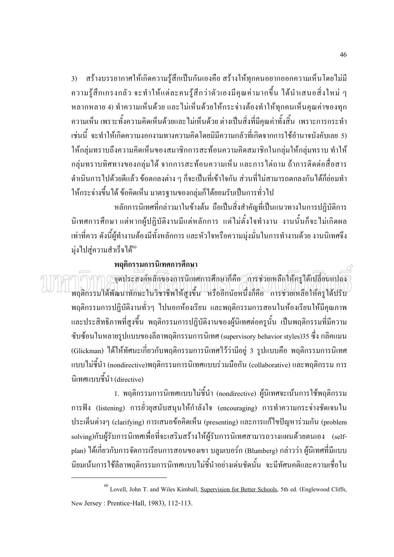ิสร้างบรรยากาศให้เกิดความรู้สึกเป็นกันเองคือ สร้างให้ทุกคนอยากออกความเห็นโดยไม่มี  $3)$ ้ ความรู้สึกเกรงกลัว จะทำให้แต่ละคนรู้สึกว่าตัวเองมีคุณค่ามากขึ้น ได้นำเสนอสิ่งใหม่ ๆ หลากหลาย 4) ทำความเห็นด้วย และ ไม่เห็นด้วยให้กระจ่างต้องทำให้ทุกคนเห็นคุณค่าของทุก ี ความเห็น เพราะทั้งความคิดเห็นด้วยและไม่เห็นด้วย ต่างเป็นสิ่งที่มีคุณค่าทั้งสิ้น เพราะการกระทำ ้เช่นนี้ จะทำให้เกิดความงอกงามทางความคิดโดยมิมีความกลัวที่เกิดจากการใช้อำนาจบังคับเลย 5) ให้กลุ่มทราบถึงความคิดเห็นของสมาชิกการสะท้อนความคิดสมาชิกในกลุ่มให้กลุ่มทราบ ทำให้ ึกลุ่มทราบทิศทางของกลุ่มใด้ จากการสะท้อนความเห็น และการใต่ถาม ถ้าการติดต่อสื่อสาร ้ คำเนินการไปด้วยดีแล้ว ข้อตกลงต่าง ๆ ก็จะเป็นที่เข้าใจกัน ส่วนที่ไม่สามารถตกลงกันได้ก็ย่อมทำ ให้กระจ่างขึ้นได้ ข้อคิดเห็น มาตรจานของกล่มก็ได้ยอมรับเป็นการทั่วไป

หลักการนิเทศที่กล่าวมาในข้างต้น ถือเป็นสิ่งสำคัญที่เป็นแนวทางในการปฏิบัติการ ้นิเทศการศึกษา แต่หากผู้ปฏิบัติงานมีแต่หลักการ แต่ไม่ตั้งใจทำงาน งานนั้นก็จะไม่เกิดผล เท่าที่ควร ดังนี้ผู้ทำงานต้องมีทั้งหลักการ และหัวใจหรือความมุ่งมั่นในการทำงานด้วย งานนิเทศจึง มุ่งไปสู่ความสำเร็จได้"

#### พฤติกรรมการนิเทศการศึกษา

จุดประสงค์หลักของการนิเทศการศึกษาก็คือ วิการช่วยเหลือให้ครูได้เปลี่ยนเปลง พฤติกรรมใด้พัฒนาทักษะในวิชาชีพให้สูงขึ้น หรืออีกนัยหนึ่งก็คือ การช่วยเหลือให้ครูได้ปรับ ี พฤติกรรมการปฏิบัติงานทั่วๆ ไปนอกห้องเรียน และพฤติกรรมการสอนในห้องเรียนให้มีคุณภาพ และประสิทธิภาพที่สูงขึ้น พฤติกรรมการปฏิบัติงานของผู้นิเทศต่อครูนั้น เป็นพฤติกรรมที่มีความ ซับซ้อนในหลายรูปแบบของลีลาพฤติกรรมการนิเทศ (supervisory behavior styles)35 ซึ่ง กลิคแมน (Glickman) ใด้ให้ทัศนะเกี่ยวกับพฤติกรรมการนิเทศไว้ว่ามีอยู่ 3 รูปแบบคือ พฤติกรรมการนิเทศ แบบไม่ชี้นำ (nondirective)พฤติกรรมการนิเทศแบบร่วมมือกัน (collaborative) และพฤติกรรม การ นิเทศแบบชี้นำ (directive)

1. พฤติกรรมการนิเทศแบบไม่ชื้นำ (nondirective) ผู้นิเทศจะเน้นการใช้พฤติกรรม ิการฟัง (listening) การยั่วยุสนับสนุนให้กำลังใจ (encouraging) การทำความกระจ่างชัดเจนใน ประเด็นต่างๆ (clarifying) การเสนอข้อคิดเห็น (presenting) และการแก้ไขปัญหาร่วมกัน (problem solving)กับผู้รับการนิเทศเพื่อที่จะเสริมสร้างให้ผู้รับการนิเทศสามารถวางแผนด้วยตนเอง (selfplan) ใด้เกี่ยวกับการจัดการเรียนการสอนของเขา บลูมเบอร์ก (Blumberg) กล่าวว่า ผู้นิเทศที่มีแบบ ้นิยมเน้นการใช้ลีลาพฤติกรรมการนิเทศแบบไม่ชี้นำอย่างเด่นชัดนั้น จะมีทัศนคติและความเชื่อใน

 $^{60}$  Lovell, John T. and Wiles Kimball, Supervision for Better Schools, 5th ed. (Englewood Cliffs, New Jersey: Prentice-Hall, 1983), 112-113.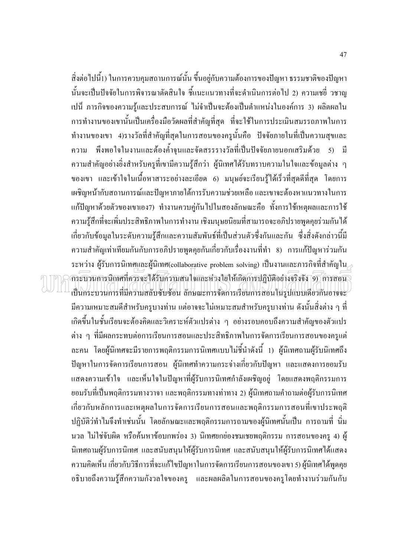้ สิ่งต่อไปนี้1) ในการควบคุมสถานการณ์นั้น ขึ้นอยู่กับความต้องการของปัญหา ธรรมชาติของปัญหา ้นั้นจะเป็นปัจจัยในการพิจารณาตัดสินใจ ชี้แนะแนวทางที่จะคำเนินการต่อไป 2) ความเชยี่ วชาญ เปนี้ ภารกิจของความรู้และประสบการณ์ ไม่จำเป็นจะต้องเป็นตำแหน่งในองค์การ 3) ผลิตผลใน ึการทำงานของเขานั้นเป็นเครื่องมือวัดผลที่สำคัญที่สุด ที่จะใช้ในการประเมินสมรรถภาพในการ ทำงานของเขา 4)รางวัลที่สำคัญที่สุดในการสอนของครูนั้นคือ ปัจจัยภายในที่เป็นความสุขและ พึงพอใจในงานและต้องค้ำจุนและจัดสรรรางวัลที่เป็นปัจจัยภายนอกเสริมด้วย ความ  $\overline{5}$ ิ์ มี ี ความสำคัญอย่างยิ่งสำหรับครูที่เขามีความรู้สึกว่า ผู้นิเทศได้รับทราบความในใจและข้อมูลต่าง ๆ ี ของเขา และเข้าใจในเนื้อหาสาระอย่างละเอียด 6) มนุษย์จะเรียนรู้ได้เร็วที่สุดดีที่สุด โดยการ ้เผชิญหน้ากับสถานการณ์และปัญหาภายใต้การรับความช่วยเหลือ และเขาจะต้องหาแนวทางในการ แก้ปัญหาด้วยตัวของเขาเอง7) ทำงานควบคู่กันไปในสองลักษณะคือ ทั้งการใช้เหตุผลและการใช้ ้ ความรู้สึกที่จะเพิ่มประสิทธิภาพในการทำงาน เชิงมนุษยนิยมที่สามารถจะอภิปรายพูดคุยร่วมกันได้ เกี่ยวกับข้อมลในระดับความร้สึกและความสัมพันธ์ที่เป็นส่วนตัวซึ่งกันและกัน ซึ่งสิ่งดังกล่าวนี้มี ี ความสำคัญเท่าเทียมกันกับการอภิปรายพูดคุยกันเกี่ยวกับเรื่องงานที่ทำ 8) การแก้ปัญหาร่วมกัน ระหว่าง ผู้รับการนิเทศและผู้นิเทศ(collaborative problem solving) เป็นงานและภารกิจที่สำคัญใน $_{\geq}$ ี่กระบวนการนิเทศที่ควรจะใส่รับความสนใจและห่วงใยให้เกิดการปฏิบัติอย่างจริงจัง 9) การสอน เป็นกระบวนการที่มีความสลับซับซ้อน ลักษณะการจัดการเรียนการสอนในรูปแบบเดียวกันอาจจะ ้มีความเหมาะสมดีสำหรับครูบางท่าน แต่อาจจะไม่เหมาะสมสำหรับครูบางท่าน ดังนั้นสิ่งต่าง ๆ ที่ ้เกิดขึ้นในชั้นเรียนจะต้องคิดและวิเคราะห์ตัวแปรต่าง ๆ อย่างรอบคอบถึงความสำคัญของตัวแปร ี่ต่าง ๆ ที่มีผลกระทบต่อการเรียนการสอนและประสิทธิภาพในการจัดการเรียนการสอนของครูแต่ ีละคน โดยผู้นิเทศจะมีรายการพฤติกรรมการนิเทศแบบไม่ชื่นำดังนี้ 1) ผู้นิเทศถามผู้รับนิเทศถึง ปัญหาในการจัดการเรียนการสอน ผู้นิเทศทำความกระจ่างเกี่ยวกับปัญหา และแสดงการยอมรับ ี แสดงความเข้าใจ และเห็นใจในปัญหาที่ผู้รับการนิเทศกำลังเผชิญอยู่ โดยแสดงพฤติกรรมการ ียอมรับที่เป็นพฤติกรรมทางวาจา และพฤติกรรมทางท่าทาง 2) ผู้นิเทศถามคำถามต่อผู้รับการนิเทศ เกี่ยวกับหลักการและเหตุผลในการจัดการเรียนการสอนและพฤติกรรมการสอนที่เขาประพฤติ ปฏิบัติว่ทำไมจึงทำเช่นนั้น โดยลักษณะและพฤติกรรมการถามของผู้นิเทศนั้นเป็น การถามที่ นิ่ม นวล ไม่ใช่จับผิด หรือค้นหาข้อบกพร่อง 3) นิเทศยกย่องชมเชยพฤติกรรม การสอนของครู 4) ผู้ นิเทศถามผู้รับการนิเทศ และสนับสนุนให้ผู้รับการนิเทศ และสนับสนุนให้ผู้รับการนิเทศได้แสดง ่ ความคิดเห็น เกี่ยวกับวิธีการที่จะแก้ไขปัญหาในการจัดการเรียนการสอนของเขา 5) ผู้นิเทศได้พูดคุย ้อธิบายถึงความรู้สึกความกังวลใจของครู และผลผลิตในการสอนของครูโดยทำงานร่วมกันกับ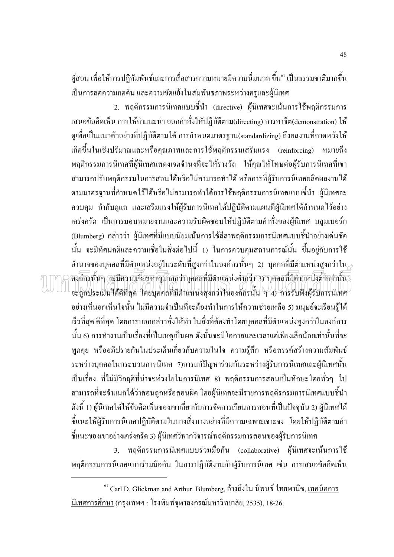้ผู้สอน เพื่อให้การปฏิสัมพันธ์และการสื่อสารความหมายมีความนิ่มนวล ขึ้น<sup>61</sup> เป็นธรรมชาติมากขึ้น ้เป็นการลดความกดดัน และความขัดแย้งในสัมพันธภาพระหว่างครูและผู้นิเทศ

2. พฤติกรรมการนิเทศแบบชี้นำ (directive) ผู้นิเทศจะเน้นการใช้พฤติกรรมการ เสนอข้อคิดเห็น การให้คำแนะนำ ออกคำสั่งให้ปฏิบัติตาม(directing) การสาธิต(demonstration) ให้ ิดเพื่อเป็นแนวตัวอย่างที่ปฏิบัติตามได้ การกำหนดมาตรฐาน(standardizing) ถึงผลงานที่กาดหวังให้ ้เกิดขึ้นในเชิงปริมาณและหรือคุณภาพและการใช้พฤติกรรมเสริมแรง (reinforcing) หมายถึง ี พฤติกรรมการนิเทศที่ผู้นิเทศแสดงเจตจำนงที่จะให้รางวัล ให้คุณให้โทษต่อผู้รับการนิเทศที่เขา ี่ สามารถปรับพถติกรรมในการสอนได้หรือไม่สามารถทำได้ หรือการที่ผ้รับการนิเทศผลิตผลงานได้ ้ตามมาตรฐานที่กำหนดไว้ได้หรือไม่สามารถทำได้การใช้พฤติกรรมการนิเทศแบบชี้นำ ผู้นิเทศจะ ้ ควบคม กำกับดแล และเสริมแรงให้ผู้รับการนิเทศได้ปฏิบัติตามแผนที่ผู้นิเทศได้กำหนดไว้อย่าง เคร่งครัด เป็นการมอบหมายงานและความรับผิดชอบให้ปฏิบัติตามคำสั่งของผู้นิเทศ บลมเบอร์ก (Blumberg) กล่าวว่า ผู้นิเทศที่มีแบบนิยมเน้นการใช้ลีลาพฤติกรรมการนิเทศแบบชี้นำอย่างเค่นชัด ้นั้น จะมีทัศนคติและความเชื่อในสิ่งต่อไปนี้ 1) ในการควบคุมสถานการณ์นั้น ขึ้นอยู่กับการใช้ ้อำนาจของบุคคลที่มีตำแหน่งอยู่ในระดับที่สูงกว่าในองค์กรนั้นๆ 2) บุคคลที่มีตำแหน่งสูงกว่าใน ้องค์กรนั้นๆ จะมีความเชี่ยวชาณมากกว่าบุคคลที่มีตำแหน่งต่ำกว่า 3) บุคคลที่มีตำแหน่งต่ำกว่านั้น จะถูกประเมินได้ดีที่สุด โดยบุคคลที่มีตำแหน่งสูงกว่าในองค์กรนั้น ๆ 4) การรับฟังผู้รับการนิเทศ ้อย่างเห็นอกเห็นใจนั้น ไม่มีความจำเป็นที่จะต้องทำในการให้ความช่วยเหลือ 5) มนุษย์จะเรียนรู้ได้ เร็วที่สุด ดีที่สุด โดยการบอกกล่าวสั่งให้ทำ ในสิ่งที่ต้องทำโดยบุคคลที่มีตำแหน่งสูงกว่าในองค์การ ้นั้น 6) การทำงานเป็นเรื่องที่เป็นเหตุเป็นผล ดังนั้นจะมีโอกาสและเวลาแต่เพียงเล็กน้อยเท่านั้นที่จะ พูดคุย หรืออภิปรายกันในประเด็นเกี่ยวกับความในใจ ความรู้สึก หรือสรรค์สร้างความสัมพันธ์ ระหว่างบุคคลในกระบวนการนิเทศ 7)การแก้ปัญหาร่วมกันระหว่างผู้รับการนิเทศและผู้นิเทศนั้น เป็นเรื่อง ที่ไม่มีวิกฤติที่น่าจะห่วงใยในการนิเทศ 8) พฤติกรรมการสอนเป็นทักษะโดยทั่วๆ ไป ี สามารถที่จะจำแนกได้ว่าสอนถูกหรือสอนผิด โดยผู้นิเทศจะมีรายการพฤติรกรมการนิเทศแบบชี้นำ ้ ดังนี้ 1) ผู้นิเทศได้ให้ข้อคิดเห็นของเขาเกี่ยวกับการจัดการเรียนการสอนที่เป็นปัจจุบัน 2) ผู้นิเทศได้ ์ ขี้แนะให้ผู้รับการนิเทศปฏิบัติตามในบางสิ่งบางอย่างที่มีความเฉพาะเจาะจง โดยให้ปฏิบัติตามคำ ์ ชี้แนะของเขาอย่างเคร่งครัด 3) ผู้นิเทศวิพากวิจารณ์พฤติกรรมการสอนของผู้รับการนิเทศ

3. พฤติกรรมการนิเทศแบบร่วมมือกัน (collaborative) ผู้นิเทศจะเน้นการใช้ ี พฤติกรรมการนิเทศแบบร่วมมือกัน ในการปฏิบัติงานกับผู้รับการนิเทศ เช่น การเสนอข้อคิดเห็น

<sup>&</sup>lt;sup>61</sup> Carl D. Glickman and Arthur. Blumberg, อ้างถึงใน นิพนธ์ ไทยพานิช, เทคนิคการ ้นิเทศการศึกษา (กรุงเทพฯ : โรงพิมพ์จพาลงกรณ์มหาวิทยาลัย, 2535), 18-26.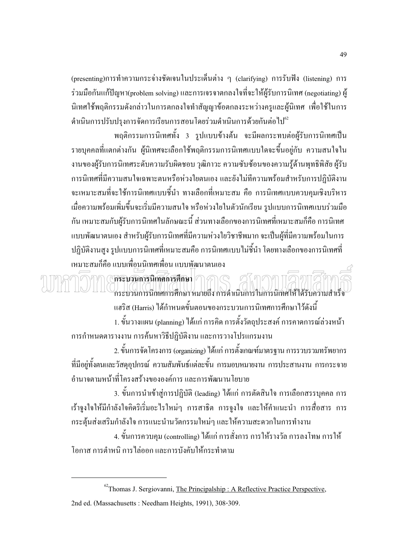(presenting)การทำความกระจ่างชัดเจนในประเด็นต่าง ๆ (clarifying) การรับฟัง (listening) การ ร่วมมือกันแก้ปัญหา(problem solving) และการเจรจาตกลงใจที่จะให้ผู้รับการนิเทศ (negotiating) ผู้ ้นิเทศใช้พฤติกรรมดังกล่าวในการตกลงใจทำสัญญาข้อตกลงระหว่างครูและผู้นิเทศ เพื่อใช้ในการ ดำเนินการปรับปรุงการจัดการเรียนการสอนโดยร่วมดำเนินการด้วยกันต่อไป<sup>62</sup>

พฤติกรรมการนิเทศทั้ง 3 รูปแบบข้างต้น จะมีผลกระทบต่อผู้รับการนิเทศเป็น ้รายบุคคลที่แตกต่างกัน ผู้นิเทศจะเลือกใช้พฤติกรรมการนิเทศแบบใคจะขึ้นอยู่กับ ความสนใจใน งานของผู้รับการนิเทศระดับความรับผิดชอบ วุฒิภาวะ ความซับซ้อนของความรู้ด้านพุทธิพิสัย ผู้รับ ิการนิเทศที่มีความสนใจเฉพาะตนหรือห่วงใยตนเอง และยังไม่ที่ความพร้อมสำหรับการปฏิบัติงาน จะเหมาะสมที่จะใช้การนิเทศแบบชี้นำ ทางเลือกที่เหมาะสม คือ การนิเทศแบบควบคุมเชิงบริหาร เมื่อความพร้อมเพิ่มขึ้นจะเริ่มมีความสนใจ หรือห่วงใยในตัวนักเรียน รูปแบบการนิเทศแบบร่วมมือ ้กัน เหมาะสมกับผู้รับการนิเทศในลักษณะนี้ ส่วนทางเลือกของการนิเทศที่เหมาะสมก็คือ การนิเทศ แบบพัฒนาตนเอง สำหรับผู้รับการนิเทศที่มีความห่วงใยวิชาชีพมาก จะเป็นผู้ที่มีความพร้อมในการ ปฏิบัติงานสูง รูปแบบการนิเทศที่เหมาะสมคือ การนิเทศแบบไม่ชี้นำ โดยทางเลือกของการนิเทศที่ เหมาะสมก็คือ แบบเพื่อนนิเทศเพื่อน แบบพัฒนาตนเอง

#### (โคระบวนการนิเทศการศึกษา ้กระบวนการนิเทศการศึกษา หมายถึง การดำเนินการในการนิเทศให้ได้รับความสำเร็จ

แฮริส (Harris) ได้กำหนดขั้นตอนของกระบวนการนิเทศการศึกษาไว้ดังนี้ 1. ขั้นวางแผน (planning) ได้แก่ การคิด การตั้งวัตถุประสงค์ การคาดการณ์ล่วงหน้า ึการกำหนดตารางงาน การค้นหาวิธีปฏิบัติงาน และการวางโปรแกรมงาน

2. ขั้นการจัดโครงการ (organizing) ได้แก่ การตั้งเกณฑ์มาตรฐาน การรวบรวมทรัพยากร ี่ที่มีอยู่ทั้งตนและวัสดุอุปกรณ์ ความสัมพันธ์แต่ละขั้น การมอบหมายงาน การประสานงาน การกระจาย อำนาจตามหน้าที่โครงสร้างขององค์การ และการพัฒนานโยบาย

3. ขั้นการนำเข้าสู่การปฏิบัติ (leading) ใด้แก่ การตัดสินใจ การเลือกสรรบุคคล การ ้เร้าจูงใจให้มีกำลังใจคิดริเริ่มอะไรใหม่ๆ การสาธิต การจูงใจ และให้คำแนะนำ การสื่อสาร การ ึกระตุ้นส่งเสริมกำลังใจ การแนะนำนวัตกรรมใหม่ๆ และให้ความสะดวกในการทำงาน

4. ขั้นการควบคุม (controlling) ได้แก่ การสั่งการ การให้รางวัล การลงโทษ การให้ โอกาส การตำหนิ การไล่ออก และการบังคับให้กระทำตาม

<sup>&</sup>lt;sup>62</sup>Thomas J. Sergiovanni, *The Principalship* : A Reflective Practice Perspective, 2nd ed. (Massachusetts: Needham Heights, 1991), 308-309.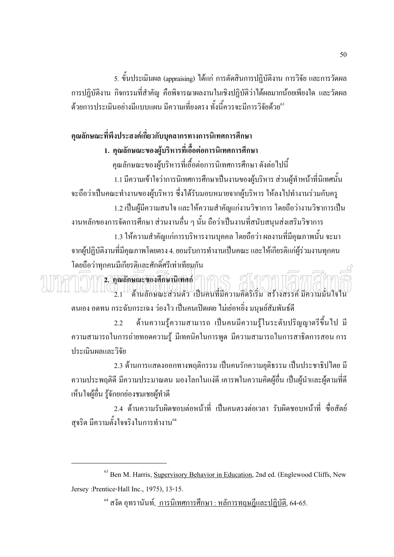5. ขั้นประเมินผล (appraising) ได้แก่ การตัดสินการปฏิบัติงาน การวิจัย และการวัดผล ึการปฏิบัติงาน กิจกรรมที่สำคัญ คือพิจารณาผลงานในเชิงปฏิบัติว่าได้ผลมากน้อยเพียงใด และวัดผล ี ด้วยการประเมินอย่างมีแบบแผน มีความเที่ยงตรง ทั้งนี้ควรจะมีการวิจัยด้วย<sup>63</sup>

### ี คุณลักษณะที่พึงประสงค์เกี่ยวกับบุคลากรทางการนิเทศการศึกษา

#### 1. คุณลักษณะของผู้บริหารที่เอื้อต่อการนิเทศการศึกษา

คุณลักษณะของผู้บริหารที่เอื้อต่อการนิเทศการศึกษา ดังต่อไปนี้ 1.1 มีความเข้าใจว่าการนิเทศการศึกษาเป็นงานของผู้บริหาร ส่วนผู้ทำหน้าที่นิเทศนั้น ้จะถือว่าเป็นคณะทำงานของผ้บริหาร ซึ่งได้รับมอบหมายจากผ้บริหาร ให้ลงไปทำงานร่วมกับคร 1.2 เป็นผู้มีความสนใจ และให้ความสำคัญแก่งานวิชาการ โดยถือว่างานวิชาการเป็น งานหลักของการจัดการศึกษา ส่วนงานอื่น ๆ นั้น ถือว่าเป็นงานที่สนับสนุนส่งเสริมวิชาการ ่ 1.3 ให้ความสำคัญแก่การบริหารงานบคคล โดยถือว่า ผลงานที่มีคณภาพนั้น จะมา ิจากผู้ปฏิบัติงานที่มีคุณภาพโดยตรง 4. ยอมรับการทำงานเป็นคณะ และให้เกียรติแก่ผู้ร่วมงานทุกคน โดยถือว่าทกคนมีเกียรติและศักดิ์ศรีเท่าเทียมกัน

2. คุณลักษณะของศึกษานิเทศก์ 2.1 ด้านลักษณะส่วนตัว เป็นคนที่มีความคิดริเริ่ม สร้างสรรค์ มีความมั่นใจใน ิตนเอง อดทน กระฉับกระเฉง ว่องไว เป็นคนเปิดเผย ไม่เย่อหยิ่ง มนุษย์สัมพันธ์ดี ้ค้านความรู้ความสามารถ เป็นคนมีความรู้ในระดับปริญญาตรีขึ้นไป มี  $2.2$ ้ ความสามารถในการถ่ายทอดความรู้ มีเทคนิคในการพูด มีความสามารถในการสาธิตการสอน การ ประเมินผลและวิจัย

่ 2.3 ด้านการแสดงออกทางพถติกรรม เป็นคนรักความยุติธรรม เป็นประชาธิปไตย มี ี ความประพฤติดี มีความประมาณตน มองโลกในแง่ดี เคารพในความคิดผู้อื่น เป็นผู้นำและผู้ตามที่ดี เห็นใจผู้อื่น รู้จักยกย่องชมเชยผู้ทำดี

2.4 ด้านความรับผิดชอบต่อหน้าที่ เป็นคนตรงต่อเวลา รับผิดชอบหน้าที่ ซื่อสัตย์ สุจริต มีความตั้งใจจริงในการทำงาน<sup>64</sup>

<sup>&</sup>lt;sup>63</sup> Ben M. Harris, Supervisory Behavior in Education, 2nd ed. (Englewood Cliffs, New Jersey :Prentice-Hall Inc., 1975), 13-15.

<sup>&</sup>lt;sup>64</sup> สงัค อทรานันท์, การนิเทศการศึกษา : หลัการทถษภีและปฏิบัติ, 64-65.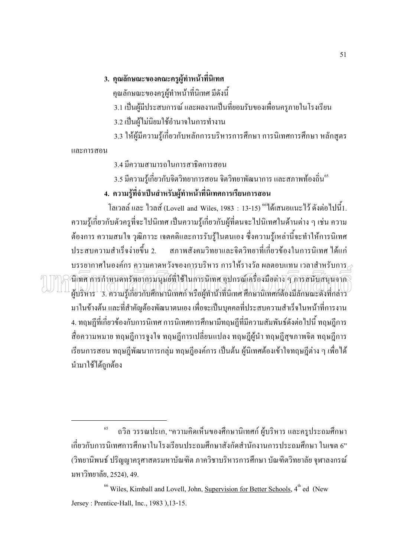#### 3. คณลักษณะของคณะครผ้ทำหน้าที่นิเทศ

ึกณลักษณะของครผ้ทำหน้าที่นิเทศ มีดังนี้

3.1 เป็นผู้มีประสบการณ์ และผลงานเป็นที่ยอมรับของเพื่อนครูภายในโรงเรียน

3.2 เป็นผู้ไม่นิยมใช้อำนาจในการทำงาน

3.3 ให้ผู้มีความรู้เกี่ยวกับหลักการบริหารการศึกษา การนิเทศการศึกษา หลักสูตร

และการสอน

34 มีความสามารถในการสาธิตการสอน

3.5 มีความรู้เกี่ยวกับจิตวิทยาการสอน จิตวิทยาพัฒนาการ และสภาพท้องถิ่น<sup>65</sup>

#### 4. ความรู้ที่จำเป็นสำหรับผู้ทำหน้าที่นิเทศการเรียนการสอน

โลเวลล์ และ ไวลส์ (Lovell and Wiles, 1983 : 13-15) <sup>66</sup>ได้เสนอแนะไว้ ดังต่อไปนี้1. ้ ความรู้เกี่ยวกับตัวครูที่จะไปนิเทศ เป็นความรู้เกี่ยวกับผู้ที่ตนจะไปนิเทศในด้านต่าง ๆ เช่น ความ ้ต้องการ ความสนใจ วฒิภาวะ เจตคติและการรับร้ในตนเอง ซึ่งความร้เหล่านี้จะทำให้การนิเทศ ประสบความสำเร็จง่ายขึ้น 2 ิสภาพสังคมวิทยาและจิตวิทยาที่เกี่ยวข้องในการนิเทศ ได้แก่ บรรยากาศในองค์กร ความคาดหวังของการบริหาร การให้รางวัล ผลตอบแทน เวลาสำหรับการ $\geq$ นิเทศ การกำหนดทรัพยากรมนุษย์ที่ใช้ในการนิเทศ อุปกรณ์เครื่องมือต่าง ๆ การสนับสนุนจาก ผู้บริหาร 3. ความรู้เกี่ยวกับศึกษานิเทศก์ หรือผู้ทำน้าที่นิเทศ ศึกษานิเทศก์ต้องมีลักษณะดังที่กล่าว ้มาในข้างต้น และที่สำคัญต้องพัฒนาตนเอง เพื่อจะเป็นบคคลที่ประสบความสำเร็จในหน้าที่การงาน 4. ทฤษฏีที่เกี่ยวข้องกับการนิเทศ การนิเทศการศึกษามีทฤษฏีที่มีความสัมพันธ์ดังต่อไปนี้ ทฤษฎีการ ้สื่อความหมาย ทฤษฎีการจูงใจ ทฤษฎีการเปลี่ยนแปลง ทฤษฎีผู้นำ ทฤษฎีสุขภาพจิต ทฤษฎีการ เรียนการสอน ทฤษฎีพัฒนาการกลุ่ม ทฤษฎีองค์การ เป็นต้น ผู้นิเทศต้องเข้าใจทฤษฎีต่าง ๆ เพื่อใด้ นำมาใช้ได้ถูกต้อง

<sup>65</sup> ิ ถวิล วรรณปะเก, "ความคิดเห็นของศึกษานิเทศก์ ผู้บริหาร และครูประถมศึกษา ้เกี่ยวกับการนิเทศการศึกษาในโรงเรียนประถมศึกษาสังกัดสำนักงานการประถมศึกษา ในเขต 6" (วิทยานิพนธ์ ปริญญาครุศาสตรมหาบัณฑิต ภาควิชาบริหารการศึกษา บัณฑิตวิทยาลัย จุฬาลงกรณ์ มหาวิทยาลัย. 2524). 49.

<sup>&</sup>lt;sup>66</sup> Wiles, Kimball and Lovell, John, Supervision for Better Schools, 4<sup>th</sup> ed (New Jersey: Prentice-Hall, Inc., 1983 ).13-15.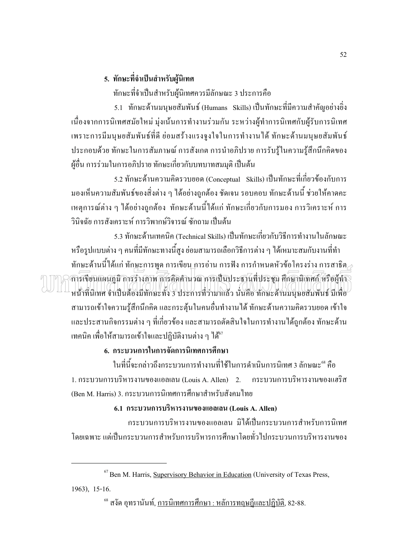#### 5. ทักษะที่จำเป็นสำหรับผู้นิเทศ

ทักษะที่จำเป็นสำหรับผู้นิเทศควรมีลักษณะ 3 ประการคือ

5.1 ทักษะด้านมนุษยสัมพันธ์ (Humans Skills) เป็นทักษะที่มีความสำคัญอย่างยิ่ง ้เนื่องจากการนิเทศสมัยใหม่ มุ่งเน้นการทำงานร่วมกัน ระหว่างผู้ทำการนิเทศกับผู้รับการนิเทศ ้เพราะการมีมนุษยสัมพันธ์ที่ดี ย่อมสร้างแรงจูงใจในการทำงานใด้ ทักษะด้านมนุษยสัมพันธ์ ประกอบด้วย ทักษะในการสัมภาษณ์ การสังเกต การนำอภิปราย การรับรู้ในความรู้สึกนึกคิดของ ้ผู้อื่น การร่วมในการอภิปราย ทักษะเกี่ยวกับบทบาทสมมุติ เป็นต้น

5.2 ทักษะด้านความคิดรวบยอด (Conceptual Skills) เป็นทักษะที่เกี่ยวข้องกับการ ้มองเห็นความสัมพันธ์ของสิ่งต่าง ๆ ได้อย่างถูกต้อง ชัดเจน รอบคอบ ทักษะด้านนี้ ช่วยให้คาดคะ เหตุการณ์ต่าง ๆ ใด้อย่างถูกต้อง ทักษะด้านนี้ได้แก่ ทักษะเกี่ยวกับการมอง การวิเคราะห์ การ ้วินิจฉัย การสังเคราะห์ การวิพากษ์วิจารณ์ ซักถาม เป็นต้น

5.3 ทักษะด้านเทคนิค (Technical Skills) เป็นทักษะเกี่ยวกับวิธีการทำงานในลักษณะ หรือรูปแบบต่าง ๆ คนที่มีทักษะทางนี้สูง ย่อมสามารถเลือกวิธีการต่าง ๆ ได้เหมาะสมกับงานที่ทำ ์ ทักษะด้านนี้ได้แก่ ทัก<u>ษ</u>ะการพูด การเขียน การอ่าน การฟัง การกำหนดหัวข้อโครงร่าง การสาธิต<sub>่∂</sub> การเขียนแผนภูมิ การร่างภาพ การคิดคำนวณ การเป็นประธานที่ประชุม ศึกษานิเทศก์ หรือผู้ทำ หน้าที่นิเทศ จำเป็นต้องมีทักษะทั้ง 3 ประการที่ว่ามาแล้ว นั่นคือ ทักษะด้านมนุษยสัมพันธ์ มีเพื่อ ี่ สามารถเข้าใจความรู้สึกนึกคิด และกระตุ้นในคนอื่นทำงานใด้ ทักษะด้านความคิดรวบยอด เข้าใจ และประสานกิจกรรมต่าง ๆ ที่เกี่ยวข้อง และสามารถตัดสินใจในการทำงานได้ถูกต้อง ทักษะด้าน เทคนิค เพื่อให้สามารถเข้าใจและปฏิบัติงานต่าง ๆ ใค้

#### 6. กระบวนการในการจัดการนิเทศการศึกษา

ในที่นี้จะกล่าวถึงกระบวนการทำงานที่ใช้ในการคำเนินการนิเทศ 3 ลักษณะ<sup>08</sup> คือ 1. กระบวนการบริหารงานของแอลเลน (Louis A. Allen) 2. ่ กระบวนการบริหารงานของแสริส (Ben M. Harris) 3. กระบวนการนิเทศการศึกษาสำหรับสังคมไทย

#### $6.1$  กระบวนการบริหารงานของแอลเลน (Louis A. Allen)

้กระบวนการบริหารงานของแอลเลน มิได้เป็นกระบวนการสำหรับการนิเทศ โดยเฉพาะ แต่เป็นกระบวนการสำหรับการบริหารการศึกษาโดยทั่วไปกระบวนการบริหารงานของ

<sup>&</sup>lt;sup>67</sup> Ben M. Harris, **Supervisory Behavior in Education** (University of Texas Press, 1963), 15-16.

<sup>&</sup>lt;sup>ี "</sup> สงัค อุทรานันท์, <u>การนิเทศการศึกษา : หลัการทฤษฎีและปฏิบัติ</u>, 82-88.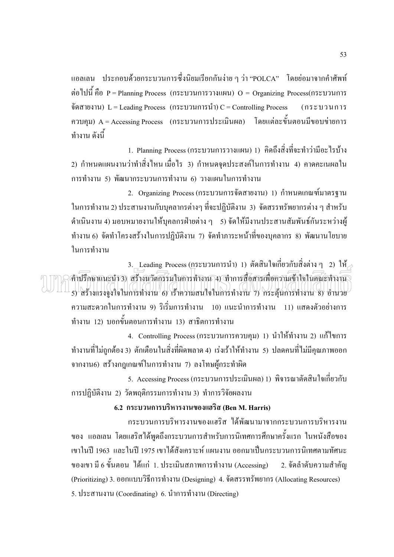แอลเลน ประกอบด้วยกระบวนการซึ่งนิยมเรียกกันง่าย ๆ ว่า "POLCA" โดยย่อมาจากคำศัพท์ ต่อไปนี้ คือ P = Planning Process (กระบวนการวางแผน)  $O =$  Organizing Process(กระบวนการ จัดสายงาน) L = Leading Process (กระบวนการนำ) C = Controlling Process (กระบวนการ ี ควบคุม) A = Accessing Process (กระบวนการประเมินผล) โดยแต่ละขั้นตอนมีขอบข่ายการ ทำงาน ดังนี้

1. Planning Process (กระบวนการวางแผน) 1) คิดถึงสิ่งที่จะทำว่ามีอะไรบ้าง 2) กำหนดแผนงานว่าทำสิ่งใหน เมื่อไร 3) กำหนดจุดประสงค์ในการทำงาน 4) คาดคะเนผลใน การทำงาน 5) พัฒนากระบวนการทำงาน 6) วางแผนในการทำงาน

2. Organizing Process (กระบวนการจัดสายงาน) 1) กำหนดเกณฑ์มาตรฐาน ในการทำงาน 2) ประสานงานกับบคลากรต่างๆ ที่จะปฏิบัติงาน 3) จัดสรรทรัพยากรต่าง ๆ สำหรับ ี คำเนินงาน 4) มอบหมายงานให้บคลกรฝ่ายต่าง ๆ \_ 5) จัดให้มีงานประสานสัมพันธ์กันระหว่างผ้ ี ทำงาน 6) จัดทำโครงสร้างในการปฏิบัติงาน 7) จัดทำภาระหน้าที่ของบคลากร 8) พัฒนานโยบาย ในการทำงาน

3. Leading Process (กระบวนการนำ) 1) ตัดสินใจเกี่ยวกับสิ่งต่าง ๆ 2) ให้ คำปรึกยาแนะนำว) สร้างนวัศกรรมในการทำงาน 4) ทำการสื่อสารเพื่อความเข้าใจในกณะทำงาน 5) สร้างแรงจูงใจในการทำงาน 6) เร้าความสนใจในการทำงาน 7) กระตุ้นการทำงาน 8) อำนวย ี ความสะดวกในการทำงาน 9) ริเริ่มการทำงาน 10) แนะนำการทำงาน 11) แสดงตัวอย่างการ ี ทำงาน 12) บอกขั้นตอนการทำงาน 13) สาธิตการทำงาน

4. Controlling Process (กระบวนการควบคุม) 1) นำให้ทำงาน 2) แก้ไขการ ี ทำงานที่ไม่ถูกต้อง 3) ตักเตือนในสิ่งที่ผิดพลาด 4) เร่งเร้าให้ทำงาน 5) ปลดคนที่ไม่มีคุณภาพออก จากงาน6) สร้างกฎเกณฑ์ในการทำงาน 7) ลงโทษผู้กระทำผิด

5. Accessing Process (กระบวนการประเมินผล) 1) พิจารณาตัดสินใจเกี่ยวกับ การปฏิบัติงาน 2) วัดพฤติกรรมการทำงาน 3) ทำการวิจัยผลงาน

#### 6.2 กระบวนการบริหารงานของแฮริส (Ben M. Harris)

้กระบวนการบริหารงานของแฮริส ได้พัฒนามาจากกระบวนการบริหารงาน ของ แอลเลน โดยแฮริสได้พูดถึงกระบวนการสำหรับการนิเทศการศึกษาครั้งแรก ในหนังสือของ ้เขาในปี 1963 และในปี 1975 เขาได้สังเคราะห์ แผนงาน ออกมาเป็นกระบวนการนิเทศตามทัศนะ ของเขา มี 6 ขั้นตอน "ได้แก่ 1. ประเมินสภาพการทำงาน (Accessing) 2. จัดลำดับความสำคัญ (Prioritizing) 3. ออกแบบวิธีการทำงาน (Designing) 4. จัดสรรทรัพยากร (Allocating Resources) 5. ประสานงาน (Coordinating) 6. นำการทำงาน (Directing)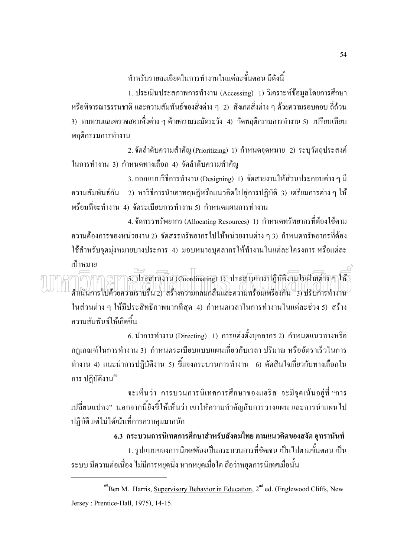ี สำหรับรายละเอียดในการทำงานในแต่ละขั้นตอน มีดังนี้

1. ประเมินประสภาพการทำงาน (Accessing) 1) วิเคราะห์ข้อมูลโดยการศึกษา ี หรือพิจารณาธรรมชาติ และความสัมพันธ์ของสิ่งต่าง ๆ 2) สังเกตสิ่งต่าง ๆ ด้วยความรอบคอบ ถี่ถ้วน ่ 3) ทบทวนและตรวจสอบสิ่งต่าง ๆ ด้วยความระมัดระวัง 4) วัดพฤติกรรมการทำงาน 5) เปรียบเทียบ พถติกรรมการทำงาน

2. จัดลำดับความสำคัญ (Prioritizing) 1) กำหนดจุดหมาย 2) ระบุวัตถุประสงค์ ในการทำงาน 3) กำหนดทางเลือก 4) จัดลำดับความสำคัญ

3. ออกแบบวิธีการทำงาน (Designing) 1) จัดสายงานให้ส่วนประกอบต่าง ๆ มี ี ความสัมพันธ์กัน 2) หาวิธีการนำเอาทถษภีหรือแนวคิดไปส่การปฏิบัติ 3) เตรียมการต่าง ๆ ให้ พร้อมที่จะทำงาน 4) จัดระเบียบการทำงาน 5) กำหนดแผนการทำงาน

4. จัดสรรทรัพยากร (Allocating Resources) 1) กำหนดทรัพยากรที่ต้องใช้ตาม ี ความต้องการของหน่วยงาน 2) จัดสรรทรัพยากรไปให้หน่วยงานต่าง ๆ 3) กำหนดทรัพยากรที่ต้อง ใช้สำหรับจุดมุ่งหมายบางประการ 4) มอบหมายบุคลากรให้ทำงานในแต่ละโครงการ หรือแต่ละ เป้าหมาย

5. ประสานงาน (Coordinating) 1) ประสานการปฏิบัติงานในฝ่ายด่าง ๆ ให้ ดำเนินการไปด้วยความราบรื่น 2) สร้างความกลมกลืนและความพร้อมเพรียงกัน 3) ปรับการทำงาน ในส่วนต่าง ๆ ให้มีประสิทธิภาพมากที่สุด 4) กำหนดเวลาในการทำงานในแต่ละช่วง 5) สร้าง ความสัมพันธ์ให้เกิดขึ้น

6. นำการทำงาน (Directing) 1) การแต่งตั้งบุคลากร 2) กำหนดแนวทางหรือ ึกภูเกณฑ์ในการทำงาน 3) กำหนดระเบียบแบบแผนเกี่ยวกับเวลา ปริมาณ หรืออัตราเร็วในการ ทำงาน 4) แนะนำการปฏิบัติงาน 5) ชี้แจงกระบวนการทำงาน 6) ตัดสินใจเกี่ยวกับทางเลือกใน การ ปฏิบัติงาน<sup>69</sup>

้จะเห็นว่า การบวนการนิเทศการศึกษาของแฮริส จะมีจุดเน้นอยู่ที่ "การ เปลี่ยนแปลง" นอกจากนี้ยังชี้ให้เห็นว่า เขาให้ความสำคัญกับการวางแผน และการนำแผนไป ปฏิบัติ แต่ไม่ได้เน้นที่การควบคุมมากนัก

6.3 กระบวนการนิเทศการศึกษาสำหรับสังคมไทย ตามแนวคิดของสงัด อุทรานันท์

1. รูปแบบของการนิเทศต้องเป็นกระบวนการที่ชัดเจน เป็นไปตามขั้นตอน เป็น ้ระบบ มีความต่อเนื่อง ไม่มีการหยุดนิ่ง หากหยุดเมื่อใด ถือว่าหยุดการนิเทศเมื่อนั้น

<sup>&</sup>lt;sup>69</sup> Ben M. Harris, Supervisory Behavior in Education,  $2<sup>nd</sup>$  ed. (Englewood Cliffs, New Jersey: Prentice-Hall, 1975), 14-15.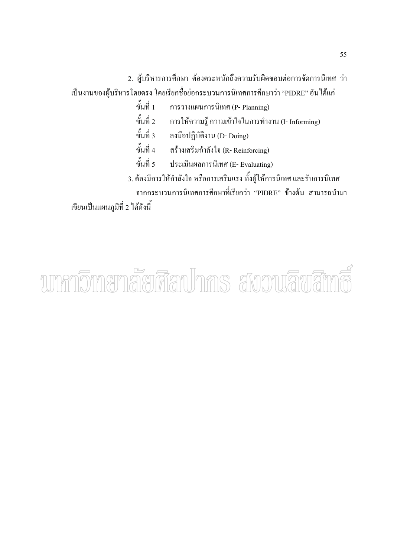2. ผู้บริหารการศึกษา ต้องตระหนักถึงความรับผิดชอบต่อการจัดการนิเทศ ว่า เป็นงานของผู้บริหารโดยตรง โดยเรียกชื่อย่อกระบวนการนิเทศการศึกษาว่า "PIDRE" อันได้แก่

- ขั้นที่ 1 การวางแผนการนิเทศ (P- Planning)
- ขั้นที่ 2 การให้ความรู้ ความเข้าใจในการทำงาน (I- Informing)
- ขั้นที่ 3 ลงมือปฏิบัติงาน (D- Doing)
- ขั้นที่ 4 สร้างเสริมกำลังใจ (R- Reinforcing)
- ขั้นที่ ร ประเมินผลการนิเทศ (E- Evaluating)
- 3. ต้องมีการให้กำลังใจ หรือการเสริมแรง ทั้งผู้ให้การนิเทศ และรับการนิเทศ
- ิจากกระบวนการนิเทศการศึกษาที่เรียกว่า "PIDRE" ข้างต้น สามารถนำมา

้เขียนเป็นแผนภมิที่ 2 ได้ดังนี้

## นทกาวิทายาลัยศีลปากร สังวนลิพสิทธิ์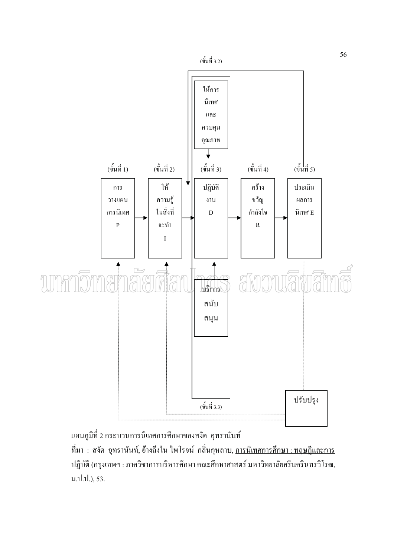

้แผนภูมิที่ 2 กระบวนการนิเทศการศึกษาของสงัด อุทรานันท์

ี ที่มา : สงัด อุทรานันท์, อ้างถึงใน ไพโรจน์ กลิ่นกุหลาบ, <u>การนิเทศการศึกษา : ทฤษฎีและการ</u> <u>ู ปฏิบัติ (</u>กรุงเทพฯ : ภาควิชาการบริหารศึกษา คณะศึกษาศาสตร์ มหาวิทยาลัยศรีนครินทรวิโรฒ, ม.ป.ป.), 53.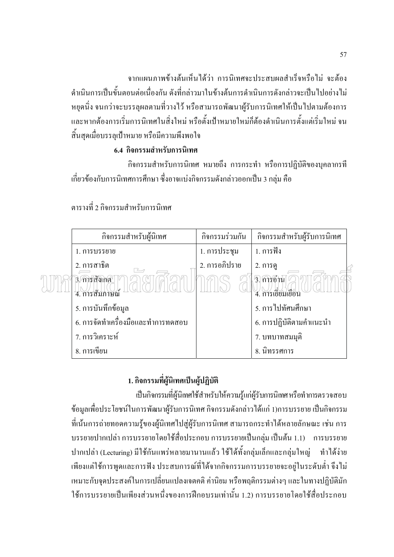ิจากแผนภาพข้างต้นเห็นได้ว่า การนิเทศจะประสบผลสำเร็จหรือไม่ จะต้อง ้คำเนินการเป็นขั้นตอนต่อเนื่องกัน ดังที่กล่าวมาในข้างต้นการคำเนินการดังกล่าวจะเป็นไปอย่างไม่ หยุดนิ่ง จนกว่าจะบรรลุผลตามที่วางไว้ หรือสามารถพัฒนาผู้รับการนิเทศให้เป็นไปตามต้องการ และหากต้องการเริ่มการนิเทศในสิ่งใหม่ หรือตั้งเป้าหมายใหม่ก็ต้องดำเนินการตั้งแต่เริ่มใหม่ จน ้สิ้นสดเมื่อบรรลเป้าหมาย หรือมีความพึงพอใจ

#### 6.4 กิจกรรมสำหรับการนิเทศ

้กิจกรรมสำหรับการนิเทศ หมายถึง การกระทำ หรือการปฏิบัติของบุคลากรที ้เกี่ยวข้องกับการนิเทศการศึกษา ซึ่งอาจแบ่งกิจกรรมดังกล่าวออกเป็น 3 กลุ่ม คือ

| กิจกรรมสำหรับผู้นิเทศ              | กิจกรรมร่วมกัน | กิจกรรมสำหรับผู้รับการนิเทศ    |
|------------------------------------|----------------|--------------------------------|
| 1. การบรรยาย                       | 1. การประชุม   | 1. การฟัง                      |
| 2. การสาธิต<br>$\rightarrow$       | 2. การอภิปราย  | 2. การดู                       |
| 3. การสังเกต<br>ี่ 4. การสัมภาษณ์  |                | 3. การอำน<br>4. การเขียมเขื่อน |
| 5. การบันทึกข้อมูล                 |                | 5. การไปทัศนศึกษา              |
| 6. การจัดทำเครื่องมือและทำการทดสอบ |                | 6. การปฏิบัติตามคำแนะนำ        |
| 7. การวิเคราะห์                    |                | ่ 7. บทบาทสมมุติ               |
| 8. การเขียน                        |                | 8. นิทรรศการ                   |

ตารางที่ 2 กิจกรรมสำหรับการบิเทศ

#### 1. กิจกรรมที่ผู้นิเทศเป็นผู้ปฏิบัติ

เป็นกิจกรรมที่ผู้นิเทศใช้สำหรับให้ความรู้แก่ผู้รับการนิเทศหรือทำการตรวจสอบ ข้อมลเพื่อประโยชน์ในการพัฒนาผ้รับการนิเทศ กิจกรรมดังกล่าวได้แก่ 1)การบรรยาย เป็นกิจกรรม ี ที่เน้นการถ่ายทอดความรู้ของผู้นิเทศไปสู่ผู้รับการนิเทศ สามารถกระทำได้หลายลักษณะ เช่น การ ี บรรยายปากเปล่า การบรรยายโดยใช้สื่อประกอบ การบรรยายเป็นกลุ่ม เป็นต้น 1.1) การบรรยาย ปากเปล่า (Lecturing) มีใช้กันแพร่หลายมานานแล้ว ใช้ได้ทั้งกลุ่มเล็กและกลุ่มใหญ่ ทำได้ง่าย ้เพียงแต่ใช้การพูดและการฟัง ประสบการณ์ที่ได้จากกิจกรรมการบรรยายจะอยู่ในระดับต่ำ จึงไม่ ้ เหมาะกับจุดประสงค์ในการเปลี่ยนแปลงเจตคติ ค่านิยม หรือพฤติกรรมต่างๆ และในทางปฏิบัติมัก ใช้การบรรยายเป็นเพียงส่วนหนึ่งของการฝึกอบรมเท่านั้น 1.2) การบรรยายโดยใช้สื่อประกอบ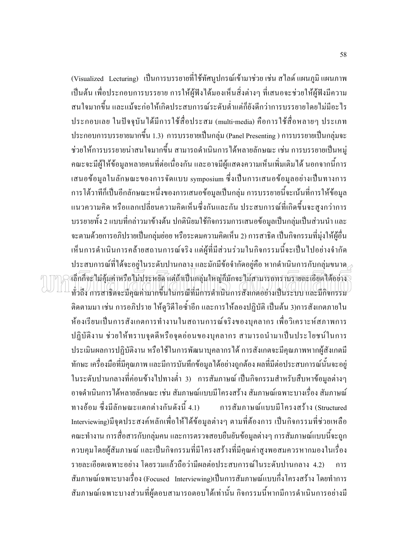(Visualized Lecturing) เป็นการบรรยายที่ใช้ทัศนูปกรณ์เข้ามาช่วย เช่น สไลด์ แผนภูมิ แผนภาพ ้เป็นต้น เพื่อประกอบการบรรยาย การให้ผู้ฟังได้มองเห็นสิ่งต่างๆ ที่เสนอจะช่วยให้ผู้ฟังมีความ ี่ สนใจมากขึ้น และแม้จะก่อให้เกิดประสบการณ์ระดับต่ำแต่ก็ยังดีกว่าการบรรยายโดยไม่มีอะไร ประกอบเลย ในปัจจุบันได้มีการใช้สื่อประสม (multi-media) คือการใช้สื่อหลายๆ ประเภท ประกอบการบรรยายมากขึ้น 1.3) การบรรยายเป็นกลุ่ม (Panel Presenting ) การบรรยายเป็นกลุ่มจะ ี่ ช่วยให้การบรรยายน่าสนใจมากขึ้น สามารถคำเนินการใด้หลายลักษณะ เช่น การบรรยายเป็นหมู่ ้ คณะจะมีผู้ให้ข้อมูลหลายคนที่ต่อเนื่องกัน และอาจมีผู้แสดงความเห็นเพิ่มเติมได้ นอกจากนี้การ ้เสนอข้อมูลในลักษณะของการจัดแบบ symposium ซึ่งเป็นการเสนอข้อมูลอย่างเป็นทางการ ี การโต้วาทีก็เป็นอีกลักษณะหนึ่งของการเสนอข้อมูลเป็นกลุ่ม การบรรยายนี้จะเน้นที่การให้ข้อมูล แนวความคิด หรือแลกเปลี่ยนความคิดเห็นซึ่งกันและกัน ประสบการณ์ที่เกิดขึ้นจะสูงกว่าการ ิบรรยายทั้ง 2 แบบที่กล่าวมาข้างต้น ปกตินิยมใช้กิจกรรมการเสนอข้อมลเป็นกล่มเป็นส่วนนำ และ ้จะตามด้วยการอภิปรายเป็นกล่มย่อย หรือระดมความคิดเห็น 2) การสาธิต เป็นกิจกรรมที่ม่งให้ผู้อื่น ้เห็นการคำเนินการคล้ายสถานการณ์จริง แต่ผู้ที่มีส่วนร่วมในกิจกรรมนี้จะเป็นไปอย่างจำกัด ประสบการณ์ที่ได้จะอยู่ในระดับปานกลาง และมักมีข้อจำกัดอยู่คือ หากดำเนินการกับกลุ่มขนาด $_\geq$ เล็กก็จะใบสุ้มค่าหรือ ไม่ประหยัด แต่ถ้าเป็นกลุ่มใหญ่ก็มักจะ ไม่สามารถทราบรายละเอียดใส้อย่าง ทั่วถึง การสาธิตจะมีคุณค่ามากขึ้นในกรณีที่มีการดำเนินการสังเกตอย่างเป็นระบบ และมีกิจกรรม ้ติดตามมา เช่น การอภิปราย ให้ดูวิดีโอซ้ำอีก และการให้ลองปฏิบัติ เป็นต้น 3)การสังเกตภายใน ห้องเรียนเป็นการสังเกตการทำงานในสถานการณ์จริงของบุคลากร เพื่อวิเคราะห์สภาพการ ปฏิบัติงาน ช่วยให้ทราบจุดดีหรือจุดอ่อนของบุคลากร สามารถนำมาเป็นประโยชน์ในการ ประเมินผลการปฏิบัติงาน หรือใช้ในการพัฒนาบุคลากรได้ การสังเกตจะมีคุณภาพหากผู้สังเกตมี ้ทักษะ เครื่องมือที่มีคุณภาพ และมีการบันทึกข้อมูล ได้อย่างถูกต้อง ผลที่มีต่อประสบการณ์นั้นจะอยู่ ในระดับปานกลางที่ค่อนข้างไปทางต่ำ 3) การสัมภาษณ์เป็นกิจกรรมสำหรับสืบหาข้อมลต่างๆ ้อาจคำเนินการได้หลายลักษณะ เช่น สัมภาษณ์แบบมีโครงสร้าง สัมภาษณ์เฉพาะบางเรื่อง สัมภาษณ์ ทางอ้อม ซึ่งมีลักษณะแตกต่างกันดังนี้ 4.1) การสัมภาษณ์แบบมีโครงสร้าง (Structured Interviewing)มีจุคประสงค์หลักเพื่อให้ได้ข้อมูลต่างๆ ตามที่ต้องการ เป็นกิจกรรมที่ช่วยเหลือ ิ คณะทำงาน การสื่อสารกับกลุ่มคน และการตรวจสอบยืนยันข้อมูลต่างๆ การสัมภาษณ์แบบนี้จะถูก ้ ควบคุมโดยผู้สัมภาษณ์ และเป็นกิจกรรมที่มีโครงสร้างที่มีคุณค่าสูงพอสมควรหากมองในเรื่อง รายละเอียดเฉพาะอย่าง โดยรวมแล้วถือว่ามีผลต่อประสบการณ์ในระดับปานกลาง 4.2) การ ิสัมภาษณ์เฉพาะบางเรื่อง (Focused Interviewing)เป็นการสัมภาษณ์แบบกึ่งโครงสร้าง โดยทำการ ้สัมภาษณ์เฉพาะบางส่วนที่ผู้ตอบสามารถตอบใด้เท่านั้น กิจกรรมนี้หากมีการดำเนินการอย่างมี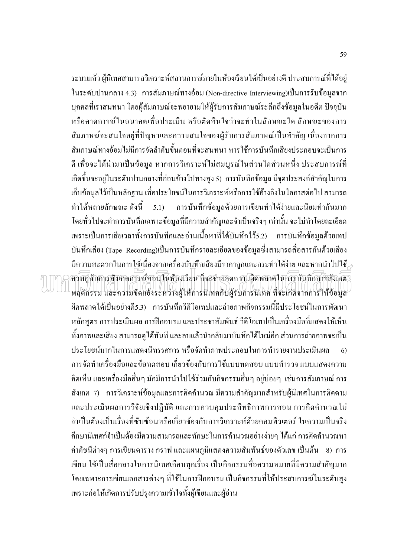้ ระบบแล้ว ผู้นิเทศสามารถวิเคราะห์สถานการณ์ภายในห้องเรียนได้เป็นอย่างดี ประสบการณ์ที่ได้อยู่ ในระดับปานกลาง 4.3) การสัมภาษณ์ทางอ้อม (Non-directive Interviewing)เป็นการรับข้อมูลจาก ิบุคคลที่เราสนทนา โดยผู้สัมภาษณ์จะพยายามให้ผู้รับการสัมภาษณ์ระลึกถึงข้อมูลในอดีต ปัจจุบัน หรือคาดการณ์ในอนาคตเพื่อประเมิน หรือตัดสินใจว่าจะทำในลักษณะใด ลักษณะของการ ี สัมภาษณ์จะสนใจอยู่ที่ปัญหาและความสนใจของผู้รับการสัมภาษณ์เป็นสำคัญ เนื่องจากการ ้สัมภาษณ์ทางอ้อมไม่มีการจัดลำดับขั้นตอนที่จะสนทนา หารใช้การบันทึกเสียงประกอบจะเป็นการ ี่ดี เพื่อจะได้นำมาเป็นข้อมูล หากการวิเคราะห์ไม่สมบูรณ์ในส่วนใดส่วนหนึ่ง ประสบการณ์ที่ ้เกิดขึ้นจะอยู่ในระดับปานกลางที่ค่อนข้างไปทางสูง 5) การบันทึกข้อมูล มีจุดประสงค์สำคัญในการ ้เก็บข้อมูลไว้เป็นหลักฐาน เพื่อประโยชน์ในการวิเคราะห์หรือการใช้อ้างอิงในโอกาสต่อไป สามารถ ทำได้หลายลักษณะ ดังนี้ 5.1) ิ การบันทึกข้อมลด้วยการเขียนทำได้ง่ายและนิยมทำกันมาก โดยทั่วไปจะทำการบันทึกเฉพาะข้อมูลที่มีความสำคัญและจำเป็นจริงๆ เท่านั้น จะไม่ทำโดยละเอียด เพราะเป็นการเสียเวลาทั้งการบันทึกและอ่านเนื้อหาที่ได้บันทึกไว้ร.2) การบันทึกข้อมูลด้วยเทป บันทึกเสียง (Tape Recording)เป็นการบันทึกรายละเอียดของข้อมูลซึ่งสามารถสื่อสารกันด้วยเสียง ้มีความสะดวกในการใช้เนื่องจากเครื่องบันทึกเสียงมีราคาถูกและกระทำได้ง่าย และหากนำไปใช้<sub>⊘</sub> ้ควบคู่กับการสังเกตการณ์สอนในห้องเรียน ก็จะช่วยลดความผิดพลาดในการบันทึกการสังเกต พฤติกรรม และความขัดแย้งระหว่างผู้ให้การนิเทศกับผู้รับการนิเทศ ที่จะเกิดจากการให้ข้อมูล ้ผิดพลาดได้เป็นอย่างดีร.3) การบันทึกวิดิโอเทปและถ่ายภาพกิจกรรมนี้มีประโยชน์ในการพัฒนา หลักสูตร การประเมินผล การฝึกอบรม และประชาสัมพันธ์ วีดิโอเทปเป็นเครื่องมือที่แสดงให้เห็น ้ ทั้งภาพและเสียง สามารถดูได้ทันที และลบแล้วนำกลับมาบันทึกได้ใหม่อีก ส่วนการถ่ายภาพจะเป็น ประโยชน์มากในการแสดงนิทรรศการ หรือจัดทำภาพประกอบในการทำรายงานประเมินผล  $\mathcal{L}$ ้การจัดทำเครื่องมือและข้อทดสอบ เกี่ยวข้องกับการใช้แบบทดสอบ แบบสำรวจ แบบแสดงความ ้คิดเห็น และเครื่องมืออื่นๆ มักมีการนำไปใช้ร่วมกับกิจกรรมอื่นๆ อยู่บ่อยๆ เช่นการสัมภาษณ์ การ ้สังเกต 7) การวิเคราะห์ข้อมูลและการคิดคำนวณ มีความสำคัญมากสำหรับผู้นิเทศในการติดตาม และประเมินผลการวิจัยเชิงปฏิบัติ และการควบคุมประสิทธิภาพการสอน การคิดคำนวณใม่ ้จำเป็นต้องเป็นเรื่องที่ซับซ้อนหรือเกี่ยวข้องกับการวิเคราะห์ด้วยคอมพิวเตอร์ ในความเป็นจริง ้ศึกษานิเทศก์จำเป็นต้องมีความสามารถและทักษะในการคำนวณอย่างง่ายๆ ได้แก่ การคิดคำนวณหา ี ค่าดัชนีต่างๆ การเขียนตาราง กราฟ และแผนภูมิแสดงความสัมพันธ์ของตัวเลข เป็นต้น 8) การ ้เขียน ใช้เป็นสื่อกลางในการนิเทศเกือบทุกเรื่อง เป็นกิจกรรมสื่อความหมายที่มีความสำคัญมาก โดยเฉพาะการเขียนเอกสารต่างๆ ที่ใช้ในการฝึกอบรม เป็นกิจกรรมที่ให้ประสบการณ์ในระดับสูง เพราะก่อให้เกิดการปรับปรุงความเข้าใจทั้งผู้เขียนและผู้อ่าน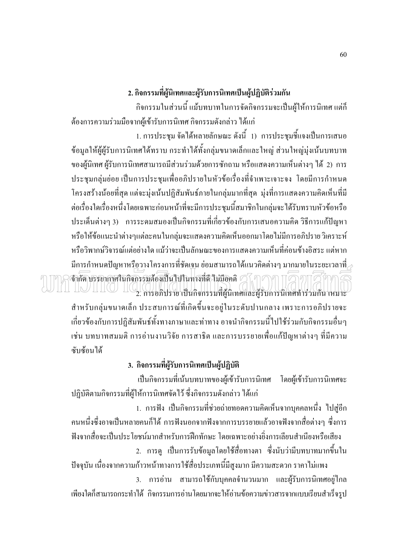#### ่ 2. กิจกรรมที่ผู้นิเทศและผู้รับการนิเทศเป็นผู้ปฏิบัติร่วมกัน

้กิจกรรมในส่วนนี้ แม้บทบาทในการจัดกิจกรรมจะเป็นผู้ให้การนิเทศ แต่ก็ ้ต้องการความร่วมมือจากผู้เข้ารับการนิเทศ กิจกรรมดังกล่าว ได้แก่

1. การประชุม จัดได้หลายลักษณะ ดังนี้ 1) การประชุมชี้แจงเป็นการเสนอ ี ข้อมูลให้ผู้ผู้รับการนิเทศได้ทราบ กระทำได้ทั้งกลุ่มขนาดเล็กและใหญ่ ส่วนใหญ่มุ่งเน้นบทบาท ี ของผู้นิเทศ ผู้รับการนิเทศสามารถมีส่วนร่วมด้วยการซักถาม หรือแสดงความเห็นต่างๆ ได้ 2) การ ี ประชุมกลุ่มย่อย เป็นการประชุมเพื่ออภิปรายในหัวข้อเรื่องที่จำเพาะเจาะจง โดยมีการกำหนด โครงสร้างน้อยที่สด แต่จะม่งเน้นปฏิสัมพันธ์ภายในกล่มมากที่สด ม่งที่การแสดงความคิดเห็นที่มี ต่อเรื่องใดเรื่องหนึ่งโดยเฉพาะก่อนหน้าที่จะมีการประชุมนี้สมาชิกในกลุ่มจะได้รับทราบหัวข้อหรือ ี ประเด็นต่างๆ 3) การระดมสมองเป็นกิจกรรมที่เกี่ยวข้องกับการเสนอความคิด วิธีการแก้ปัญหา หรือให้ข้อแนะนำต่างๆแต่ละคนในกล่มจะแสดงความคิดเห็นออกมาโดยไม่มีการอภิปราย วิเคราะห์ หรือวิพากษ์วิจารณ์แต่อย่างใด แม้ว่าจะเป็นลักษณะของการแสดงความเห็นที่ค่อนข้างอิสระ แต่หาก ี่ มีการกำหนดปัญหาหรือวางโครงการที่ชัดเจน ย่อมสามารถได้แนวคิดต่างๆ มากมายในระยะเวลาที่ จำกัดบรรยากาศในกิจกรรมต้องเป็นไปในทางที่ลี ไม่มีอ<sub>ี</sub>กดิ์ 0 ไ ๆ 0

ี้ 2. การอภิปราย เป็นกิจกรรมที่ผู้นิเทศและผู้รับการนิเทศทำร่วมกัน เหมาะ ี สำหรับกลุ่มขนาดเล็ก ประสบการณ์ที่เกิดขึ้นจะอยู่ในระดับปานกลาง เพราะการอภิปรายจะ เกี่ยวข้องกับการปฏิสัมพันธ์ทั้งทางภาษาและท่าทาง อาจนำกิจกรรมนี้ไปใช้ร่วมกับกิจกรรมอื่นๆ ้เช่น บทบาทสมมติ การอ่านงานวิจัย การสาธิต และการบรรยายเพื่อแก้ปัญหาต่างๆ ที่มีความ หับห้อนได้

#### 3. กิจกรรมที่ผู้รับการนิเทศเป็นผู้ปฏิบัติ

เป็นกิจกรรมที่เน้นบทบาทของผู้เข้ารับการนิเทศ โดยผู้เข้ารับการนิเทศจะ ปฏิบัติตามกิจกรรมที่ผู้ให้การนิเทศจัดไว้ ซึ่งกิจกรรมดังกล่าว ได้แก่

1. การฟัง เป็นกิจกรรมที่ช่วยถ่ายทอดความคิดเห็นจากบุคคลหนึ่ง ไปสู่อีก ึคนหนึ่งซึ่งอาจเป็นหลายคนก็ได้ การฟังนอกจากฟังจากการบรรยายแล้วอาจฟังจากสื่อต่างๆ ซึ่งการ ้ ฟังจากสื่อจะเป็นประโยชน์มากสำหรับการฝึกทักษะ โดยเฉพาะอย่างยิ่งการเลียนสำเนียงหรือเสียง ่ 2. การดู เป็นการรับข้อมูลโดยใช้สื่อทางตา ซึ่งนับว่ามีบทบาทมากขึ้นใน

้ปัจจุบัน เนื่องจากความก้าวหน้าทางการใช้สื่อประเภทนี้มีสูงมาก มีความสะดวก ราคาไม่แพง 3. การอ่าน สามารถใช้กับบุคคลจำนวนมาก และผู้รับการนิเทศอยู่ไกล เพียงใดก็สามารถกระทำได้ กิจกรรมการอ่านโดยมากจะให้อ่านข้อความข่าวสารจากแบบเรียนสำเร็จรูป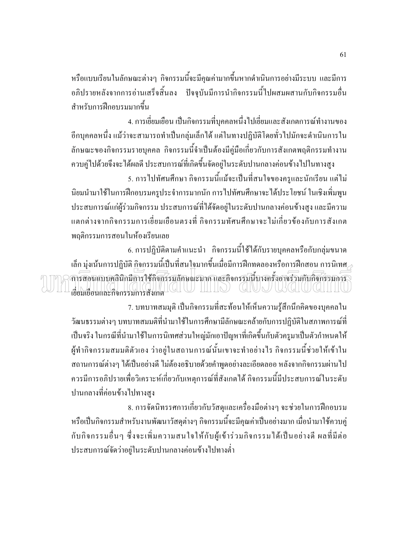หรือแบบเรียนในลักษณะต่างๆ กิจกรรมนี้จะมีคุณค่ามากขึ้นหากดำเนินการอย่างมีระบบ และมีการ ้อภิปรายหลังจากการอ่านเสร็จสิ้นลง ปัจจุบันมีการนำกิจกรรมนี้ไปผสมผสานกับกิจกรรมอื่น สำหรับการฝึกอบรบบากขึ้น

่ 4. การเยี่ยมเยือน เป็นกิจกรรมที่บุคคลหนึ่งไปเยี่ยมและสังเกตการณ์ทำงานของ ้อีกบคคลหนึ่ง แม้ว่าจะสามารถทำเป็นกล่มเล็กได้ แต่ในทางปฏิบัติโดยทั่วไปมักจะดำเนินการใน ิลักษณะของกิจกรรมรายบุคคล กิจกรรมนี้จำเป็นต้องมีคู่มือเกี่ยวกับการสังเกตพฤติกรรมทำงาน ้ ควบคู่ไปด้วยจึงจะ ได้ผลดี ประสบการณ์ที่เกิดขึ้นจัดอยู่ในระดับปานกลางค่อนข้างไปในทางสูง

5. การไปทัศนศึกษา กิจกรรมนี้แม้จะเป็นที่สนใจของครูและนักเรียน แต่ไม่

้นิยมนำมาใช้ในการฝึกอบรมครประจำการมากนัก การไปทัศนศึกษาจะได้ประโยชน์ ในเชิงเพิ่มพน ประสบการณ์แก่ผู้ร่วมกิจกรรม ประสบการณ์ที่ได้จัดอยู่ในระดับปานกลางค่อนข้างสูง และมีความ แตกต่างจากกิจกรรมการเยี่ยมเยือนตรงที่ กิจกรรมทัศนศึกษาจะไม่เกี่ยวข้องกับการสังเกต พถติกรรมการสอนในห้องเรียนเลย

6. การปฏิบัติตามคำแนะนำ กิจกรรมนี้ใช้ได้กับรายบุคคลหรือกับกลุ่มขนาด เล็ก มุ่งเน้นการปฏิบัติ กิจกรรมนี้เป็นที่สนใจมากขึ้นเมื่อมีการฝึกทดลองหรือการฝึกสอน การนิเทศ $_{\geq}$ ี่การสอนเเบบคลินิกมีการใช้กิจกรรมลักษณะมาก และกิจกรรมนี้บางครั้งอาจร่วมกับกิจกรรมการ เขียมเยือนและกิจกรรมการสังเกต CHWIN II URCHUICH  $\left| \left| \left| \left| \left| \left| \left| \left| \left| \right| \right| \right| \right| \right| \right| \right| \right|$ 

7. บทบาทสมมุติ เป็นกิจกรรมที่สะท้อนให้เห็นความรู้สึกนึกคิดของบุคคลใน ้วัฒนธรรมต่างๆ บทบาทสมมติที่นำมาใช้ในการศึกษามีลักษณะคล้ายกับการปฏิบัติในสภาพการณ์ที่ ้เป็นจริง ในกรณีที่นำมาใช้ในการนิเทศส่วนใหญ่มักเอาปัญหาที่เกิดขึ้นกับตัวครูมาเป็นตัวกำหนดให้ ้ผู้ทำกิจกรรมสมมติตัวเอง ว่าอยู่ในสถานการณ์นั้นเขาจะทำอย่างไร กิจกรรมนี้ช่วยให้เข้าใน ิสถานการณ์ต่างๆ ใด้เป็นอย่างดี ไม่ต้องอธิบายด้วยคำพูดอย่างละเอียดลออ หลังจากกิจกรรมผ่านไป ้ ควรมีการอภิปรายเพื่อวิเคราะห์เกี่ยวกับเหตุการณ์ที่สังเกตได้ กิจกรรมนี้มีประสบการณ์ในระดับ ปานกลางที่ค่อนข้างไปทางสง

8. การจัดนิทรรศการเกี่ยวกับวัสดุและเครื่องมือต่างๆ จะช่วยในการฝึกอบรม หรือเป็นกิจกรรมสำหรับงานพัฒนาวัสดุต่างๆ กิจกรรมนี้จะมีคุณค่าเป็นอย่างมาก เมื่อนำมาใช้ควบคู่ ้กับกิจกรรมอื่นๆ ซึ่งจะเพิ่มความสนใจให้กับผู้เข้าร่วมกิจกรรมได้เป็นอย่างดี ผลที่มีต่อ ประสบการณ์จัดว่าอยู่ในระดับปานกลางค่อนข้างไปทางต่ำ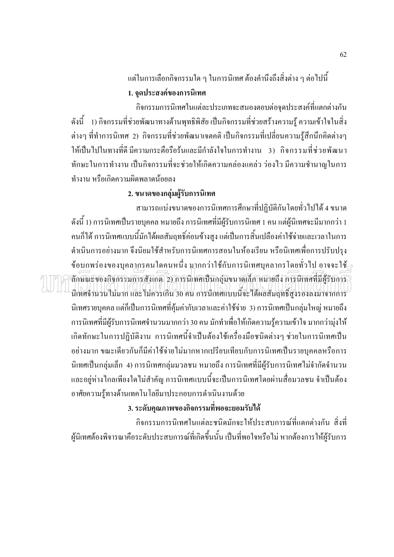แต่ในการเลือกกิจกรรมใด ๆ ในการนิเทศ ต้องคำนึงถึงสิ่งต่าง ๆ ต่อไปนี้ 1. จุดประสงค์ของการนิเทศ

ึกิจกรรมการนิเทศในแต่ละประเภทจะสนองตอบต่อจุดประสงค์ที่แตกต่างกัน ้ คังนี้ 1) กิจกรรมที่ช่วยพัฒนาทางค้านพุทธิพิสัย เป็นกิจกรรมที่ช่วยสร้างความรู้ ความเข้าใจในสิ่ง ต่างๆ ที่ทำการนิเทศ 2) กิจกรรมที่ช่วยพัฒนาเจตคติ เป็นกิจกรรมที่เปลี่ยนความรู้สึกนึกคิดต่างๆ ให้เป็นไปในทางที่ดี มีความกระตือรือร้นและมีกำลังใจในการทำงาน 3) กิจกรรมที่ช่วยพัฒนา ้ทักษะในการทำงาน เป็นกิจกรรมที่จะช่วยให้เกิดความคล่องแคล่ว ว่องไว มีความชำนาญในการ ทำงาน หรือเกิดความผิดพลาดน้อยลง

#### 2. ขนาดของกลุ่มผู้รับการนิเทศ

สามารถแบ่งขนาดของการนิเทศการศึกษาที่ปฏิบัติกันโดยทั่วไปได้ 4 ขนาด ้ ดังนี้ 1) การนิเทศเป็นรายบุคคล หมายถึง การนิเทศที่มีผู้รับการนิเทศ 1 คน แต่ผู้นิเทศจะมีมากกว่า 1 ึ คนก็ได้ การนิเทศแบบนี้มักได้ผลสัมฤทธิ์ค่อนข้างสง แต่เป็นการสิ้นเปลืองค่าใช้จ่ายและเวลาในการ ้คำเนินการอย่างมาก จึงนิยมใช้สำหรับการนิเทศการสอนในห้องเรียน หรือนิเทศเพื่อการปรับปรง ข้อบกพร่องของบุคลากรคนใดคนหนึ่ง มากกว่าใช้กับการนิเทศบุคลากรโดยทั่วไป อาจจะใช้ $_{\leq}$ ลึกษณะของกิจกรรมการสังเกต 2) การนิเทศเป็นกลุ่มขนาดเล็ก หมายถึง การนิเทศที่มีผู้รับการ นิเทศจำนวนไม่มาก และไม่ควรเกิน 30 คน การนิเทศแบบนี้จะได้ผลสัมถุทธิ์สงรองลงมาจากการ ้นิเทศรายบุคคล แต่ก็เป็นการนิเทศที่คุ้มค่ากับเวลาและค่าใช้จ่าย 3) การนิเทศเป็นกลุ่มใหญ่ หมายถึง ี การนิเทศที่มีผู้รับการนิเทศจำนวนมากกว่า 30 คน มักทำเพื่อให้เกิดความรู้ความเข้าใจ มากกว่ามุ่งให้ ้เกิดทักษะในการปฏิบัติงาน การนิเทศนี้จำเป็นต้องใช้เครื่องมือชนิดต่างๆ ช่วยในการนิเทศเป็น ้อย่างมาก ขณะเดียวกันก็มีค่าใช้จ่ายไม่มากหากเปรียบเทียบกับการนิเทศเป็นรายบคคลหรือการ ้นิเทศเป็นกลุ่มเล็ก 4) การนิเทศกลุ่มมวลชน หมายถึง การนิเทศที่มีผู้รับการนิเทศไม่จำกัดจำนวน และอยู่ห่างไกลเพียงใดไม่สำคัญ การนิเทศแบบนี้จะเป็นการนิเทศโดยผ่านสื่อมวลชน จำเป็นต้อง อาศัยความรู้ทางด้านเทคโนโลยีมาประกอบการดำเนินงานด้วย

#### ่ 3. ระดับคุณภาพของกิจกรรมที่พอจะยอมรับได้

้กิจกรรมการนิเทศในแต่ละชนิดมักจะให้ประสบการณ์ที่แตกต่างกัน สิ่งที่ ผู้นิเทศต้องพิจารณาคือระดับประสบการณ์ที่เกิดขึ้นนั้น เป็นที่พอใจหรือไม่ หากต้องการให้ผู้รับการ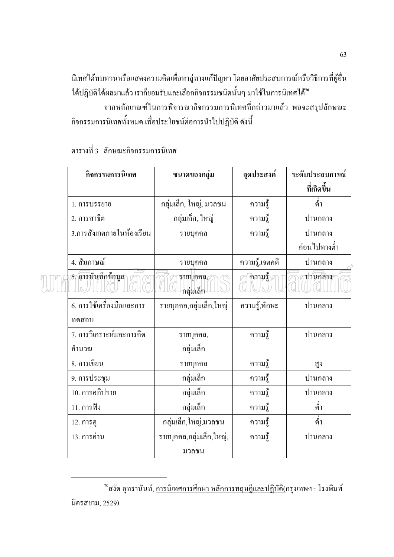้นิเทศได้ทบทวนหรือแสดงความคิดเพื่อหาลู่ทางแก้ปัญหา โดยอาศัยประสบการณ์หรือวิธีการที่ผู้อื่น ใค้ปฏิบัติใด้ผลมาแล้ว เราก็ยอมรับและเลือกกิจกรรมชนิดนั้นๆ มาใช้ในการนิเทศได้"

จากหลักเกณฑ์ในการพิจารณากิจกรรมการนิเทศที่กล่าวมาแล้ว พอจะสรุปลักษณะ ้กิจกรรมการนิเทศทั้งหมด เพื่อประโยชน์ต่อการนำไปปฏิบัติ ดังนี้

| กิจกรรมการนิเทศ           | ขนาดของกลุ่ม             | จุดประสงค์     | ระดับประสบการณ์ |
|---------------------------|--------------------------|----------------|-----------------|
|                           |                          |                | ที่เกิดขึ้น     |
| 1. การบรรยาย              | กลุ่มเล็ก, ใหญ่, มวลชน   | ความรู้        | ด่ำ             |
| 2. การสาธิต               | กลุ่มเล็ก, ใหญ่          | ความรู้        | ปานกลาง         |
| 3.การสังเกตภายในห้องเรียน | รายบุคคล                 | ความรู้        | ปานกลาง         |
|                           |                          |                | ค่อนไปทางต่ำ    |
| 4. สัมภาษณ์               | รายบุคคล                 | ความรู้,เจตคติ | ปานกลาง         |
| .<br>5. การบันทึกข้อมูล   | รายบุคคล,<br>กลุ่มเล็ก   | ัคตามรู้\      | ปานกลาง         |
| 6. การใช้เครื่องมือและการ | รายบุคคล,กลุ่มเล็ก,ใหญ่  | ความรู้,ทักษะ  | ปานกลาง         |
| ทคสอบ                     |                          |                |                 |
| 7. การวิเคราะห์และการคิด  | รายบุคคล,                | ความรู้        | ปานกลาง         |
| คำนวณ                     | กลุ่มเล็ก                |                |                 |
| 8. การเขียน               | รายบุคคล                 | ความรู้        | ศูง             |
| 9. การประชุม              | กลุ่มเล็ก                | ความรู้        | ปานกลาง         |
| 10. การอภิปราย            | กลุ่มเล็ก                | ความรู้        | ปานกลาง         |
| 11. การฟัง                | กลุ่มเล็ก                | ความรู้        | ี่ต่ำ           |
| 12. การดู                 | กลุ่มเล็ก,ใหญ่,มวลชน     | ความรู้        | ต่ำ             |
| 13. การอ่าน               | รายบุคคล,กลุ่มเล็ก,ใหญ่, | ความรู้        | ปานกลาง         |
|                           | มวลชน                    |                |                 |

ตารางที่ 3 ลักษณะกิจกรรมการนิเทศ

AI

<sup>&</sup>lt;sup>70</sup>สงัค อุทรานันท์, <u>การนิเทศการศึกษา หลักการทฤษฎีและปฎิบัติ(</u>กรุงเทพฯ : โรงพิมพ์ มิตรสยาม. 2529).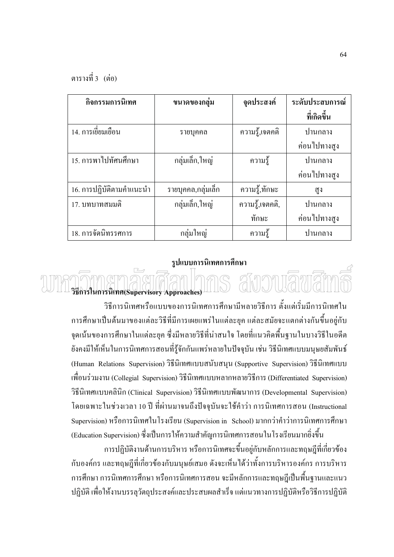ตารางที่ 3 (ต่อ)

| กิจกรรมการนิเทศ          | ขนาดของกลุ่ม<br>จุดประสงค์ |                 | ระดับประสบการณ์ |
|--------------------------|----------------------------|-----------------|-----------------|
|                          |                            |                 | ที่เกิดขึ้น     |
| 14. การเขี่ยมเยือน       | รายบุคคล                   | ความรู้,เจตคติ  | ปานกลาง         |
|                          |                            |                 | ค่อนไปทางสูง    |
| 15. การพาไปทัศนศึกษา     | กลุ่มเล็ก,ใหญ่             | ็ความรู้        | ปานกลาง         |
|                          |                            |                 | ค่อนไปทางสูง    |
| 16. การปฏิบัติตามคำแนะนำ | รายบุคคล,กลุ่มเล็ก         | ความรู้,ทักษะ   | ศูง             |
| 17. บทบาทสมมติ           | กลุ่มเล็ก,ใหญ่             | ความรู้,เจตคติ, | ปานกลาง         |
|                          |                            | ทักษะ           | ้ค่อนไปทางสูง   |
| 18. การจัดนิทรรศการ      | กลุ่มใหญ่                  | ็ความรู้        | ปานกลาง         |

#### รูปแบบการนิเทศการศึกษา

### วิธีการในการนิเทศ(Supervisory Approaches)

้วิธีการนิเทศหรือแบบของการนิเทศการศึกษามีหลายวิธีการ ตั้งแต่เริ่มมีการนิเทศใน ึการศึกษาเป็นต้นมาของแต่ละวิธีที่มีการเผยแพร่ในแต่ละยุก แต่ละสมัยจะแตกต่างกันขึ้นอยู่กับ จุดเน้นของการศึกษาในแต่ละยุค ซึ่งมีหลายวิธีที่น่าสนใจ โดยที่แนวคิดพื้นฐานในบางวิธีในอดีต ้ยังคงมีให้เห็นในการนิเทศการสอนที่รู้จักกันแพร่หลายในปัจจุบัน เช่น วิธีนิเทศแบบมนุษยสัมพันธ์ (Human Relations Supervision) วิธีนิเทศแบบสนับสนุน (Supportive Supervision) วิธีนิเทศแบบ เพื่อนร่วมงาน (Collegial Supervision) วิธีนิเทศแบบหลากหลายวิธีการ (Differentiated Supervision) วิธีนิเทศแบบคลินิก (Clinical Supervision) วิธีนิเทศแบบพัฒนาการ (Developmental Supervision) โดยเฉพาะในช่วงเวลา 10 ปี ที่ผ่านมาจนถึงปัจจุบันจะใช้คำว่า การนิเทศการสอน (Instructional Supervision) หรือการนิเทศในโรงเรียน (Supervision in School) มากกว่าคำว่าการนิเทศการศึกษา (Education Supervision) ซึ่งเป็นการให้ความสำคัญการนิเทศการสอนในโรงเรียนมากยิ่งขึ้น

ี การปฏิบัติงานด้านการบริหาร หรือการนิเทศจะขึ้นอยู่กับหลักการและทฤษฎีที่เกี่ยวข้อง ้กับองค์กร และทฤษฎีที่เกี่ยวข้องกับมนุษย์เสมอ ดังจะเห็นได้ว่าทั้งการบริหารองค์กร การบริหาร ึการศึกษา การนิเทศการศึกษา หรือการนิเทศการสอน จะมีหลักการและทฤษฎีเป็นพื้นฐานและแนว ี ปฏิบัติ เพื่อให้งานบรรลุวัตถุประสงค์และประสบผลสำเร็จ แต่แนวทางการปฏิบัติหรือวิธีการปฏิบัติ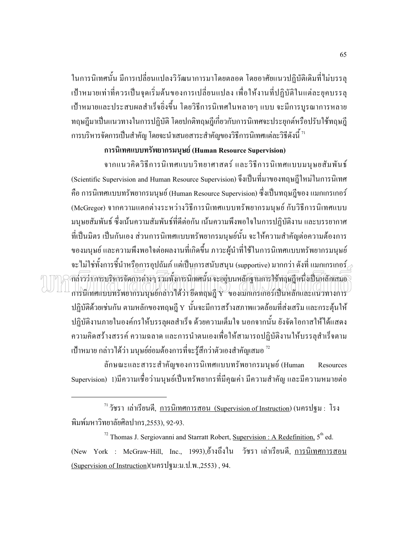ในการนิเทศนั้น มีการเปลี่ยนแปลงวิวัฒนาการมาโดยตลอด โดยอาศัยแนวปฏิบัติเดิมที่ไม่บรรลุ ้เป้าหมายเท่าที่ควรเป็นจุดเริ่มต้นของการเปลี่ยนแปลง เพื่อให้งานที่ปฏิบัติในแต่ละยุคบรรลุ ้เป้าหมายและประสบผลสำเร็จยิ่งขึ้น โดยวิธีการนิเทศในหลายๆ แบบ จะมีการบรณาการหลาย ิทถุษฎีมาเป็นแนวทางในการปฏิบัติ โดยปกติทถุษฎีเกี่ยวกับการนิเทศจะประยกต์หรือปรับใช้ทฤษฎี ิการบริหารจัดการเป็นสำคัญ โดยจะนำเสนอสาระสำคัญของวิธีการนิเทศแต่ละวิธีดังนี้ <sup>71</sup>

#### การนิเทศแบบทรัพยากรมนษย์ (Human Resource Supervision)

์ จากแนวคิดวิธีการนิเทศแบบวิทยาศาสตร์ และวิธีการนิเทศแบบมนุษยสัมพันธ์ (Scientific Supervision and Human Resource Supervision) จึงเป็นที่มาของทฤษฎีใหม่ในการนิเทศ คือ การนิเทศแบบทรัพยากรมนษย์ (Human Resource Supervision) ซึ่งเป็นทฤษฎีของ แมกเกรเกอร์ (McGregor) จากความแตกต่างระหว่างวิธีการนิเทศแบบทรัพยากรมนุษย์ กับวิธีการนิเทศแบบ ้มนุษยสัมพันธ์ ซึ่งเน้นความสัมพันธ์ที่ดีต่อกัน เน้นความพึงพอใจในการปฏิบัติงาน และบรรยากาศ ีที่เป็นมิตร เป็นกันเอง ส่วนการนิเทศแบบทรัพยากรมนุษย์นั้น จะให้ความสำคัญต่อความต้องการ ี ของมนุษย์ และความพึงพอใจต่อผลงานที่เกิดขึ้น ภาวะผู้นำที่ใช้ในการนิเทศแบบทรัพยากรมนุษย์ จะไม่ใช่ทั้งการชี้นำหรือการอปถัมภ์ แต่เป็นการสนับสนน (supportive) มากกว่า คังที่ แมกเกรเกอร์ $\geq$ กล่าวว่าการบริหารจัดการต่างๆ รวมทั้งการนิเทศนั้น จะอยู่บนหลักฐานการใช้ทฤษฎีหนึ่งเป็นหลักเลมอ การนิเทศแบบทรัพยากรมนุษย์กล่าวได้ว่า ยึดทฤษฎี Y ของเมกเกรเกอร์เป็นหลักและแนวทางการ ปฏิบัติด้วยเช่นกัน ตามหลักของทฤษฎี Y นั้นจะมีการสร้างสภาพแวดล้อมที่ส่งเสริม และกระตุ้นให้ ปฏิบัติงานภายในองค์กรให้บรรลุผลสำเร็จ ด้วยความเต็มใจ นอกจากนั้น ยังจัดโอกาสให้ได้แสดง ความคิดสร้างสรรค์ ความฉลาด และการนำตนเองเพื่อให้สามารถปฏิบัติงานให้บรรลุสำเร็จตาม เป้าหมาย กล่าวได้ว่า มนุษย์ย่อมต้องการที่จะรู้สึกว่าตัวเองสำคัญเสมอ  $^{\prime\prime}$ 

ลักษณะและสาระสำคัญของการนิเทศแบบทรัพยากรมนุษย์ (Human Resources Supervision) 1)มีความเชื่อว่ามนุษย์เป็นทรัพยากรที่มีคุณค่า มีความสำคัญ และมีความหมายต่อ

 $^{72}$  Thomas J. Sergiovanni and Starratt Robert, Supervision : A Redefinition,  $5^{th}$  ed. (New York : McGraw-Hill, Inc., 1993),อ้างถึงใน วัชรา เล่าเรียนดี, <u>การนิเทศการสอน</u> (Supervision of Instruction)(นครปฐม:ม.ป.พ.,2553), 94.

<sup>&</sup>lt;sup>71</sup> วัชรา เล่าเรียนดี. การนิเทศการสอ<u>น (Supervision of Instruction</u>) (นครปฐม : โรง พิมพ์มหาวิทยาลัยศิลปากร.2553). 92-93.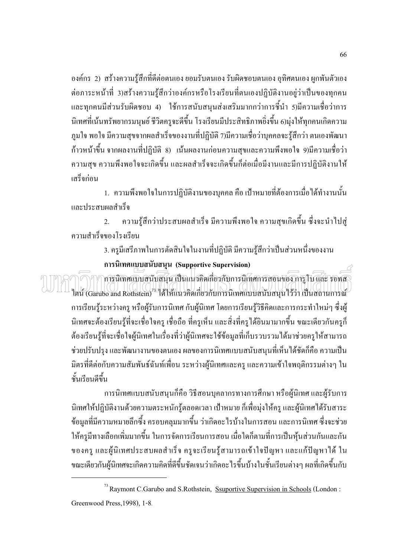้องค์กร 2) สร้างความรู้สึกที่ดีต่อตนเอง ยอมรับตนเอง รับผิดชอบตนเอง อุทิศตนเอง ผูกพันตัวเอง ้ต่อภาระหน้าที่ 3)สร้างความรู้สึกว่าองค์กรหรือโรงเรียนที่ตนเองปฏิบัติงานอยู่ว่าเป็นของทุกคน และทุกคนมีส่วนรับผิดชอบ 4) ใช้การสนับสนุนส่งเสริมมากกว่าการชี้นำ 5)มีความเชื่อว่าการ ้นิเทศที่เน้นทรัพยากรมนุษย์ ชีวิตครูจะดีขึ้น โรงเรียนมีประสิทธิภาพยิ่งขึ้น 6)มุ่งให้ทุกคนเกิดความ ึภมใจ พอใจ มีความสขจากผลสำเร็จของงานที่ปฏิบัติ 7)มีความเชื่อว่าบคคลจะร้สึกว่า ตนเองพัฒนา ี ก้าวหน้าขึ้น จากผลงานที่ปฏิบัติ 8) เน้นผลงานก่อนความสุขและความพึงพอใจ 9)มีความเชื่อว่า ี ความสุข ความพึงพอใจจะเกิดขึ้น และผลสำเร็จจะเกิดขึ้นก็ต่อเมื่อมีงานและมีการปฏิบัติงานให้ เสร็จก่อบ

1. ความพึงพอใจในการปฏิบัติงานของบคคล คือ เป้าหมายที่ต้องการเมื่อได้ทำงานนั้น และประสบผลสำเร็จ

้ความรู้สึกว่าประสบผลสำเร็จ มีความพึงพอใจ ความสุขเกิดขึ้น ซึ่งจะนำไปสู่  $2^{\circ}$ ้ความสำเร็จของโรงเรียน

่ 3. ครูมีเสรีภาพในการตัดสินใจในงานที่ปฏิบัติ มีความรู้สึกว่าเป็นส่วนหนึ่งของงาน

การนิเทศแบบสนับสนุน (Supportive Supervision)

ิการนิเทศแบบสนับสนุน เป็นแนวคิดเกี่ยวกับการนิเทศการสอนของ การูโบและ รอทส ไตน์ (Garubo and Rothstein) "ได้ให้แนวคิดเกี่ยวกับการนิเทศแบบสนับสนุนไว้ว่า เป็นสถานการณ์ ้การเรียนรู้ระหว่างครู หรือผู้รับการนิเทศ กับผู้นิเทศ โดยการเรียนรู้วิธีคิดและการกระทำใหม่ๆ ซึ่งผู้ นิเทศจะต้องเรียนรู้ที่จะเชื่อใจครู เชื่อถือ ที่ครูเห็น และสิ่งที่ครู ได้ยินมามากขึ้น ขณะเดียวกันครูก็ ด้องเรียนรู้ที่จะเชื่อใจผู้นิเทศในเรื่องที่ว่าผู้นิเทศจะใช้ข้อมูลที่เก็บรวบรวมได้มาช่วยครูให้สามารถ ช่วยปรับปรุง และพัฒนางานของตนเอง ผลของการนิเทศแบบสนับสนุนที่เห็นได้ชัดก็คือ ความเป็น ้มิตรที่ดีต่อกับความสัมพันธ์ฉันท์เพื่อน ระหว่างผู้นิเทศและครู และความเข้าใจพฤติกรรมต่างๆ ใน ชั้นเรียนดีขึ้น

ิการนิเทศแบบสนับสนุนก็คือ วิธีสอนบุคลากรทางการศึกษา หรือผู้นิเทศ และผู้รับการ นิเทศให้ปฏิบัติงานด้วยความตระหนักรู้ตลอดเวลา เป้าหมาย ก็เพื่อมุ่งให้ครู และผู้นิเทศได้รับสาระ ้ข้อมูลที่มีความหมายลึกซึ้ง ครอบคลุมมากขึ้น ว่าเกิดอะไรบ้างในการสอน และการนิเทศ ซึ่งจะช่วย ให้ครูมีทางเลือกเพิ่มมากขึ้น ในการจัดการเรียนการสอน เมื่อใดก็ตามที่การเป็นหุ้นส่วนกันและกัน ของครู และผู้นิเทศประสบผลสำเร็จ ครูจะเรียนรู้สามารถเข้าใจปัญหา และแก้ปัญหาได้ ใน ึ ขณะเดียวกันผู้นิเทศจะเกิดความคิดที่ดีขึ้นชัดเจนว่าเกิดอะไรขึ้นบ้างในชั้นเรียนต่างๆ ผลที่เกิดขึ้นกับ

<sup>&</sup>lt;sup>73</sup> Raymont C.Garubo and S.Rothstein, Ssuportive Supervision in Schools (London: Greenwood Press, 1998), 1-8.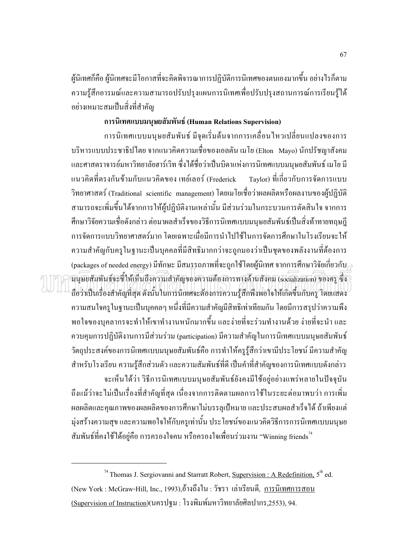ผู้นิเทศก็คือ ผู้นิเทศจะมีโอกาสที่จะคิดพิจารณาการปฏิบัติการนิเทศของตนเองมากขึ้น อย่างไรก็ตาม ้ ความรู้สึกอารมณ์และความสามารถปรับปรุงแผนการนิเทศเพื่อปรับปรุงสถานการณ์การเรียนรู้ใต้ อย่างเหมาะสมเป็นสิ่งที่สำคัญ

#### การนิเทศแบบมนุษยสัมพันธ์ (Human Relations Supervision)

้การนิเทศแบบมนุษยสัมพันธ์ มีจุดเริ่มต้นจากการเคลื่อนใหวเปลี่ยนแปลงของการ ิบริหารแบบประชาธิปไตย จากแนวคิดความเชื่อของเอลตัน เมโย (Elton Mayo) นักปรัชญาสังคม และศาสตราจารย์มหาวิทยาลัยฮาร์เวิท ซึ่งได้ชื่อว่าเป็นบิดาแห่งการนิเทศแบบมนุษยสัมพันธ์ เมโย มี แนวคิดที่ตรงกันข้ามกับแนวคิดของ เทย์เลอร์ (Frederick Tavlor) ที่เกี่ยวกับการจัดการแบบ วิทยาศาสตร์ (Traditional scientific management) โดยเมโยเชื่อว่าผลผลิตหรือผลงานของผ้ปฏิบัติ ี่สามารถจะเพิ่มขึ้นได้จากการให้ผู้ปฏิบัติงานเหล่านั้น มีส่วนร่วมในกระบวนการตัดสินใจ จากการ ้ศึกษาวิจัยความเชื้อดังกล่าว ต่อมาผลสำเร็จของวิธีการนิเทศแบบมนุษยสัมพันธ์เป็นสิ่งท้าทายทฤษฎี ้การจัดการแบบวิทยาศาสตร์มาก โดยเฉพาะเมื่อมีการนำไปใช้ในการจัดการศึกษาในโรงเรียนจะให้ ้ความสำคัญกับครในฐานะเป็นบุคคลที่มีสิทธิมากกว่าจะถกมองว่าเป็นชุดของพลังงานที่ต้องการ (packages of needed energy) มีทักษะ มีสมรรถภาพที่จะถกใช้โดยผ้นิเทศ จากการศึกษาวิจัยเกี่ยวกับ $\geq$ ้านบอสัมพันธ์จะชี้ให้เห็นถึงความสำคัญของความต้องการทางด้านสังคม (socialization) ของคร ซึ่ง ถือว่าเป็นเรื่องสำคัญที่สุด ดังนั้นในการนิเทศจะต้องการความรู้สึกพึงพอใจให้เกิดขึ้นกับครู โดยเสดง ้ความสนใจครูในฐานะเป็นบุคคลๆ หนึ่งที่มีความสำคัญมีสิทธิเท่าเทียมกัน โดยมีการสรุปว่าความพึง ี พอใจของบุคลากรจะทำให้เขาทำงานหนักมากขึ้น และง่ายที่จะร่วมทำงานด้วย ง่ายที่จะนำ และ ควบคุมการปฏิบัติงานการมีส่วนร่วม (participation) มีความสำคัญในการนิเทศแบบมนุษยสัมพันธ์ วัตถุประสงค์ของการนิเทศแบบมนุษยสัมพันธ์คือ การทำให้ครูรู้สึกว่าเขามีประโยชน์ มีความสำคัญ ้สำหรับโรงเรียน ความรู้สึกส่วนตัว และความสัมพันธ์ที่ดี เป็นคำที่สำคัญของการนิเทศแบบดังกล่าว จะเห็นใด้ว่า วิธีการนิเทศแบบมนุษยสัมพันธ์ยังคงมีใช้อยู่อย่างแพร่หลายในปัจจุบัน ้ถึงแม้ว่าจะไม่เป็นเรื่องที่สำคัญที่สุด เนื่องจากการติดตามผลการใช้ในระยะต่อมาพบว่า การเพิ่ม ี ผลผลิตและคุณภาพของผลผลิตของการศึกษาไม่บรรลุเป้หมาย และประสบผลสำเร็จได้ ถ้าเพียงแต่ มุ่งสร้างความสุข และความพอใจให้กับครูเท่านั้น ประโยชน์ของแนวคิดวิธีการการนิเทศแบบมนุษย ้สัมพันธ์ที่คงใช้ได้อยู่คือ การครองใจคน หรือครองใจเพื่อนร่วมงาน "Winning friends<sup>74</sup>

 $^{74}$  Thomas J. Sergiovanni and Starratt Robert, Supervision : A Redefinition, 5<sup>th</sup> ed. (New York : McGraw-Hill, Inc., 1993),อ้างถึงใน : วัชรา เล่าเรียนดี, การนิเทศการสอน (Supervision of Instruction)(นครปฐม : โรงพิมพ์มหาวิทยาลัยศิลปากร,2553), 94.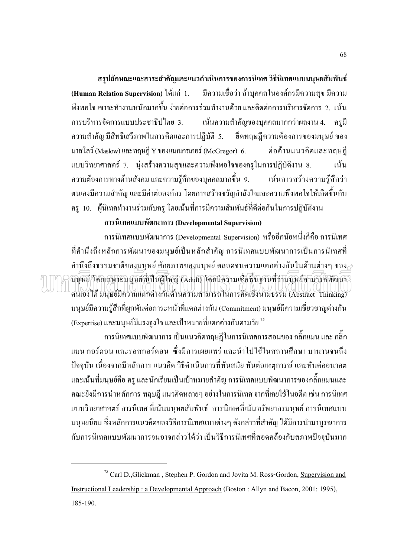ิสรุปลักษณะและสาระสำคัญและแนวดำเนินการของการนิเทศ วิธีนิเทศแบบมนุษยสัมพันธ์ ้มีความเชื่อว่า ถ้าบุคคลในองค์กรมีความสุข มีความ (Human Relation Supervision) ได้แก่ 1. ี่ พึ่งพอใจ เขาจะทำงานหนักมากขึ้น ง่ายต่อการร่วมทำงานด้วย และติดต่อการบริหารจัดการ 2. เน้น เน้นความสำคัญของบุคคลมากกว่าผลงาน 4. ครูมี การบริหารจัดการแบบประชาธิปไตย 3. ี ความสำคัญ มีสิทธิเสรีภาพในการคิดและการปฏิบัติ 5. ยึดทฤษฎีความต้องการของมนุษย์ ของ มาสโลว์ (Maslow) และทฤษฎี Y ของแมกเกรเกอร์ (McGregor) 6. ้ต่อต้านแนวคิดและทฤษฏี แบบวิทยาศาสตร์ 7. มุ่งสร้างความสุขและความพึงพอใจของครูในการปฏิบัติงาน 8. เน้น ี ความต้องการทางด้านสังคม และความรู้สึกของบุคคลมากขึ้น 9. เน้นการสร้างความรู้สึกว่า ิตนเองมีความสำคัญ และมีค่าต่อองค์กร โดยการสร้างขวัญกำลังใจและความพึงพอใจให้เกิดขึ้นกับ ี ครู 10. ผู้นิเทศทำงานร่วมกับครู โดยเน้นที่การมีความสัมพันธ์ที่ดีต่อกันในการปฏิบัติงาน

#### การนิเทศแบบพัฒนาการ (Developmental Supervision)

การนิเทศแบบพัฒนาการ (Developmental Supervision) หรืออีกนัยหนึ่งก็คือ การนิเทศ ี่ ที่คำนึงถึงหลักการพัฒนาของมนุษย์เป็นหลักสำคัญ การนิเทศแบบพัฒนาการเป็นการนิเทศที่ คำนึงถึงธรรมชาติของมนุษย์ ศักยภาพของมนุษย์ ตลอดจนความแตกต่างกันในด้านต่างๆ ของ $\geq$ ์ มินุษิย์ โดยเฉพาะมนุษิย์ที่เป็นผู้โหญิ (Adult) โดยมีความเชื่อพื้นฐานที่ว่ามนุษย์สามารถพัฒนา ตนเอง ได้ มนุษย์มีความแตกต่างกันด้านความสามารถในการคิดเชิงนามธรรม (Abstract Thinking) ิมนุษย์มีความรู้สึกที่ผูกพันต่อภาระหน้าที่แตกต่างกัน (Commitment) มนุษย์มีความเชี่ยวชาญต่างกัน (Expertise) และมนุษย์มีแรงจงใจ และเป้าหมายที่แตกต่างกันตามวัย  $^{\text{75}}$ 

ิ การนิเทศแบบพัฒนาการ เป็นแนวคิดทฤษฎีในการนิเทศการสอนของ กลิ๊กแมน และ กลิ๊ก แมน กอร์ดอน และรอสกอร์ดอน ซึ่งมีการเผยแพร่ และนำไปใช้ในสถานศึกษา มานานจนถึง ี ปัจจบัน เนื่องจากมีหลักการ แนวคิด วิธีดำเนินการที่ทันสมัย ทันต่อเหตุการณ์ และทันต่ออนาคต ี และเน้นที่มนุษย์คือ ครู และนักเรียนเป็นเป้าหมายสำคัญ การนิเทศแบบพัฒนาการของกลิ๊กแมนและ ้ คณะยังมีการนำหลักการ ทฤษฎี แนวคิดหลายๆ อย่างในการนิเทศ จากที่เคยใช้ในอดีต เช่น การนิเทศ แบบวิทยาศาสตร์ การนิเทศ ที่เน้นมนุษยสัมพันธ์ การนิเทศที่เน้นทรัพยากรมนุษย์ การนิเทศแบบ ้ มนุษยนิยม ซึ่งหลักการแนวคิดของวิธีการนิเทศแบบต่างๆ ดังกล่าวที่สำคัญ ได้มีการนำมาบูรณาการ กับการนิเทศแบบพัฒนาการจนอาจกล่าวได้ว่า เป็นวิธีการนิเทศที่สอดคล้องกับสภาพปัจจุบันมาก

<sup>&</sup>lt;sup>75</sup> Carl D., Glickman, Stephen P. Gordon and Jovita M. Ross-Gordon, Supervision and Instructional Leadership: a Developmental Approach (Boston: Allyn and Bacon, 2001: 1995), 185-190.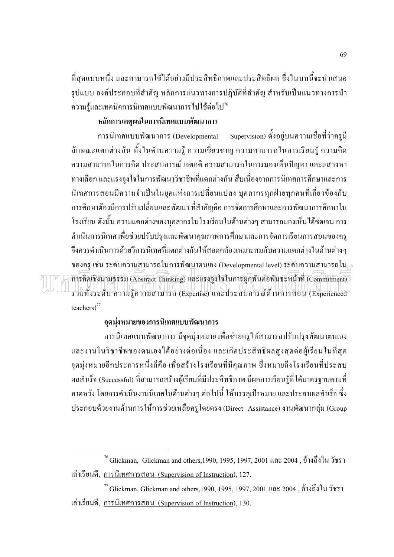ี่ที่สุดแบบหนึ่ง และสามารถใช้ได้อย่างมีประสิทธิภาพและประสิทธิผล ซึ่งในบทนี้จะนำเสนอ รูปแบบ องค์ประกอบที่สำคัญ หลักการแนวทางการปฏิบัติที่สำคัญ สำหรับเป็นแนวทางการนำ ความรู้และเทคนิคการนิเทศแบบพัฒนาการไปใช้ต่อไป<sup>76</sup>

#### หลักการเหตุผลในการนิเทศแบบพัฒนาการ

Supervision) ตั้งอยู่บนความเชื่อที่ว่าครูมี การนิเทศแบบพัฒนาการ (Developmental ้ลักษณะแตกต่างกัน ทั้งในด้านความรู้ ความเชี่ยวชาญ ความสามารถในการเรียนรู้ ความคิด ้ความสามารถในการคิด ประสบการณ์ เจตคติ ความสามารถในการมองเห็นปัญหา และแสวงหา ่ ทางเลือก และแรงจูงใจในการพัฒนาวิชาชีพที่แตกต่างกัน สืบเนื่องจากการนิเทศการศึกษาและการ ้นิเทศการสอนมีความจำเป็นในยคแห่งการเปลี่ยนแปลง บคลากรทกฝ่ายทกคนที่เกี่ยวข้องกับ ึการศึกษาต้องมีการปรับเปลี่ยนและพัฒนา ที่สำคัญคือ การจัดการศึกษาและการพัฒนาการศึกษาใน โรงเรียน ดังนั้น ความแตกต่างของบุคลากรในโรงเรียนในด้านต่างๆ สามารถมองเห็นได้ชัดเจน การ ้คำเนินการนิเทศ เพื่อช่วยปรับปรุงและพัฒนาคุณภาพการศึกษาและการจัดการเรียนการสอนของครู จึงควรดำเนินการด้วยวีการนิเทศที่แตกต่างกันให้สอดคล้องเหมาะสมกับความแตกต่างในด้านต่างๆ ของครู เช่น ระดับความสามารถในการพัฒนาตนเอง (Developmental level) ระดับความสามารถใน $\geq$ การคิดเชิงนามธรรม (Abstract Thinking) และแรงจงใจในการผักพันต่อพันธะหน้าที่(Commitment) รวมทั้งระดับ ความรู้ความสามารถ (Expertise) และประสบการณ์ด้านการสอน (Experienced teachers) $^{77}$ 

#### จุดมุ่งหมายของการนิเทศแบบพัฒนาการ

ึการนิเทศแบบพัฒนาการ มีจุดมุ่งหมาย เพื่อช่วยครูให้สามารถปรับปรุงพัฒนาตนเอง และงานในวิชาชีพของตนเองได้อย่างต่อเนื่อง และเกิดประสิทธิผลสงสดต่อผ้เรียนในที่สด จุดมุ่งหมายอีกประการหนึ่งก็คือ เพื่อสร้างโรงเรียนที่มีคุณภาพ ซึ่งหมายถึงโรงเรียนที่ประสบ ี ผลสำเร็จ (Successful) ที่สามารถสร้างผู้เรียนที่มีประสิทธิภาพ มีผลการเรียนรู้ที่ได้มาตรฐานตามที่ ี คาดหวัง โดยการคำเนินงานนิเทศในด้านต่างๆ ต่อไปนี้ ให้บรรลุเป้าหมาย และประสบผลสำเร็จ ซึ่ง ประกอบด้วยงานด้านการให้การช่วยเหลือครูโดยตรง (Direct Assistance) งานพัฒนากลุ่ม (Group

 $^{76}$  Glickman, Glickman and others, 1990, 1995, 1997, 2001 และ 2004, อ้างถึงใน วัชรา เล่าเรียนดี, การนิเทศการสอน (Supervision of Instruction), 127.

 $^{77}$  Glickman, Glickman and others, 1990, 1995, 1997, 2001 และ 2004, อ้างถึงใน วัชรา เล่าเรียนดี. การนิเทศการสอน (Supervision of Instruction). 130.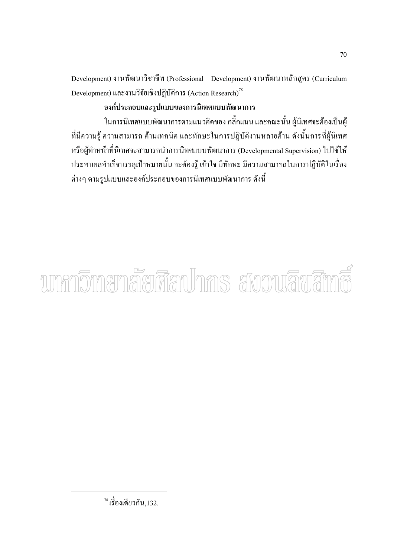Development) งานพัฒนาวิชาชีพ (Professional Development) งานพัฒนาหลักสูตร (Curriculum Development) และงานวิจัยเชิงปฏิบัติการ (Action Research) $^{78}$ 

#### องค์ประกอบและรูปแบบของการนิเทศแบบพัฒนาการ

ในการนิเทศแบบพัฒนาการตามแนวคิดของ กลิ๊กแมน และคณะนั้น ผู้นิเทศจะต้องเป็นผู้ ี่ที่มีความรู้ ความสามารถ ด้านเทคนิค และทักษะในการปฏิบัติงานหลายด้าน ดังนั้นการที่ผู้นิเทศ หรือผู้ทำหน้าที่นิเทศจะสามารถนำการนิทศแบบพัฒนาการ (Developmental Supervision) ไปใช้ให้ ประสบผลสำเร็จบรรลุเป้าหมายนั้น จะต้องรู้ เข้าใจ มีทักษะ มีความสามารถในการปฏิบัติในเรื่อง ้ต่างๆ ตามรูปแบบและองค์ประกอบของการนิเทศแบบพัฒนาการ ดังนี้

# ามากาวิทายาลัยศิลปากร สังวนลิขสิท

 $^{78}$ เรื่องเคียวกัน.132.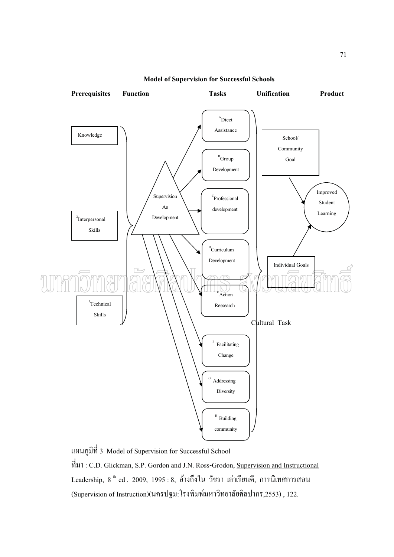

**Model of Supervision for Successful Schools** 

แผนภูมิที่ 3 Model of Supervision for Successful School

ที่มา: C.D. Glickman, S.P. Gordon and J.N. Ross-Grodon, Supervision and Instructional Leadership, 8 th ed . 2009, 1995 : 8, อ้างถึงใน วัชรา เล่าเรียนดี, <u>การนิเทศการสอน</u> (Supervision of Instruction)(นครปฐม: โรงพิมพ์มหาวิทยาลัยศิลปากร,2553), 122.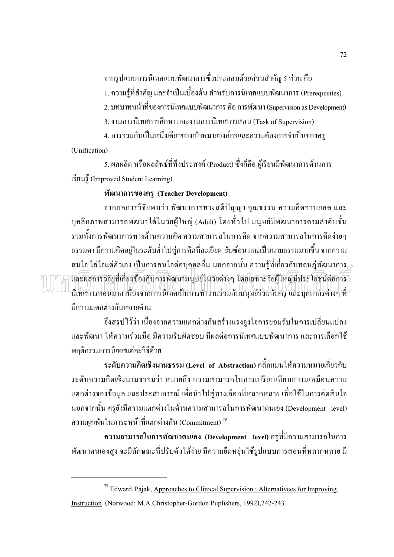จากรูปแบบการนิเทศแบบพัฒนาการซึ่งประกอบด้วยส่วนสำคัญ 5 ส่วน กือ

1. ความรู้ที่สำคัญ และจำเป็นเบื้องต้น สำหรับการนิเทศแบบพัฒนาการ (Prerequisites)

2. บทบาทหน้าที่ของการนิเทศแบบพัฒนาการ คือ การพัฒนา (Supervision as Development) 1

3. งานการนิเทศการศึกษา และงานการนิเทศการสอน (Task of Supervision)

4. การรวมกันเป็นหนึ่งเดียวของเป้าหมายองค์กรและความต้องการจำเป็นของครู (Unification)

5. ผลผลิต หรือผลลัพธ์ที่พึงประสงค์ (Product) ซึ่งก็คือ ผู้เรียนมีพัฒนาการด้านการ เรียนรู้ (Improved Student Learning)

#### **พัฒนาการของครู (Teacher Development)**

่ จากผลการวิจัยพบว่า พัฒนาการทางสติปัญญา คุณธรรม ความคิดรวบยอด และ บุคลิกภาพสามารถพัฒนาได้ในวัยผู้ใหญ่ (Adult) โดยทั่วไป มนุษย์มีพัฒนาการตามลำดับขั้น รวมทั้งการพัฒนาการทางด้านความกิด ความสามารถในการกิด จากความสามารถในการกิดง่ายๆ ֚֚֡<br>֧֚֚֝<br>֧֚֝ ธรรมดา มีความคิดอยู่ในระดับต่ำไปสู่การคิดที่ละเอียด ซับซ้อน และเป็นนามธรรมมากขึ้น จากความ ĺ สนใจ ใส่ใจแต่ตัวเอง เป็นการสนใจต่อบุคคลอื่น นอกจากนั้น ความรู้ที่เกี่ยวกับทฤษฎีพัฒนาการ  $\overline{a}$ Ï และผลการวิจัยที่เกี่ยวข้องกับการพัฒนามนุษย์ในวัยต่างๆ โดยเฉพาะวัยผู้ใหญ่มีประโยชน์ต่อการ  $\ddot{\phantom{a}}$ ֚֚֡ นิเทศการสอนมาก เนื่องจากการนิเทศเป็นการทำงานร่วมกับมนุษย์ร่วมกับครู และบุคลากรต่างๆ ที่  $\ddot{\phantom{a}}$ ֺ֝ มีความแตกต่างกันหลาย<mark>ค้า</mark>น

จึงสรุปไว้ว่า เนื่องจากความแตกต่างกันสร้างแรงจูงใจการยอมรับในการเปลี่ยนแปลง และพัฒนา ให้ความร่วมมือ มีความรับผิดชอบ มีผลต่อการนิเทศแบบพัฒนาการ และการเลือกใช้ พฤติกรรมการนิเทศแต่ละวิธีด้วย

ระดับความคิดเชิงนามธรรม (Level of Abstraction) กลิ๊กแมนให้ความหมายเกี่ยวกับ ระดับความคิดเชิงนามธรรมว่า หมายถึง ความสามารถในการเปรียบเทียบความเหมือนความ แตกต่างของข้อมูล และประสบการณ์ เพื่อนำไปสู่ทางเลือกที่หลากหลาย เพื่อใช้ในการตัดสินใจ นอกจากนั้น ครูยังมีความแตกต่างในด้านความสามารถในการพัฒนาตนเอง (Development level) ֚֚֡֝<br>֚֚֚֚ ความผูกพันในภาระหน้าที่แตกต่างกัน (Commitment)  $^{\rm 79}$  $\overline{a}$ 

ี **ความสามารถในการพัฒนาตนเอง (Development level)** ครูที่มีความสามารถในการ พัฒนาตนเองสูง จะมีลักษณะที่ปรับตัวได้ง่าย มีความยืดหยุ่นใช้รูปแบบการสอนที่หลากหลาย มี

<sup>&</sup>lt;sup>79</sup> Edward. Pajak, Approaches to Clinical Supervision : Alternativees for Improving. Instruction (Norwood: M.A.Christopher-Gordon Puplishers, 1992),242-243.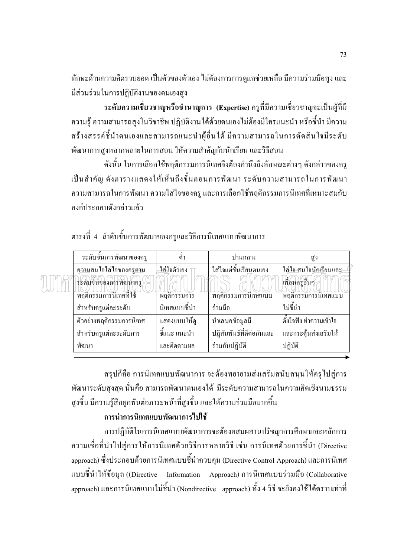้ทักษะด้านความคิดรวบยอด เป็นตัวของตัวเอง ไม่ต้องการการดูแลช่วยเหลือ มีความร่วมมือสูง และ มีส่วนร่วมในการปฏิบัติงานของตนเองสูง

ระดับความเชี่ยวชาญหรือชำนาญการ (Expertise) ครูที่มีความเชี่ยวชาญจะเป็นผู้ที่มี ้ ความรู้ ความสามารถสูงในวิชาชีพ ปฏิบัติงานได้ด้วยตนเองไม่ต้องมีใครแนะนำ หรือชี้นำ มีความ ิสร้างสรรค์ชี้นำตนเองและสามารถแนะนำผู้อื่นได้ มีความสามารถในการตัดสินใจมีระดับ พัฒนาการสูงหลากหลายในการสอน ให้ความสำคัญกับนักเรียน และวิธีสอน

้ คังนั้น ในการเลือกใช้พฤติกรรมการนิเทศจึงต้องคำนึงถึงลักษณะต่างๆ คังกล่าวของครู ้เป็นสำคัญ ดังตารางแสดงให้เห็นถึงขั้นตอนการพัฒนา ระดับความสามารถในการพัฒนา ้ ความสามารถในการพัฒนา ความใส่ใจของคร และการเลือกใช้พฤติกรรมการนิเทศที่เหมาะสมกับ องค์ประกอบดังกล่าวแล้ว

| $\blacksquare$ | ം പ്ര |                                                              |  |  |
|----------------|-------|--------------------------------------------------------------|--|--|
|                |       | ตารงที่ 4   ล้าคับขั้นการพัฒนาของครูและวริการนเทศแบบพัฒนาการ |  |  |
|                |       |                                                              |  |  |

| ระดับขั้นการพัฒนาของครู  | คำ            | ปานกลาง                   | สูง                     |
|--------------------------|---------------|---------------------------|-------------------------|
| ความสนใจใส่ใจของครูตาม   | ใส่ใจตัวเอง   | ใส่ใจแต่ชั้นเรียนตนเอง    | ใส่ใจ สนใจนักเรียนและ   |
| ระดับขั้นของการพัฒนาครู  |               |                           | เพื่อนครูอื่นๆ          |
| พฤติกรรมการนิเทศที่ใช้   | พฤติกรรมการ   | พฤติกรรมการนี้เทศแบบ      |                         |
| สำหรับครูแต่ละระดับ      | นิเทศแบบชี้นำ | ร่วมมือ                   | ไม่ชี้นำ                |
| ตัวอย่างพฤติกรรมการนิเทศ | แสดงแบบให้ดู  | นำเสนอข้อมูลมี            | ้ตั้งใจฟัง ทำความเข้าใจ |
| สำหรับครูแต่ละระดับการ   | ชี้แนะ แนะนำ  | ปฏิสัมพันธ์ที่ดีต่อกันและ | และกระตุ้นส่งเสริมให้   |
| พัฒนา                    | และติดตามผล   | ร่วมกันปฏิบัติ            | ปฏิบัติ                 |

ี สรุปก็คือ การนิเทศแบบพัฒนาการ จะต้องพยายามส่งเสริมสนับสนุนให้ครูไปสู่การ ้พัฒนาระดับสงสด นั่นคือ สามารถพัฒนาตนเองใด้ มีระดับความสามารถในความคิดเชิงนามธรรม สูงขึ้น มีความรู้สึกผูกพันต่อภาระหน้าที่สูงขึ้น และให้ความร่วมมือมากขึ้น

#### การนำการนิเทศแบบพัฒนาการไปใช้

ิ การปฏิบัติในการนิเทศแบบพัฒนาการจะต้องผสมผสานปรัชญาการศึกษาและหลักการ ี ความเชื่อที่นำไปสู่การให้การนิเทศด้วยวิธีการหลายวิธี เช่น การนิเทศด้วยการชี้นำ (Directive approach) ซึ่งประกอบด้วยการนิเทศแบบชื่นำควบคม (Directive Control Approach) และการนิเทศ แบบชี้นำให้ข้อมูล ((Directive Information Approach) การนิเทศแบบร่วมมือ (Collaborative approach) และการนิเทศแบบไม่ชี้นำ (Nondirective) approach) ทั้ง 4 วิธี จะยังคงใช้ได้ตราบเท่าที่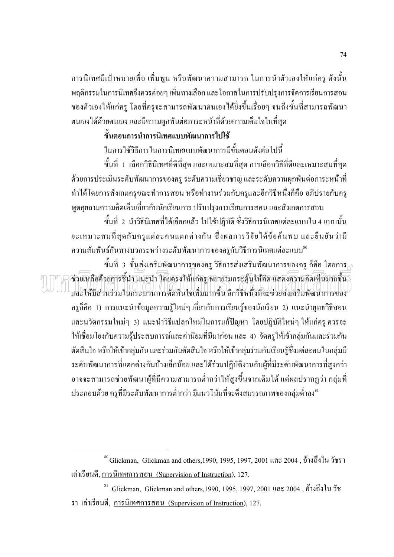ึการนิเทศมีเป้าหมายเพื่อ เพิ่มพูน หรือพัฒนาความสามารถ ในการนำตัวเองให้แก่ครู ดังนั้น ี พฤติกรรมในการนิเทศจึงควรค่อยๆ เพิ่มทางเลือก และ โอกาสในการปรับปรุงการจัดการเรียนการสอน ของตัวเองให้แก่ครู โดยที่ครูจะสามารถพัฒนาตนเองได้ยิ่งขึ้นเรื่อยๆ จนถึงขั้นที่สามารถพัฒนา ้ตนเองได้ด้วยตนเอง และมีความผูกพันต่อภาระหน้าที่ด้วยความเต็มใจในที่สุด

ขั้นตอนการนำการนิเทศแบบพัฒนาการไปใช้

ในการใช้วิธีการในการนิเทศแบบพัฒนาการมีขั้นตอนดังต่อไปนี้

์ ขั้นที่ 1 เลือกวิธีนิเทศที่ดีที่สุด และเหมาะสมที่สุด การเลือกวิธีที่ดีและเหมาะสมที่สุด ี ด้วยการประเมินระดับพัฒนาการของครู ระดับความเชี่ยวชาญ และระดับความผูกพันต่อภาระหน้าที่ ทำได้โดยการสังเกตครขณะทำการสอน หรือทำงานร่วมกับครและอีกวิธีหนึ่งก็คือ อภิปรายกับคร ี พดคยถามความคิดเห็นเกี่ยวกับนักเรียนการ ปรับปรงการเรียนการสอน และสังเกตการสอน

้ขั้นที่ 2 นำวิธีนิเทศที่ได้เลือกแล้ว ไปใช้ปฏิบัติ ซึ่งวิธีการนิเทศแต่ละแบบใน 4 แบบนั้น ้จะเหมาะสมที่สุดกับครูแต่ละคนแตกต่างกัน ซึ่งผลการวิจัยใด้ข้อค้นพบ และยืนยันว่ามี ์ ความสัมพันธ์กันทางบวกระหว่างระดับพัฒนาการของครกับวิธีการนิเทศแต่ละแบบ $^{\rm{so}}$ 

ขั้นที่ 3 ขั้<u>น</u>ส่งเสริมพัฒนาการ<u>ข</u>องครู วิธีการส่งเสริมพัฒนาการของครู ก็คือ โดยการ<sub>~</sub> ชิวยเหลือด้วยการชี้นำ แนะนำ โดยครงให้แก่ครู พยายามกระตุ้นให้คิด แลคงความคิดเห็นมากขึ้น และให้มีส่วนร่วมในกระบวนการตัดสินใจเพิ่มมากขึ้น อีกวิธีหนึ่งที่จะช่วยส่งเสริมพัฒนาการของ ี ครูก็คือ 1) การแนะนำข้อมูลความรู้ใหม่ๆ เกี่ยวกับการเรียนรู้ของนักเรียน 2) แนะนำยุทธวิธีสอน และนวัตกรรมใหม่ๆ 3) แนะนำวิธีแปลกใหม่ในการแก้ปัญหา โดยปฏิบัติใหม่ๆ ให้แก่ครู ควรจะ ให้เชื่อมโยงกับความรู้ประสบการณ์และค่านิยมที่มีมาก่อน และ 4) จัดครูให้เข้ากลุ่มกันและร่วมกัน ้ตัดสินใจ หรือให้เข้ากลุ่มกัน และร่วมกันตัดสินใจ หรือให้เข้ากลุ่มร่วมกันเรียนรู้ซึ่งแต่ละคนในกลุ่มมี ระดับพัฒนาการที่แตกต่างกันบ้างเล็กน้อย และ ได้ร่วมปฏิบัติงานกับผู้ที่มีระดับพัฒนาการที่สูงกว่า ้อาจจะสามารถช่วยพัฒนาผู้ที่มีความสามารถต่ำกว่าให้สูงขึ้นจากเดิมได้ แต่ผลปรากฏว่า กลุ่มที่ ประกอบด้วย ครูที่มีระดับพัฒนาการต่ำกว่า มีแนวโน้มที่จะดึงสมรรถภาพของกลุ่มต่ำลง<sup>ย</sup>

<sup>&</sup>lt;sup>80</sup> Glickman, Glickman and others, 1990, 1995, 1997, 2001 และ 2004, อ้างถึงใน วัชรา เล่าเรียนดี, การนิเทศการสอน (Supervision of Instruction), 127.

 $^{\text{81}}$  Glickman, Glickman and others, 1990, 1995, 1997, 2001 และ 2004, อ้างถึงใน วัช รา เล่าเรียนดี. การนิเทศการสอน (Supervision of Instruction). 127.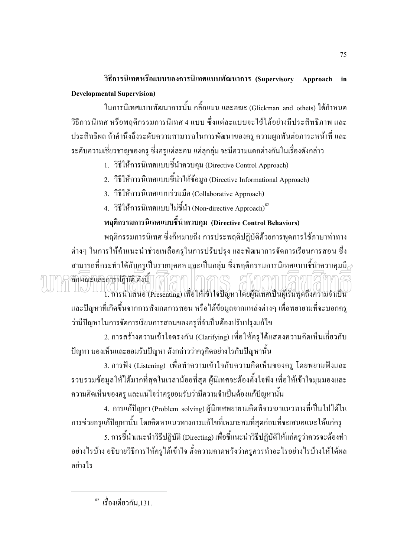#### วิธีการนิเทศหรือแบบของการนิเทศแบบพัฒนาการ (Supervisory Approach in

#### **Developmental Supervision)**

ในการนิเทศแบบพัฒนาการนั้น กลิ๊กแมน และคณะ (Glickman and othets) ใค้กำหนด ้วิธีการนิเทศ หรือพฤติกรรมการนิเทศ 4 แบบ ซึ่งแต่ละแบบจะใช้ได้อย่างมีประสิทธิภาพ และ ประสิทธิผล ถ้าคำนึงถึงระดับความสามารถในการพัฒนาของครู ความผูกพันต่อภาระหน้าที่ และ ระดับความเชี่ยวชาญของครู ซึ่งครูแต่ละคน แต่ลุกลุ่ม จะมีความแตกต่างกันในเรื่องดังกล่าว

- 1. วิธีให้การนิเทศแบบชื้นำควบคุม (Directive Control Approach)
- 2. วิธีให้การนิเทศแบบชื้นำให้ข้อมูล (Directive Informational Approach)
- 3. วิธีให้การนิเทศแบบร่วมมือ (Collaborative Approach)
- 4. วิธีให้การนิเทศแบบไม่ชี้นำ (Non-directive Approach)<sup>82</sup>

พฤติกรรมการนิเทศแบบชื้นำควบคุม (Directive Control Behaviors)

ี พฤติกรรมการนิเทศ ซึ่งก็หมายถึง การประพฤติปฏิบัติด้วยการพดการใช้ภาษาท่าทาง ้ต่างๆ ในการให้คำแนะนำช่วยเหลือครูในการปรับปรุง และพัฒนาการจัดการเรียนการสอน ซึ่ง ี สามารถที่กระทำได้กับครูเป็นรายบุคคล และเป็นกลุ่ม ซึ่งพฤติกรรมการนิเทศแบบชี้นำควบคุมมี $_{\rm c2}$ ำกี่ขณะและการปฏิบัติ ดังนี้

 $\Box$ 1. การนำเสนอ (Presenting) เพื่อให้เข้าใจปัญหาโคยผู้นิเทศเป็นผู้เริ่มพูดถึงความจำเป็น และปัญหาที่เกิดขึ้นจากการสังเกตการสอน หรือได้ข้อมูลจากแหล่งต่างๆ เพื่อพยายามที่จะบอกครู ว่ามีปัญหาในการจัดการเรียนการสอนของครูที่จำเป็นต้องปรับปรุงแก้ไข

2. การสร้างความเข้าใจตรงกัน (Clarifying) เพื่อให้ครูได้แสดงความคิดเห็นเกี่ยวกับ ้ปัญหา มองเห็นและยอมรับปัญหา ดังกล่าวว่าครูคิดอย่างไรกับปัญหานั้น

3. การฟัง (Listening) เพื่อทำความเข้าใจกับความคิดเห็นของคร โดยพยามฟังและ รวบรวมข้อมูลให้ได้มากที่สุดในเวลาน้อยที่สุด ผู้นิเทศจะต้องตั้งใจฟัง เพื่อให้เข้าใจมุมมองและ ้ความคิดเห็นของครู และแน่ใจว่าครูยอมรับว่ามีความจำเป็นต้องแก้ปัญหานั้น

4. การแก้ปัญหา (Problem solving) ผู้นิเทศพยายามคิดพิจารณาแนวทางที่เป็นไปได้ใน ึการช่วยครูแก้ปัญหานั้น โดยคิดหาแนวทางการแก้ไขที่เหมาะสมที่สุดก่อนที่จะเสนอแนะให้แก่ครู

5. การชื่นำแนะนำวิธีปฏิบัติ (Directing) เพื่อชี้แนะนำวิธีปฏิบัติให้แก่ครูว่าควรจะต้องทำ ้อย่างไรบ้าง อธิบายวิธีการให้ครูได้เข้าใจ ตั้งความคาดหวังว่าครูควรทำอะไรอย่างไรบ้างให้ได้ผล อย่างไร

 $32\,$  เรื่องเดียวกัน.131.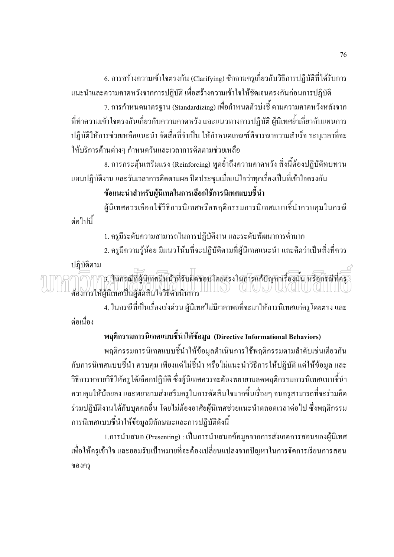6. การสร้างความเข้าใจตรงกัน (Clarifying) ซักถามครูเกี่ยวกับวิธีการปฏิบัติที่ได้รับการ

แนะนำและความคาดหวังจากการปฏิบัติ เพื่อสร้างความเข้าใจให้ชัดเจนตรงกันก่อนการปฏิบัติ 7. การกำหนดมาตรฐาน (Standardizing) เพื่อกำหนดตัวบ่งชี้ ตามความคาดหวังหลังจาก ี่ ที่ทำความเข้าใจตรงกันเกี่ยวกับความคาดหวัง และแนวทางการปฏิบัติ ผู้นิเทศย้ำเกี่ยวกับแผนการ ปฏิบัติให้การช่วยเหลือแนะนำ จัดสื่อที่จำเป็น ให้กำหนดเกณฑ์พิจารณาความสำเร็จ ระบุเวลาที่จะ ให้บริการด้านต่างๆ กำหนดวันและเวลาการติดตามช่วยเหลือ

8. การกระตุ้นเสริมแรง (Reinforcing) พูดย้ำถึงความคาดหวัง สิ่งนี้ต้องปฏิบัติทบทวน แผนปฏิบัติงาน และวันเวลาการติดตามผล ปิดประชุมเมื่อแน่ใจว่าทุกเรื่องเป็นที่เข้าใจตรงกัน

#### ข้อแนะนำสำหรับผู้นิเทศในการเลือกใช้การนิเทศแบบชี้นำ

ผู้นิเทศควรเลือกใช้วิธีการนิเทศหรือพฤติกรรมการนิเทศแบบชี้นำควบคุมในกรณี <sub>ต่อไปนี</sub>้

1. ครูมีระดับความสามารถในการปฏิบัติงาน และระดับพัฒนาการต่ำมาก

่ 2. ครูมีความรู้น้อย มีแนวโน้มที่จะปฏิบัติตามที่ผู้นิเทศแนะนำ และคิดว่าเป็นสิ่งที่ควร

ปฏิบัติตาม

้<br>3. ในกรณีที่ผู้นิเทศมีหน้าที่รับผิดชอบโดยตรงในการแก้ปัญหาเรื่องนั้น หรือกรณีที่ครู ด้องการให้ผู้นิเทศเป็นผู้ตัดสินใจวิธีดำเนินการ !!! !! >> GIUU GIOUGI !! !!

4. ในกรณีที่เป็นเรื่องเร่งด่วน ผู้นิเทศไม่มีเวลาพอที่จะมาให้การนิเทศแก่ครู โดยตรง และ ต่อเบื้อง

#### พฤติกรรมการนิเทศแบบชื้นำให้ข้อมูล (Directive Informational Behaviors)

พฤติกรรมการนิเทศแบบชื้นำให้ข้อมูลคำเนินการใช้พฤติกรรมตามลำคับเช่นเดียวกัน ้กับการนิเทศแบบชี้นำ ควบคุม เพียงแต่ไม่ชี้นำ หรือไม่แนะนำวิธีการให้ปฏิบัติ แต่ให้ข้อมูล และ ้วิธีการหลายวิธีให้ครูได้เลือกปฏิบัติ ซึ่งผู้นิเทศควรจะต้องพยายามลดพฤติกรรมการนิเทศแบบชี้นำ ้ควบคุมให้น้อยลง และพยายามส่งเสริมครูในการตัดสินใจมากขึ้นเรื่อยๆ จนครูสามารถที่จะร่วมคิด ร่วมปฏิบัติงานใด้กับบุคคลอื่น โดยไม่ต้องอาศัยผู้นิเทศช่วยแนะนำตลอดเวลาต่อไป ซึ่งพฤติกรรม ึการนิเทศแบบชื้นำให้ข้อมูลมีลักษณะและการปฏิบัติดังนี้

1.การนำเสนอ (Presenting) : เป็นการนำเสนอข้อมูลจากการสังเกตการสอนของผู้นิเทศ ้ เพื่อให้ครูเข้าใจ และยอมรับเป้าหมายที่จะต้องเปลี่ยนแปลงจากปัญหาในการจัดการเรียนการสอน ของครู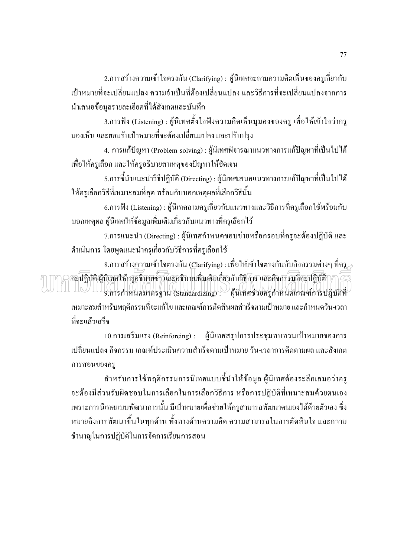2.การสร้างความเข้าใจตรงกัน (Clarifying) : ผู้นิเทศจะถามความคิดเห็นของครูเกี่ยวกับ ้เป้าหมายที่จะเปลี่ยนแปลง ความจำเป็นที่ต้องเปลี่ยนแปลง และวิธีการที่จะเปลี่ยนแปลงจากการ นำเสนอข้อมูลรายละเอียดที่ได้สังเกตและบันทึก

3.การฟัง (Listening) : ผู้นิเทศตั้งใจฟังความคิดเห็นมุมองของครู เพื่อให้เข้าใจว่าครู ้มองเห็น และยอมรับเป้าหมายที่จะต้องเปลี่ยนแปลง และปรับปรง

4. การแก้ปัญหา (Problem solving) : ผู้นิเทศพิจารณาแนวทางการแก้ปัญหาที่เป็นไปได้ เพื่อให้ครูเลือก และให้ครูอธิบายสาเหตุของปัญหาให้ชัดเจน

5.การชื้นำแนะนำวิธีปฏิบัติ (Directing) : ผู้นิเทศเสนอแนวทางการแก้ปัญหาที่เป็นไปได้ ให้ครูเลือกวิธีที่เหมาะสมที่สุด พร้อมกับบอกเหตุผลที่เลือกวิธีนั้น

6.การฟัง (Listening) : ผู้นิเทศถามครูเกี่ยวกับแนวทางและวิธีการที่ครูเลือกใช้พร้อมกับ ้ บอกเหตผล ผู้นิเทศให้ข้อมลเพิ่มเติมเกี่ยวกับแนวทางที่ครเลือกไว้

7.การแนะนำ (Directing) : ผู้นิเทศกำหนดขอบข่ายหรือกรอบที่ครูจะต้องปฏิบัติ และ ้คำเนินการ โดยพูดแนะนำครูเกี่ยวกับวิธีการที่ครูเลือกใช้

 $8.$ การสร้างความเข้าใจตรงกัน (Clarifying) : เพื่อให้เข้าใจตรงกันกับกิจกรรมต่างๆ ที่คร $_{\geq}$ จะปฏิบัติผู้นิเทศให้ครูอธิบายซ้ำ และอธิบายเพิ่มเติมเกี่ยวกับวิธีการ และกิจกรรมที่จะปฏิบัติ 9.การกำหนดมาตรฐาน (Standardizing) : ผู้นิเทศช่วยครูกำหนดเกณฑ์การปฏิบัติที่ เหมาะสมสำหรับพฤติกรรมที่จะแก้ไข และเกณฑ์การตัดสินผลสำเร็จตามเป้าหมาย และกำหนดวัน-เวลา ที่จะแล้วเสร็จ

ผู้นิเทศสรุปการประชุมทบทวนเป้าหมายของการ 10.การเสริมแรง (Reinforcing) : เปลี่ยนแปลง กิจกรรม เกณฑ์ประเมินความสำเร็จตามเป้าหมาย วัน-เวลาการติดตามผล และสังเกต การสอนของคร

ี สำหรับการใช้พฤติกรรมการนิเทศแบบชี้นำให้ข้อมูล ผู้นิเทศต้องระลึกเสมอว่าครู จะต้องมีส่วนรับผิดชอบในการเลือกในการเลือกวิธีการ หรือการปฏิบัติที่เหมาะสมด้วยตนเอง เพราะการนิเทศแบบพัฒนาการนั้น มีเป้าหมายเพื่อช่วยให้ครูสามารถพัฒนาตนเองได้ด้วยตัวเอง ซึ่ง หมายถึงการพัฒนาขึ้นในทุกด้าน ทั้งทางด้านความคิด ความสามารถในการตัดสินใจ และความ ชำนาญในการปฏิบัติในการจัดการเรียนการสอน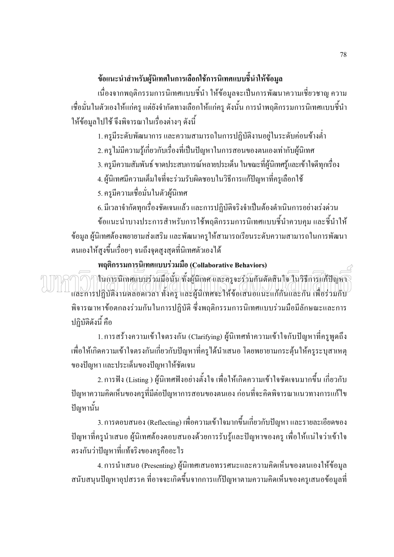#### ข้อแนะนำสำหรับผู้นิเทศในการเลือกใช้การนิเทศแบบชื้นำให้ข้อมูล

เนื่องจากพฤติกรรมการนิเทศแบบชื้นำ ให้ข้อมูลจะเป็นการพัฒนาความเชี่ยวชาญ ความ ้ เชื่อมั่นในตัวเองให้แก่ครู แต่ยังจำกัดทางเลือกให้แก่ครู ดังนั้น การนำพฤติกรรมการนิเทศแบบชี้นำ ให้ข้อมลไปใช้ จึงพิจารณาในเรื่องต่างๆ ดังนี้

1. ครูมีระดับพัฒนาการ และความสามารถในการปฏิบัติงานอยู่ในระดับค่อนข้างต่ำ

่ 2. ครู ไม่มีความรู้เกี่ยวกับเรื่องที่เป็นปัญหาในการสอนของตนเองเท่ากับผู้นิเทศ

3. ครูมีความสัมพันธ์ ขาดประสบการณ์หลายประเด็น ในขณะที่ผู้นิเทศรู้และเข้าใจดีทุกเรื่อง

4. ผู้นิเทศมีความเต็มใจที่จะร่วมรับผิดชอบในวิธีการแก้ปัญหาที่ครูเลือกใช้

5. ครมีความเชื่อมั่นในตัวผู้นิเทศ

6. มีเวลาจำกัดทกเรื่องชัดเจนแล้ว และการปฏิบัติจริงจำเป็นต้องคำเนินการอย่างเร่งด่วน ข้อแนะนำบางประการสำหรับการใช้พฤติกรรมการนิเทศแบบชี้นำควบคุม และชี้นำให้ ข้อมูล ผู้นิเทศต้องพยายามส่งเสริม และพัฒนาครูให้สามารถเรียนระดับความสามารถในการพัฒนา ิตนเองให้สงขึ้นเรื่อยๆ จนถึงจุดสงสุดที่นิเทศตัวเองได้

พฤติกรรมการนิเทศแบบร่วมมือ (Collaborative Behaviors)

/ในการนิเทศแบบร่วมมือนั้น ทั้งผู้นิเทศ และครูจะรวมกันตัดสินใจ ในวิธีการแก้ปัญหา และการปฏิบัติงานตลอดเวลา ทั้งครู และผู้นิเทศจะให้ข้อเสนอแนะแก้กันและกัน เพื่อร่วมกับ ้พิจารณาหาข้อตกลงร่วมกันในการปฏิบัติ ซึ่งพถติกรรมการนิเทศแบบร่วมมือมีลักษณะและการ ปฏิบัติดังนี้ คือ

1. การสร้างความเข้าใจตรงกัน (Clarifying) ผู้นิเทศทำความเข้าใจกับปัญหาที่ครูพูดถึง ้ เพื่อให้เกิดความเข้าใจตรงกันเกี่ยวกับปัญหาที่ครูได้นำเสนอ โดยพยายามกระตุ้นให้ครูระบุสาเหตุ ของปัญหา และประเด็นของปัญหาให้ชัดเจน

2. การฟัง (Listing ) ผู้นิเทศฟังอย่างตั้งใจ เพื่อให้เกิดความเข้าใจชัดเจนมากขึ้น เกี่ยวกับ ้ปัญหาความคิดเห็นของครูที่มีต่อปัญหาการสอนของตนเอง ก่อนที่จะคิดพิจารณาแนวทางการแก้ไข ปัญหานั้น

3. การตอบสนอง (Reflecting) เพื่อความเข้าใจมากขึ้นเกี่ยวกับปัญหา และรายละเอียดของ ้ปัญหาที่ครูนำเสนอ ผู้นิเทศต้องตอบสนองด้วยการรับรู้และปัญหาของครู เพื่อให้แน่ใจว่าเข้าใจ ตรงกันว่าปัญหาที่แท้จริงของครูคืออะไร

4. การนำเสนอ (Presenting) ผู้นิเทศเสนอทรรศนะและความคิดเห็นของตนเองให้ข้อมูล ี่สนับสนุนปัญหาอุปสรรค ที่อาจจะเกิดขึ้นจากการแก้ปัญหาตามความคิดเห็นของครูเสนอข้อมูลที่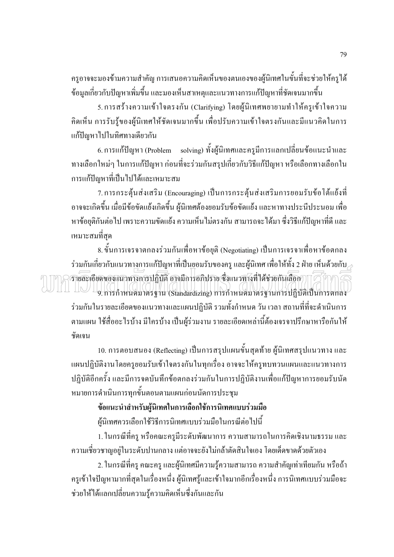้ ครูอาจจะมองข้ามความสำคัญ การเสนอความคิดเห็นของตนเองของผู้นิเทศในขั้นที่จะช่วยให้ครูได้ ี ข้อมูลเกี่ยวกับปัญหาเพิ่มขึ้น และมองเห็นสาเหตุและแนวทางการแก้ปัญหาที่ชัดเจนมากขึ้น

5. การสร้างความเข้าใจตรงกัน (Clarifying) โดยผู้นิเทศพยายามทำให้ครูเข้าใจความ ้คิดเห็น การรับรู้ของผู้นิเทศให้ชัดเจนมากขึ้น เพื่อปรับความเข้าใจตรงกันและมีแนวคิดในการ แก้ปัญหาไปในทิศทางเดียวกัน

6. การแก้ปัญหา (Problem solving) ทั้งผู้นิเทศและครูมีการแลกเปลี่ยนข้อแนะนำและ ี ทางเลือกใหม่ๆ ในการแก้ปัญหา ก่อนที่จะร่วมกันสรุปเกี่ยวกับวิธีแก้ปัญหา หรือเลือกทางเลือกใน การแก้ปัญหาที่เป็นไปได้และเหมาะสม

7. การกระตุ้นส่งเสริม (Encouraging) เป็นการกระตุ้นส่งเสริมการยอมรับข้อโต้แย้งที่ ้อาจจะเกิดขึ้น เมื่อมีข้อขัดแย้งเกิดขึ้น ผ้นิเทศต้องยอมรับข้อขัดแย้ง และหาทางประนีประนอม เพื่อ หาข้อยติกันต่อไป เพราะความขัดแย้ง ความเห็นไม่ตรงกัน สามารถจะได้มา ซึ่งวิธีแก้ปัญหาที่ดี และ เหมาะสมที่สด

8. ขั้นการเจรจาตกลงร่วมกันเพื่อหาข้อยุติ (Negotiating) เป็นการเจรจาเพื่อหาข้อตกลง ร่วมกันเกี่ยวกับแนวทางการแก้ปัญหาที่เป็นยอมรับของครู และผู้นิเทศ เพื่อให้ทั้ง 2 ฝ่าย เห็นด้วยกับ $\geq$  $\widehat{\sigma}$ ายละเอียดของแนวทางการปฏิบัติ อาจมีการอภิปราย ซึ่งแนวทางที่ได้ช่วยกันเลือก $\eta$  TT  $\widehat{\sigma}$  T 9. การกำหนดมาตรฐาน (Standardizing) การกำหนดมาตรฐานการปฏิบัติเป็นการตกลง ร่วมกันในรายละเอียดของแนวทางและแผนปฏิบัติ รวมทั้งกำหนด วัน เวลา สถานที่ที่จะดำเนินการ ิตามแผน ใช้สื่ออะไรบ้าง มีใครบ้าง เป็นผู้ร่วมงาน รายละเอียดเหล่านี้ต้องเจรจาปรึกษาหารือกันให้ ชัดเจน

10. การตอบสนอง (Reflecting) เป็นการสรุปแผนขั้นสุดท้าย ผู้นิเทศสรุปแนวทาง และ ้แผนปฏิบัติงานโดยครูยอมรับเข้าใจตรงกันในทุกเรื่อง อาจจะให้ครูทบทวนแผนและแนวทางการ ปฏิบัติอีกครั้ง และมีการจดบันทึกข้อตกลงร่วมกันในการปฏิบัติงานเพื่อแก้ปัญหาการยอมรับนัด หมายการคำเนินการทุกขั้นตอนตามแผนก่อนนัคการประชุม

#### ข้อแนะนำสำหรับผู้นิเทศในการเลือกใช้การนิเทศแบบร่วมมือ

ผู้นิเทศควรเลือกใช้วิธีการนิเทศแบบร่วมมือในกรณีต่อไปนี้

1. ในกรณีที่ครู หรือคณะครูมีระดับพัฒนาการ ความสามารถในการคิดเชิงนามธรรม และ ้ ความเชี่ยวชาญอยู่ในระดับปานกลาง แต่อาจจะยังไม่กล้าตัดสินใจเอง โดยเด็ดขาดด้วยตัวเอง

่ 2. ในกรณีที่ครู คณะครู และผู้นิเทศมีความรู้ความสามารถ ความสำคัญเท่าเทียมกัน หรือถ้า ้ ครูเข้าใจปัญหามากที่สุดในเรื่องหนึ่ง ผู้นิเทศรู้และเข้าใจมากอีกเรื่องหนึ่ง การนิเทศแบบร่วมมือจะ ช่วยให้ได้แลกเปลี่ยนความรู้ความคิดเห็นซึ่งกันและกัน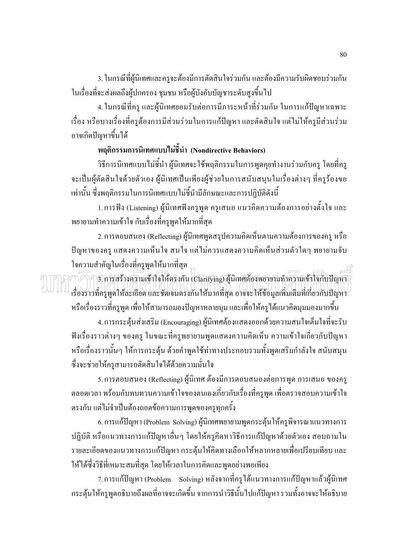3. ในกรณีที่ผู้นิเทศและครูจะต้องมีการตัดสินใจร่วมกัน และต้องมีความรับผิดชอบร่วมกัน ในเรื่องที่จะส่งผลถึงผู้ปกครอง ชุมชน หรือผู้บังคับบัญชาระดับสูงขึ้นไป

4. ในกรณีที่ครู และผู้นิเทศขอมรับต่อการมีภาระหน้าที่ร่วมกัน ในการแก้ปัญหาเฉพาะ ้เรื่อง หรือบางเรื่องที่ครูต้องการมีส่วนร่วมในการแก้ปัญหา และตัดสินใจ แต่ไม่ให้ครูมีส่วนร่วม อาจเกิดปัญหาขึ้นได้

#### พฤติกรรมการนิเทศแบบไม่ขึ้นำ (Nondirective Behaviors)

้วิธีการนิเทศแบบไม่ชี้นำ ผู้นิเทศจะใช้พฤติกรรมในการพูดคุยทำงานร่วมกับครู โดยที่ครู ้จะเป็นผู้ตัดสินใจด้วยตัวเอง ผู้นิเทศเป็นเพียงผู้ช่วยในการสนับสนุนในเรื่องต่างๆ ที่ครูร้องขอ เท่านั้น ซึ่งพฤติกรรมในการนิเทศแบบไม่ชี้นำมีลักษณะและการปฏิบัติดังนี้

1. การฟัง (Listening) ผู้นิเทศฟังครพด ครเสนอ แนวคิดความต้องการอย่างตั้งใจ และ ี พยายามทำความเข้าใจ กับเรื่องที่ครูพูดให้มากที่สุด

2. การตอบสนอง (Reflecting) ผู้นิเทศพูดสรุปความคิดเห็นตามความต้องการของครุ หรือ ้ปัญหาของครุ แสดงความเห็นใจ สนใจ แต่ไม่ควรแสดงความคิดเห็นส่วนตัวใดๆ พยายามจับ ใจความสำคัญในเรื่องที่ครูพูดให้มากที่สุด

3.การสร้างความเข้าใจให้ตรงกัน (Clarifying) ผู้นิเทศต้องพยายามทำความเข้าใจกับปัญหา เรื่องราวที่ครูพูดให้ละเอียด และชัดเจนตรงกันให้มากที่สุด อาจจะให้ข้อมูลเพิ่มเติมที่เกี่ยวกับปัญหา หรือเรื่องราวที่ครูพูด เพื่อให้สามารถมองปัญหาหลายมุม และเพื่อให้ครูได้แนวคิดมุมมองมากขึ้น

4. การกระตุ้นส่งเสริม (Encouraging) ผู้นิเทศต้องแสดงออกด้วยความสนใจเต็มใจที่จะรับ ้ ฟังเรื่องราวต่างๆ ของครู ในขณะที่ครูพยายามพูดแสดงความคิดเห็น ความเข้าใจเกี่ยวกับปัญหา หรือเรื่องราวนั้นๆ ให้การกระตุ้น ด้วยคำพูดใช้ท่าทางประกอบรวมทั้งพูดเสริมกำลังใจ สนับสนุน ซึ่งจะช่วยให้ครูสามารถตัดสินใจได้ด้วยความมั่นใจ

5. การตอบสนอง (Reflecting) ผู้นิเทศ ต้องมีการตอบสนองต่อการพูด การเสนอ ของครู ี ตลอดเวลา พร้อมกับทบทวนความเข้าใจของตนเองเกี่ยวกับเรื่องที่ครูพูด เพื่อตรวจสอบความเข้าใจ ิตรงกัน แต่ไม่จำเป็นต้องถอดข้อความการพูดของครูทุกครั้ง

6. การแก้ปัญหา (Problem Solving) ผู้นิเทศพยายามพูดกระตุ้นให้ครูพิจารณาแนวทางการ ปฏิบัติ หรือแนวทางการแก้ปัญหาอื่นๆ โดยให้ครูคิดหาวิธีการแก้ปัญหาด้วยตัวเอง สอบถามใน รายละเอียดของแนวทางการแก้ปัญหา กระตุ้นให้คิดทางเลือกให้หลากหลายเพื่อเปรียบเทียบ และ ให้ได้ซึ่งวิธีที่เหมาะสมที่สุด โดยให้เวลาในการคิดและพูดอย่างพอเพียง

7. การแก้ปัญหา (Problem - Solving) หลังจากที่ครูได้แนวทางการแก้ปัญหาแล้วผู้นิเทศ ึกระตุ้นให้ครูพูดอธิบายถึงผลที่อาจจะเกิดขึ้น จากการนำวิธีนั้นไปแก้ปัญหา รวมทั้งอาจจะให้อธิบาย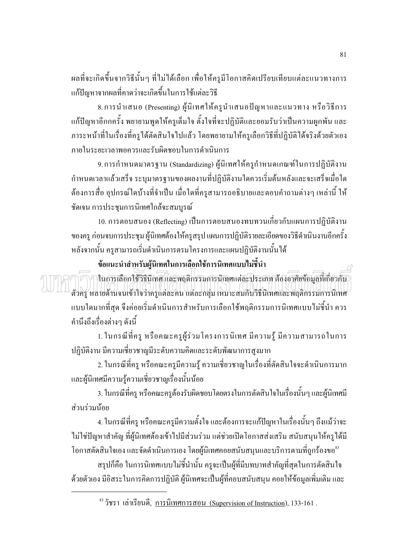ผลที่จะเกิดขึ้นจากวิธีนั้นๆ ที่ไม่ได้เลือก เพื่อให้ครูมีโอกาสคิดเปรียบเทียบแต่ละแนวทางการ แก้ปัญหาจากผลที่คาดว่าจะเกิดขึ้นในการใช้แต่ละวิธี

8. การนำเสนอ (Presenting) ผู้นิเทศให้ครูนำเสนอปัญหาและแนวทาง หรือวิธีการ แก้ปัญหาอีกกครั้ง พยายามพูดให้ครูเต็มใจ ตั้งใจที่จะปฏิบัติและยอมรับว่าเป็นความผูกพัน และ ิภาระหน้าที่ในเรื่องที่ครได้ตัดสินใจไปแล้ว โดยพยายามให้ครเลือกวิธีที่ปฏิบัติได้จริงด้วยตัวเอง ภายในระยะเวลาพอควรและรับผิดหอบในการดำเนินการ

9. การกำหนดมาตรฐาน (Standardizing) ผู้นิเทศให้ครูกำหนดเกณฑ์ในการปฏิบัติงาน ้กำหนดเวลาแล้วเสร็จ ระบุมาตรฐานของผลงานที่ปฏิบัติงานใดควรเริ่มต้นหลังและจะเสร็จเมื่อใด ้ต้องการสื่อ อุปกรณ์ใดบ้างที่จำเป็น เมื่อใดที่ครูสามารถอธิบายและตอบคำถามต่างๆ เหล่านี้ ให้ ชัดเจน การประชมการนิเทศใกล้จะสมบรณ์

10. การตอบสนอง (Reflecting) เป็นการตอบสนองทบทวนเกี่ยวกับแผนการปฏิบัติงาน ี ของครู ก่อนจบการประชุม ผู้นิเทศต้องให้ครูสรุป แผนการปฏิบัติรายละเอียดของวิธีดำเนินงานอีกครั้ง ี หลังจากนั้น ครูสามารถเริ่มดำเนินการตรมโครงการและแผนปฏิบัติงานนั้นได้

ข้อแนะนำสำหรับผ้นิเทศในการเลือกใช้การนิเทศแบบไม่ชี้นำ

)<br>ในการเลือกใช้วิธีนิเทศ และพฤติกรรมการนิเทศแต่ละประเภท ต้องอาศัยข้อมูลที่เกี่ยวกับ ตัวครู หลายด้านจนเข้าใจว่าครูแต่ละคน แต่ละกลุ่ม เหมาะสมกับวิธีนิเทศและพฤติกรรมการนิเทศ ี แบบใคมากที่สุด จึงค่อยเริ่มดำเนินการสำหรับการเลือกใช้พฤติกรรมการนิเทศแบบไม่ชี้นำ ควร ้คำนึงถึงเรื่องต่างๆ ดังนี้

1. ในกรณีที่ครู หรือคณะครูผู้ร่วมโครงการนิเทศ มีความรู้ มีความสามารถในการ ปฏิบัติงาน มีความเชี่ยวชาญมีระดับความคิดและระดับพัฒนาการสูงมาก

2. ในกรณีที่ครู หรือคณะครูมีความรู้ ความเชี่ยวชาญในเรื่องที่ตัดสินใจจะดำเนินการมาก และผู้นิเทศมีความรู้ความเชี่ยวชาญเรื่องนั้นน้อย

่ 3. ในกรณีที่ครู หรือคณะครูต้องรับผิดชอบโดยตรงในการตัดสินใจในเรื่องนั้นๆ และผู้นิเทศมี ส่วนร่วมน้อย

4. ในกรณีที่ครู หรือคณะครูมีความตั้งใจ และต้องการจะแก้ปัญหาในเรื่องนั้นๆ ถึงแม้ว่าจะ ใม่ใช่ปัญหาสำคัญ ที่ผู้นิเทศต้องเข้าไปมีส่วนร่วม แต่ช่วยเปิดโอกาสส่งเสริม สนับสนุนให้ครูได้มี โอกาสตัดสินใจเอง และจัดดำเนินการเอง โดยผู้นิเทศคอยสนับสนุนและบริการตามที่ถูกร้องขอ $^{\mathrm{83}}$ 

สรุปก็คือ ในการนิเทศแบบไม่ชี้นำนั้น ครูจะเป็นผู้ที่มีบทบาทสำคัญที่สุดในการตัดสินใจ ้ ค้วยตัวเอง มีอิสระในการคิดการปฏิบัติ ผู้นิเทศจะเป็นผู้ที่คอบสนับสนุน คอยให้ข้อมูลเพิ่มเติม และ

 $\stackrel{\text{\tiny 83}}{ }$ วัชรา เล่าเรียนดี, <u>การนิเทศการสอน (Supervision of Instruction</u>), 133-161 .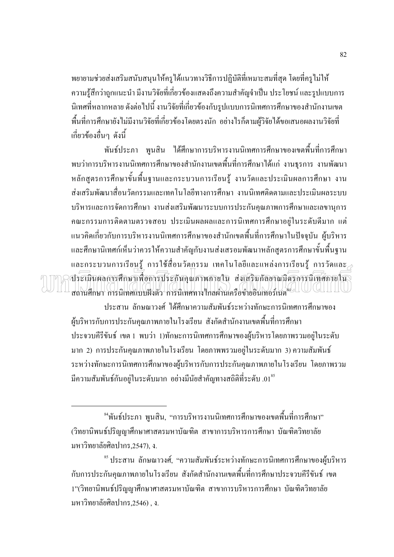ี พยายามช่วยส่งเสริมสนับสนุนให้ครูได้แนวทางวิธีการปฏิบัติที่เหมาะสมที่สุด โดยที่ครูไม่ให้ ่ ความรู้สึกว่าถูกแนะนำ มีงานวิจัยที่เกี่ยวข้องแสดงถึงความสำคัญจำเป็น ประ โยชน์ และรูปแบบการ นิเทศที่หลากหลาย ดังต่อไปนี้ งานวิจัยที่เกี่ยวข้องกับรูปแบบการนิเทศการศึกษาของสำนักงานเขต ้พื้นที่การศึกษายังไม่มีงานวิจัยที่เกี่ยวข้องโดยตรงนัก อย่างไรก็ตามผู้วิจัยได้ขอเสนอผลงานวิจัยที่ ้เกี่ยวข้องอื่นๆ ดังนี้

พันธ์ประภา พูนสิน ได้ศึกษาการบริหารงานนิเทศการศึกษาของเขตพื้นที่การศึกษา ี พบว่าการบริหารงานนิเทศการศึกษาของสำนักงานเขตพื้นที่การศึกษาได้แก่ งานธุรการ งานพัฒนา หลักสูตรการศึกษาขั้นพื้นฐานและกระบวนการเรียนรู้ งานวัดและประเมินผลการศึกษา งาน ้ ส่งเสริมพัฒนาสื่อนวัตกรรมและเทคโนโลยีทางการศึกษา งานนิเทศติดตามและประเมินผลระบบ บริหารและการจัดการศึกษา งานส่งเสริมพัฒนาระบบการประกันคุณภาพการศึกษาและเลขานุการ ึคณะกรรมการติดตามตรวจสอบ ประเมินผลผลและการนิเทศการศึกษาอยู่ในระดับดีมาก แต่ ี แนวคิดเกี่ยวกับการบริหารงานนิเทศการศึกษาของสำนักเขตพื้นที่การศึกษาในปัจจบัน ผ้บริหาร และศึกษานิเทศก์เห็นว่าควรให้ความสำคัญกับงานส่งเสรอมพัฒนาหลักสูตรการศึกษาขั้นพื้นฐาน และกระบวนการเรีย<u>นรู้</u> การใช้สื่อนวัต<u>ก</u>รรม เทคโนโลยีและแหล่งการเรียนรู้ การวัดและ<sub>2</sub> ประเมินผลการศึกษาเพื่อการประกันคณภาพภายใน ส่งเสริมกัลยาณมิศรการนิเทศภายใน สถานศึกษา การนิเทศแบบฝังตัว การนิเทศทางใกลผ่านเครือข่ายอินเทอร์เนต \*4 | | | | | | | | | | |

ประสาน ลักษณาวงศ์ ได้ศึกษาความสัมพันธ์ระหว่างทักษะการนิเทศการศึกษาของ ผู้บริหารกับการประกันคุณภาพภายในโรงเรียน สังกัดสำนักงานเขตพื้นที่การศึกษา ประจวบคีรีขันธ์ เขต 1 พบว่า 1)ทักษะการนิเทศการศึกษาของผู้บริหารโดยภาพรวมอยู่ในระดับ มาก 2) การประกันคุณภาพภายในโรงเรียน โดยภาพพรวมอยู่ในระดับมาก 3)ความสัมพันธ์ ระหว่างทักษะการนิเทศการศึกษาของผู้บริหารกับการประกันคุณภาพภายในโรงเรียน โดยภาพรวม มีความสัมพันธ์กันอย่ในระดับมาก อย่างมีนัยสำคัญทางสถิติที่ระดับ .01 $^{\mathrm{ss}}$ 

<sup>85</sup> ประสาน ลักษณาวงศ์, "ความสัมพันธ์ระหว่างทักษะการนิเทศการศึกษาของผ้บริหาร ้กับการประกันคุณภาพภายในโรงเรียน สังกัดสำนักงานเขตพื้นที่การศึกษาประจวบคีรีขันธ์ เขต 1"(วิทยานิพนธ์ปริญญาศึกษาศาสตรมหาบัณฑิต สาขาการบริหารการศึกษา บัณฑิตวิทยาลัย มหาวิทยาลัยศิลปากร.2546). ง.

<sup>&</sup>lt;sup>84</sup>พันธ์ประภา พนสิน, "การบริหารงานนิเทศการศึกษาของเขตพื้นที่การศึกษา" (วิทยานิพนธ์ปริญญาศึกษาศาสตรมหาบัณฑิต สาขาการบริหารการศึกษา บัณฑิตวิทยาลัย มหาวิทยาลัยศิลปากร.2547). ง.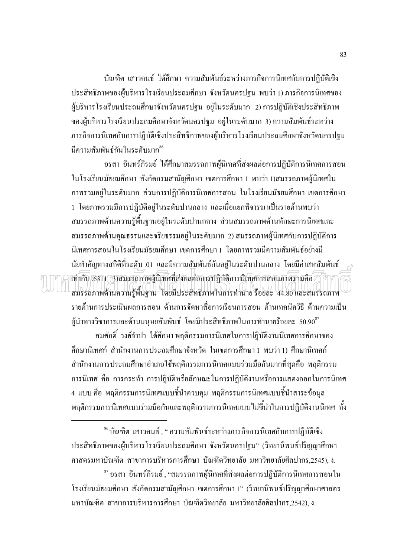้บัณฑิต เสาวคนธ์ ได้ศึกษา ความสัมพันธ์ระหว่างภารกิจการนิเทศกับการปฏิบัติเชิง ประสิทธิภาพของผู้บริหารโรงเรียนประถมศึกษา จังหวัดนครปฐม พบว่า 1) ภารกิจการนิเทศของ ผู้บริหารโรงเรียนประถมศึกษาจังหวัดนครปฐม อยู่ในระดับมาก 2)การปฏิบัติเชิงประสิทธิภาพ ของผู้บริหารโรงเรียนประถมศึกษาจังหวัดนครปฐม อยู่ในระดับมาก 3) ความสัมพันธ์ระหว่าง ภารกิจการนิเทศกับการปฏิบัติเชิงประสิทธิภาพของผ้บริหารโรงเรียนประถมศึกษาจังหวัดนครปฐม มีความสัมพันธ์กันในระดับมาก $^{\rm 86}$ 

ี อรสา อินทร์ภิรมย์ ได้ศึกษาสมรรถภาพผู้นิเทศที่ส่งผลต่อการปฏิบัติการนิเทศการสอน ในโรงเรียนมัธยมศึกษา สังกัดกรมสามัญศึกษา เขตการศึกษา 1 พบว่า 1)สมรรถภาพผู้นิเทศใน ้ภาพรวมอย่ในระดับมาก ส่วนการปฏิบัติการนิเทศการสอน ในโรงเรียนมัธยมศึกษา เขตการศึกษา 1 โดยภาพรวมมีการปฏิบัติอยู่ในระดับปานกลาง และเมื่อแยกพิจารณาเป็นรายด้านพบว่า สมรรถภาพด้านความรู้พื้นฐานอยู่ในระดับปานกลาง ส่วนสมรรถภาพด้านทักษะการนิเทศและ ี่ สมรรถภาพด้านคุณธรรมและจริยธรรมอยู่ในระดับมาก 2) สมรรถภาพผู้นิเทศกับการปฏิบัติการ นิเทศการสอนในโรงเรียนมัธยมศึกษา เขตการศึกษา 1 โดยภาพรวมมีความสัมพันธ์อย่างมี ินัยสำคัญทางสถิติที่ระดับ .01 และมีความสัมพันธ์กันอย่ในระดับปานกลาง โดยมีค่าสหสัมพันธ์ ี่ เท่ากับ 6311 (3)สมรรถภาพผู้นิเทศที่ส่งผลต่อการปฏิบัติการนิเทศการสอนภาพรวมลือ สมรรถภาพด้านความรู้พื้นฐาน โดยมีประสิทธิภาพในการทำนาย ร้อยละ 44.80 และสมรรถภาพ รายด้านการประเมินผลการสอน ด้านการจัดหาสื่อการเรียนการสอน ด้านเทคนิควิธี ด้านความเป็น ผู้นำทางวิชาการและด้านมนุษยสัมพันธ์ โดยมีประสิทธิภาพในการทำนายร้อยละ 50.90 $^{\mathrm{s}\mathrm{7}}$ 

สมศักดิ์ วงศ์จำปา ได้ศึกษา พฤติกรรมการนิเทศในการปฏิบัติงานนิเทศการศึกษาของ ์ศึกษานิเทศก์ สำนักงานการประถมศึกษาจังหวัด ในเขตการศึกษา 1 พบว่า 1) ศึกษานิเทศก์ ี สำนักงานการประถมศึกษาอำเภอใช้พฤติกรรมการนิเทศแบบร่วมมือกันมากที่สดคือ พฤติกรรม ึการนิเทศ คือ การกระทำ การปฏิบัติหรือลักษณะในการปฏิบัติงานหรือการแสดงออกในการนิเทศ ่ 4 แบบ คือ พฤติกรรมการนิเทศแบบชื้นำควบคุม พฤติกรรมการนิเทศแบบชื้นำสาระข้อมูล ี พฤติกรรมการนิเทศแบบร่วมมือกันและพฤติกรรมการนิเทศแบบไม่ชี้นำในการปฏิบัติงานนิเทศ ทั้ง

์<sup>86</sup>บัณฑิต เสาวคนธ์ , " ความสัมพันธ์ระหว่างภารกิจการนิเทศกับการปฏิบัติเชิง ประสิทธิภาพของผู้บริหารโรงเรียนประถมศึกษา จังหวัดนครปฐม" (วิทยานิพนธ์ปริญญาศึกษา ิศาสตรมหาบัณฑิต สาขาการบริหารการศึกษา บัณฑิตวิทยาลัย มหาวิทยาลัยศิลปากร.2545). ง.

<sup>87</sup> อรสา อินทร์ภิรมย์ , "สมรรถภาพผู้นิเทศที่ส่งผลต่อการปฏิบัติการนิเทศการสอนใน โรงเรียนมัธยมศึกษา สังกัดกรมสามัญศึกษา เขตการศึกษา 1" (วิทยานิพนธ์ปริญญาศึกษาศาสตร ้ มหาบัณฑิต สาขาการบริหารการศึกษา บัณฑิตวิทยาลัย มหาวิทยาลัยศิลปากร.2542). ง.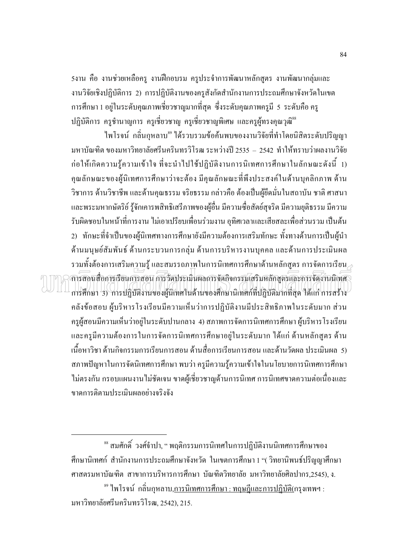5งาน คือ งานช่วยเหลือครู งานฝึกอบรม ครูประจำการพัฒนาหลักสูตร งานพัฒนากลุ่มและ งานวิจัยเชิงปฏิบัติการ 2) การปฏิบัติงานของครูสังกัดสำนักงานการประถมศึกษาจังหวัดในเขต ึการศึกษา 1 อยู่ในระดับคุณภาพเชี่ยวชาญมากที่สุด ซึ่งระดับคุณภาพครูมี 5 ระดับคือ ครู ี ปฏิบัติการ ครูชำนาญการ ครูเชี่ยวชาญ ครูเชี่ยวชาญพิเศษ และครูผู้ทรงคุณวุฒิ<sup>รร</sup>

ใพโรจน์ กลิ่นกหลาบ\* ใค้รวบรวมข้อค้นพบของงานวิจัยที่ทำโดยนิสิตระดับปริณณา ้มหาบัณฑิต ของมหาวิทยาลัยศรีนครินทรวิโรฒ ระหว่างปี 2535 – 2542 ทำให้ทราบว่าผลงานวิจัย ้ก่อให้เกิดความรู้ความเข้าใจ ที่จะนำไปใช้ปฏิบัติงานการนิเทศการศึกษาในลักษณะดังนี้ 1) ้คุณลักษณะของผู้นิเทศการศึกษาว่าจะต้อง มีคุณลักษณะที่พึงประสงค์ในด้านบุคลิกภาพ ด้าน ้วิชาการ ด้านวิชาชีพ และด้านคณธรรม จริยธรรม กล่าวคือ ต้องเป็นผ้ยึดมั่นในสถาบัน ชาติ ศาสนา และพระมหากษัตริย์ รู้จักเคารพสิทธิเสรีภาพของผู้อื่น มีความซื่อสัตย์สุจริต มีความยุติธรรม มีความ ้รับผิดชอบในหน้าที่การงาน ไม่เอาเปรียบเพื่อนร่วมงาน อทิศเวลาและเสียสละเพื่อส่วนรวม เป็นต้น ่ 2) ทักษะที่จำเป็นของผ้นิเทศทางการศึกษายังมีความต้องการเสริมทักษะ ทั้งทางด้านการเป็นผ้นำ ้ด้านมนุษย์สัมพันธ์ ด้านกระบวนการกลุ่ม ด้านการบริหารงานบุคคล และด้านการประเมินผล รวมทั้งต้องการเสริมความรู้ และสมรรถภาพในการนิเทศการศึกษาด้านหลักสูตร การจัดการเรียน $_{\geq}$ การสอนสื่อการเรียนการสอน การวัดประเมินผลการจัดกิจกรรมเสริมหลักสตรและการจัดงานนิเทศ การศึกษา 3) การปฏิบัติงานของผู้นิเทศในด้านของศึกษานิเทศก์ที่ปฏิบัติมากที่สุด ได้แก่ การสร้าง ้คลังข้อสอบ ผู้บริหารโรงเรียนมีความเห็นว่าการปฏิบัติงานมีประสิทธิภาพในระดับมาก ส่วน ครูผู้สอนมีความเห็นว่าอยู่ในระดับปานกลาง 4) สภาพการจัดการนิเทศการศึกษา ผู้บริหาร โรงเรียน และครูมีความต้องการในการจัดการนิเทศการศึกษาอยู่ในระดับมาก ได้แก่ ด้านหลักสูตร ด้าน ้ เนื้อหาวิชา ด้านกิจกรรมการเรียนการสอน ด้านสื่อการเรียนการสอน และด้านวัดผล ประเมินผล 5) ิสภาพปัญหาในการจัดนิเทศการศึกษา พบว่า ครูมีความรู้ความเข้าใจในนโยบายการนิเทศการศึกษา ไม่ตรงกัน กรอบแผนงานไม่ชัดเจน ขาดผู้เชี่ยวชาญด้านการนิเทศ การนิเทศขาดความต่อเนื่องและ ขาดการติตามประเมินผลอย่างจริงจัง

<sup>&</sup>lt;sup>88</sup> สมศักดิ์ วงศ์จำปา, " พฤติกรรมการนิเทศในการปฏิบัติงานนิเทศการศึกษาของ ์ ศึกษานิเทศก์ สำนักงานการประถมศึกษาจังหวัด ในเขตการศึกษา 1 "( วิทยานิพนธ์ปริญญาศึกษา ิศาสตรมหาบัณฑิต สาขาการบริหารการศึกษา บัณฑิตวิทยาลัย มหาวิทยาลัยศิลปากร.2545). ง.

<sup>&</sup>lt;sup>89</sup> ใพโรจน์ กลิ่นกุหลาบ<u>,การนิเทศการศึกษา : ทฤษฎีและการปฏิบัติ(</u>กรุงเทพฯ : ้มหาวิทยาลัยศรีนครินทรวิโรฒ, 2542), 215.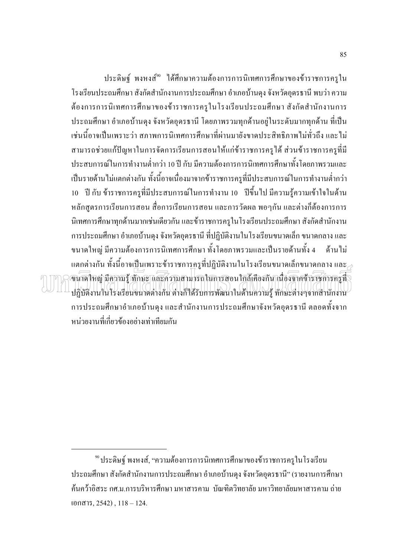ประดิษฐ์ พงหงส์" ใด้ศึกษาความต้องการการนิเทศการศึกษาของข้าราชการครูใน โรงเรียนประถมศึกษา สังกัดสำนักงานการประถมศึกษา อำเภอบ้านดุง จังหวัดอุดรธานี พบว่า ความ ้ต้องการการนิเทศการศึกษาของข้าราชการครูในโรงเรียนประถมศึกษา สังกัดสำนักงานการ ี ประถมศึกษา อำเภอบ้านคุง จังหวัดอุครธานี โดยภาพรวมทุกด้านอยู่ในระดับมากทุกด้าน ที่เป็น ้เช่นนี้อาจเป็นเพราะว่า สภาพการนิเทศการศึกษาที่ผ่านมายังขาดประสิทธิภาพไม่ทั่วถึง และไม่ สามารถช่วยแก้ปัญหาในการจัดการเรียนการสอนให้แก่ข้าราชการครูได้ ส่วนข้าราชการครูที่มี ประสบการณ์ในการทำงานต่ำกว่า 10 ปี กับ มีความต้องการการนิเทศการศึกษาทั้งโดยภาพรวมและ เป็นรายด้านไม่แตกต่างกัน ทั้งนี้อาจเนื่องมาจากข้าราชการครูที่มีประสบการณ์ในการทำงานต่ำกว่า 10 ปี กับ ข้าราชการครูที่มีประสบการณ์ในการทำงาน 10 ปีจึ้นไป มีความรู้ความเข้าใจในด้าน หลักสูตรการเรียนการสอน สื่อการเรียนการสอน และการวัดผล พอๆกัน และต่างก็ต้องการการ ้นิเทศการศึกษาทกด้านมากเช่นเดียวกัน และข้าราชการครในโรงเรียนประถมศึกษา สังกัดสำนักงาน ้การประถมศึกษา อำเภอบ้านคง จังหวัดอครธานี ที่ปฏิบัติงานในโรงเรียนขนาดเล็ก ขนาดกลาง และ ี ขนาดใหญ่ มีความต้องการการนิเทศการศึกษา ทั้งโดยภาพรวมและเป็นรายด้านทั้ง 4 ด้านไม่ แตกต่างกัน ทั้งนี้อาจเป็นเพราะข้าราชการครูที่ปฏิบัติงานในโรงเรียนขนาดเล็กขนาดกลาง และ $_\geq$ ้จนาคใหญ่ มีความรู้ ทักษะ และความสามารถในการสอนใกล้เคียงกัน เนื่องจากข้าราชการครูที่ ปฏิบัติงานในโรงเรียนขนาดต่างกัน ต่างก็ได้รับการพัฒนาในด้านความรู้ ทักษะต่างๆจากสำนักงาน ึการประถมศึกษาอำเภอบ้านคุง และสำนักงานการประถมศึกษาจังหวัดอุครธานี ตลอคทั้งจาก หน่วยงานที่เกี่ยวข้องอย่างเท่าเทียมกัน

<sup>&</sup>lt;sup>90</sup>ประดิษฐ์ พงหงส์, "ความต้องการการนิเทศการศึกษาของข้าราชการครในโรงเรียน ประถมศึกษา สังกัดสำนักงานการประถมศึกษา อำเภอบ้านคุง จังหวัดอุดรธานี" (รายงานการศึกษา ้ค้นคว้าอิสระ กศ.ม.การบริหารศึกษา มหาสารคาม บัณฑิตวิทยาลัย มหาวิทยาลัยมหาสารคาม ถ่าย เอกสาร. 2542).  $118 - 124$ .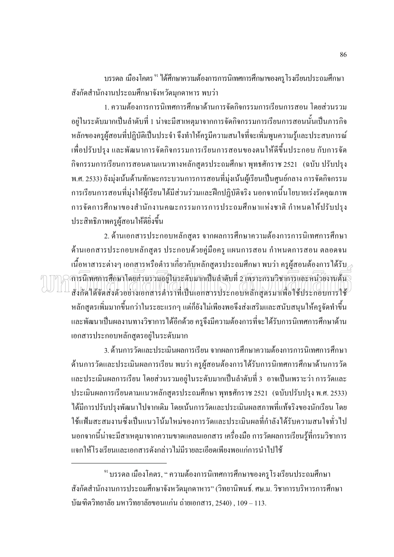ิบรรดล เมืองโคตร<sup>ุงเ</sup> ได้ศึกษาความต้องการการนิเทศการศึกษาของครูโรงเรียนประถมศึกษา สังกัดสำนักงานประถมศึกษาจังหวัดมุกดาหาร พบว่า

1. ความต้องการการนิเทศการศึกษาด้านการจัดกิจกรรมการเรียนการสอน โดยส่วนรวม ้อยู่ในระดับมากเป็นลำดับที่ 1 น่าจะมีสาเหตุมาจากการจัดกิจกรรมการเรียนการสอนนั้นเป็นภารกิจ หลักของครูผู้สอนที่ปฏิบัติเป็นประจำ จึงทำให้ครูมีความสนใจที่จะเพิ่มพูนความรู้และประสบการณ์ เพื่อปรับปรุง และพัฒนาการจัดกิจกรรมการเรียนการสอนของตนให้ดีขึ้นประกอบ กับการจัด ้กิจกรรมการเรียนการสอนตามแนวทางหลักสูตรประถมศึกษา พุทธศักราช 2521 (ฉบับ ปรับปรุง พ.ศ. 2533) ยังมุ่งเน้นด้านทักษะกระบวนการการสอนที่มุ่งเน้นผู้เรียนเป็นศูนย์กลาง การจัดกิจกรรม การเรียนการสอนที่มุ่งให้ผู้เรียนได้มีส่วนร่วมและฝึกปฏิบัติจริง นอกจากนี้นโยบายเร่งรัดคุณภาพ ึการจัดการศึกษาของสำนักงานคณะกรรมการการประถมศึกษาแห่งชาติ กำหนดให้ปรับปรง ประสิทธิภาพครผ้สอนให้คียิ่งขึ้น

2. ค้านเอกสารประกอบหลักสูตร จากผลการศึกษาความต้องการการนิเทศการศึกษา ้ค้านเอกสารประกอบหลักสูตร ประกอบค้วยคู่มือครู แผนการสอน กำหนดการสอน ตลอคจน เนื้อหาสาระต่างๆ เอกสารหรือตำราเกี่ยวกับหลักสูตรประถมศึกษา พบว่า ครูผู้สอนต้องการได้รับ $_{\geq}$ การนิเทศการศึกษาโดยส่วนรวมอยู่ในระดับมากเป็นสำคับที่ 2 เพราะกรมวิชาการและหน่วยงานต้น สั่งกัดได้จัดส่งตัวอย่างเอกสารตำราที่เป็นเอกสารประกอบหลักสูตรมาเพื่อใช้ประกอบการใช้ หลักสูตรเพิ่มมากขึ้นกว่าในระยะแรกๆ แต่ก็ยังไม่เพียงพอจึงส่งเสริมและสนับสนุนให้ครูจัดทำขึ้น และพัฒนาเป็นผลงานทางวิชาการ ได้อีกด้วย ครูจึงมีความต้องการที่จะ ได้รับการนิเทศการศึกษาด้าน เอกสารประกอบหลักสูตรอยู่ในระดับมาก

3. ด้านการวัดและประเมินผลการเรียน จากผลการศึกษาความต้องการการนิเทศการศึกษา ้ด้านการวัดและประเมินผลการเรียน พบว่า ครูผู้สอนต้องการใด้รับการนิเทศการศึกษาด้านการวัด และประเมินผลการเรียน โดยส่วนรวมอยู่ในระดับมากเป็นลำดับที่ 3 อาจเป็นเพราะว่า การวัดและ ประเมินผลการเรียนตามแนวหลักสูตรประถมศึกษา พุทธศักราช 2521 (ฉบับปรับปรุง พ.ศ. 2533) ได้มีการปรับปรุงพัฒนาไปจากเคิม โดยเน้นการวัดและประเมินผลสภาพที่แท้จริงของนักเรียน โดย ใช้แฟ้มสะสมงานซึ่งเป็นแนวโน้มใหม่ของการวัดและประเมินผลที่กำลังได้รับความสนใจทั่วไป นอกจากนี้น่าจะมีสาเหตุมาจากความขาดแคลนเอกสาร เครื่องมือ การวัดผลการเรียนรู้ที่กรมวิชาการ แจกให้โรงเรียนและเอกสารดังกล่าวไม่มีรายละเอียดเพียงพอแก่การนำไปใช้

<sup>&</sup>lt;sup>91</sup> บรรดล เมืองโคตร, " ความต้องการนิเทศการศึกษาของครูโรงเรียนประถมศึกษา สังกัดสำนักงานการประถมศึกษาจังหวัดมุกดาหาร" (วิทยานิพนธ์. ศษ.ม. วิชาการบริหารการศึกษา บัณฑิตวิทยาลัย มหาวิทยาลัยขอนแก่น ถ่ายเอกสาร. 2540) . 109 – 113.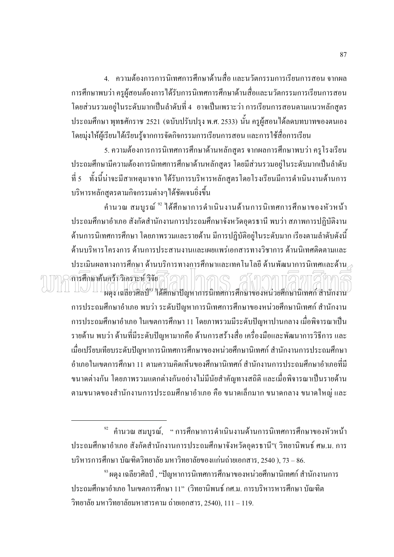4. ความต้องการการนิเทศการศึกษาด้านสื่อ และนวัตกรรมการเรียนการสอน จากผล การศึกษาพบว่า ครูผู้สอนต้องการใด้รับการนิเทศการศึกษาด้านสื่อและนวัตกรรมการเรียนการสอน โดยส่วนรวมอยู่ในระดับมากเป็นลำดับที่ 4 อาจเป็นเพราะว่า การเรียนการสอนตามแนวหลักสูตร ประถมศึกษา พุทธศักราช 2521 (ฉบับปรับปรุง พ.ศ. 2533) นั้น ครูผู้สอนใด้ลดบทบาทของตนเอง โดยมุ่งให้ผู้เรียนได้เรียนรู้งากการจัดกิจกรรมการเรียนการสอน และการใช้สื่อการเรียน

5. ความต้องการการนิเทศการศึกษาด้านหลักสูตร จากผลการศึกษาพบว่า ครูโรงเรียน ประถมศึกษามีความต้องการนิเทศการศึกษาด้านหลักสูตร โดยมีส่วนรวมอยู่ในระดับมากเป็นลำดับ ี่ ที่ 5 ทั้งนี้น่าจะมีสาเหตุมาจาก ได้รับการบริหารหลักสตรโดยโรงเรียนมีการดำเนินงานด้านการ <u>บริหารหลักสตรตามกิจกรรมต่างๆได้ชัดเจนยิ่งขึ้น</u>

้คำนวณ สมบรณ์ <sup>92</sup> ได้ศึกษาการดำเนินงานด้านการนิเทศการศึกษาของหัวหน้า ประถมศึกษาอำเภอ สังกัดสำนักงานการประถมศึกษาจังหวัดอุดรธานี พบว่า สภาพการปฏิบัติงาน ้ด้านการนิเทศการศึกษา โดยภาพรวมและรายด้าน มีการปฏิบัติอย่ในระดับมาก เรียงตามลำดับดังนี้ ด้านบริหารโครงการ ด้านการประสานงานและเผยแพร่เอกสารทางวิชาการ ด้านนิเทศติดตามและ ประเมินผลทางการศึกษา ด้านบริการทางการศึกษาและเทคโนโลยี ด้านพัฒนาการนิเทศและด้าน

mm

การศึกษาค้นคว้าวิเคราะห์ วิจัย

ผดง เฉลี่ยวศิลป์" ใด้ศึกษาปัญหาการนิเทศการศึกษาของหน่วยศึกษานิเทศก์ สำนักงาน ึการประถมศึกษาอำเภอ พบว่า ระดับปัญหาการนิเทศการศึกษาของหน่วยศึกษานิเทศก์ สำนักงาน ้การประถมศึกษาอำเภอ ในเขตการศึกษา 11 โดยภาพรวมมีระดับปัญหาปานกลาง เมื่อพิจารณาเป็น รายด้าน พบว่า ด้านที่มีระดับปัญหามากคือ ด้านการสร้างสื่อ เครื่องมือและพัฒนาการวิธีการ และ ้เมื่อเปรียบเทียบระดับปัญหาการนิเทศการศึกษาของหน่วยศึกษานิเทศก์ สำนักงานการประถมศึกษา ้อำเภอในเขตการศึกษา 11 ตามความคิดเห็นของศึกษานิเทศก์ สำนักงานการประถมศึกษาอำเภอที่มี ี ขนาดต่างกัน โดยภาพรวมแตกต่างกันอย่างไม่มีนัยสำคัญทางสถิติ และเมื่อพิจารณาเป็นรายด้าน ิตามขนาดของสำนักงานการประถมศึกษาอำเภอ คือ ขนาดเล็กมาก ขนาดกลาง ขนาดใหญ่ และ

 $^{92}$  คำนวณ สมบูรณ์, "การศึกษาการดำเนินงานด้านการนิเทศการศึกษาของหัวหน้า ประถมศึกษาอำเภอ สังกัดสำนักงานการประถมศึกษาจังหวัดอุดรธานี"( วิทยานิพนธ์ ศษ.ม. การ ิบริหารการศึกษา บัณฑิตวิทยาลัย มหาวิทยาลัยของแก่นถ่ายเอกสาร, 2540 ), 73 – 86.

<sup>&</sup>lt;sup>93</sup> ผดุง เฉลียวศิลป์ , "ปัญหาการนิเทศการศึกษาของหน่วยศึกษานิเทศก์ สำนักงานการ ประถมศึกษาอำเภอ ในเขตการศึกษา 11" (วิทยานิพนธ์ กศ.ม. การบริหารหารศึกษา บัณฑิต วิทยาลัย มหาวิทยาลัยมหาสารคาม ถ่ายเอกสาร. 2540). 111 – 119.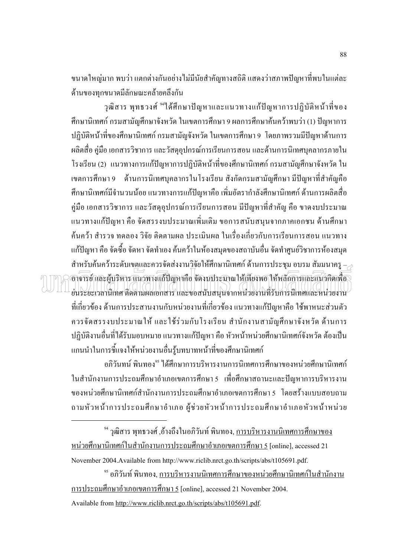ี ขนาดใหญ่มาก พบว่า แตกต่างกันอย่างไม่มีนัยสำคัญทางสถิติ แสดงว่าสภาพปัญหาที่พบในแต่ละ ด้านของทุกขนาดมีลักษณะคล้ายคลึงกัน

วุฒิสาร พุทธวงศ์ <sup>ว4</sup>ได้ศึกษาปัญหาและแนวทางแก้ปัญหาการปฏิบัติหน้าที่ของ ี่ ศึกษานิเทศก์ กรมสามัญศึกษาจังหวัด ในเขตการศึกษา 9 ผลการศึกษาค้นคว้าพบว่า (1) ปัญหาการ ี ปฏิบัติหน้าที่ของศึกษานิเทศก์ กรมสามัญจังหวัด ในเขตการศึกษา 9 โดยภาพรวมมีปัญหาด้านการ ี ผลิตสื่อ คู่มือ เอกสารวิชาการ และวัสคุอุปกรณ์การเรียนการสอน และด้านการนิเทศบุคลากรภายใน โรงเรียน (2) แนวทางการแก้ปัญหาการปฏิบัติหน้าที่ของศึกษานิเทศก์ กรมสามัญศึกษาจังหวัด ใน ้ เขตการศึกษา 9 – ด้านการนิเทศบคลากรในโรงเรียน สังกัดกรมสามัญศึกษา มีปัญหาที่สำคัญคือ ี่ ศึกษานิเทศก์มีจำนวนน้อย แนวทางการแก้ปัญหาคือ เพิ่มอัตรากำลังศึกษานิเทศก์ ด้านการผลิตสื่อ ้คู่มือ เอกสารวิชาการ และวัสคุอุปกรณ์การเรียนการสอน มีปัญหาที่สำคัญ คือ ขาดงบประมาณ แนวทางแก้ปัญหา คือ จัดสรรงบประมาณเพิ่มเติม ขอการสนับสนนจากภาคเอกชน ด้านศึกษา ้ค้นคว้า สำรวจ ทดลอง วิจัย ติดตามผล ประเมินผล ในเรื่องเกี่ยวกับการเรียนการสอน แนวทาง แก้ปัญหา คือ จัดซื้อ จัดหา จัดทำเอง ค้นคว้าในห้องสมุดของสถาบันอื่น จัดทำศูนย์วิชาการห้องสมุด สำหรับค้นคว้าระดับเขตและควรจัดส่งงานวิจัยให้ศึกษานิเทศก์ ด้านการประชุม อบรม สัมมนาครู – $_\geq$ อาจารย์และผู้บริหาร แนวทางแก้ปัญหาคือ จัดงบประมาณให้เพียงพอให้หลักการและแนวคิดเพื่อ ย่นระยะเวลานิเทศ ติดตามผลเอกสาร และขอสนับสนุนจากหน่วยงานที่รับการนิเทศและหน่วยงาน ี่ที่เกี่ยวข้อง ด้านการประสานงานกับหน่วยงานที่เกี่ยวข้อง แนวทางแก้ปัญหาคือ ใช้พาหนะส่วนตัว ควรจัดสรรงบประมาณให้ และใช้ร่วมกับโรงเรียน สำนักงานสามัญศึกษาจังหวัด ด้านการ ปฏิบัติงานอื่นที่ได้รับมอบหมาย แนวทางแก้ปัญหา คือ หัวหน้าหน่วยศึกษานิเทศก์จังหวัด ต้องเป็น ้แกนนำในการชี้แจงให้หน่วยงานอื่นรู้บทบาทหน้าที่ของศึกษานิเทศก์

ือภิวันทน์ พินทอง<sup>ร </sup>ได้ศึกษาการบริหารงานการนิเทศการศึกษาของหน่วยศึกษานิเทศก์ ในสำนักงานการประถมศึกษาอำเภอเขตการศึกษา 5 เพื่อศึกษาสถานะและปัญหาการบริหารงาน ของหน่วยศึกษานิเทศก์สำนักงานการประถมศึกษาอำเภอเขตการศึกษา 5 โดยสร้างแบบสอบถาม ถามหัวหน้าการประถมศึกษาอำเภอ ผู้ช่วยหัวหน้าการประถมศึกษาอำเภอหัวหน้าหน่วย

ั<sup>ว</sup> วุฒิสาร พุทธวงศ์ ,อ้างถึงในอภิวันท์ พินทอง, <u>การบริหารงานนิเทศการศึกษาของ</u> หน่วยศึกษานิเทศก์ในสำนักงานการประถมศึกษาอำเภอเขตการศึกษา 5 [online], accessed 21 November 2004. Available from http://www.riclib.nrct.go.th/scripts/abs/t105691.pdf.

 $\,$ " อภิวันท์ พินทอง, การบริหารงานนิเทศการศึกษาของหน่วยศึกษานิเทศก์ในสำนักงาน การประถมศึกษาอำเภอเขตการศึกษา 5 [online], accessed 21 November 2004. Available from http://www.riclib.nrct.go.th/scripts/abs/t105691.pdf.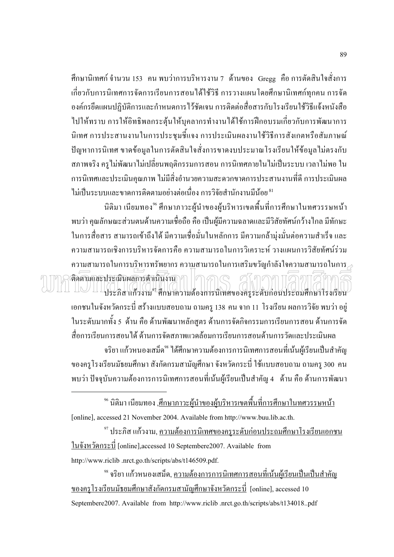์ ศึกษานิเทศก์ จำนวน 153 คน พบว่าการบริหารงาน 7 ด้านของ Gregg คือ การตัดสินใจสั่งการ ้เกี่ยวกับการนิเทศการจัดการเรียนการสอนใด้ใช้วิธี การวางแผนโดยศึกษานิเทศก์ทุกคน การจัด ้องค์กรยึดแผนปฏิบัติการและกำหนดการไว้ชัดเจน การติดต่อสื่อสารกับโรงเรียนใช้วิธีแจ้งหนังสือ ไปให้ทราบ การให้อิทธิพลกระตุ้นให้บุคลากรทำงานใด้ใช้การฝึกอบรมเกี่ยวกับการพัฒนาการ ้นิเทศ การประสานงานในการประชมชี้แจง การประเมินผลงานใช้วิธีการสังเกตหรือสัมภาษณ์ ้ปัญหาการนิเทศ ขาดข้อมูลในการตัดสินใจสั่งการขาดงบประมาณโรงเรียนให้ข้อมูลไม่ตรงกับ ิสภาพจริง ครูไม่พัฒนาไม่เปลี่ยนพฤติกรรมการสอน การนิเทศภายในไม่เป็นระบบ เวลาไม่พอ ใน ้การนิเทศและประเมินคณภาพ ไม่มีสิ่งอำนวยความสะดวกขาดการประสานงานที่ดี การประเมินผล ไม่เป็นระบบและขาดการติดตามอย่างต่อเนื่อง การวิจัยสำนักงานมีน้อย<sup>81</sup>

ี นิติมา เนียมทอง<sup>%</sup> ศึกษาภาวะผ้นำของผ้บริหารเขตพื้นที่การศึกษาในทศวรรษหน้า ี พบว่า คณลักษณะส่วนตนด้านความเชื่อถือ คือ เป็นผู้มีความฉลาดและมีวิสัยทัศน์กว้างไกล มีทักษะ ในการสื่อสาร สามารถเข้าถึงได้ มีความเชื่อมั่นในหลักการ มีความกล้าม่งมั่นต่อความสำเร็จ และ ้ความสามารถเชิงการบริหารจัดการคือ ความสามารถในการวิเคราะห์ วางแผนการวิสัยทัศน์ร่วม ความสามารถในการบริหารทรัพยากร ความสามารถในการเสริมขวัญกำลังใจความสามารถในการ $\mathbb{R}^3$ ติดตามและประเมินผลการดำเนินงาน  $\Box$ ) (Q

ประภิส แก้วงาม" ศึกษาความต้องการนิเทศของครูระดับก่อนประถมศึกษาโรงเรียน ้เอกชนในจังหวัดกระบี่ สร้างแบบสอบถาม ถามครู 138 คน จาก 11 โรงเรียน ผลการวิจัย พบว่า อยู่ ในระดับมากทั้ง 5 ด้าน คือ ด้านพัฒนาหลักสูตร ด้านการจัดกิจกรรมการเรียนการสอน ด้านการจัด ่ สื่อการเรียนการสอนได้ ด้านการจัดสภาพแวดล้อมการเรียนการสอนด้านการวัดและประเมินผล

ึ่งริยา แก้วหนองเสม็ด" ใด้ศึกษาความต้องการการนิเทศการสอนที่เน้นผู้เรียนเป็นสำคัญ ี ของครูโรงเรียนมัธยมศึกษา สังกัดกรมสามัญศึกษา จังหวัดกระบี่ ใช้แบบสอบถาม ถามครู 300 คน ี พบว่า ปัจจุบันความต้องการการนิเทศการสอนที่เน้นผู้เรียนเป็นสำคัญ 4 ด้าน คือ ด้านการพัฒนา

<sup>%</sup> นิติมา เนียมทอง ,ศึกษาภาวะผู้นำของผู้บริหารเขตพื้นที่การศึกษาในทศวรรษหน้า [online], accessed 21 November 2004. Available from http://www.buu.lib.ac.th.

<sup>97</sup> ประภิส แก้วงาม, <u>ความต้องการนิเทศของครระดับก่อนประถมศึกษาโรงเรียนเอกชน</u> ในจังหวัดกระบี่ [online],accessed 10 Septembere2007. Available from http://www.riclib.nrct.go.th/scripts/abs/t146509.pdf.

<sup>98</sup> จริยา แก้วหนองเสม็ด, ความต้องการการนิเทศการสอนที่เน้นผู้เรียนเป็นเป็นสำคัญ ของครู โรงเรียนมัธยมศึกษาสังกัดกรมสามัญศึกษาจังหวัดกระบี่ [online], accessed 10 Septembere2007. Available from http://www.riclib.nrct.go.th/scripts/abs/t134018.pdf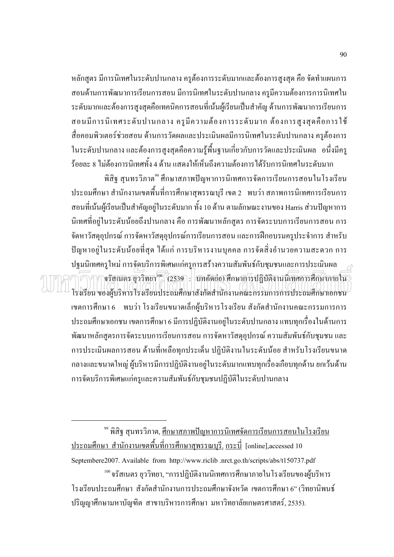หลักสูตร มีการนิเทศในระดับปานกลาง ครูต้องการระดับมากและต้องการสูงสุด คือ จัดทำแผนการ ิสอนด้านการพัฒนาการเรียนการสอน มีการนิเทศในระดับปานกลาง ครูมีความต้องการการนิเทศใน ้ระดับมากและต้องการสูงสุดคือเทคนิคการสอนที่เน้นผู้เรียนเป็นสำคัญ ด้านการพัฒนาการเรียนการ ี่ สอนมีการนิเทศระดับปานกลาง ครูมีความต้องการระดับมาก ต้องการสูงสุดคือการใช้ ้สื่อคอมพิวเตอร์ช่วยสอน ด้านการวัดผลและประเมินผลมีการนิเทศในระดับปานกลาง ครูต้องการ ในระดับปานกลาง และต้องการสูงสุดคือความรู้พื้นฐานเกี่ยวกับการวัดและประเมินผล อนึ่งมีครู ร้อยละ 8 ไม่ต้องการนิเทศทั้ง 4 ด้าน แสดงให้เห็นถึงความต้องการได้รับการนิเทศในระดับมาก

ีพิสิฐ สุนทรวิภาต<sup>?</sup> ศึกษาสภาพปัญหาการนิเทศการจัดการเรียนการสอนในโรงเรียน ี ประถมศึกษา สำนักงานเขตพื้นที่การศึกษาสุพรรณบุรี เขต 2 พบว่า สภาพการนิเทศการเรียนการ ี สอนที่เน้นผู้เรียนเป็นสำคัญอย่ในระดับมาก ทั้ง 10 ด้าน ตามลักษณะงานของ Harris ส่วนปัญหาการ ้นิเทศที่อยู่ในระดับน้อยถึงปานกลาง คือ การพัฒนาหลักสูตร การจัดระบบการเรียนการสอน การ จัดหาวัสดอปกรณ์ การจัดหาวัสดอปกรณ์การเรียนการสอน และการฝึกอบรมครประจำการ สำหรับ ี ปัญหาอยู่ในระดับน้อยที่สุด ได้แก่ การบริหารงานบุคคล การจัดสิ่งอำนวยความสะดวก การ ปฐมนิเทศครูใหม่ การจัดบริการพิเศษแก่ครูการสร้างความสัมพันธ์กับชุมชนและการประเมินผล ิจรัสเนตร ซูววิทยา<sup>100</sup> (2539) : บทคัดย่อ) ศึกษาการปฏิบัติงานนิเทศการศึกษาภายใน โรงเรียน ของผู้บริหารโรงเรียนประถมศึกษาสังกัดสำนักงานคณะกรรมการการประถมศึกษาเอกชน

้เขตการศึกษา 6 พบว่า โรงเรียนขนาดเล็กผู้บริหารโรงเรียน สังกัดสำนักงานคณะกรรมการการ ี ประถมศึกษาเอกชน เขตการศึกษา 6 มีการปฏิบัติงานอยู่ในระดับปานกลาง แทบทุกเรื่องในด้านการ พัฒนาหลักสูตรการจัดระบบการเรียนการสอน การจัดหาวัสดุอุปกรณ์ ความสัมพันธ์กับชุมชน และ ้การประเมินผลการสอน ด้านที่เหลือทุกประเด็น ปฏิบัติงานในระดับน้อย สำหรับโรงเรียนขนาด ้กลางและขนาดใหญ่ ผู้บริหารมีการปฏิบัติงานอยู่ในระดับมากแทบทุกเรื่องเกือบทุกด้าน ยกเว้นด้าน การจัดบริการพิเศษแก่ครูและความสัมพันธ์กับชุมชนปฏิบัติในระดับปานกลาง

ั<sup>"</sup> พิสิจุ สุนทรวิภาต, <u>ศึกษาสภาพปัญหาการนิเทศจัดการเรียนการสอนในโรงเรียน</u> <u>ประถมศึกษา สำนักงานเขตพื้นที่การศึกษาสุพรรณบุรี. กระบี่</u> [online],accessed 10 Septembere2007. Available from http://www.riclib.nrct.go.th/scripts/abs/t150737.pdf

 $^{100}$ จรัสเนตร ยุววิทยา, "การปฏิบัติงานนิเทศการศึกษาภายในโรงเรียนของผู้บริหาร โรงเรียนประถมศึกษา สังกัดสำนักงานการประถมศึกษาจังหวัด เขตการศึกษา 6" (วิทยานิพนธ์ ปริญญาศึกษามหาบัญฑิต สาขาบริหารการศึกษา มหาวิทยาลัยเกษตรศาสตร์. 2535).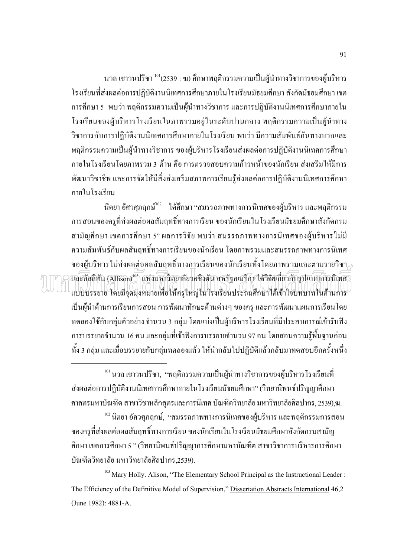ินวล เชาวนปรีชา <sup>101</sup>(2539 : ฆ) ศึกษาพฤติกรรมความเป็นผ้นำทางวิชาการของผ้บริหาร โรงเรียนที่ส่งผลต่อการปฏิบัติงานนิเทศการศึกษาภายในโรงเรียนมัธยมศึกษา สังกัดมัธยมศึกษา เขต ึการศึกษา 5 พบว่า พฤติกรรมความเป็นผู้นำทางวิชาการ และการปฏิบัติงานนิเทศการศึกษาภายใน โรงเรียนของผู้บริหารโรงเรียนในภาพรวมอยู่ในระดับปานกลาง พฤติกรรมความเป็นผู้นำทาง วิชาการกับการปฏิบัติงานนิเทศการศึกษาภายในโรงเรียน พบว่า มีความสัมพันธ์กันทางบวกและ พฤติกรรมความเป็นผู้นำทางวิชาการ ของผู้บริหาร โรงเรียนส่งผลต่อการปฏิบัติงานนิเทศการศึกษา ิภายในโรงเรียนโดยภาพรวม 3 ด้าน คือ การตรวจสอบความก้าวหน้าของนักเรียน ส่งเสริมให้มีการ พัฒนาวิชาชีพ และการจัดให้มีสิ่งส่งเสริมสภาพการเรียนรู้ส่งผลต่อการปฏิบัติงานนิเทศการศึกษา ภายใบโรงเรียบ

ีนิตยา อัศวศุภฤกษ์<sup>แอ </sup>ได้ศึกษา "สมรรถภาพทางการนิเทศของผู้บริหาร และพฤติกรรม ึการสอนของครูที่ส่งผลต่อผลสัมฤทธิ์ทางการเรียน ของนักเรียนในโรงเรียนมัธยมศึกษาสังกัดกรม ิสามัญศึกษา เขตการศึกษา 5" ผลการวิจัย พบว่า สมรรถภาพทางการนิเทศของผ้บริหาร ไม่มี ี ความสัมพันธ์กับผลสัมถทธิ์ทางการเรียนของนักเรียน โดยภาพรวมและสมรรถภาพทางการนิเทศ ของผู้บริหารไม่ส่งผลต่อผลสัมฤทธิ์ทางการเรียนของนักเรียนทั้งโดยภาพรวมและตามรายวิชา $_{\geq}$ และอัลลิสัน (Allison)<sup>103</sup> แห่งมหาวิทยาลัยวอชิงตัน สหรัฐอเมริกา ได้วิจัยเกี่ยวกับรูปแบบการนิเทศ แบบบรรยาย โดยมีจุดมุ่งหมายเพื่อให้ครูใหญ่ในโรงเรียนประถมศึกษาได้เข้าใจบทบาทในด้านการ ้เป็นผู้นำด้านการเรียนการสอน การพัฒนาทักษะด้านต่างๆ ของครู และการพัฒนาแผนการเรียนโดย ทคลองใช้กับกลุ่มตัวอย่าง จำนวน 3 กลุ่ม โดยแบ่งเป็นผู้บริหารโรงเรียนที่มีประสบการณ์เข้ารับฟัง ี การบรรยายจำนวน 16 คน และกลุ่มที่เข้าฟังการบรรยายจำนวน 97 คน โดยสอนความรู้พื้นฐานก่อน ้ทั้ง 3 กลุ่ม และเมื่อบรรยายกับกลุ่มทดลองแล้ว ให้นำกลับไปปฏิบัติแล้วกลับมาทดสอบอีกครั้งหนึ่ง

 $^{102}$  นิตยา อัศวศภฤกษ์, "สมรรถภาพทางการนิเทศของผ้บริหาร และพฤติกรรมการสอน ี ของครูที่ส่งผลต่อผลสัมฤทธิ์ทางการเรียน ของนักเรียนในโรงเรียนมัธยมศึกษาสังกัดกรมสามัญ ้ศึกษา เขตการศึกษา 5 " (วิทยานิพนธ์ปริญญาการศึกษามหาบัณฑิต สาขาวิชาการบริหารการศึกษา ้ำนิฆฑิตวิทยาลัย มหาวิทยาลัยศิลปากร.2539).

<sup>103</sup> Mary Holly. Alison, "The Elementary School Principal as the Instructional Leader: The Efficiency of the Definitive Model of Supervision," Dissertation Abstracts International 46,2 (June 1982): 4881-A.

 $^{101}$ นวล เชาวนปรีชา, "พฤติกรรมความเป็นผ้นำทางวิชาการของผ้บริหารโรงเรียนที่ ส่งผลต่อการปฏิบัติงานนิเทศการศึกษาภายในโรงเรียนมัธยมศึกษา" (วิทยานิพนธ์ปริณณาศึกษา ิศาสตรมหาบัณฑิต สาขาวิชาหลักสูตรและการนิเทศ บัณฑิตวิทยาลัย มหาวิทยาลัยศิลปากร, 2539),ฆ.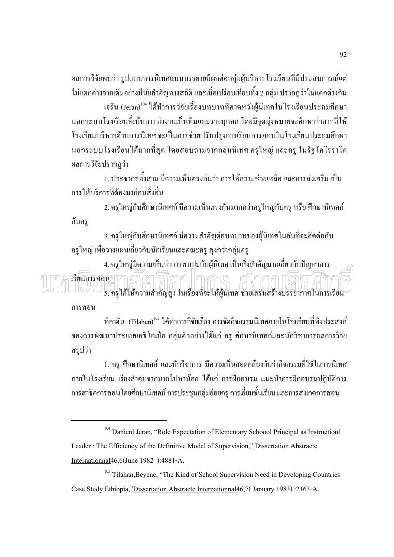ี่ผลการวิจัยพบว่า รูปแบบการนิเทศแบบบรรยายมีผลต่อกล่มผ้บริหารโรงเรียนที่มีประสบการณ์แต่ ไม่แตกต่างจากเดิมอย่างมีนัยสำคัญทางสถิติ และเมื่อเปรียบเทียบทั้ง 2 กลุ่ม ปรากฏว่าไม่แตกต่างกัน

ี เจรัน (Jeran)<sup>104</sup> ได้ทำการวิจัยเรื่องบทบาทที่คาดหวังผู้นิเทศในโรงเรียนประถมศึกษา ินอกระบบโรงเรียนที่เน้นการทำงานเป็นทีมและรายบคคล โดยมีจดม่งหมายจะศึกษาว่าการที่ให้ โรงเรียนบริหารด้านการนิเทศ จะเป็นการช่วยปรับปรุงการเรียนการสอนในโรงเรียนประถมศึกษา ินอกระบบโรงเรียนใค้มากที่สุด โดยสอบถามจากกลุ่มนิเทศ ครูใหญ่ และครู ในรัฐโคโรราโค ผลการวิจัยปรากฏว่า

1. ประชากรทั้งสาม มีความเห็นตรงกันว่า การให้ความช่วยเหลือ และการส่งเสริม เป็น การให้บริการที่ต้องบาก่อบสิ่งอื่น

่ 2. ครูใหญ่กับศึกษานิเทศก์ มีความเห็นตรงกันมากกว่าครูใหญ่กับครู หรือ ศึกษานิเทศก์ กับคร

่ 3. ครใหญ่กับศึกษานิเทศก์ มีความสำคัญต่อบทบาทของผู้นิเทศในอันที่จะติดต่อกับ ้ครูใหญ่ เพื่อวางแผนเกี่ยวกับนักเรียนและคณะครู สูงกว่ากลุ่มครู

่ 4. ครใหญ่มีความเห็นว่าการพบปะกับผ้นิเทศ เป็นสิ่งสำคัญมากเกี่ยวกับปัญหาการ เรียนการสอนก1 5. ครูได้ให้ความสำคัญสูง ในเรื่องที่จะให้ผู้นิเทศ ช่วยเสริมสร้างบรรยากาศในการเรียน

การสอน

ี่ทีลาฮัน (Tilahun)<sup>105</sup> ได้ทำการวิจัยเรื่อง การจัดกิจกรรมนิเทศภายในโรงเรียนที่พึงประสงค์ ของการพัฒนาประเทศเอธิโอเปีย กลุ่มตัวอย่างใด้แก่ ครู ศึกษานิเทศก์และนักวิชาการผลการวิจัย สรุปว่า

1. ครู ศึกษานิเทศก์ และนักวิชาการ มีความเห็นสอดคล้องกันว่ากิจกรรมที่ใช้ในการนิเทศ ิภายในโรงเรียน เรียงลำดับจากมากไปหาน้อย ได้แก่ การฝึกอบรม แนะนำการฝึกอบรมปฏิบัติการ ิการสาธิตการสอนโดยศึกษานิเทศก์ การประชุมกลุ่มย่อยครู การเยี่ยมชั้นเรียน และการสังเกตการสอน

<sup>104</sup> Danienl.Jeran, "Role Expectation of Elementary Schoool Principal as Instructionl Leader: The Efficiency of the Definitive Model of Supervision," Dissertation Abstracto Internationnal46,6(June 1982):4881-A.

<sup>105</sup> Tilahan, Beyenc, "The Kind of School Supervision Need in Developing Countries Case Study Ethiopia,"Dissertation Abstractc Internationnal46,7(January 1983):2163-A.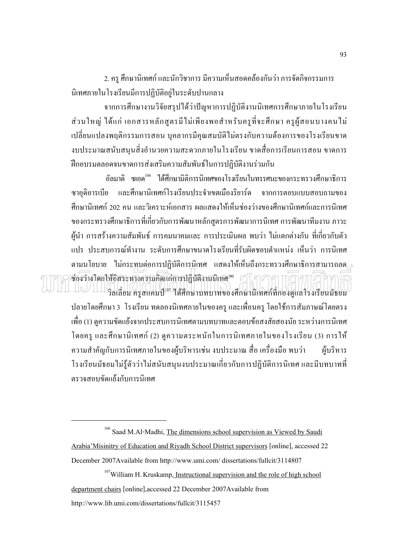2. ครู ศึกษานิเทศก์ และนักวิชาการ มีความเห็นสอดคล้องกันว่า การจัดกิจกรรมการ นิเทศภายในโรงเรียนมีการปฏิบัติอยู่ในระดับปานกลาง

จากการศึกษางานวิจัยสรุปใด้ว่าปัญหาการปฏิบัติงานนิเทศการศึกษาภายในโรงเรียน ้ ส่วนใหญ่ ได้แก่ เอกสารหลักสูตรมีไม่เพียงพอสำหรับครูที่จะศึกษา ครูผู้สอนบางคนไม่ ้ เปลี่ยนแปลงพฤติกรรมการสอน บคลากรมีคณสมบัติไม่ตรงกับความต้องการของโรงเรียนขาด ึ่งบประมาณสนับสนุนสิ่งอำนวยความสะดวกภายในโรงเรียน ขาดสื่อการเรียนการสอน ขาดการ ฝึกอบรมตลอดจนขาดการส่งเสริมความสัมพันธ์ในการปฏิบัติงานร่วมกัน

้อัลมาดิ ซเอค<sup>ูเง</sup> ได้ศึกษามิติการนิเทศของโรงเรียนในทรรศนะของกระทรวงศึกษาธิการ ซาอดิอารเบีย และศึกษานิเทศก์โรงเรียนประจำเขตเมืองริยาร์ด จากการตอบแบบสอบถามของ ์ศึกษานิเทศก์ 202 คน และวิเคราะห์เอกสาร ผลแสดงให้เห็นช่องว่างของศึกษานิเทศก์และการนิเทศ ี ของกระทรวงศึกษาธิการที่เกี่ยวกับการพัฒนาหลักสตรการพัฒนาการนิเทศ การพัฒนาทีมงาน ภาวะ ้ผ้นำ การสร้างความสัมพันธ์ การคมนาคมและ การประเมินผล พบว่า ไม่แตกต่างกัน ที่เกี่ยวกับตัว แปร ประสบการณ์ทำงาน ระดับการศึกษาขนาดโรงเรียนที่รับผิดชอบตำแหน่ง เห็นว่า การนิเทศ ิตามนโยบาย ไม่กระทบต่อการปฏิบัติการนิเทศ แสดงให้เห็นถึงกระทรวงศึกษาธิการสามารถลด $\scriptstyle\mathcal{A}$ ชื่องวิกงโดยให้อิสระทางความคิดแก่การปฏิบัติงานนิเทส<sup>ุงง</sup> วั $\left\{\eta\cap\Pi\right\}$  $\pm\pm\frac{1}{2}$ กเลียม ครูสแคมป์ $^{\rm{107}}$ ฯส์ศึกษาบทบาทของศึกษานิเทศก์ที่กองดูแล โรงเรียนมัธยม ปลายโดยศึกษา 3 โรงเรียน ทดลองนิเทศภายในของครู และเพื่อนครู โดยใช้การสัมภาษณ์โดยตรง ้เพื่อ (1) ดูความขัดแย้งจากประสบการนิเทศตามบทบาทและตอบข้อสงสัยสองนัย ระหว่างการนิเทศ

โดยครู และศึกษานิเทศก์ (2) ดูความตระหนักในการนิเทศภายในของโรงเรียน (3) การให้ ้ ความสำคัญกับการนิเทศภายในของผู้บริหารเช่น งบประมาณ สื่อ เครื่องมือ พบว่า ผู้บริหาร โรงเรียนมัธยมใม่รู้ตัวว่าใม่สนับสนุนงบประมาณเกี่ยวกับการปฏิบัติการนิเทศ และมีบทบาทที่ ตรวจสอบขัดแย้งกับการนิเทศ

 $106$  Saad M.Al-Madhi, The dimensions school supervision as Viewed by Saudi Arabia' Misinitry of Education and Riyadh School District supervisors [online], accessed 22 December 2007Available from http://www.umi.com/ dissertations/fullcit/3114807

<sup>107</sup>William H. Kruskamp, Instructional supervision and the role of high school department chairs [online], accessed 22 December 2007Available from http://www.lib.umi.com/dissertations/fullcit/3115457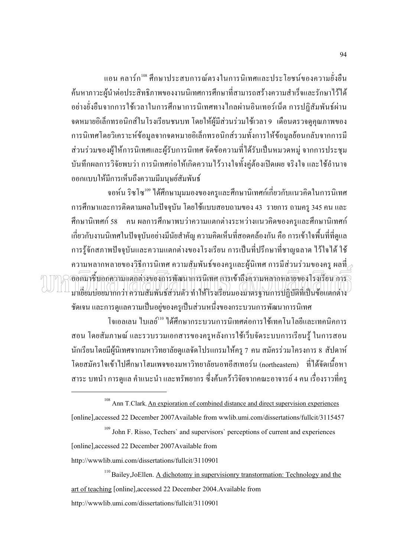แอน คลาร์ก<sup>าง</sup> ศึกษาประสบการณ์ตรงในการนิเทศและประโยชน์ของความยั่งยืน ้ค้นหาภาวะผู้นำต่อประสิทธิภาพของงานนิเทศการศึกษาที่สามารถสร้างความสำเร็จและรักษาไว้ใค้ ้อย่างยั่งยืนจากการใช้เวลาในการศึกษาการนิเทศทางไกลผ่านอินเทอร์เน็ต การปฏิสัมพันธ์ผ่าน ึ่งคหมายอิเล็กทรอนิกส์ในโรงเรียนชนบท โดยให้ผู้มีส่วนร่วมใช้เวลา 9 เดือนตรวจดูคุณภาพของ ึการนิเทศโดยวิเคราะห์ข้อมลจากจดหมายอิเล็กทรอนิกส์รวมทั้งการให้ข้อมลย้อนกลับจากการมี ส่วนร่วมของผู้ให้การนิเทศและผู้รับการนิเทศ จัดข้อความที่ได้รับเป็นหมวดหมู่ จากการประชุม ้ บันทึกผลการวิจัยพบว่า การนิเทศก่อให้เกิดความไว้วางใจทั้งคู่ต้องเปิดเผย จริงใจ และใช้อำนาจ ออกแบบให้มีการเห็นถึงความมีมนษย์สัมพันธ์

ึ่งอห์น ริซโซ<sup>เ®</sup> ได้ศึกษามมมองของครและศึกษานิเทศก์เกี่ยวกับแนวคิดในการนิเทศ ึการศึกษาและการติดตามผลในปัจจบัน โดยใช้แบบสอบถามของ 43 รายการ ถามคร 345 คน และ ี่ ศึกษานิเทศก์ 58 – คน ผลการศึกษาพบว่าความแตกต่างระหว่างแนวคิดของครและศึกษานิเทศก์ ้เกี่ยวกับงานนิเทศในปัจจบันอย่างมีนัยสำคัญ ความคิดเห็นที่สอดคล้องกัน คือ การเข้าใจพื้นที่ที่ดแล ้การรู้จักสภาพปัจจุบันและความแตกต่างของโรงเรียน การเป็นที่ปรึกษาที่ชาญฉลาด ไว้ใจได้ ใช้ ความหลากหลายของวิธีการนิเทศ ความสัมพันธ์ของครและผู้นิเทศ การมีส่วนร่วมของคร ผลที่ $\scriptstyle\mathcal{A}$ ้ออกมาชื่บอกความแตกต่างของการพัฒนาการนิเทค การเข้าถึงความหลากหลายของโรงเรียนาการ มาเชี่ยมบ่อยมากกว่า ความสัมพันธ์ส่วนตัว ทำให้โรงเรียนมองมาตรจานการปฏิบัติที่เป็นข้อแตกต่าง ชัดเจน และการดูแลความเป็นอยู่ของครูเป็นส่วนหนึ่งของกระบวนการพัฒนาการนิเทศ

โจเอลเลน ไบเลย์<sup>แง</sup> ได้ศึกษากระบวนการนิเทศต่อการใช้เทคโนโลยีและเทคนิคการ ิสอน โดยสัมภาษณ์ และรวบรวมเอกสารของครูหลังการใช้เว็บจัดระบบการเรียนรู้ ในการสอน ้นักเรียนโดยมีผู้นิเทศจากมหาวิทยาลัยดูแลจัดโปรแกรมให้ครู 7 คน สมัครร่วมโครงการ 8 สัปดาห์ โดยสมัครใจเข้าไปศึกษาโฮมเพจของมหาวิทยาลัยนอทอีสเทอร์น (northeastern) ที่ได้จัดเนื้อหา ีสาระ บทนำ การดูแล คำแนะนำ และทรัพยากร ซึ่งค้นคว้าวิจัยจากคณะอาจารย์ 4 คน เรื่องราวที่ครู

http://www.lib.umi.com/dissertations/fullcit/3110901

<sup>110</sup> Bailey, JoEllen. A dichotomy in supervisionry transtormation: Technology and the art of teaching [online] accessed 22 December 2004. Available from http://www.lib.umi.com/dissertations/fullcit/3110901

 $108$  Ann T.Clark, An expioration of combined distance and direct supervision experiences [online], accessed 22 December 2007Available from wwlib.umi.com/dissertations/fullcit/3115457

<sup>&</sup>lt;sup>109</sup> John F. Risso, Techers' and supervisors' perceptions of current and experiences [online], accessed 22 December 2007Available from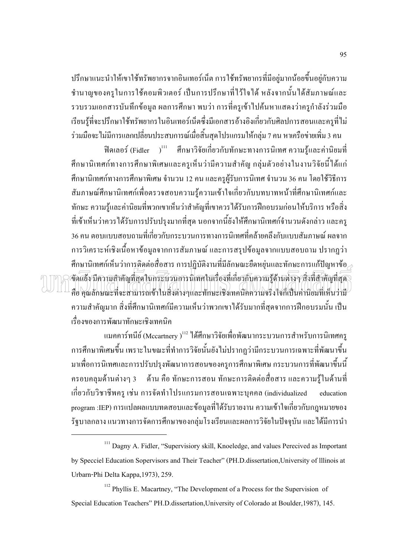ปรึกษาแนะนำให้เขาใช้ทรัพยากรจากอินเทอร์เน็ต การใช้ทรัพยากรที่มีอย่มากน้อยขึ้นอย่กับความ ิชำนาญของครูในการใช้คอมพิวเตอร์ เป็นการปรึกษาที่ไว้ใจได้ หลังจากนั้นได้สัมภาษณ์และ ้ รวบรวมเอกสารบันทึกข้อมูล ผลการศึกษา พบว่า การที่ครูเข้าไปค้นหาแสดงว่าครูกำลังร่วมมือ เรียนรู้ที่จะปรึกษาใช้ทรัพยากรในอินเทอร์เน็ตซึ่งมีเอกสารอ้างอิงเกี่ยวกับศิลปการสอนและครูที่ไม่ ้ร่วมมือจะไม่มีการแลกเปลี่ยนประสบการณ์เมื่อสิ้นสดโปรแกรมให้กล่ม 7 คน หาเครือข่ายเพิ่ม 3 คน

ฟิดเลอร์ (Fidler ) $^{\rm 111}$  ศึกษาวิจัยเกี่ยวกับทักษะทางการนิเทศ ความรู้และค่านิยมที่ ี่ ศึกษานิเทศก์ทางการศึกษาพิเศษและครูเห็นว่ามีความสำคัญ กลุ่มตัวอย่างในงานวิจัยนี้ได้แก่ ี่ ศึกษานิเทศก์ทางการศึกษาพิเศษ จำนวน 12 คน และครูผู้รับการนิเทศ จำนวน 36 คน โดยใช้วิธีการ สัมภาษณ์ศึกษานิเทศก์เพื่อตรวจสอบความร้ความเข้าใจเกี่ยวกับบทบาทหน้าที่ศึกษานิเทศก์และ ้ทักษะ ความร้และค่านิยมที่พวกเขาเห็นว่าสำคัญที่เขาควรได้รับการฝึกอบรมก่อนให้บริการ หรือสิ่ง ีที่เข้าเห็นว่าควรได้รับการปรับปรุงมากที่สุด นอกจากนี้ยังให้ศึกษานิเทศก์จำนวนดังกล่าว และครู 36 คน ตอบแบบสอบถามที่เกี่ยวกับกระบวนการทางการนิเทศที่คล้ายคลึงกับแบบสัมภาษณ์ ผลจาก ี การวิเคราะห์เชิงเนื้อหาข้อมูลจากการสัมภาษณ์ และการสรุปข้อมูลจากแบบสอบถาม ปรากฎว่า ศึกษานิเทศก์เห็นว่าการติดต่อสื่อสาร การปฏิบัติงานที่มีลักษณะยืดหย่นและทักษะการแก้ปัญหาข้อ $\scriptstyle\mathtt{\sim}$ จัดแข้งมีความสำคัญที่สุดในกระบวนการนิเทศในเรื่องที่เกี่ยวกับความรู้ด้านต่างๆ สิ่งที่สำคัญที่สุด คือ คุณลักษณะที่จะสามารถเข้าในสิ่งต่างๆและทักษะเชิงเทคนิคความจริงใจก็เป็นค่านิยมที่เห็นว่ามี ้ ความสำคัญมาก สิ่งที่ศึกษานิเทศก์มีความเห็นว่าพวกเขาใด้รับมากที่สุดจากการฝึกอบรมนั้น เป็น เรื่องของการพัฒนาทักษะเชิงเทคนิค

แมคคาร์ทนีย์ (Mccartnery )<sup>112</sup> ได้ศึกษาวิจัยเพื่อพัฒนากระบวนการสำหรับการนิเทศค<u>ร</u>ู การศึกษาพิเศษขึ้น เพราะในขณะที่ทำการวิจัยนั้นยังไม่ปรากฎว่ามีกระบวนการเฉพาะที่พัฒนาขึ้น ้มาเพื่อการนิเทศและการปรับปรุงพัฒนาการสอนของครูการศึกษาพิเศษ กระบวนการที่พัฒนาขึ้นนี้ ี ครอบคลุมด้านต่างๆ 3 ต่ำน คือ ทักษะการสอน ทักษะการติดต่อสื่อสาร และความรู้ในด้านที่ เกี่ยวกับวิชาชีพครู เช่น การจัดทำโปรแกรมการสอนเฉพาะบุคคล (individualized education program :IEP) การแปลผลแบบทดสอบและข้อมูลที่ได้รับรายงาน ความเข้าใจเกี่ยวกับกฎหมายของ รัฐบาลกลาง แนวทางการจัดการศึกษาของกลุ่มโรงเรียนและผลการวิจัยในปัจจุบัน และได้มีการนำ

<sup>&</sup>lt;sup>111</sup> Dagny A. Fidler, "Supervisiory skill, Knoeledge, and values Perecived as Important by Specciel Education Sopervisors and Their Teacher" (PH.D.dissertation, University of Illinois at Urbarn-Phi Delta Kappa, 1973), 259.

<sup>&</sup>lt;sup>112</sup> Phyllis E. Macartney, "The Development of a Process for the Supervision of Special Education Teachers" PH.D. dissertation. University of Colorado at Boulder. 1987). 145.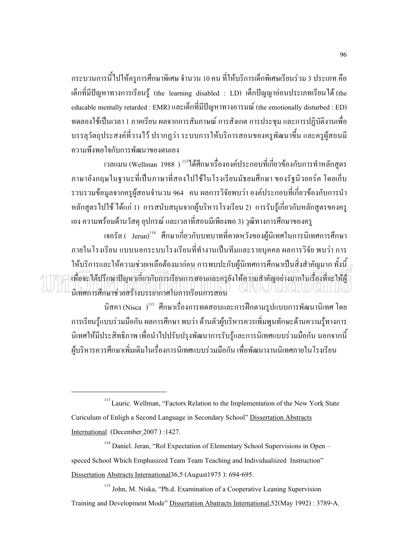้กระบวนการนี้ไปให้ครูการศึกษาพิเศษ จำนวน 10 คน ที่ให้บริการเด็กพิเศษเรียนร่วม 3 ประเภท คือ เด็กที่มีปัญหาทางการเรียนรู้ (the learning disabled : LD) เด็กปัญญาอ่อนประเภทเรียนได้ (the educable mentally retarded : EMR) และเด็กที่มีปัญหาทางอารมณ์ (the emotionally disturbed : ED) ี ทคลองใช้เป็นเวลา 1 ภาคเรียน ผลจากการสัมภาษณ์ การสังเกต การประชม และการปฏิบัติงานเพื่อ ิบรรลวัตถประสงค์ที่วางไว้ ปรากฏว่า ระบบการให้บริการสอนของครพัฒนาขึ้น และครผ้สอนมี ความพึ่งพกใจกับการพัฒนาขคงตนเคง

เวลแมน (Wellman 1988 ) <sup>บรง</sup>ได้ศึกษาเรื่ององค์ประกอบที่เกี่ยวข้องกับการทำหลักสุตร ิภาษาอังกถษในฐานะที่เป็นภาษาที่สองไปใช้ในโรงเรียนมัธยมศึกษา ของรัฐนิวยอร์ค โดยเก็บ รวบรวมข้อมูลจากครูผู้สอนจำนวน 964 คน ผลการวิจัยพบว่า องค์ประกอบที่เกี่ยวข้องกับการนำ หลักสูตรไปใช้ ได้แก่ 1) การสนับสนุนจากผู้บริหารโรงเรียน 2) การรับรู้เกี่ยวกับหลักสูตรของครู ้เอง ความพร้อมด้านวัสด อปกรณ์ และเวลาที่สอนมีเพียงพอ 3) วฒิทางการศึกษาของคร

ี เจอรัล ( Jerun)<sup>114</sup> ศึกษาเกี่ยวกับบทบาทที่คาดหวังของผู้นิเทศในการนิเทศการศึกษา ภายในโรงเรียน แบบนอกระบบโรงเรียนที่ทำงานเป็นทีมและรายบุคคล ผลการวิจัย พบว่า การ ให้บริการและให้ความช่วยเหลือต้องมาก่อน การพบปะกับผ้นิเทศการศึกษาเป็นสิ่งสำคัญมาก ทั้งนี้ $\mathbin{\nearrow}$ เพื่อจะใส้ปรึกษาปัญหาเกี่ยวกับการเรียนการสอนและครยังให้ความสำคัญอย่างภากในเรื่องที่จะให้ผั (GEW)N/ U3(GEW) (GEFFEN นิเทศการศึกษาช่วยสร้างบรรยากาศในการเรียนการสอน

นิสคา (Nisca)<sup>115</sup> ศึกษาเรื่องการทดสอบและการฝึกตามรูปแบบการพัฒนานิเทศ โดย การเรียนรู้แบบร่วมมือกัน ผลการศึกษา พบว่า ด้านตัวผู้บริหารควรเพิ่มพูนทักษะด้านความรู้ทางการ ้นิเทศให้มีประสิทธิภาพ เพื่อนำไปปรับปรุงพัฒนาการรับรู้และการนิเทศแบบร่วมมือกัน นอกจากนี้ ้ผู้บริหารควรศึกษาเพิ่มเติมในเรื่องการนิเทศแบบร่วมมือกัน เพื่อพัฒนางานนิเทศภายในโรงเรียน

<sup>&</sup>lt;sup>113</sup> Lauric. Wellman, "Factors Relation to the Implementation of the New York State Curiculum of Enligh a Second Language in Secondary School" Dissertation Abstracts International (December 2007):1427.

<sup>&</sup>lt;sup>114</sup> Daniel. Jeran, "Rol Expectation of Elementary School Supervisions in Open speced School Which Emphasized Team Team Teaching and Individualiized Instruction" Dissertation Abstracts International 36,5 (August 1975): 694-695.

<sup>&</sup>lt;sup>115</sup> John, M. Niska, "Ph.d. Examination of a Cooperative Leaning Supervision Training and Development Mode" Dissertation Abatracts International, 52(May 1992) : 3789-A.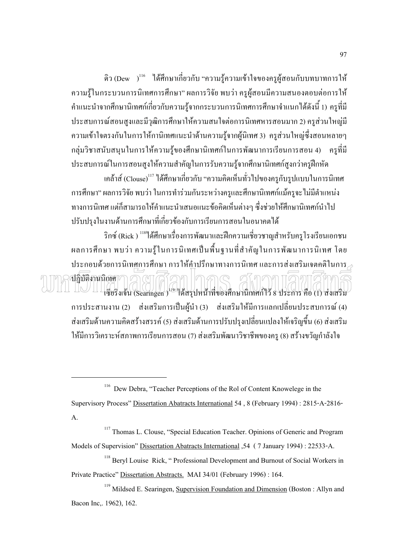คิว (Dew ) $^{\rm 116}$  "ได้ศึกษาเกี่ยวกับ "ความรู้ความเข้าใจของครูผู้สอนกับบทบาทการให้ ความรู้ในกระบวนการนิเทศการศึกษา" ผลการวิจัย พบว่า ครูผู้สอนมีความสนองตอบต่อการให้ คำแนะนำจากศึกษานิเทศก์เกี่ยวกับความรู้จากกระบวนการนิเทศการศึกษาจำแนกได้ดังนี้ 1) ครูที่มี ประสบการณ์สอนสูงและมีวุฒิการศึกษาให้ความสนใจต่อการนิเทศหารสอนมาก 2) ครูส่วนใหญ่มี ความเข้าใจตรงกันในการให้กานิเทศแนะนำด้านความรู้จากผู้นิเทศ 3) ครูส่วนใหญ่ซึ่งสอนหลายๆ กลุ่มวิชาสนับสนุนในการให้ความรู้ของศึกษานิเทศก์ในการพัฒนาการเรียนการสอน 4) ครูที่มี ประสบการณ์ในการสอนสูงให้ความสำคัญในการรับความรู้จากศึกษานิเทศก์สูงกว่าครูฝึกหัด

เคล้าส์ (Clouse)<sup>117</sup> ได้ศึกษาเกี่ยวกับ "ความคิดเห็นทั่วไปของครูกับรูปแบบในการนิเทศ การศึกษา" ผลการวิจัย พบว่า ในการทำร่วมกันระหว่างครูและศึกษานิเทศก์แม้ครูจะไม่มีตำแหน่ง ทางการนิเทศ แต่ก็สามารถให้คำแนะนำเสนอแนะข้อคิดเห็นต่างๆ ซึ่งช่วยให้ศึกษานิเทศก์นำไป  $\ddot{\cdot}$ ปรับปรุงในงานด้านการศึกษาที่เกี่ยวข้องกับการเรียนการสอนในอนาคตได้  $\overline{a}$ 

ริกซ์ (Rick ) <sup>บรง</sup>ได้ศึกษาเรื่องการพัฒนาและฝึกความเชี่ยวชาญสำหรับครูโรงเรียนเอกชน  $\begin{array}{c} \n\end{array}$ ผลการศึกษา พบว่า ความรู้ในการนิเทศเป็นพื้นฐานที่สำคัญในการพัฒนาการนิเทศ โดย ĺ ประกอบด้วยการนิเทศการศึกษา การให้คำปรึกษาทางการนิเทศ และการส่งเสริมเจตคติในการ

øín

ปฏิบัติงานนิเทศ  $\Box$  $\Box$  แซียริ่งเจ้น (Searingen ) แข่ ได้สรุปหน้าที่ของศึกษานิเทศก์ไว้ 8 ประการ คือ (1) ส่งเสริม ֚֚֚֡ การประสานงาน (2) ส่งเสริมการเป็นผู้นำ (3) ส่งเสริมให้มีการแลกเปลี่ยนประสบการณ์ (4) ส่งเสริมค้านความคิดสร้างสรรค์ (5) ส่งเสริมค้านการปรับปรุงเปลี่ยนแปลงให้เจริญขึ้น (6) ส่งเสริม ให้มีการวิเคราะห์สภาพการเรียนการสอน (7) ส่งเสริมพัฒนาวิชาชีพของครู (8) สร้างขวัญกำลังใจ

116 Dew Debra, "Teacher Perceptions of the Rol of Content Knowelege in the Supervisory Process" Dissertation Abatracts International 54 , 8 (February 1994) : 2815-A-2816-

A.<br><sup>117</sup> Thomas L. Clouse, "Special Education Teacher. Opinions of Generic and Program Models of Supervision" <u>Dissertation Abatracts International</u> ,54 ( 7 January 1994) : 22533-A.<br><sup>118</sup> Beryl Louise Rick, " Professional Development and Burnout of Social Workers in

Private Practice" <u>Dissertation Abstracts.</u> MAI 34/01 (February 1996) : 164.<br><sup>119</sup> Mildsed E. Searingen, <u>Supervision Foundation and Dimension</u> (Boston : Allyn and Bacon Inc,. 1962), 162.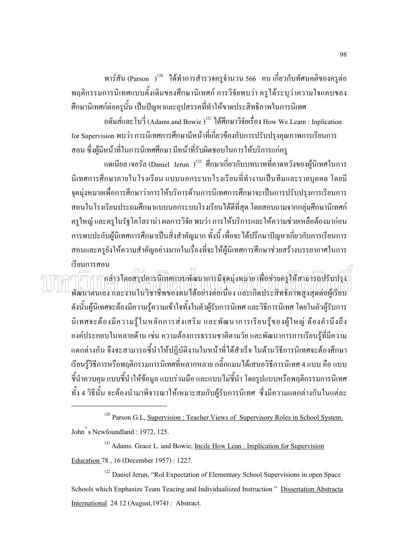พาร์สัน (Parson )<sup>120</sup> ได้ทำการสำรวจครูจำนวน 566 คน เกี่ยวกับทัศนคติของครูต่อ ี พฤติกรรมการนิเทศแบบดั้งเดิมของศึกษานิเทศก์ การวิจัยพบว่า ครูได้ระบุว่าความใจแคบของ ้ศึกษานิเทศก์ต่อครูนั้น เป็นปัญหาและอุปสรรคที่ทำให้ขาดประสิทธิภาพในการนิเทศ

อดัมส์และโบวี่ (Adams and Bowie ) $^{121}$  ได้ศึกษาวิจัยเรื่อง How We Learn : Inplication for Supervision พบว่า การนิเทศการศึกษามีหน้าที่เกี่ยวข้องกับการปรับปรงคณภาพการเรียนการ ิสอน ซึ่งผู้มีหน้าที่ในการนิเทศศึกษา มีหน้าที่รับผิดชอบในการให้บริการแก่ครู

แคเนียล เจอรัล (Daniel Jerun) <sup>122</sup> ศึกษาเกี่ยวกับบทบาทที่คาดหวังของผู้นิเทศในการ ้นิเทศการศึกษาภายในโรงเรียน แบบนอกระบบโรงเรียนที่ทำงานเป็นทีมและรายบคคล โดยมี ิจคม่งหมายเพื่อการศึกษาว่าการให้บริการค้านการนิเทศการศึกษาจะเป็นการปรับปรงการเรียนการ ี สอนในโรงเรียนประถมศึกษาแบบนอกระบบโรงเรียนได้ดีที่สด โดยสอบถามจากกล่มศึกษานิเทศก์ ิ ครใหญ่ และครในรัฐโคโลราน่า ผลการวิจัย พบว่า การให้บริการและให้ความช่วยเหลือต้องมาก่อน ึการพบปะกับผู้นิเทศการศึกษาเป็นสิ่งสำคัญมาก ทั้งนี้ เพื่อจะได้ปรึกษาปัญหาเกี่ยวกับการเรียนการ ิสอนและครูยังให้ความสำคัญอย่างมากในเรื่องที่จะให้ผู้นิเทศการศึกษาช่วยสร้างบรรยากาศในการ เรียนการสอน

พัฒนาตนเอง และงานในวิชาชีพของตนได้อย่างต่อเนื่อง และเกิดประสิทธิภาพสูงสุดต่อผู้เรียน ้ดังนั้นผู้นิเทศจะต้องมีความรู้ความเข้าใจทั้งในตัวผู้รับการนิเทศ และวิธีการนิเทศ โดยในตัวผู้รับการ นิเทศจะต้องมีความรู้ในหลักการส่งเสริม และพัฒนาการเรียนรู้ของผู้ใหญ่ ต้องคำนึงถึง ้องค์ประกอบในหลายด้าน เช่น ความต้องการธรรมชาติตามวัย และพัฒนาการการเรียนรู้ที่มีความ แตกต่างกัน จึงจะสามารถชื้นำให้ปฏิบัติงานในหน้าที่ได้สำเร็จ ในด้านวิธีการนิเทศจะต้องศึกษา เรียนรู้วิธีการหรือพฤติกรรมการนิเทศที่หลากหลาย กลิ๊กแมน ได้เสนอวิธีการนิเทศ 4 แบบ คือ แบบ ์ ชี้นำควบคุม แบบชี้นำให้ข้อมูล แบบร่วมมือ และแบบไม่ชี้นำ โดยรูปแบบหรือพฤติกรรมการนิเทศ ้ทั้ง 4 วิธีนั้น จะต้องนำมาพิจารณาให้เหมาะสมกับผู้รับการนิเทศ ซึ่งมีความแตกต่างกันในแต่ละ

 $120$  Parson G.L, Supervision : Teacher Views of Supervisory Roles in School System. John's Newfoundland : 1972, 125.

<sup>121</sup> Adams. Grace L. and Bowie, <u>Incile How Lean: Implication for Supervision</u>

Education 78, 16 (December 1957): 1227.

<sup>122</sup> Daniel Jerun, "Rol Expectation of Elementary School Supervisions in open Space Schools which Enphasize Team Teacing and Individualiized Instruction " Dissertation Abstracta International 24 12 (August 1974) : Abstract.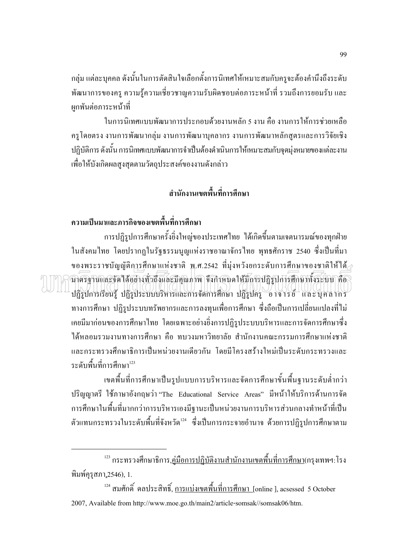ึกลุ่ม แต่ละบุคคล ดังนั้นในการตัดสินใจเลือกตั้งการนิเทศให้เหมาะสมกับครูจะต้องคำนึงถึงระดับ พัฒนาการของครู ความรู้ความเชี่ยวชาญความรับผิดชอบต่อภาระหน้าที่ รวมถึงการยอมรับ และ ผกพันต่อภาระหน้าที่

ในการนิเทศแบบพัฒนาการประกอบด้วยงานหลัก 5 งาน คือ งานการให้การช่วยเหลือ ้ครูโดยตรง งานการพัฒนากลุ่ม งานการพัฒนาบุคลากร งานการพัฒนาหลักสูตรและการวิจัยเชิง ู ปฏิบัติการ ดังนั้น การนิเทศแบบพัฒนาการจำเป็นต้องดำเนินการให้เหมาะสมกับจุดมุ่งหมายของแต่ละงาน ้เพื่อให้บังเกิดผลสูงสุดตามวัตถุประสงค์ของงานดังกล่าว

## สำนักงานเขตพื้นที่การศึกษา

## ิ ความเป็นมาและภารกิจของเขตพื้นที่การศึกษา

ิการปฏิรูปการศึกษาครั้งยิ่งใหญ่ของประเทศไทย ได้เกิดขึ้นตามเจตนารมณ์ของทุกฝ่าย ในสังคมไทย โดยปรากฏในรัฐธรรมนณแห่งราชอาณาจักรไทย พทธศักราช 2540 ซึ่งเป็นที่มา ของพระราชบัญญัติการศึกษาแห่งชาติ พ.ศ.2542 ที่มุ่งหวังยกระดับการศึกษาของชาติให้ได้ นาศรฐานและจัดใค้อย่างทั่วถึงและมีคุณภาพ จึงกำหนดให้มีการปฏิรูปการศึกษาทั้งระบบ คือ ปฏิรูปการเรียนรู้ ปฏิรูประบบบริหารและการจัดการศึกษา ปฏิรูปครู อาจารย์ และบุคลากร ทางการศึกษา ปฏิรูประบบทรัพยากรและการลงทุนเพื่อการศึกษา ซึ่งถือเป็นการเปลี่ยนแปลงที่ไม่ ้เคยมีมาก่อนของการศึกษาไทย โดยเฉพาะอย่างอิ่งการปฏิรประบบบริหารและการจัดการศึกษาซึ่ง ใค้หลอมรวมงานทางการศึกษา คือ ทบวงมหาวิทยาลัย สำนักงานคณะกรรมการศึกษาแห่งชาติ และกระทรวงศึกษาธิการเป็นหน่วยงานเดียวกัน โดยมีโครงสร้างใหม่เป็นระดับกระทรวงและ ระดับพื้นที่การศึกนา<sup>123</sup>

้เขตพื้นที่การศึกษาเป็นรูปแบบการบริหารและจัดการศึกษาขั้นพื้นฐานระดับต่ำกว่า ปริญญาตรี ใช้ภาษาอังกฤษว่า "The Educational Service Areas" มีหน้าให้บริการด้านการจัด ึการศึกษาในพื้นที่มากกว่าการบริหารเองมีฐานะเป็นหน่วยงานการบริหารส่วนกลางทำหน้าที่เป็น ้ตัวแทนกระทรวงในระดับพื้นที่จังหวัด<sup>เ24</sup> ซึ่งเป็นการกระจายอำนาจ ด้วยการปฏิรูปการศึกษาตาม

<sup>&</sup>lt;sup>123</sup> กระทรวงศึกษาธิการ<u>,คู่มือการปฏิบัติงานสำนักงานเขตพื้นที่การศึกษา</u>(กรุงเทพฯ:โรง พิมพ์คุรุสภา,2546), 1.

 $^{124}$  สมศักดิ์ คลประสิทธิ์, การแบ่งเขตพื้นที่การศึกษา [online ], acsessed 5 October 2007. Available from http://www.moe.go.th/main2/article-somsak//somsak06/htm.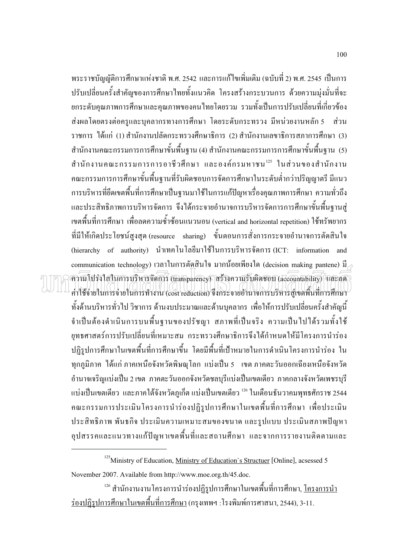พระราชบัญญัติการศึกษาแห่งชาติ พ.ศ. 2542 และการแก้ไขเพิ่มเติม (ฉบับที่ 2) พ.ศ. 2545 เป็นการ ปรับเปลี่ยนครั้งสำคัญของการศึกษาไทยทั้งแนวคิด โครงสร้างกระบวนการ ด้วยความมุ่งมั่นที่จะ ียกระดับคุณภาพการศึกษาและคุณภาพของคนใทยโดยรวม รวมทั้งเป็นการปรับเปลี่ยนที่เกี่ยวข้อง ี่ ส่งผลโดยตรงต่อครูและบุคลากรทางการศึกษา โดยระดับกระทรวง มีหน่วยงานหลัก 5 ส่วน ราชการ ใด้แก่ (1) สำนักงานปลัดกระทรวงศึกษาธิการ (2) สำนักงานเลขาธิการสภาการศึกษา (3) สำนักงานคณะกรรมการการศึกษาขั้นพื้นฐาน (4) สำนักงานคณะกรรมการการศึกษาขั้นพื้นฐาน (5) สำนักงานคณะกรรมการการอาชีวศึกษา และองค์กรมหาชน<sup>125</sup> ในส่วนของสำนักงาน ึ คณะกรรมการการศึกษาขั้นพื้นฐานที่รับผิดชอบการจัดการศึกษาในระดับต่ำกว่าปริญญาตรี มีแนว ี การบริหารที่ยึดเขตพื้นที่การศึกษาเป็นฐานมาใช้ในการแก้ปัญหาเรื่องคุณภาพการศึกษา ความทั่วถึง และประสิทธิภาพการบริหารจัดการ จึงได้กระจายอำนาจการบริหารจัดการการศึกษาขั้นพื้นจานส่ เขตพื้นที่การศึกษา เพื่อลดความซ้ำซ้อนแนวนอน (vertical and horizontal repetition) ใช้ทรัพยากร ี่ ที่มีให้เกิดประโยชน์สูงสุด (resource sharing) ขั้นตอนการสั่งการกระจายอำนาจการตัดสินใจ (hierarchy of authority) นำเทคโนโลยีมาใช้ในการบริหารจัดการ(ICT: information and communication technology) เวลาในการตัดสินใจ มากน้อยเพียงใด (decision making pantene) มื ความโปร่งใสในการบริหารจัดการ (transparency) สร้างความรับผิดชอบ (accountability) และลด ค่าใช้จ่ายในการจ่ายในการทำงาน (cost reduction) จึงกระจายอำนาจการบริหารสู่เขตพื้นที่การศึกษา ้ทั้งด้านบริหารทั่วไป วิชาการ ด้านงบประมาณและด้านบุคลากร เพื่อให้การปรับเปลี่ยนครั้งสำคัญนี้ ้จำเป็นต้องคำเนินการบนพื้นฐานของปรัชญา สภาพที่เป็นจริง ความเป็นไปได้รวมทั้งใช้ ยุทธศาสตร์การปรับเปลี่ยนที่เหมาะสม กระทรวงศึกษาธิการจึงใด้กำหนดให้มีโครงการนำร่อง ปฏิรูปการศึกษาในเขตพื้นที่การศึกษาขึ้น โดยมีพื้นที่เป้าหมายในการคำเนินโครงการนำร่อง ใน ทุกภูมิภาค ได้แก่ ภาคเหนือจังหวัดพิษณุโลก แบ่งเป็น 5 เขต ภาคตะวันออกเฉียงเหนือจังหวัด ้อำนาจเจริญแบ่งเป็น 2 เขต ภาคตะวันออกจังหวัดชลบุรีแบ่งเป็นเขตเดียว ภาคกลางจังหวัดเพชรบุรี แบ่งเป็นเขตเดียว และภาคใต้จังหวัดภูเก็ต แบ่งเป็นเขตเดียว <sup>126</sup> ในเดือนธันวาคมพุทธศักราช 2544 ึ คณะกรรมการประเมินโครงการนำร่องปฏิรูปการศึกษาในเขตพื้นที่การศึกษา เพื่อประเมิน ประสิทธิภาพ พันธกิจ ประเมินความเหมาะสมของขนาด และรูปแบบ ประเมินสภาพปัญหา อุปสรรคและแนวทางแก้ปัญหาเขตพื้นที่และสถานศึกษา และจากการรายงานติดตามและ

<sup>126</sup> สำนักงานงานโครงการนำร่องปฏิรูปการศึกษาในเขตพื้นที่การศึกษา, <u>โครงการนำ</u> ร่องปฏิรปการศึกษาในเขตพื้นที่การศึกษา (กรงเทพฯ :โรงพิมพ์การศาสนา. 2544). 3-11.

<sup>&</sup>lt;sup>125</sup>Ministry of Education, Ministry of Education's Structuer [Online], acsessed 5

November 2007. Available from http://www.moe.org.th/45.doc.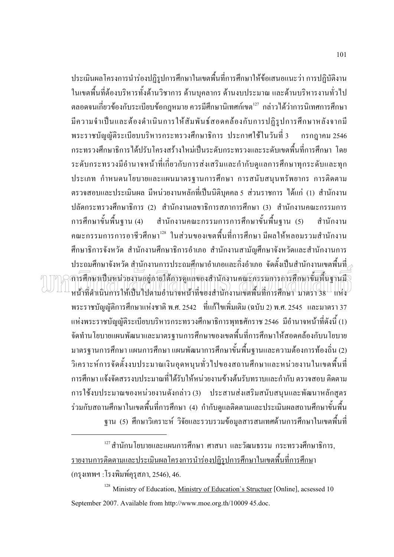ประเมินผลโครงการนำร่องปฏิรูปการศึกษาในเขตพื้นที่การศึกษาให้ข้อเสนอแนะว่า การปฏิบัติงาน ในเขตพื้นที่ต้องบริหารทั้งด้านวิชาการ ด้านบุคลากร ด้านงบประมาณ และด้านบริหารงานทั่วไป ีตลอดจนเกี่ยวข้องกับระเบียบข้อกฎหมาย ควรมีศึกษานิเทศก์เขต<sup>เ27</sup> กล่าวได้ว่าการนิเทศการศึกษา มีความจำเป็นและต้องดำเนินการให้สัมพันธ์สอดคล้องกับการปฏิรูปการศึกษาหลังจากมี พระราชบัญญัติระเบียบบริหารกระทรวงศึกษาธิการ ประกาศใช้ในวันที่ 3 กรกฎาคม 2546 ้กระทรวงศึกษาธิการได้ปรับโครงสร้างใหม่เป็นระดับกระทรวงและระดับเขตพื้นที่การศึกษา โดย ระดับกระทรวงมีอำนาจหน้าที่เกี่ยวกับการส่งเสริมและกำกับดูแลการศึกษาทุกระดับและทุก ประเภท กำหนดนโยบายและแผนมาตรฐานการศึกษา การสนับสนุนทรัพยากร การติดตาม ี ตรวจสอบและประเมินผล มีหน่วยงานหลักที่เป็นนิติบคคล 5 ส่วนราชการ ได้แก่ (1) สำนักงาน ปลัดกระทรวงศึกษาธิการ (2) สำนักงานเลขาธิการสภาการศึกษา (3) สำนักงานคณะกรรมการ การศึกษาขั้นพื้นฐาน (4) สำนักงานคณะกรรมการการศึกษาขั้นพื้นฐาน (5) สำนักงาน ึ คณะกรรมการการอาชีวศึกษา<sup>128</sup> ในส่วนของเขตพื้นที่การศึกษา มีผลให้หลอมรวมสำนักงาน ้ศึกษาธิการจังหวัด สำนักงานศึกษาธิการอำเภอ สำนักงานสามัญศึกษาจังหวัดและสำนักงานการ ี ประถมศึกษาจังหวัด สำนักงานการประถมศึกษาอำเภอและกิ่งอำเภอ จัดตั้งเป็นสำนักงานเขตพื้นที่ <u>คารศึกษาเป็นหน่วยงานอยู่ภายใต้การดูแลของสำนักงานคณะกรรมการการศึกษาขั้นพื้นจานมี )</u> หน้าที่ดำเนินการให้เป็นไปตามอำนาจหน้าที่ของสำนักงานเขตพื้นที่การศึกษา มาตรา 38– แห่ง พระราชบัญญัติการศึกษาแห่งชาติ พ.ศ. 2542 ที่แก้ไขเพิ่มเติม (ฉบับ 2) พ.ศ. 2545 และมาตรา 37 แห่งพระราชบัญญัติระเบียบบริหารกระทรวงศึกษาธิการพุทธศักราช 2546 มีอำนาจหน้าที่ดังนี้ (1) จัดทำนโยบายแผนพัฒนาและมาตรฐานการศึกษาของเขตพื้นที่การศึกษาให้สอดคล้องกับนโยบาย ิมาตรฐานการศึกษา แผนการศึกษา แผนพัฒนาการศึกษาขั้นพื้นฐานและความต้องการท้องถิ่น (2) วิเคราะห์การจัดตั้งงบประมาณเงินอุดหนุนทั่วไปของสถานศึกษาและหน่วยงานในเขตพื้นที่ ึการศึกษา แจ้งจัดสรรงบประมาณที่ได้รับให้หน่วยงานข้างต้นรับทราบและกำกับ ตรวจสอบ ติดตาม การใช้งบประมาณของหน่วยงานดังกล่าว (3) ประสานส่งเสริมสนับสนนและพัฒนาหลักสตร ร่วมกับสถานศึกษาในเขตพื้นที่การศึกษา (4) กำกับดูแลติดตามและประเมินผลสถานศึกษาขั้นพื้น ์ ฐาน (5) ศึกษาวิเคราะห์ วิจัยและรวบรวมข้อมูลสารสนเทศด้านการศึกษาในเขตพื้นที่

 $^{127}$ สำนักนโยบายและแผนการศึกษา ศาสนา และวัฒนธรรม กระทรวงศึกษาธิการ, ้ รายงานการติดตามและประเมินผลโครงการนำร่องปฏิรปการศึกษาในเขตพื้นที่การศึกษา (กรุงเทพฯ : โรงพิมพ์คุรุสภา, 2546), 46.

<sup>128</sup> Ministry of Education, *Ministry of Education's Structuer* [Online], acsessed 10 September 2007. Available from http://www.moe.org.th/10009 45.doc.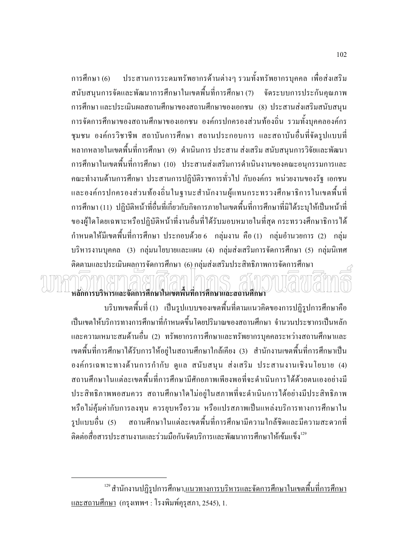ประสานการระดมทรัพยากรด้านต่างๆ รวมทั้งทรัพยากรบุคคล เพื่อส่งเสริม การศึกษา (6) ีสนับสนุนการจัดและพัฒนาการศึกษาในเขตพื้นที่การศึกษา (7) จัดระบบการประกันคุณภาพ ึการศึกษา และประเมินผลสถานศึกษาของสถานศึกษาของเอกชน (8) ประสานส่งเสริมสนับสนน ึการจัดการศึกษาของสถานศึกษาของเอกชน องค์กรปกครองส่วนท้องถิ่น รวมทั้งบุคคลองค์กร ี ชุมชน องค์กรวิชาชีพ สถาบันการศึกษา สถานประกอบการ และสถาบันอื่นที่จัดรูปแบบที่ หลากหลายในเขตพื้นที่การศึกษา (9) คำเนินการ ประสาน ส่งเสริม สนับสนุนการวิจัยและพัฒนา ึการศึกษาในเขตพื้นที่การศึกษา (10) ประสานส่งเสริมการดำเนินงานของคณะอนุกรรมการและ ึ คณะทำงานด้านการศึกษา ประสานการปฏิบัติราชการทั่วไป กับองค์กร หน่วยงานของรัฐ เอกชน และองค์กรปกครองส่วนท้องถิ่นในฐานะสำนักงานผู้แทนกระทรวงศึกษาธิการในเขตพื้นที่ ึการศึกษา (11) ปฏิบัติหน้าที่อื่นที่เกี่ยวกับกิจการภายในเขตพื้นที่การศึกษาที่มิได้ระบุให้เป็นหน้าที่ ของผู้ใดโดยเฉพาะหรือปฏิบัติหน้าที่งานอื่นที่ได้รับมอบหมายในที่สุด กระทรวงศึกษาธิการได้ กำหนดให้มีเขตพื้นที่การศึกษา ประกอบด้วย 6 กลุ่มงาน คือ (1) กลุ่มอำนวยการ (2) กลุ่ม บริหารงานบุคคล (3) กลุ่มนโยบายและแผน (4) กลุ่มส่งเสริมการจัดการศึกษา (5) กลุ่มนิเทศ ติดตามและประเมินผลการจัดการศึกษา (6) กลุ่มส่งเสริมประสิทธิภาพการจัดการศึกษา

# หลักการบริหารและจัดการศึกษาในเขตพื้นที่การศึกษาและสถานศึกษา

ิบริบทเขตพื้นที่ (1) เป็นรูปแบบของเขตพื้นที่ตามแนวคิดของการปฏิรูปการศึกษาคือ ้เป็นเขตให้บริการทางการศึกษาที่กำหนดขึ้นโดยปริมาณของสถานศึกษา จำนวนประชากรเป็นหลัก และความเหมาะสมด้านอื่น (2) ทรัพยากรการศึกษาและทรัพยากรบคคลระหว่างสถานศึกษาและ ี เขตพื้นที่การศึกษาได้รับการให้อย่ในสถานศึกษาใกล้เคียง (3) สำนักงานเขตพื้นที่การศึกษาเป็น องค์กรเฉพาะทางด้านการกำกับ ดูแล สนับสนุน ส่งเสริม ประสานงานเชิงนโยบาย (4) ิสถานศึกษาในแต่ละเขตพื้นที่การศึกษามีศักยภาพเพียงพอที่จะดำเนินการได้ด้วยตนเองอย่างมี ประสิทธิภาพพอสมควร สถานศึกษาใคไม่อย่ในสภาพที่จะคำเนินการได้อย่างมีประสิทธิภาพ หรือไม่คุ้มค่ากับการลงทุน ควรยุบหรือรวม หรือแปรสภาพเป็นแหล่งบริการทางการศึกษาใน ิสถานศึกษาในแต่ละเขตพื้นที่การศึกษามีความใกล้ชิดและมีความสะดวกที่ รปแบบอื่น (5) ดิดต่อสื่อสารประสานงานและร่วมมือกันจัดบริการและพัฒนาการศึกษาให้เข้มแข็ง  $^{129}$ 

<sup>&</sup>lt;sup>129</sup> สำนักงานปฏิรูปการศึกษา<u>,แนวทางการบริหารและจัดการศึกษาในเขตพื้นที่การศึกษา</u> และสถานศึกษา (กรงเทพฯ : โรงพิมพ์ครสภา, 2545), 1.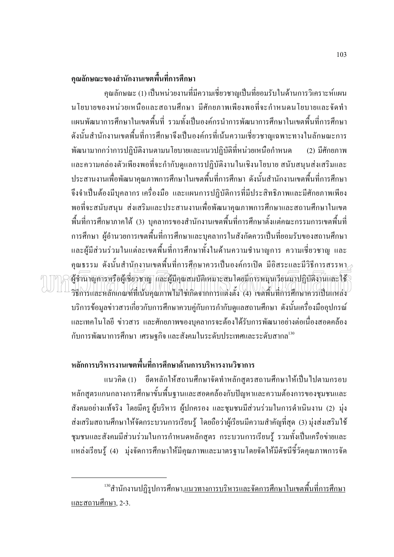## ้คุณลักษณะของสำนักงานเขตพื้นที่การศึกษา

ึคณลักษณะ (1) เป็นหน่วยงานที่มีความเชี่ยวชาญเป็นที่ยอมรับในด้านการวิเคราะห์แผน นโยบายของหน่วยเหนือและสถานศึกษา มีศักยภาพเพียงพอที่จะกำหนดนโยบายและจัดทำ ้แผนพัฒนาการศึกษาในเขตพื้นที่ รวมทั้งเป็นองค์กรนำการพัฒนาการศึกษาในเขตพื้นที่การศึกษา ้ดังนั้นสำนักงานเขตพื้นที่การศึกษาจึงเป็นองค์กรที่เน้นความเชี่ยวชาญเฉพาะทางในลักษณะการ ้พัฒนามากกว่าการปฏิบัติงานตามนโยบายและแนวปฏิบัติที่หน่วยเหนือกำหนด (2) มีศักยภาพ และความคล่องตัวเพียงพอที่จะกำกับคูแลการปฏิบัติงานในเชิงนโยบาย สนับสนุนส่งเสริมและ ประสานงานเพื่อพัฒนาคุณภาพการศึกษาในเขตพื้นที่การศึกษา ดังนั้นสำนักงานเขตพื้นที่การศึกษา ้จึงจำเป็นต้องมีบคลากร เครื่องมือ และแผนการปฏิบัติการที่มีประสิทธิภาพและมีศักยภาพเพียง พอที่จะสนับสนน ส่งเสริมและประสานงานเพื่อพัฒนาคณภาพการศึกษาและสถานศึกษาในเขต ้พื้นที่การศึกษาภาคใต้ (3) บุคลากรของสำนักงานเขตพื้นที่การศึกษาตั้งแต่คณะกรรมการเขตพื้นที่ ึการศึกษา ผู้อำนวยการเขตพื้นที่การศึกษาและบุคลากรในสังกัดควรเป็นที่ยอมรับของสถานศึกษา และผู้มีส่วนร่วมในแต่ละเขตพื้นที่การศึกษาทั้งในด้านความชำนาญการ ความเชี่ยวชาญ และ คุณธรรม คังนั้นสำนักงานเขตพื้นที่การศึกษาควรเป็นองค์กรเปิด มีอิสระและมีวิธีการสรรหา $_{\geq}$ ที่ชำนาถการหรือผู้เชื่อวชาญ และผู้มีคณสมบัติเหมาะสม โดยมีการหมนเวียนภาปฏิบัติภูนิและใช้ วิธีการและหลักเกณฑ์ที่เน้นคุณภาพไม่ใช่เกิดจากการแต่งตั้ง (4) เขตพื้นที่การศึกษาควรเป็นแหล่ง ้บริการข้อมูลข่าวสารเกี่ยวกับการศึกษาควบคู่กับการกำกับดูแลสถานศึกษา ดังนั้นเครื่องมืออุปกรณ์ และเทคโนโลยี ข่าวสาร และศักยภาพของบุคลากรจะต้องใด้รับการพัฒนาอย่างต่อเนื่องสอดคล้อง กับการพัฒนาการศึกษา เศรษฐกิจ และสังคมในระดับประเทศและระดับสากล<sup>ูเว</sup>็

## หลักการบริหารงานเขตพื้นที่การศึกษาด้านการบริหารงานวิชาการ

แนวคิด (1) ยึดหลักให้สถานศึกษาจัดทำหลักสูตรสถานศึกษาให้เป็นไปตามกรอบ หลักสูตรแกนกลางการศึกษาขั้นพื้นฐานและสอดคล้องกับปัญหาและความต้องการของชุมชนและ ้สังคมอย่างแท้จริง โดยมีครู ผู้บริหาร ผู้ปกครอง และชุมชนมีส่วนร่วมในการดำเนินงาน (2) มุ่ง ี่ ส่งเสริมสถานศึกษาให้จัดกระบวนการเรียนรู้ โดยถือว่าผู้เรียนมีความสำคัญที่สุด (3) มุ่งส่งเสริมใช้ ี่ ชุมชนและสังคมมีส่วนร่วมในการกำหนดหลักสูตร กระบวนการเรียนรู้ รวมทั้งเป็นเครือข่ายและ แหล่งเรียนรู้ (4) มุ่งจัดการศึกษาให้มีคุณภาพและมาตรฐานโดยจัดให้มีดัชนีชี้วัดคุณภาพการจัด

<sup>&</sup>lt;sup>ี เร</sup>็ตำนักงานปฏิรูปการศึกษา<u>,แนวทางการบริหารและจัดการศึกษาในเขตพื้นที่การศึกษา</u> และสถานศึกษา. 2-3.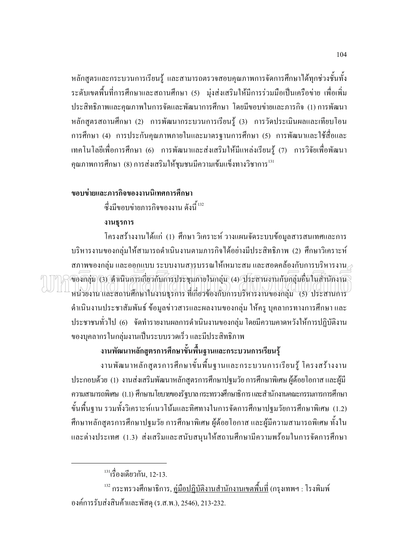หลักสูตรและกระบวนการเรียนรู้ และสามารถตรวจสอบคุณภาพการจัดการศึกษาได้ทุกช่วงชั้นทั้ง ี ระดับเขตพื้นที่การศึกษาและสถานศึกษา (5) มุ่งส่งเสริมให้มีการร่วมมือเป็นเครือข่าย เพื่อเพิ่ม ประสิทธิภาพและคุณภาพในการจัดและพัฒนาการศึกษา โดยมีขอบข่ายและภารกิจ (1)การพัฒนา หลักสูตรสถานศึกษา (2) การพัฒนากระบวนการเรียนรู้ (3) การวัดประเมินผลและเทียบโอน ึการศึกษา (4) การประกันคณภาพภายในและมาตรฐานการศึกษา (5) การพัฒนาและใช้สื่อและ ี เทคโนโลยีเพื่อการศึกษา (6) การพัฒนาและส่งเสริมให้มีแหล่งเรียนรู้ (7) การวิจัยเพื่อพัฒนา ึคุณภาพการศึกษา (8) การส่งเสริมให้ชุมชนมีความเข้มแข็งทางวิชาการ<sup>เม</sup>

### ขอบข่ายและภารกิจของงานนิเทศการศึกษา

ซึ่งมีขอบข่ายภารกิจของงาน ดังนี<sup>้ เ32</sup>

#### งานธรการ

โครงสร้างงานได้แก่ (1) ศึกษา วิเคราะห์ วางแผนจัดระบบข้อมูลสารสนเทศและการ ึบริหารงานของกล่มให้สามารถดำเนินงานตามภารกิจได้อย่างมีประสิทธิภาพ (2) ศึกษาวิเคราะห์  $\,$ สภาพของกลุ่ม และออกแบบ ระบบงานสารบรรณให้เหมาะสม และสอดคล้องกับการบริหารงาน $_{\rm \odot}$ ของกลุ่ม (3) ดำเนินการเกี่ยวกับการประชุมภายในกลุ่ม (4) ประสานงานกับกลุ่มอื่นในสำนักงาน หน่วยงาน และสถานศึกษาในงานธุรการ ที่เกี่ยวข้องกับการบริหารงานของกลุ่ม (5) ประสานการ ้คำเนินงานประชาสัมพันธ์ ข้อมูลข่าวสารและผลงานของกลุ่ม ให้ครู บุคลากรทางการศึกษา และ ประชาชนทั่วไป (6) จัดทำรายงานผลการคำเนินงานของกลุ่ม โดยมีความคาดหวังให้การปฏิบัติงาน ของบคลากรในกล่มงานเป็นระบบรวดเร็ว และมีประสิทธิภาพ

## งานพัฒนาหลักสูตรการศึกษาขั้นพื้นฐานและกระบวนการเรียนรู้

งานพัฒนาหลักสูตรการศึกษาขั้นพื้นฐานและกระบวนการเรียนรู้ โครงสร้างงาน ประกอบด้วย (1) งานส่งเสริมพัฒนาหลักสูตรการศึกษาปฐมวัย การศึกษาพิเศษ ผู้ด้อยโอกาส และผู้มี ิ ความสามารถพิเศษ (1.1) ศึกษานโยบายของรัฐบาล กระทรวงศึกษาธิการ และสำนักงานคณะกรรมการการศึกษา ขั้นพื้นฐาน รวมทั้งวิเคราะห์แนวโน้มและทิศทางในการจัดการศึกษาปฐมวัยการศึกษาพิเศษ (1.2) ้ศึกษาหลักสูตรการศึกษาปฐมวัย การศึกษาพิเศษ ผู้ด้อยโอกาส และผู้มีความสามารถพิเศษ ทั้งใน และต่างประเทศ (1.3) ส่งเสริมและสนับสนุนให้สถานศึกษามีความพร้อมในการจัดการศึกษา

<sup>&</sup>lt;sup>131</sup>เรื่องเดียวกัน, 12-13.

<sup>&</sup>lt;sup>132</sup> กระทรวงศึกษาธิการ, <u>ค่มือปฏิบัติงานสำนักงานเขตพื้นที่</u> (กรุงเทพฯ : โรงพิมพ์ องค์การรับส่งสินค้าและพัสด (ร.ส.พ.), 2546), 213-232.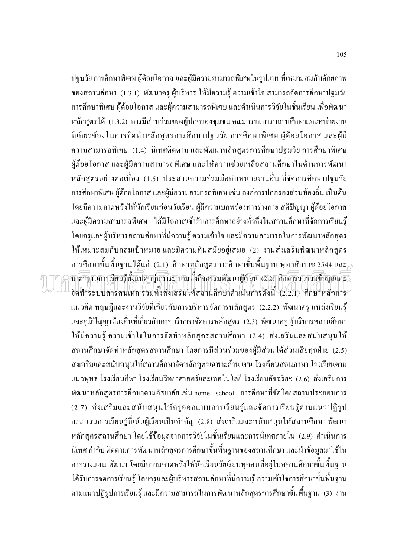ปฐมวัย การศึกษาพิเศษ ผู้ด้อยโอกาส และผู้มีความสามารถพิเศษในรูปแบบที่เหมาะสมกับศักยภาพ ของสถานศึกษา (1.3.1) พัฒนาครู ผู้บริหาร ให้มีความรู้ ความเข้าใจ สามารถจัดการศึกษาปฐมวัย ิการศึกษาพิเศษ ผู้คือยโอกาส และผู้ความสามารถพิเศษ และคำเนินการวิจัยในชั้นเรียน เพื่อพัฒนา หลักสูตรได้ (1.3.2) การมีส่วนร่วมของผู้ปกครองชุมชน คณะกรรมการสถานศึกษาและหน่วยงาน ี ที่เกี่ยวข้องในการจัดทำหลักสูตรการศึกษาปฐมวัย การศึกษาพิเศษ ผู้ด้อยโอกาส และผู้มี ้ความสามารถพิเศษ (1.4) นิเทศติดตาม และพัฒนาหลักสูตรการศึกษาปฐมวัย การศึกษาพิเศษ ผู้ค้อยโอกาส และผู้มีความสามารถพิเศษ และให้ความช่วยเหลือสถานศึกษาในด้านการพัฒนา หลักสูตรอย่างต่อเนื่อง (1.5) ประสานความร่วมมือกับหน่วยงานอื่น ที่จัดการศึกษาปฐมวัย ึการศึกษาพิเศษ ผู้ด้อยโอกาส และผู้มีความสามารถพิเศษ เช่น องค์การปกครองส่วนท้องถิ่น เป็นต้น โดยมีความกาดหวังให้นักเรียนก่อนวัยเรียน ผู้มีความบกพร่องทางร่างกาย สติปัญญา ผู้ด้อยโอกาส และผู้มีความสามารถพิเศษ ใด้มีโอกาสเข้ารับการศึกษาอย่างทั่วถึงในสถานศึกษาที่จัดการเรียนรู้ โดยครและผ้บริหารสถานศึกษาที่มีความร้ ความเข้าใจ และมีความสามารถในการพัฒนาหลักสตร ให้เหมาะสมกับกลุ่มเป้าหมาย และมีความทันสมัยอยู่เสมอ (2) งานส่งเสริมพัฒนาหลักสูตร  $\,$ การศึกษาขั้นพื้นฐานได้แก่ (2.1) ศึกษาหลักสูตรการศึกษาขั้นพื้นฐาน พุทธศักราช 2544 และ $_{\geq}$ ้ามตรฐานการเรียนรู้ทั้งแปดกลุ่มสาระ รวมทั้งกิจครรมพัฒนาผู้เรียน (2.2) ศึกษารวมรวมข้อมูลและ จัดทำระบบสารสนเทศ รวมทั้งส่งเสริมให้สถานศึกษาดำเนินการดังนี้ (2.2.1) ศึกษาหลักการ แนวคิด ทฤษฎีและงานวิจัยที่เกี่ยวกับการบริหารจัดการหลักสูตร (2.2.2) พัฒนาครู แหล่งเรียนรู้ และภูมิปัญญาท้องถิ่นที่เกี่ยวกับการบริหาราจัดการหลักสูตร (2.3) พัฒนาครู ผู้บริหารสถานศึกษา ให้มีความรู้ ความเข้าใจในการจัดทำหลักสูตรสถานศึกษา (2.4) ส่งเสริมและสนับสนุนให้ ิสถานศึกษาจัดทำหลักสูตรสถานศึกษา โดยการมีส่วนร่วมของผู้มีส่วนใด้ส่วนเสียทุกฝ่าย (2.5) ส่งเสริมและสนับสนุนให้สถานศึกษาจัดหลักสูตรเฉพาะด้าน เช่น โรงเรียนสอนภาษา โรงเรียนตาม แนวพุทธ โรงเรียนกีฬา โรงเรียนวิทยาศาสตร์และเทคโนโลยี โรงเรียนอัจฉริยะ (2.6) ส่งเสริมการ พัฒนาหลักสูตรการศึกษาตามอัธยาศัย เช่น home school การศึกษาที่จัดโดยสถานประกอบการ (2.7) ส่งเสริมและสนับสนุนให้ครูออกแบบการเรียนรู้และจัดการเรียนรู้ตามแนวปฏิรูป ึกระบวนการเรียนรู้ที่เน้นผู้เรียนเป็นสำคัญ (2.8) ส่งเสริมและสนับสนุนให้สถานศึกษา พัฒนา หลักสูตรสถานศึกษา โดยใช้ข้อมูลจากการวิจัยในชั้นเรียนและการนิเทศภายใน (2.9) คำเนินการ ้นิเทศ กำกับ ติดตามการพัฒนาหลักสูตรการศึกษาขั้นพื้นฐานของสถานศึกษา และนำข้อมูลมาใช้ใน ึการวางแผน พัฒนา โดยมีความคาดหวังให้นักเรียนวัยเรียนทุกคนที่อยู่ในสถานศึกษาขั้นพื้นฐาน ใด้รับการจัดการเรียนรู้ โดยครูและผู้บริหารสถานศึกษาที่มีความรู้ ความเข้าใจการศึกษาขั้นพื้นฐาน ี่ ตามแนวปฏิรูปการเรียนรู้ และมีความสามารถในการพัฒนาหลักสูตรการศึกษาขั้นพื้นฐาน (3) งาน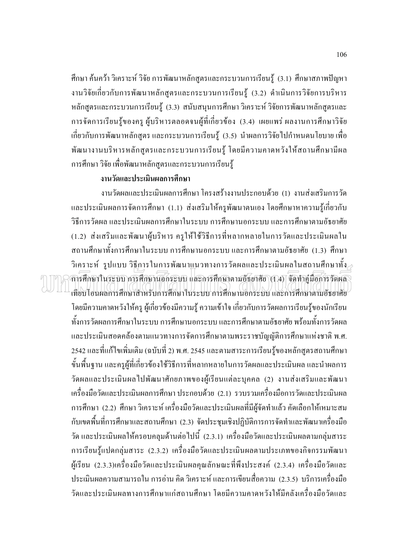์ ศึกษา ค้นคว้า วิเคราะห์ วิจัย การพัฒนาหลักสูตรและกระบวนการเรียนรู้ (3.1) ศึกษาสภาพปัญหา ึงานวิจัยเกี่ยวกับการพัฒนาหลักสูตรและกระบวนการเรียนรู้ (3.2) ดำเนินการวิจัยการบริหาร หลักสูตรและกระบวนการเรียนรู้ (3.3) สนับสนุนการศึกษา วิเคราะห์ วิจัยการพัฒนาหลักสูตรและ ี การจัดการเรียนรู้ของครู ผู้บริหารตลอดจนผู้ที่เกี่ยวข้อง (3.4) เผยแพร่ ผลงานการศึกษาวิจัย ้เกี่ยวกับการพัฒนาหลักสูตร และกระบวนการเรียนรู้ (3.5) นำผลการวิจัยไปกำหนดนโยบาย เพื่อ พัฒนางานบริหารหลักสูตรและกระบวนการเรียนรู้ โดยมีความคาดหวังให้สถานศึกษามีผล ิการศึกษา วิจัย เพื่อพัฒนาหลักสูตรและกระบวนการเรียนรู้

### งานวัดและประเมินผลการศึกษา

งานวัดผลและประเมินผลการศึกษา โครงสร้างงานประกอบด้วย (1) งานส่งเสริมการวัด และประเมินผลการจัดการศึกษา (1.1) ส่งเสริมให้ครูพัฒนาตนเอง โดยศึกษาหาความรู้เกี่ยวกับ ้วิธีการวัดผล และประเมินผลการศึกษาในระบบ การศึกษานอกระบบ และการศึกษาตามอัธยาศัย (1.2) ส่งเสริมและพัฒนาผู้บริหาร ครูให้ใช้วิธีการที่หลากหลายในการวัดและประเมินผลใน ี่ สถานศึกษาทั้งการศึกษาในระบบ การศึกษานอกระบบ และการศึกษาตามอัธยาศัย (1.3) ศึกษา วิเคราะห์ รูปแบบ วิธีการในการพัฒนาแนวทางการวัดผลและประเมินผลในสถานศึกษาทั้ง $_{\geq}$ การศึกษาในระบบ การศึกษานอีกระบบ และการศึกษาตามอัธยาสัย (1.4) จัดทำคู่มือการวัดผล เทียบโอนผลการศึกษาสำหรับการศึกษาในระบบ การศึกษานอกระบบ และการศึกษาตามอัธยาศัย โดยมีความคาดหวังให้ครู ผู้เกี่ยวข้องมีความรู้ ความเข้าใจ เกี่ยวกับการวัดผลการเรียนรู้ของนักเรียน ้ ทั้งการวัดผลการศึกษาในระบบ การศึกษานอกระบบ และการศึกษาตามอัธยาศัย พร้อมทั้งการวัดผล และประเมินสอดคล้องตามแนวทางการจัดการศึกษาตามพระราชบัญญัติการศึกษาแห่งชาติ พ.ศ. 2542 และที่แก้ไขเพิ่มเติม (ฉบับที่ 2) พ.ศ. 2545 และตามสาระการเรียนรู้ของหลักสูตรสถานศึกษา ้ขั้นพื้นฐาน และครูผู้ที่เกี่ยวข้องใช้วิธีการที่หลากหลายในการวัดผลและประเมินผล และนำผลการ วัดผลและประเมินผลไปพัฒนาศักยภาพของผู้เรียนแต่ละบุคคล (2) งานส่งเสริมและพัฒนา เครื่องมือวัดและประเมินผลการศึกษา ประกอบด้วย (2.1) รวบรวมเครื่องมือการวัดและประเมินผล การศึกษา (2.2) ศึกษา วิเคราะห์ เครื่องมือวัดและประเมินผลที่มีผู้จัดทำแล้ว คัดเลือกให้เหมาะสม ้กับเขตพื้นที่การศึกษาและสถานศึกษา (2.3) จัดประชุมเชิงปฏิบัติการการจัดทำและพัฒนาเครื่องมือ วัด และประเมินผลให้ครอบคลุมด้านต่อไปนี้ (2.3.1) เครื่องมือวัดและประเมินผลตามกลุ่มสาระ การเรียนรู้แปดกลุ่มสาระ (2.3.2) เครื่องมือวัดและประเมินผลตามประเภทของกิจกรรมพัฒนา ผู้เรียน (2.3.3)เครื่องมือวัดและประเมินผลคุณลักษณะที่พึงประสงค์ (2.3.4) เครื่องมือวัดและ ี ประเมินผลความสามารถใน การอ่าน คิด วิเคราะห์ และการเขียนสื่อความ (2.3.5) บริการเครื่องมือ วัดและประเมินผลทางการศึกษาแก่สถานศึกษา โดยมีความคาดหวังให้มีคลังเครื่องมือวัดและ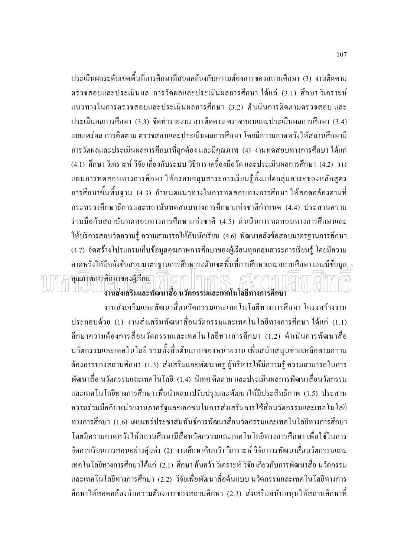ิ ประเมินผลระดับเขตพื้นที่การศึกษาที่สอดคล้องกับความต้องการของสถานศึกษา (3) งานติดตาม ีตรวจสอบและประเมินผล การวัดผลและประเมินผลการศึกษา ได้แก่ (3.1) ศึกษา วิเคราะห์ แนวทางในการตรวจสอบและประเมินผลการศึกษา (3.2) คำเนินการติดตามตรวจสอบ และ ประเมินผลการศึกษา (3.3) จัดทำรายงาน การติดตาม ตรวจสอบและประเมินผลการศึกษา (3.4) ้ เผยแพร่ผล การติดตาม ตรวจสอบและประเมินผลการศึกษา โดยมีความคาดหวังให้สถานศึกษามี ี การวัดผลและประเมินผลการศึกษาที่ถูกต้อง และมีคุณภาพ (4) งานทดสอบทางการศึกษา ได้แก่ (4.1) ศึกษา วิเคราะห์ วิจัย เกี่ยวกับระบบ วิธีการ เครื่องมือวัด และประเมินผลการศึกษา (4.2) วาง แผนการทดสอบทางการศึกษา ให้ครอบคลุมสาระการเรียนรู้ทั้งแปดกลุ่มสาระของหลักสูตร ึการศึกษาขั้นพื้นฐาน (4.3) กำหนดแนวทางในการทดสอบทางการศึกษา ให้สอดคล้องตามที่ ึกระทรวงศึกษาธิการและสถาบันทดสอบทางการศึกษาแห่งชาติกำหนด (4.4) ประสานความ ร่วมมืดกับสถาบันทดสอบทางการศึกษาแห่งชาติ (4.5) ดำเนินการทดสอบทางการศึกษาและ ให้บริการสอบวัดความรู้ ความสามารถให้กับนักเรียน (4.6) พัฒนาคลังข้อสอบมาตรฐานการศึกษา (4.7) จัดสร้างโปรแกรมเก็บข้อมูลคุณภาพการศึกษาของผู้เรียนทุกกลุ่มสาระการเรียนรู้ โดยมีความ ี คาดหวังให้มีคลังข้อสอบมาตรฐานการศึกษาระดับเขตพื้นที่การศึกษาและสถานศึกษา และมีข้อมูล คุณภาพการศึกษาของผู้เรียน งานส่งเสริมและพัฒนาสื่อ นวัตกรรมและเทคโนโลยีทางการศึกษา

ึงานส่งเสริมและพัฒนาสื่อนวัตกรรมและเทคโนโลยีทางการศึกษา โครงสร้างงาน ประกอบด้วย (1) งานส่งเสริมพัฒนาสื่อนวัตกรรมและเทคโนโลยีทางการศึกษา ได้แก่ (1.1) ี่ศึกษาความต้องการสื่อนวัตกรรมและเทคโนโลยีทางการศึกษา (1.2) ดำเนินการพัฒนาสื่อ ินวัตกรรมและเทคโนโลยี รวมทั้งสื่อต้นแบบของหน่วยงาน เพื่อสนับสนุนช่วยเหลือตามความ ้ต้องการของสถานศึกษา (1.3) ส่งเสริมและพัฒนาครู ผู้บริหารให้มีความรู้ ความสามารถในการ ี พัฒนาสื่อ นวัตกรรมและเทคโนโลยี (1.4) นิเทศ ติดตาม และประเมินผลการพัฒนาสื่อนวัตกรรม และเทคโนโลยีทางการศึกษา เพื่อนำผลมาปรับปรุงและพัฒนาให้มีประสิทธิภาพ (1.5) ประสาน ี ความร่วมมือกับหน่วยงานภาครัฐและเอกชนในการส่งเสริมการใช้สื่อนวัตกรรมและเทคโนโลยี ี ทางการศึกษา (1.6) เผยแพร่ประชาสัมพันธ์การพัฒนาสื่อนวัตกรรมและเทคโนโลยีทางการศึกษา โดยมีความคาดหวังให้สถานศึกษามีสื่อนวัตกรรมและเทคโนโลยีทางการศึกษา เพื่อใช้ในการ จัดการเรียนการสอนอย่างคุ้มค่า (2) งานศึกษาค้นคว้า วิเคราะห์ วิจัย การพัฒนาสื่อนวัตกรรมและ เทคโนโลยีทางการศึกษาได้แก่ (2.1) ศึกษา ค้นคว้า วิเคราะห์ วิจัย เกี่ยวกับการพัฒนาสื่อ นวัตกรรม และเทคโนโลยีทางการศึกษา (2.2) วิจัยเพื่อพัฒนาสื่อต้นแบบ นวัตกรรมและเทคโนโลยีทางการ ี่ศึกษาให้สอดคล้องกับความต้องการของสถานศึกษา (2.3) ส่งเสริมสนับสนุนให้สถานศึกษาที่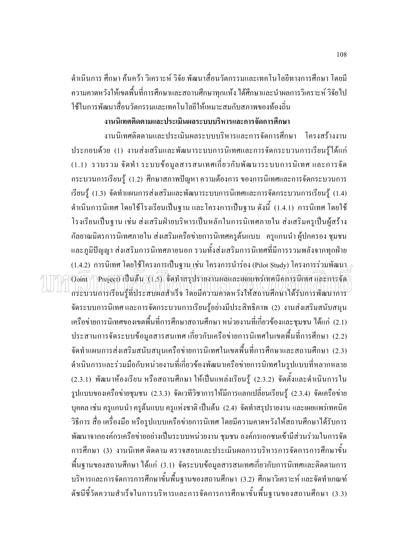้ดำเนินการ ศึกษา ค้นคว้า วิเคราะห์ วิจัย พัฒนาสื่อนวัตกรรมและเทคโนโลยีทางการศึกษา โดยมี ้ ความคาดหวังให้เขตพื้นที่การศึกษาและสถานศึกษาทุกแห้ง ได้ศึกษาและนำผลการวิเคราะห์ วิจัยไป ใช้ในการพัฒนาสื่อนวัตกรรมและเทคโนโลยีให้เหมาะสมกับสภาพของท้องถิ่น

## งานนิเทศติดตามและประเมินผลระบบบริหารและการจัดการศึกษา

งานนิเทศติดตามและประเมินผลระบบบริหารและการจัดการศึกษา โครงสร้างงาน ประกอบด้วย (1) งานส่งเสริมและพัฒนาระบบการนิเทศและการจัดกระบวนการเรียนรู้ได้แก่ (1.1) รวบรวม จัดทำ ระบบข้อมูลสารสนเทศเกี่ยวกับพัฒนาระบบการนิเทศ และการจัด ี กระบวนการเรียนรู้ (1.2) ศึกษาสภาพปัญหา ความต้องการ ของการนิเทศและการจัดกระบวนการ เรียนรู้ (1.3) จัดทำแผนการส่งเสริมและพัฒนาระบบการนิเทศและการจัดกระบวนการเรียนรู้ (1.4) ี คำเนินการนิเทศ โดยใช้โรงเรียนเป็นฐาน และโครงการเป็นฐาน ดังนี้ (1.4.1) การนิเทศ โดยใช้ โรงเรียนเป็นฐาน เช่น ส่งเสริมฝ่ายบริหารเป็นหลักในการนิเทศภายใน ส่งเสริมครูเป็นผู้สร้าง ้กัลยาณมิตรการนิเทศภายใน ส่งเสริมเครือข่ายการนิเทศครูต้นแบบ ครูแกนนำ ผู้ปกครอง ชุมชน และภูมิปัญญา ส่งเสริมการนิเทศภายนอก รวมทั้งส่งเสริมการนิเทศที่มีการรวมพลังจากทุกฝ่าย  $(1.4.2)$  การนิเทศ โดย<u>ใ</u>ช้โครงการเป็นฐาน เช่น โครงการนำร่อง (Pilot Study) โครงการร่วมพัฒนา $\geq$ (Joint || Project) เป็นต้น (11.5) จัดทำสรุปรายงานผลและเฉยแพร่เทศนิคการนิเทศ และการจัด กระบวนการเรียนรู้ที่ประสบผลสำเร็จ โดยมีความคาดหวังให้สถานศึกษาได้รับการพัฒนาการ จัดระบบการนิเทศ และการจัดกระบวนการเรียนรู้อย่างมีประสิทธิภาพ (2) งานส่งเสริมสนับสนุน เครือข่ายการนิเทศของเขตพื้นที่การศึกษาสถานศึกษา หน่วยงานที่เกี่ยวข้องและชุมชน ได้แก่ (2.1) ประสานการจัดระบบข้อมูลสารสนเทศ เกี่ยวกับเครือข่ายการนิเทศในเขตพื้นที่การศึกษา (2.2) จัดทำแผนการส่งเสริมสนับสนุนเครือข่ายการนิเทศในเขตพื้นที่การศึกษาและสถานศึกษา (2.3) ้คำเนินการและร่วมมือกับหน่วยงานที่เกี่ยวข้องพัฒนาเครือข่ายการนิเทศในรูปแบบที่หลากหลาย (2.3.1) พัฒนาห้องเรียน หรือสถานศึกษา ให้เป็นแหล่งเรียนรู้ (2.3.2) จัดตั้งและดำเนินการใน รูปแบบของเครือข่ายชุมชน (2.3.3) จัดเวทีวิชาการให้มีการแลกเปลี่ยนเรียนรู้ (2.3.4) จัดเครือข่าย ิบุคคล เช่น ครูแกนนำ ครูต้นแบบ ครูแห่งชาติ เป็นต้น (2.4) จัดทำสรุปรายงาน และเผยแพร่เทคนิค ้วิธีการ สื่อ เครื่องมือ หรือรูปแบบเครือข่ายการนิเทศ โดยมีความคาดหวังให้สถานศึกษาได้รับการ ้พัฒนาจากองค์กรเครือข่ายอย่างเป็นระบบหน่วยงาน ชมชน องค์กรเอกชนเข้ามีส่วนร่วมในการจัด ึการศึกษา (3) งานนิเทศ ติดตาม ตรวจสอบและประเมินผลการบริหารการจัดการการศึกษาขั้น ี พื้นฐานของสถานศึกษา ได้แก่ (3.1) จัดระบบข้อมูลสารสนเทศเกี่ยวกับการนิเทศและติดตามการ ิบริหารและการจัดการการศึกษาขั้นพื้นฐานของสถานศึกษา (3.2) ศึกษาวิเคราะห์ และจัดทำเกณฑ์ ้ดัชนีชี้วัดความสำเร็จในการบริหารและการจัดการการศึกษาขั้นพื้นฐานของสถานศึกษา (3.3)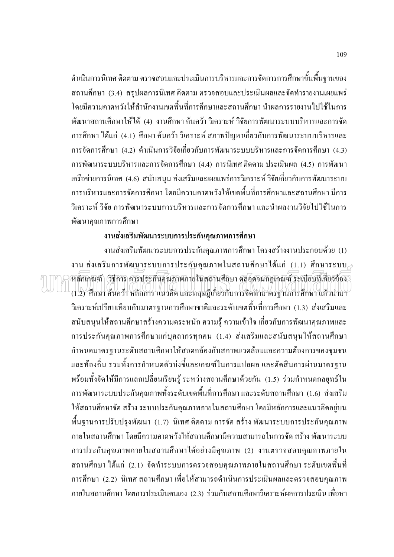ี คำเนินการนิเทศ ติดตาม ตรวจสอบและประเมินการบริหารและการจัดการการศึกษาขั้นพื้นฐานของ ิสถานศึกษา (3.4) สรุปผลการนิเทศ ติดตาม ตรวจสอบและประเมินผลและจัดทำรายงานเผยแพร่ โดยมีความคาดหวังให้สำนักงานเขตพื้นที่การศึกษาและสถานศึกษา นำผลการรายงานไปใช้ในการ พัฒนาสถานศึกษาให้ได้ (4) งานศึกษา ค้นคว้า วิเคราะห์ วิจัยการพัฒนาระบบบริหารและการจัด ึการศึกษา ได้แก่ (4.1) ศึกษา ค้นคว้า วิเคราะห์ สภาพปัญหาเกี่ยวกับการพัฒนาระบบบริหารและ ึการจัดการศึกษา (4.2) ดำเนินการวิจัยเกี่ยวกับการพัฒนาระบบบริหารและการจัดการศึกษา (4.3) การพัฒนาระบบบริหารและการจัดการศึกษา (4.4) การนิเทศ ติดตาม ประเมินผล (4.5) การพัฒนา เครือข่ายการนิเทศ (4.6) สนับสนุน ส่งเสริมและเผยแพร่การวิเคราะห์ วิจัยเกี่ยวกับการพัฒนาระบบ ี การบริหารและการจัดการศึกษา โดยมีความคาดหวังให้เขตพื้นที่การศึกษาและสถานศึกษา มีการ วิเคราะห์ วิจัย การพัฒนาระบบการบริหารและการจัดการศึกษา และนำผลงานวิจัยไปใช้ในการ พัฒนาคณภาพการศึกษา

#### งานส่งเสริมพัฒนาระบบการประกันคุณภาพการศึกษา

งานส่งเสริมพัฒนาระบบการประกันคณภาพการศึกษา โครงสร้างงานประกอบด้วย (1) งาน ส่งเสริมการพัฒนาระบบการประกันคุณภาพในสถานศึกษาได้แก่  $(1.1)$  ศึกษาระบบ $\geq$ หลักเกณฑ์ | วิธีการ การประกันคุณภาพภายในสถานศึกษา ตลอดจนกฎเกณฑ์ ระเบียบที่เกี่ยวข้อจ (1.2) ศึกษา ค้นคว้า หลักการ แนวคิด และทฤษฎีเกี่ยวกับการจัดทำมาตรฐานการศึกษา แล้วนำมา วิเคราะห์เปรียบเทียบกับมาตรฐานการศึกษาชาติและระดับเขตพื้นที่การศึกษา (1.3) ส่งเสริมและ ี่สนับสนุนให้สถานศึกษาสร้างความตระหนัก ความรู้ ความเข้าใจ เกี่ยวกับการพัฒนาคุณภาพและ ึการประกันคุณภาพการศึกษาแก่บุคลากรทุกคน (1.4) ส่งเสริมและสนับสนุนให้สถานศึกษา กำหนดมาตรฐานระดับสถานศึกษาให้สอดคล้องกับสภาพแวดล้อมและความต้องการของชุมชน และท้องถิ่น รวมทั้งการกำหนดตัวบ่งชี้และเกณฑ์ในการแปลผล และตัดสินการผ่านมาตรฐาน พร้อมทั้งจัดให้มีการแลกเปลี่ยนเรียนรู้ ระหว่างสถานศึกษาด้วยกัน (1.5) ร่วมกำหนดกลยุทธ์ใน การพัฒนาระบบประกันคุณภาพทั้งระดับเขตพื้นที่การศึกษา และระดับสถานศึกษา (1.6) ส่งเสริม ให้สถานศึกษาจัด สร้าง ระบบประกันคุณภาพภายในสถานศึกษา โดยมีหลักการและแนวคิดอยู่บน ี พื้นฐานการปรับปรุงพัฒนา (1.7) นิเทศ ติดตาม การจัด สร้าง พัฒนาระบบการประกันคุณภาพ ึภายในสถานศึกษา โดยมีความคาดหวังให้สถานศึกษามีความสามารถในการจัด สร้าง พัฒนาระบบ ึการประกันคุณภาพภายในสถานศึกษาได้อย่างมีคุณภาพ (2) งานตรวจสอบคุณภาพภายใน ี สถานศึกษา ใด้แก่ (2.1) จัดทำระบบการตรวจสอบคุณภาพภายในสถานศึกษา ระดับเขตพื้นที่ ึการศึกษา (2.2) นิเทศ สถานศึกษา เพื่อให้สามารถดำเนินการประเมินผลและตรวจสอบคุณภาพ ิภายในสถานศึกษา โดยการประเมินตนเอง (2.3) ร่วมกับสถานศึกษาวิเคราะห์ผลการประเมิน เพื่อหา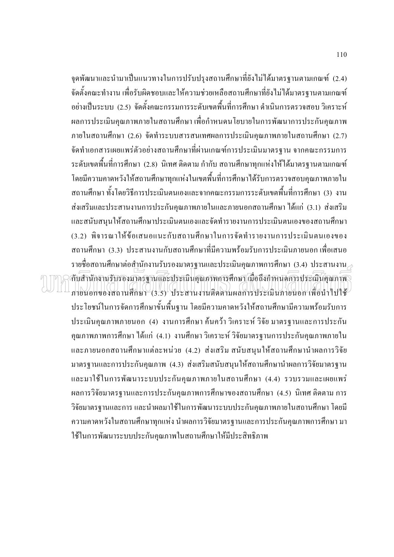จุดพัฒนาและนำมาเป็นแนวทางในการปรับปรุงสถานศึกษาที่ยังไม่ได้มาตรฐานตามเกณฑ์ (2.4) จัดตั้งคณะทำงาน เพื่อรับผิดชอบและให้ความช่วยเหลือสถานศึกษาที่ยังไม่ได้มาตรฐานตามเกณฑ์ ้อย่างเป็นระบบ (2.5) จัดตั้งคณะกรรมการระดับเขตพื้นที่การศึกษา ดำเนินการตรวจสอบ วิเคราะห์ ี ผลการประเมินคุณภาพภายในสถานศึกษา เพื่อกำหนดนโยบายในการพัฒนาการประกันคุณภาพ ภายในสถานศึกษา (2.6) จัดทำระบบสารสนเทศผลการประเมินคุณภาพภายในสถานศึกษา (2.7) จัดทำเอกสารเผยแพร่ตัวอย่างสถานศึกษาที่ผ่านเกณฑ์การประเมินมาตรฐาน จากคณะกรรมการ ระดับเขตพื้นที่การศึกษา (2.8) นิเทศ ติดตาม กำกับ สถานศึกษาทุกแห่งให้ได้มาตรฐานตามเกณฑ์ โดยมีความคาดหวังให้สถานศึกษาทุกแห่งในเขตพื้นที่การศึกษาได้รับการตรวจสอบคุณภาพภายใน ี่ สถานศึกษา ทั้งโดยวิธีการประเมินตนเองและจากคณะกรรมการระดับเขตพื้นที่การศึกษา (3) งาน ี่ ส่งเสริมและประสานงานการประกันคุณภาพภายในและภายนอกสถานศึกษา ได้แก่ (3.1) ส่งเสริม และสนับสนุนให้สถานศึกษาประเมินตนเองและจัดทำรายงานการประเมินตนเองของสถานศึกษา (3.2) พิจารณาให้ข้อเสนอแนะกับสถานศึกษาในการจัดทำรายงานการประเมินตนเองของ ี่ สถานศึกษา (3.3) ประสานงานกับสถานศึกษาที่มีความพร้อมรับการประเมินภายนอก เพื่อเสนอ  $\,$ รายชื่อสถานศึกษาต่อสำนักงานรับรองมาตรฐานและประเมินคุณภาพการศึกษา (3.4) ประสานงาน $_\odot$ ดับสำนักงานรับรองมาตรฐานและประเมินคุณภาพการศึกษาเมื่อถึงกำหนดการประเมินคุณภาพ ภายนอกของสถานศึกษา (3.5) ประสานงานติดตามผลการประเมินภายนอก เพื่อนำไปใช้ ประโยชน์ในการจัดการศึกษาขั้นพื้นฐาน โดยมีความคาดหวังให้สถานศึกษามีความพร้อมรับการ ประเมินคุณภาพภายนอก (4) งานการศึกษา ค้นคว้า วิเคราะห์ วิจัย มาตรฐานและการประกัน คุณภาพภาพการศึกษา ได้แก่ (4.1) งานศึกษา วิเคราะห์ วิจัยมาตรฐานการประกันคุณภาพภายใน และภายนอกสถานศึกษาแต่ละหน่วย (4.2) ส่งเสริม สนับสนุนให้สถานศึกษานำผลการวิจัย มาตรฐานและการประกันคุณภาพ (4.3) ส่งเสริมสนับสนุนให้สถานศึกษานำผลการวิจัยมาตรฐาน และมาใช้ในการพัฒนาระบบประกันคุณภาพภายในสถานศึกษา (4.4) รวบรวมและเผยแพร่ ี่ผลการวิจัยมาตรฐานและการประกันคุณภาพการศึกษาของสถานศึกษา (4.5) นิเทศ ติดตาม การ ้วิจัยมาตรฐานและการ และนำผลมาใช้ในการพัฒนาระบบประกันคุณภาพภายในสถานศึกษา โดยมี ้ความคาดหวังในสถานศึกษาทุกแห่ง นำผลการวิจัยมาตรฐานและการประกันคุณภาพการศึกษา มา ใช้ในการพัฒนาระบบประกันคุณภาพในสถานศึกษาให้มีประสิทธิภาพ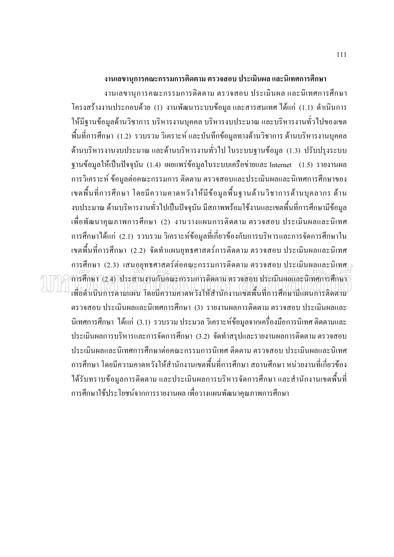#### งานเลขานุการคณะกรรมการติดตาม ตรวจสอบ ประเมินผล และนิเทศการศึกษา

ึงานเลขานุการคณะกรรมการติดตาม ตรวจสอบ ประเมินผล และนิเทศการศึกษา โครงสร้างงานประกอบด้วย (1) งานพัฒนาระบบข้อมูล และสารสนเทศ ได้แก่ (1.1) ดำเนินการ ให้มีฐานข้อมูลค้านวิชาการ บริหารงานบุคคล บริหารงบประมาณ และบริหารงานทั่วไปของเขต ี พื้นที่การศึกษา (1.2) รวบรวม วิเคราะห์ และบันทึกข้อมลทางด้านวิชาการ ด้านบริหารงานบคคล ้ด้านบริหารงานงบประมาณ และด้านบริหารงานทั่วไป ในระบบฐานข้อมูล (1.3) ปรับปรุงระบบ ี่ ฐานข้อมูลให้เป็นปัจจุบัน (1.4) เผยแพร่ข้อมูลในระบบเครือข่ายและ Internet (1.5) รายงานผล ิการวิเคราะห์ ข้อมูลต่อคณะกรรมการ ติดตาม ตรวจสอบและประเมินผลและนิเทศการศึกษาของ ้ เขตพื้นที่การศึกษา โดยมีความคาดหวังให้มีข้อมูลพื้นฐานด้านวิชาการด้านบุคลากร ด้าน ึ่งบประมาณ ค้านบริหารงานทั่วไปเป็นปัจจบัน มีสภาพพร้อมใช้งานและเขตพื้นที่การศึกษามีข้อมล ้ เพื่อพัฒนาคุณภาพการศึกษา (2) งานวางแผนการติดตาม ตรวจสอบ ประเมินผลและนิเทศ ึการศึกษาได้แก่ (2.1) รวบรวม วิเคราะห์ข้อมูลที่เกี่ยวข้องกับการบริหารและการจัดการศึกษาใน ี เขตพื้นที่การศึกษา (2.2) จัดทำแผนยทธศาสตร์การติดตาม ตรวจสอบ ประเมินผลและนิเทศ  $\,$ การศึกษา (2.3) เสนอยุทธศาสตร์ต่อคณะกรรมการติดตาม ตรวจสอบ ประเมินผลและนิเทศ $_{\geq}$ การศึกษา (2.4) ประสานงานกับคณะกรรมการติดตามตรวจสอบ ประเมินผลและนิเทศการศึกษา เพื่อคำเนินการตามแผน โดยมีความกาดหวังให้สำนักงานเขตพื้นที่การศึกษามีแผนการติดตาม ้ตรวจสอบ ประเมินผลและนิเทศการศึกษา (3) รายงานผลการติดตาม ตรวจสอบ ประเมินผลและ ้นิเทศการศึกษา ได้แก่ (3.1) รวบรวม ประมวล วิเคราะห์ข้อมูลจากเครื่องมือการนิเทศ ติดตามและ ประเมินผลการบริหารและการจัดการศึกษา (3.2) จัดทำสรุปและรายงานผลการติดตาม ตรวจสอบ ประเมินผลและนิเทศการศึกษาต่อคณะกรรมการนิเทศ ติดตาม ตรวจสอบ ประเมินผลและนิเทศ ึการศึกษา โดยมีความคาดหวังให้สำนักงานเขตพื้นที่การศึกษา สถานศึกษา หน่วยงานที่เกี่ยวข้อง ได้รับทราบข้อมูลการติดตาม และประเมินผลการบริหารจัดการศึกษา และสำนักงานเขตพื้นที่ ึการศึกษาใช้ประโยชน์จากการรายงานผล เพื่อวางแผนพัฒนาคุณภาพการศึกษา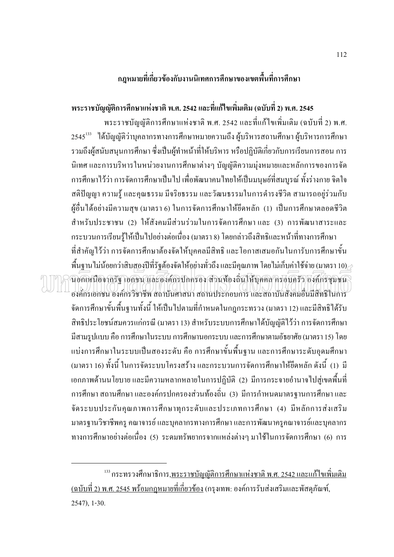ึกฎหมายที่เกี่ยวข้องกับงานนิเทศการศึกษาของเขตพื้นที่การศึกษา

พระราชบัญญัติการศึกษาแห่งชาติ พ.ศ. 2542 และที่แก้ไขเพิ่มเติม (ฉบับที่ 2) พ.ศ. 2545

ี พระราชบัญญัติการศึกษาแห่งชาติ พ.ศ. 2542 และที่แก้ไขเพิ่มเติม (ฉบับที่ 2) พ.ศ. 2545<sup>133</sup> ได้บัญญัติว่าบุคลากรทางการศึกษาหมายความถึง ผู้บริหารสถานศึกษา ผู้บริหารการศึกษา รวมถึงผู้สนับสนุนการศึกษา ซึ่งเป็นผู้ทำหน้าที่ให้บริหาร หรือปฏิบัติเกี่ยวกับการเรียนการสอน การ ้นิเทศ และการบริหารในหน่วยงานการศึกษาต่างๆ บัญญัติความมุ่งหมายและหลักการของการจัด ึการศึกษาไว้ว่า การจัดการศึกษาเป็นไป เพื่อพัฒนาคนไทยให้เป็นมนุษย์ที่สมบูรณ์ ทั้งร่างกาย จิตใจ ิสติปัญญา ความรู้ และคุณธรรม มีจริยธรรม และวัฒนธรรมในการคำรงชีวิต สามารถอยู่ร่วมกับ ้ผู้อื่นได้อย่างมีความสุข (มาตรา 6) ในการจัดการศึกษาให้ยึดหลัก (1) เป็นการศึกษาตลอดชีวิต ี่สำหรับประชาชน (2) ให้สังคมมีส่วนร่วมในการจัดการศึกษาและ (3) การพัฒนาสาระและ ึกระบวนการเรียนรู้ให้เป็นไปอย่างต่อเนื่อง (มาตรา 8) โดยกล่าวถึงสิทธิและหน้าที่ทางการศึกษา ี่ที่สำคัญไว้ว่า การจัดการศึกษาต้องจัดให้บคคลมีสิทธิ และ โอกาสเสมอกันในการับการศึกษาขั้น พื้นฐานไม่น้อยกว่าสิบสองปีที่รัฐต้องจัดให้อย่างทั่วถึง และมีคุณภาพ โดยไม่เก็บค่าใช้จ่าย (มาตรา 10) $\geq$ นอกเหนืองกรัฐ เอกชน และองค์กรปกครอง ส่วนท้องถิ่นให้บุคคล ครอบครัว องค์กรชุมชน องค์กรเอกชน องค์กรวิชาชีพ สถาบันศาสนา สถานประกอบการ และสถาบันสังคมอื่นมีสิทธิในการ ้จัดการศึกษาขั้นพื้นฐานทั้งนี้ ให้เป็นไปตามที่กำหนดในกฎกระทรวง (มาตรา 12) และมีสิทธิได้รับ ้สิทธิประโยชน์สมควรแก่กรณี (มาตรา 13) สำหรับระบบการศึกษาได้บัณณัติไว้ว่า การจัดการศึกษา ้มีสามรูปแบบ คือ การศึกษาในระบบ การศึกษานอกระบบ และการศึกษาตามอัธยาศัย (มาตรา 15) โดย แบ่งการศึกษาในระบบเป็นสองระดับ คือ การศึกษาขั้นพื้นฐาน และการศึกษาระดับอุดมศึกษา (มาตรา 16) ทั้งนี้ ในการจัดระบบโครงสร้าง และกระบวนการจัดการศึกษาให้ยึดหลัก ดังนี้ (1) มี

ีเอกภาพด้านนโยบาย และมีความหลากหลายในการปฏิบัติ (2) มีการกระจายอำนาจไปสู่เขตพื้นที่ ึการศึกษา สถานศึกษา และองค์กรปกครองส่วนท้องถิ่น (3) มีการกำหนดมาตรฐานการศึกษา และ จัดระบบประกันคุณภาพการศึกษาทุกระดับและประเภทการศึกษา (4) มีหลักการส่งเสริม ิมาตรฐานวิชาชีพครู คณาจารย์ และบุคลากรทางการศึกษา และการพัฒนาครูคณาจารย์และบุคลากร ี ทางการศึกษาอย่างต่อเนื่อง (5) ระดมทรัพยากรจากแหล่งต่างๆ มาใช้ในการจัดการศึกษา (6) การ

<sup>133</sup> กระทรวงศึกษาธิการ<u>,พระราชบัญญัติการศึกษาแห่งชาติ พ.ศ. 2542 และแก้ไขเพิ่มเติม</u> <u>(ฉบับที่ 2) พ.ศ. 2545 พร้อมกฎหมายที่เกี่ยวข้อง</u> (กรุงเทพ: องค์การรับส่งเสริมและพัสคุภัณฑ์,  $2547$ , 1-30.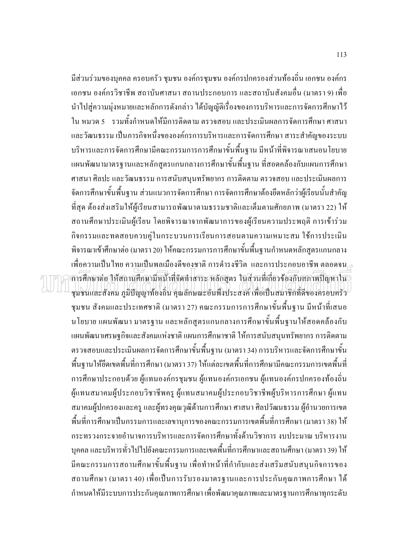้มีส่วนร่วมของบุคคล ครอบครัว ชุมชน องค์กรชุมชน องค์กรปกครองส่วนท้องถิ่น เอกชน องค์กร ้ เอกชน องค์กรวิชาชีพ สถาบันศาสนา สถานประกอบการ และสถาบันสังคมอื่น (มาตรา 9) เพื่อ ้ นำไปสู่ความมุ่งหมายและหลักการดังกล่าว ได้บัญญัติเรื่องของการบริหารและการจัดการศึกษาไว้ ใน หมวด 5 รวมทั้งกำหนดให้มีการติดตาม ตรวจสอบ และประเมินผลการจัดการศึกษา ศาสนา และวัฒนธรรม เป็นภารกิจหนึ่งขององค์กรการบริหารและการจัดการศึกษา สาระสำคัญของระบบ ้ บริหารและการจัดการศึกษามีคณะกรรมการการศึกษาขั้นพื้นฐาน มีหน้าที่พิจารณาเสนอนโยบาย ้แผนพัฒนามาตรฐานและหลักสูตรแกนกลางการศึกษาขั้นพื้นฐาน ที่สอดคล้องกับแผนการศึกษา ี ศาสนา ศิลปะ และวัฒนธรรม การสนับสนนทรัพยากร การติดตาม ตรวจสอบ และประเมินผลการ จัดการศึกษาขั้นพื้นฐาน ส่วนแนวการจัดการศึกษา การจัดการศึกษาต้องยึดหลักว่าผู้เรียนนั้นสำคัญ ที่สุด ต้องส่งเสริมให้ผู้เรียนสามารถพัฒนาตามธรรมชาติและเต็มตามศักยภาพ (มาตรา 22) ให้ ิสถานศึกษาประเมินผู้เรียน โดยพิจารณาจากพัฒนาการของผู้เรียนความประพฤติ การเข้าร่วม ้กิจกรรมและทคสอบควบค่ในกระบวนการเรียนการสอนตามความเหมาะสม ใช้การประเมิน ี พิจารณาเข้าศึกษาต่อ (มาตรา 20) ให้คณะกรรมการการศึกษาขั้นพื้นฐานกำหนดหลักสูตรแกนกลาง เพื่อความเป็นไทย ความเป็นพลเมืองคีของชาติ การคำรงชีวิต และการประกอบอาชีพ ตลอคจน $_{\leq}$ การศึกษาต่อ ให้สถานศึกษามีหน้าที่จัดทำสาระ หลักสูตร ในส่วนที่เกี่ยวข้องกับสภาพปัญหาใน ชุมชนและสังคม ภูมิปัญญาท้องถิ่น คุณลักษณะอันพึงประสงค์ เพื่อเป็นสมาชิกที่ดีของครอบครัว ี ชุมชน สังคมและประเทศชาติ (มาตรา 27) คณะกรรมการการศึกษาขั้นพื้นฐาน มีหน้าที่เสนอ นโยบาย แผนพัฒนา มาตรฐาน และหลักสูตรแกนกลางการศึกษาขั้นพื้นฐานให้สอดคล้องกับ แผนพัฒนาเศรษฐกิจและสังคมแห่งชาติ แผนการศึกษาชาติ ให้การสนับสนุนทรัพยากร การติดตาม ี่ ตรวจสอบและประเมินผลการจัดการศึกษาขั้นพื้นฐาน (มาตรา 34) การบริหารและจัดการศึกษาขั้น ้พื้นฐานให้ยึดเขตพื้นที่การศึกษา (มาตรา 37) ให้แต่ละเขตพื้นที่การศึกษามีคณะกรรมการเขตพื้นที่ การศึกษาประกอบด้วย ผู้แทนองค์กรชุมชน ผู้แทนองค์กรเอกชน ผู้แทนองค์กรปกครองท้องถิ่น ผู้แทนสมาคมผู้ประกอบวิชาชีพครู ผู้แทนสมาคมผู้ประกอบวิชาชีพผู้บริหารการศึกษา ผู้แทน ิสมาคมผู้ปกครองและครู และผู้ทรงคุณวุฒิด้านการศึกษา ศาสนา ศิลปวัฒนธรรม ผู้อำนวยการเขต ้ พื้นที่การศึกษาเป็นกรรมการและเลขานการของคณะกรรมการเขตพื้นที่การศึกษา (มาตรา 38) ให้ ึกระทรวงกระจายอำนาจการบริหารและการจัดการศึกษาทั้งด้านวิชาการ งบประมาณ บริหารงาน ี บุคคล และบริหารทั่วไปไปยังคณะกรรมการและเขตพื้นที่การศึกษาและสถานศึกษา (มาตรา 39) ให้ ้มีคณะกรรมการสถานศึกษาขั้นพื้นฐาน เพื่อทำหน้าที่กำกับและส่งเสริมสนับสนุนกิจการของ ี่ สถานศึกษา (มาตรา 40) เพื่อเป็นการรับรองมาตรฐานและการประกันคุณภาพการศึกษา ใด้ ้กำหนดให้มีระบบการประกันคุณภาพการศึกษา เพื่อพัฒนาคุณภาพและมาตรฐานการศึกษาทุกระดับ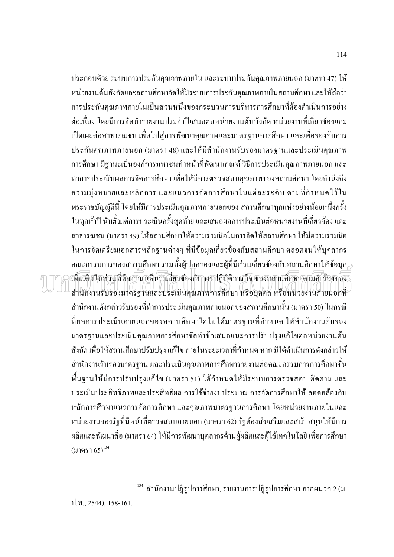ประกอบด้วย ระบบการประกันคุณภาพภายใน และระบบประกันคุณภาพภายนอก (มาตรา 47) ให้ หน่วยงานต้นสังกัดและสถานศึกษาจัดให้มีระบบการประกันคุณภาพภายในสถานศึกษา และให้ถือว่า ี การประกันคุณภาพภายในเป็นส่วนหนึ่งของกระบวนการบริหารการศึกษาที่ต้องดำเนินการอย่าง ี่ต่อเนื่อง โดยมีการจัดทำรายงานประจำปีเสนอต่อหน่วยงานต้นสังกัด หน่วยงานที่เกี่ยวข้องและ ้เปิดเผยต่อสาธารณชน เพื่อไปสู่การพัฒนาคุณภาพและมาตรฐานการศึกษา และเพื่อรองรับการ ประกันคุณภาพภายนอก (มาตรา 48) และให้มีสำนักงานรับรองมาตรฐานและประเมินคุณภาพ ิการศึกษา มีฐานะเป็นองค์การมหาชนทำหน้าที่พัฒนาเกณฑ์ วิธีการประเมินคุณภาพภายนอก และ ้ ทำการประเมินผลการจัดการศึกษา เพื่อให้มีการตรวจสอบคณภาพของสถานศึกษา โดยคำนึงถึง ้ ความมุ่งหมายและหลักการ และแนวการจัดการศึกษาในแต่ละระดับ ตามที่กำหนดไว้ใน ี พระราชบัญญัตินี้ โดยให้มีการประเมินคุณภาพภายนอกของ สถานศึกษาทุกแห่งอย่างน้อยหนึ่งครั้ง ในทุกห้าปี นับตั้งแต่การประเมินครั้งสุดท้าย และเสนอผลการประเมินต่อหน่วยงานที่เกี่ยวข้อง และ ี่สาธารณชน (มาตรา 49) ให้สถานศึกษาให้ความร่วมมือในการจัดให้สถานศึกษา ให้มีความร่วมมือ ในการจัดเตรียมเอกสารหลักฐานต่างๆ ที่มีข้อมูลเกี่ยวข้องกับสถานศึกษา ตลอดจนให้บุคลากร ึ คณะกรรมการของสถานศึกษา รวมทั้งผู้ปกครองและผู้ที่มีส่วนเกี่ยวข้องกับสถานศึกษาให้ข้อมูล $_{\geq}$ เพิ่มเติมในส่วนที่พิจารณาเห็นว่าเลี่ยวข้องกับการปฏิบัติภารกิจ ของสถานศึกษาตามคำร้องของ สำนักงานรับรองมาตรฐานและประเมินคุณภาพการศึกษา หรือบุคคล หรือหน่วยงานภายนอกที่ ี สำนักงานดังกล่าวรับรองที่ทำการประเมินคุณภาพภายนอกของสถานศึกษานั้น (มาตรา 50) ในกรณี ที่ผลการประเมินภายนอกของสถานศึกษาใดไม่ได้มาตรฐานที่กำหนด ให้สำนักงานรับรอง มาตรฐานและประเมินคุณภาพการศึกษาจัดทำข้อเสนอแนะการปรับปรุงแก้ไขต่อหน่วยงานต้น ้สังกัด เพื่อให้สถานศึกษาปรับปรุง แก้ไข ภายในระยะเวลาที่กำหนด หาก มิได้ดำเนินการดังกล่าวให้ สำนักงานรับรองมาตรฐาน และประเมินคุณภาพการศึกษารายงานต่อคณะกรรมการการศึกษาขั้น ี พื้นฐานให้มีการปรับปรงแก้ไข (มาตรา 51) ได้กำหนดให้มีระบบการตรวจสอบ ติดตาม และ ประเมินประสิทธิภาพและประสิทธิผล การใช้จ่ายงบประมาณ การจัดการศึกษาให้ สอดคล้องกับ หลักการศึกษาแนวการจัดการศึกษา และคุณภาพมาตรฐานการศึกษา โดยหน่วยงานภายในและ หน่วยงานของรัฐที่มีหน้าที่ตรวจสอบภายนอก (มาตรา 62) รัฐต้องส่งเสริมและสนับสนุนให้มีการ ี ผลิตและพัฒนาสื่อ (มาตรา 64) ให้มีการพัฒนาบุคลากรด้านผู้ผลิตและผู้ใช้เทคโนโลยี เพื่อการศึกษา (มาตรา 65) $^{134}$ 

<sup>&</sup>lt;sup>134</sup> สำนักงานปฏิรูปการศึกษา, <u>รายงานการปฏิรูปการศึกษา ภาคผนวก 2</u> (ม.